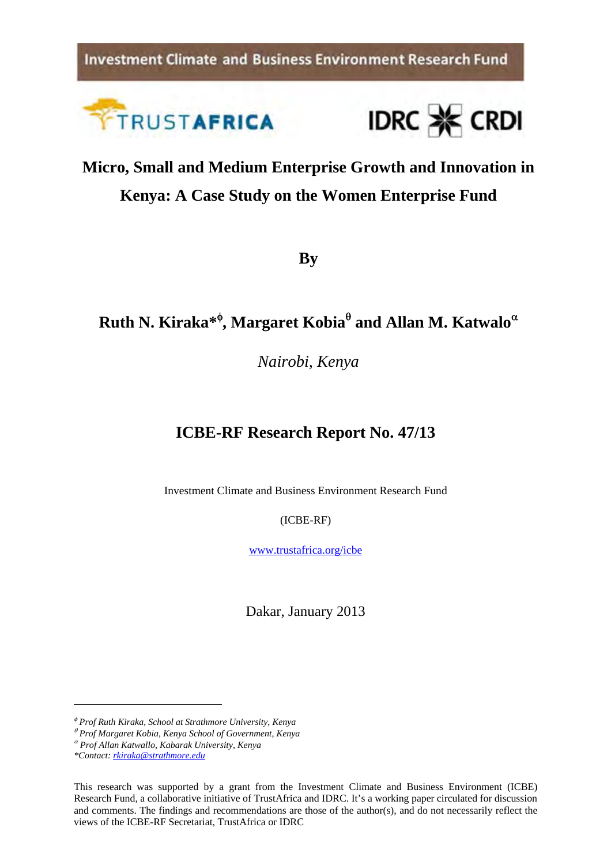**Investment Climate and Business Environment Research Fund** 





# **Micro, Small and Medium Enterprise Growth and Innovation in Kenya: A Case Study on the Women Enterprise Fund**

**By** 

# **Ruth N. Kiraka\* , Margaret Kobia and Allan M. Katwalo**

*Nairobi, Kenya* 

## **ICBE-RF Research Report No. 47/13**

Investment Climate and Business Environment Research Fund

(ICBE-RF)

www.trustafrica.org/icbe

Dakar, January 2013

*Prof Ruth Kiraka, School at Strathmore University, Kenya* 

*Prof Margaret Kobia, Kenya School of Government, Kenya* 

*Prof Allan Katwallo, Kabarak University, Kenya* 

*<sup>\*</sup>Contact: rkiraka@strathmore.edu* 

This research was supported by a grant from the Investment Climate and Business Environment (ICBE) Research Fund, a collaborative initiative of TrustAfrica and IDRC. It's a working paper circulated for discussion and comments. The findings and recommendations are those of the author(s), and do not necessarily reflect the views of the ICBE-RF Secretariat, TrustAfrica or IDRC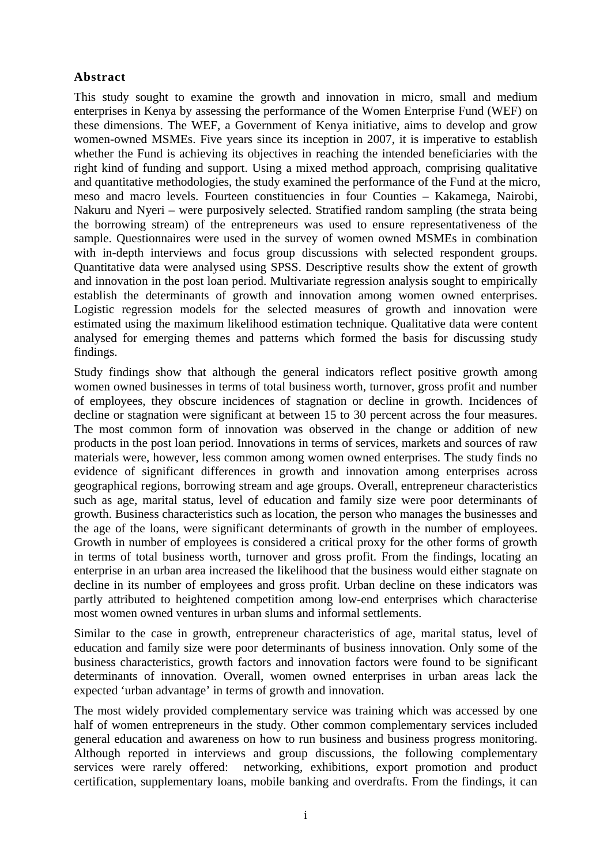#### **Abstract**

This study sought to examine the growth and innovation in micro, small and medium enterprises in Kenya by assessing the performance of the Women Enterprise Fund (WEF) on these dimensions. The WEF, a Government of Kenya initiative, aims to develop and grow women-owned MSMEs. Five years since its inception in 2007, it is imperative to establish whether the Fund is achieving its objectives in reaching the intended beneficiaries with the right kind of funding and support. Using a mixed method approach, comprising qualitative and quantitative methodologies, the study examined the performance of the Fund at the micro, meso and macro levels. Fourteen constituencies in four Counties – Kakamega, Nairobi, Nakuru and Nyeri – were purposively selected. Stratified random sampling (the strata being the borrowing stream) of the entrepreneurs was used to ensure representativeness of the sample. Questionnaires were used in the survey of women owned MSMEs in combination with in-depth interviews and focus group discussions with selected respondent groups. Quantitative data were analysed using SPSS. Descriptive results show the extent of growth and innovation in the post loan period. Multivariate regression analysis sought to empirically establish the determinants of growth and innovation among women owned enterprises. Logistic regression models for the selected measures of growth and innovation were estimated using the maximum likelihood estimation technique. Qualitative data were content analysed for emerging themes and patterns which formed the basis for discussing study findings.

Study findings show that although the general indicators reflect positive growth among women owned businesses in terms of total business worth, turnover, gross profit and number of employees, they obscure incidences of stagnation or decline in growth. Incidences of decline or stagnation were significant at between 15 to 30 percent across the four measures. The most common form of innovation was observed in the change or addition of new products in the post loan period. Innovations in terms of services, markets and sources of raw materials were, however, less common among women owned enterprises. The study finds no evidence of significant differences in growth and innovation among enterprises across geographical regions, borrowing stream and age groups. Overall, entrepreneur characteristics such as age, marital status, level of education and family size were poor determinants of growth. Business characteristics such as location, the person who manages the businesses and the age of the loans, were significant determinants of growth in the number of employees. Growth in number of employees is considered a critical proxy for the other forms of growth in terms of total business worth, turnover and gross profit. From the findings, locating an enterprise in an urban area increased the likelihood that the business would either stagnate on decline in its number of employees and gross profit. Urban decline on these indicators was partly attributed to heightened competition among low-end enterprises which characterise most women owned ventures in urban slums and informal settlements.

Similar to the case in growth, entrepreneur characteristics of age, marital status, level of education and family size were poor determinants of business innovation. Only some of the business characteristics, growth factors and innovation factors were found to be significant determinants of innovation. Overall, women owned enterprises in urban areas lack the expected 'urban advantage' in terms of growth and innovation.

The most widely provided complementary service was training which was accessed by one half of women entrepreneurs in the study. Other common complementary services included general education and awareness on how to run business and business progress monitoring. Although reported in interviews and group discussions, the following complementary services were rarely offered: networking, exhibitions, export promotion and product certification, supplementary loans, mobile banking and overdrafts. From the findings, it can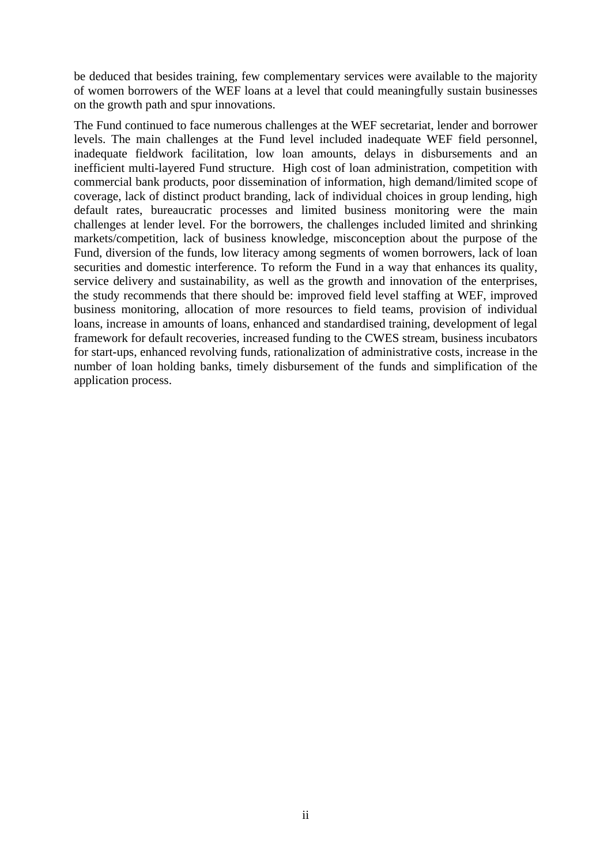be deduced that besides training, few complementary services were available to the majority of women borrowers of the WEF loans at a level that could meaningfully sustain businesses on the growth path and spur innovations.

The Fund continued to face numerous challenges at the WEF secretariat, lender and borrower levels. The main challenges at the Fund level included inadequate WEF field personnel, inadequate fieldwork facilitation, low loan amounts, delays in disbursements and an inefficient multi-layered Fund structure. High cost of loan administration, competition with commercial bank products, poor dissemination of information, high demand/limited scope of coverage, lack of distinct product branding, lack of individual choices in group lending, high default rates, bureaucratic processes and limited business monitoring were the main challenges at lender level. For the borrowers, the challenges included limited and shrinking markets/competition, lack of business knowledge, misconception about the purpose of the Fund, diversion of the funds, low literacy among segments of women borrowers, lack of loan securities and domestic interference. To reform the Fund in a way that enhances its quality, service delivery and sustainability, as well as the growth and innovation of the enterprises, the study recommends that there should be: improved field level staffing at WEF, improved business monitoring, allocation of more resources to field teams, provision of individual loans, increase in amounts of loans, enhanced and standardised training, development of legal framework for default recoveries, increased funding to the CWES stream, business incubators for start-ups, enhanced revolving funds, rationalization of administrative costs, increase in the number of loan holding banks, timely disbursement of the funds and simplification of the application process.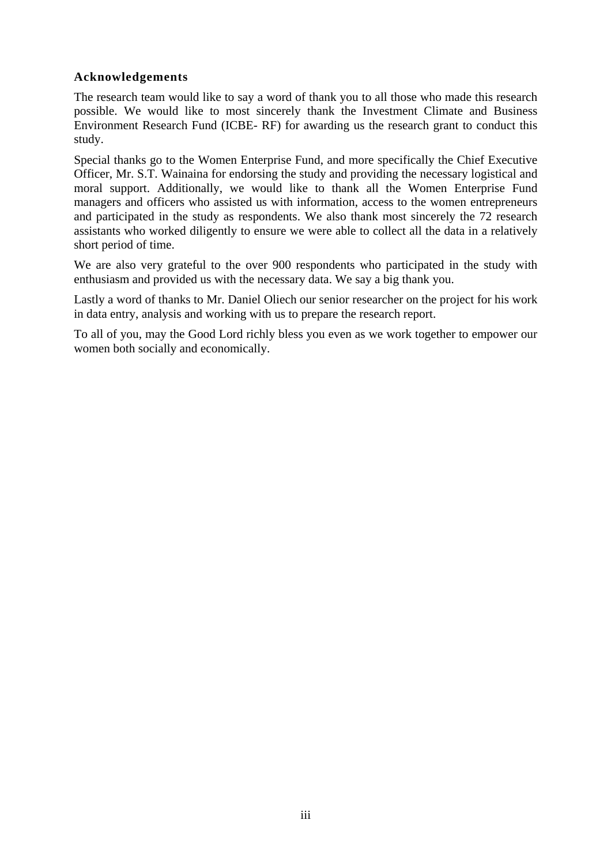#### **Acknowledgements**

The research team would like to say a word of thank you to all those who made this research possible. We would like to most sincerely thank the Investment Climate and Business Environment Research Fund (ICBE- RF) for awarding us the research grant to conduct this study.

Special thanks go to the Women Enterprise Fund, and more specifically the Chief Executive Officer, Mr. S.T. Wainaina for endorsing the study and providing the necessary logistical and moral support. Additionally, we would like to thank all the Women Enterprise Fund managers and officers who assisted us with information, access to the women entrepreneurs and participated in the study as respondents. We also thank most sincerely the 72 research assistants who worked diligently to ensure we were able to collect all the data in a relatively short period of time.

We are also very grateful to the over 900 respondents who participated in the study with enthusiasm and provided us with the necessary data. We say a big thank you.

Lastly a word of thanks to Mr. Daniel Oliech our senior researcher on the project for his work in data entry, analysis and working with us to prepare the research report.

To all of you, may the Good Lord richly bless you even as we work together to empower our women both socially and economically.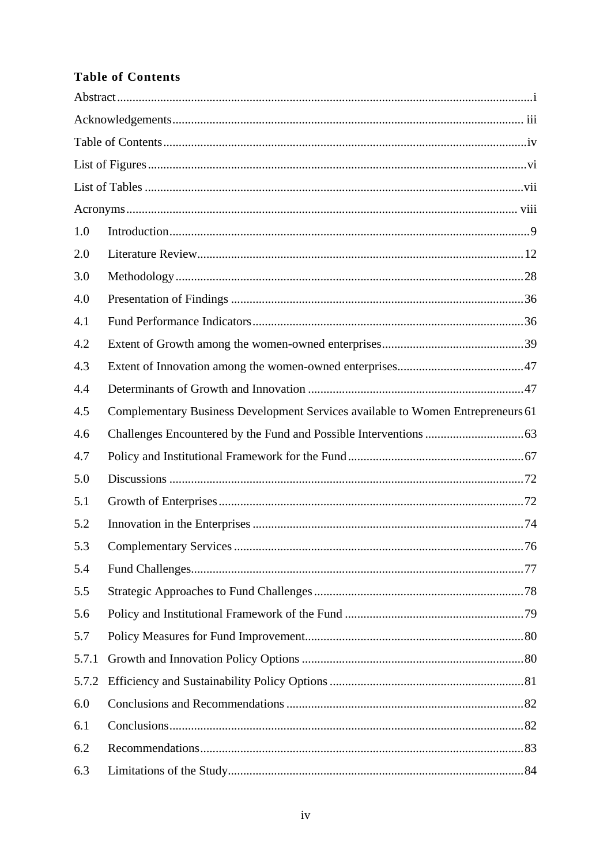## **Table of Contents**

| 1.0   |                                                                                 |  |
|-------|---------------------------------------------------------------------------------|--|
| 2.0   |                                                                                 |  |
| 3.0   |                                                                                 |  |
| 4.0   |                                                                                 |  |
| 4.1   |                                                                                 |  |
| 4.2   |                                                                                 |  |
| 4.3   |                                                                                 |  |
| 4.4   |                                                                                 |  |
| 4.5   | Complementary Business Development Services available to Women Entrepreneurs 61 |  |
| 4.6   |                                                                                 |  |
| 4.7   |                                                                                 |  |
| 5.0   |                                                                                 |  |
| 5.1   |                                                                                 |  |
| 5.2   |                                                                                 |  |
| 5.3   |                                                                                 |  |
| 5.4   |                                                                                 |  |
| 5.5   |                                                                                 |  |
| 5.6   |                                                                                 |  |
| 5.7   |                                                                                 |  |
| 5.7.1 |                                                                                 |  |
| 5.7.2 |                                                                                 |  |
| 6.0   |                                                                                 |  |
| 6.1   |                                                                                 |  |
| 6.2   |                                                                                 |  |
| 6.3   |                                                                                 |  |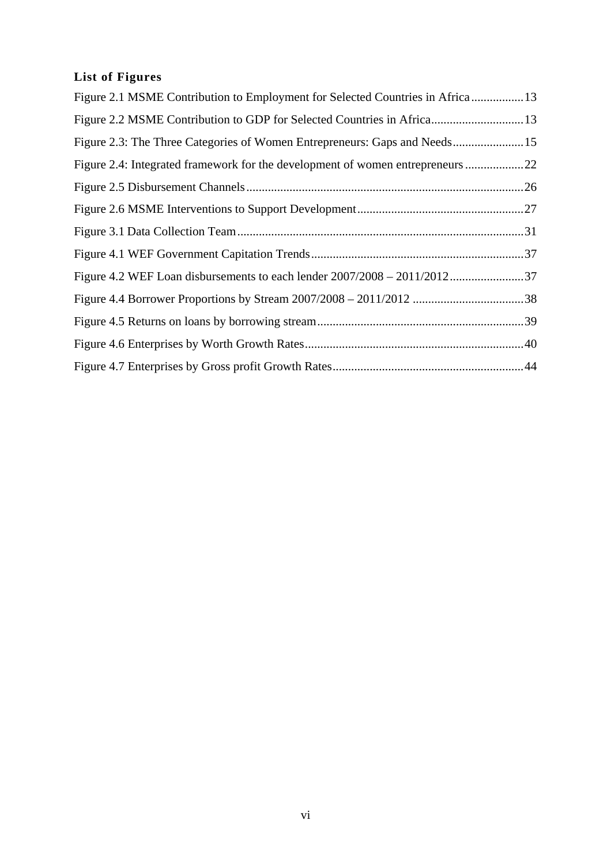## **List of Figures**

| Figure 2.1 MSME Contribution to Employment for Selected Countries in Africa13  |  |
|--------------------------------------------------------------------------------|--|
|                                                                                |  |
| Figure 2.3: The Three Categories of Women Entrepreneurs: Gaps and Needs 15     |  |
| Figure 2.4: Integrated framework for the development of women entrepreneurs 22 |  |
|                                                                                |  |
|                                                                                |  |
|                                                                                |  |
|                                                                                |  |
| Figure 4.2 WEF Loan disbursements to each lender 2007/2008 - 2011/201237       |  |
|                                                                                |  |
|                                                                                |  |
|                                                                                |  |
|                                                                                |  |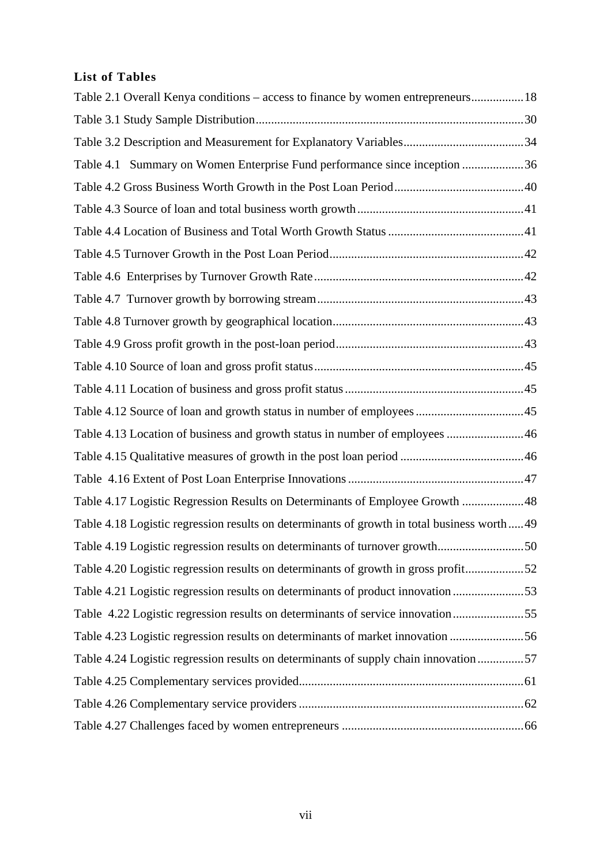## **List of Tables**

| Table 2.1 Overall Kenya conditions – access to finance by women entrepreneurs18            |
|--------------------------------------------------------------------------------------------|
|                                                                                            |
|                                                                                            |
| Table 4.1 Summary on Women Enterprise Fund performance since inception 36                  |
|                                                                                            |
|                                                                                            |
|                                                                                            |
|                                                                                            |
|                                                                                            |
|                                                                                            |
|                                                                                            |
|                                                                                            |
|                                                                                            |
|                                                                                            |
|                                                                                            |
| Table 4.13 Location of business and growth status in number of employees 46                |
|                                                                                            |
|                                                                                            |
| Table 4.17 Logistic Regression Results on Determinants of Employee Growth 48               |
| Table 4.18 Logistic regression results on determinants of growth in total business worth49 |
|                                                                                            |
| Table 4.20 Logistic regression results on determinants of growth in gross profit52         |
| Table 4.21 Logistic regression results on determinants of product innovation               |
| Table 4.22 Logistic regression results on determinants of service innovation55             |
| Table 4.23 Logistic regression results on determinants of market innovation 56             |
| Table 4.24 Logistic regression results on determinants of supply chain innovation57        |
|                                                                                            |
|                                                                                            |
|                                                                                            |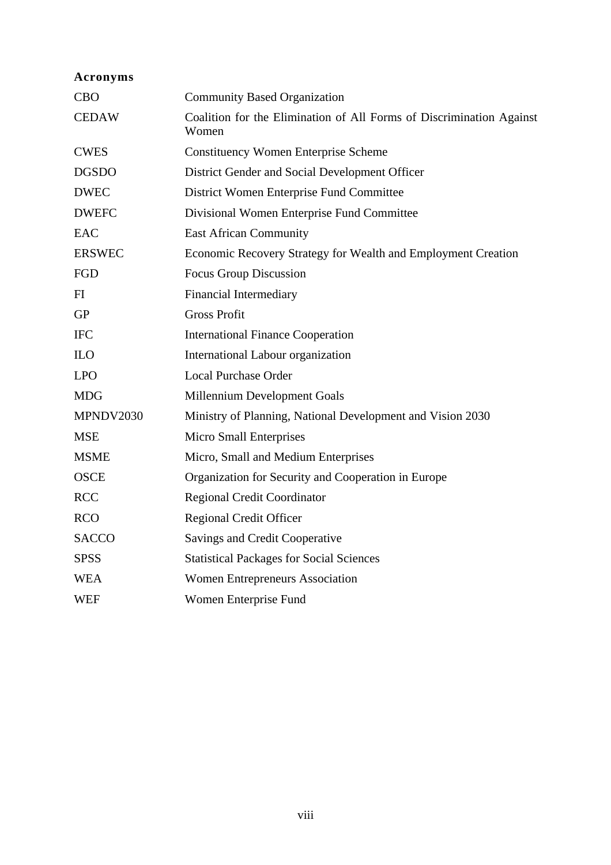| Acronyms      |                                                                               |
|---------------|-------------------------------------------------------------------------------|
| <b>CBO</b>    | <b>Community Based Organization</b>                                           |
| <b>CEDAW</b>  | Coalition for the Elimination of All Forms of Discrimination Against<br>Women |
| <b>CWES</b>   | <b>Constituency Women Enterprise Scheme</b>                                   |
| <b>DGSDO</b>  | District Gender and Social Development Officer                                |
| <b>DWEC</b>   | District Women Enterprise Fund Committee                                      |
| <b>DWEFC</b>  | Divisional Women Enterprise Fund Committee                                    |
| <b>EAC</b>    | <b>East African Community</b>                                                 |
| <b>ERSWEC</b> | Economic Recovery Strategy for Wealth and Employment Creation                 |
| FGD           | Focus Group Discussion                                                        |
| FI            | <b>Financial Intermediary</b>                                                 |
| <b>GP</b>     | <b>Gross Profit</b>                                                           |
| <b>IFC</b>    | <b>International Finance Cooperation</b>                                      |
| <b>ILO</b>    | International Labour organization                                             |
| <b>LPO</b>    | <b>Local Purchase Order</b>                                                   |
| <b>MDG</b>    | Millennium Development Goals                                                  |
| MPNDV2030     | Ministry of Planning, National Development and Vision 2030                    |
| <b>MSE</b>    | <b>Micro Small Enterprises</b>                                                |
| <b>MSME</b>   | Micro, Small and Medium Enterprises                                           |
| <b>OSCE</b>   | Organization for Security and Cooperation in Europe                           |
| RCC           | <b>Regional Credit Coordinator</b>                                            |
| <b>RCO</b>    | <b>Regional Credit Officer</b>                                                |
| <b>SACCO</b>  | Savings and Credit Cooperative                                                |
| <b>SPSS</b>   | <b>Statistical Packages for Social Sciences</b>                               |
| <b>WEA</b>    | <b>Women Entrepreneurs Association</b>                                        |
| <b>WEF</b>    | Women Enterprise Fund                                                         |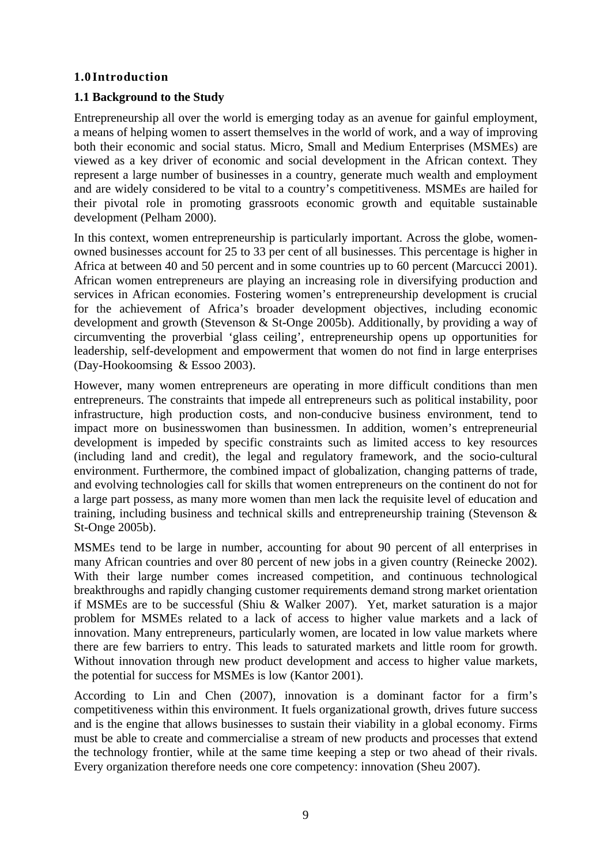#### **1.0 Introduction**

#### **1.1 Background to the Study**

Entrepreneurship all over the world is emerging today as an avenue for gainful employment, a means of helping women to assert themselves in the world of work, and a way of improving both their economic and social status. Micro, Small and Medium Enterprises (MSMEs) are viewed as a key driver of economic and social development in the African context. They represent a large number of businesses in a country, generate much wealth and employment and are widely considered to be vital to a country's competitiveness. MSMEs are hailed for their pivotal role in promoting grassroots economic growth and equitable sustainable development (Pelham 2000).

In this context, women entrepreneurship is particularly important. Across the globe, womenowned businesses account for 25 to 33 per cent of all businesses. This percentage is higher in Africa at between 40 and 50 percent and in some countries up to 60 percent (Marcucci 2001). African women entrepreneurs are playing an increasing role in diversifying production and services in African economies. Fostering women's entrepreneurship development is crucial for the achievement of Africa's broader development objectives, including economic development and growth (Stevenson & St-Onge 2005b). Additionally, by providing a way of circumventing the proverbial 'glass ceiling', entrepreneurship opens up opportunities for leadership, self-development and empowerment that women do not find in large enterprises (Day-Hookoomsing & Essoo 2003).

However, many women entrepreneurs are operating in more difficult conditions than men entrepreneurs. The constraints that impede all entrepreneurs such as political instability, poor infrastructure, high production costs, and non-conducive business environment, tend to impact more on businesswomen than businessmen. In addition, women's entrepreneurial development is impeded by specific constraints such as limited access to key resources (including land and credit), the legal and regulatory framework, and the socio-cultural environment. Furthermore, the combined impact of globalization, changing patterns of trade, and evolving technologies call for skills that women entrepreneurs on the continent do not for a large part possess, as many more women than men lack the requisite level of education and training, including business and technical skills and entrepreneurship training (Stevenson & St-Onge 2005b).

MSMEs tend to be large in number, accounting for about 90 percent of all enterprises in many African countries and over 80 percent of new jobs in a given country (Reinecke 2002). With their large number comes increased competition, and continuous technological breakthroughs and rapidly changing customer requirements demand strong market orientation if MSMEs are to be successful (Shiu & Walker 2007). Yet, market saturation is a major problem for MSMEs related to a lack of access to higher value markets and a lack of innovation. Many entrepreneurs, particularly women, are located in low value markets where there are few barriers to entry. This leads to saturated markets and little room for growth. Without innovation through new product development and access to higher value markets, the potential for success for MSMEs is low (Kantor 2001).

According to Lin and Chen (2007), innovation is a dominant factor for a firm's competitiveness within this environment. It fuels organizational growth, drives future success and is the engine that allows businesses to sustain their viability in a global economy. Firms must be able to create and commercialise a stream of new products and processes that extend the technology frontier, while at the same time keeping a step or two ahead of their rivals. Every organization therefore needs one core competency: innovation (Sheu 2007).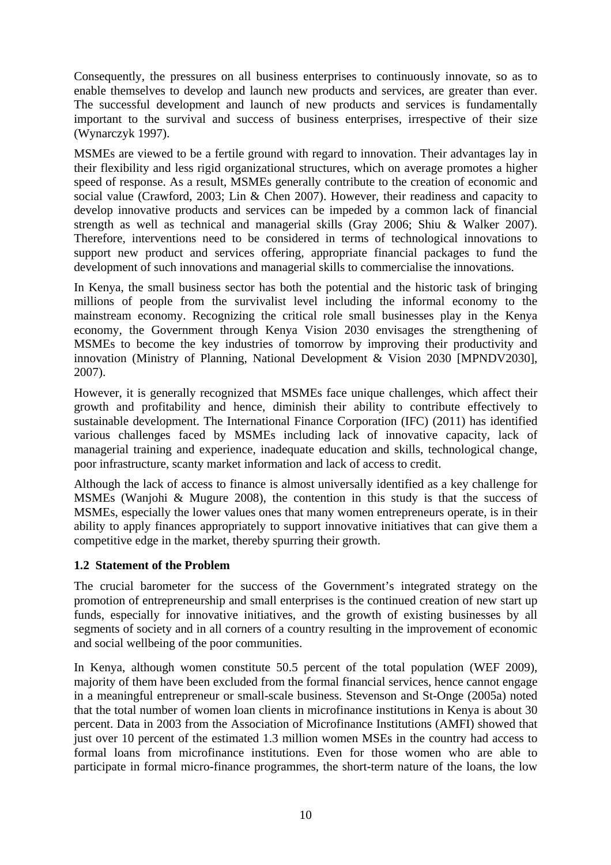Consequently, the pressures on all business enterprises to continuously innovate, so as to enable themselves to develop and launch new products and services, are greater than ever. The successful development and launch of new products and services is fundamentally important to the survival and success of business enterprises, irrespective of their size (Wynarczyk 1997).

MSMEs are viewed to be a fertile ground with regard to innovation. Their advantages lay in their flexibility and less rigid organizational structures, which on average promotes a higher speed of response. As a result, MSMEs generally contribute to the creation of economic and social value (Crawford, 2003; Lin & Chen 2007). However, their readiness and capacity to develop innovative products and services can be impeded by a common lack of financial strength as well as technical and managerial skills (Gray 2006; Shiu & Walker 2007). Therefore, interventions need to be considered in terms of technological innovations to support new product and services offering, appropriate financial packages to fund the development of such innovations and managerial skills to commercialise the innovations.

In Kenya, the small business sector has both the potential and the historic task of bringing millions of people from the survivalist level including the informal economy to the mainstream economy. Recognizing the critical role small businesses play in the Kenya economy, the Government through Kenya Vision 2030 envisages the strengthening of MSMEs to become the key industries of tomorrow by improving their productivity and innovation (Ministry of Planning, National Development & Vision 2030 [MPNDV2030], 2007).

However, it is generally recognized that MSMEs face unique challenges, which affect their growth and profitability and hence, diminish their ability to contribute effectively to sustainable development. The International Finance Corporation (IFC) (2011) has identified various challenges faced by MSMEs including lack of innovative capacity, lack of managerial training and experience, inadequate education and skills, technological change, poor infrastructure, scanty market information and lack of access to credit.

Although the lack of access to finance is almost universally identified as a key challenge for MSMEs (Wanjohi & Mugure 2008), the contention in this study is that the success of MSMEs, especially the lower values ones that many women entrepreneurs operate, is in their ability to apply finances appropriately to support innovative initiatives that can give them a competitive edge in the market, thereby spurring their growth.

#### **1.2 Statement of the Problem**

The crucial barometer for the success of the Government's integrated strategy on the promotion of entrepreneurship and small enterprises is the continued creation of new start up funds, especially for innovative initiatives, and the growth of existing businesses by all segments of society and in all corners of a country resulting in the improvement of economic and social wellbeing of the poor communities.

In Kenya, although women constitute 50.5 percent of the total population (WEF 2009), majority of them have been excluded from the formal financial services, hence cannot engage in a meaningful entrepreneur or small-scale business. Stevenson and St-Onge (2005a) noted that the total number of women loan clients in microfinance institutions in Kenya is about 30 percent. Data in 2003 from the Association of Microfinance Institutions (AMFI) showed that just over 10 percent of the estimated 1.3 million women MSEs in the country had access to formal loans from microfinance institutions. Even for those women who are able to participate in formal micro-finance programmes, the short-term nature of the loans, the low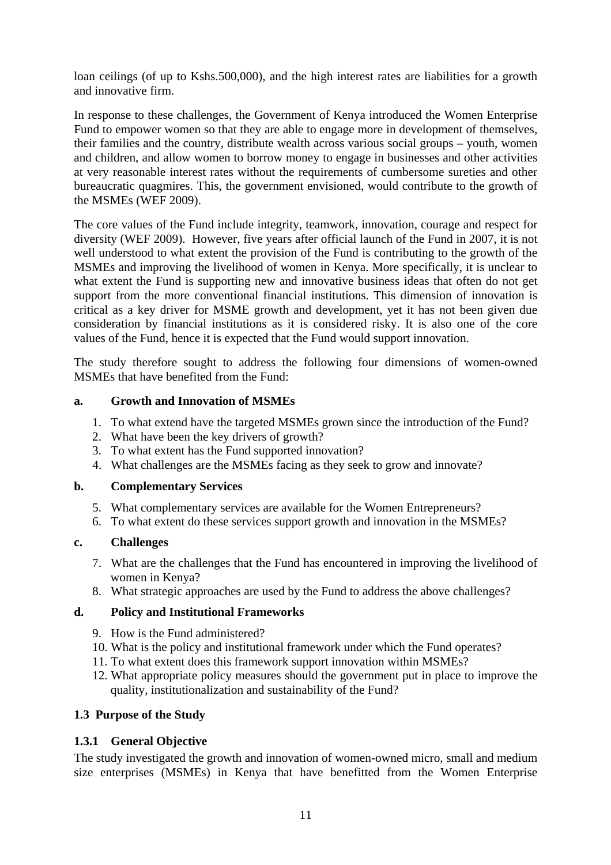loan ceilings (of up to Kshs.500,000), and the high interest rates are liabilities for a growth and innovative firm.

In response to these challenges, the Government of Kenya introduced the Women Enterprise Fund to empower women so that they are able to engage more in development of themselves, their families and the country, distribute wealth across various social groups – youth, women and children, and allow women to borrow money to engage in businesses and other activities at very reasonable interest rates without the requirements of cumbersome sureties and other bureaucratic quagmires. This, the government envisioned, would contribute to the growth of the MSMEs (WEF 2009).

The core values of the Fund include integrity, teamwork, innovation, courage and respect for diversity (WEF 2009). However, five years after official launch of the Fund in 2007, it is not well understood to what extent the provision of the Fund is contributing to the growth of the MSMEs and improving the livelihood of women in Kenya. More specifically, it is unclear to what extent the Fund is supporting new and innovative business ideas that often do not get support from the more conventional financial institutions. This dimension of innovation is critical as a key driver for MSME growth and development, yet it has not been given due consideration by financial institutions as it is considered risky. It is also one of the core values of the Fund, hence it is expected that the Fund would support innovation.

The study therefore sought to address the following four dimensions of women-owned MSMEs that have benefited from the Fund:

#### **a. Growth and Innovation of MSMEs**

- 1. To what extend have the targeted MSMEs grown since the introduction of the Fund?
- 2. What have been the key drivers of growth?
- 3. To what extent has the Fund supported innovation?
- 4. What challenges are the MSMEs facing as they seek to grow and innovate?

#### **b. Complementary Services**

- 5. What complementary services are available for the Women Entrepreneurs?
- 6. To what extent do these services support growth and innovation in the MSMEs?

#### **c. Challenges**

- 7. What are the challenges that the Fund has encountered in improving the livelihood of women in Kenya?
- 8. What strategic approaches are used by the Fund to address the above challenges?

#### **d. Policy and Institutional Frameworks**

- 9. How is the Fund administered?
- 10. What is the policy and institutional framework under which the Fund operates?
- 11. To what extent does this framework support innovation within MSMEs?
- 12. What appropriate policy measures should the government put in place to improve the quality, institutionalization and sustainability of the Fund?

#### **1.3 Purpose of the Study**

#### **1.3.1 General Objective**

The study investigated the growth and innovation of women-owned micro, small and medium size enterprises (MSMEs) in Kenya that have benefitted from the Women Enterprise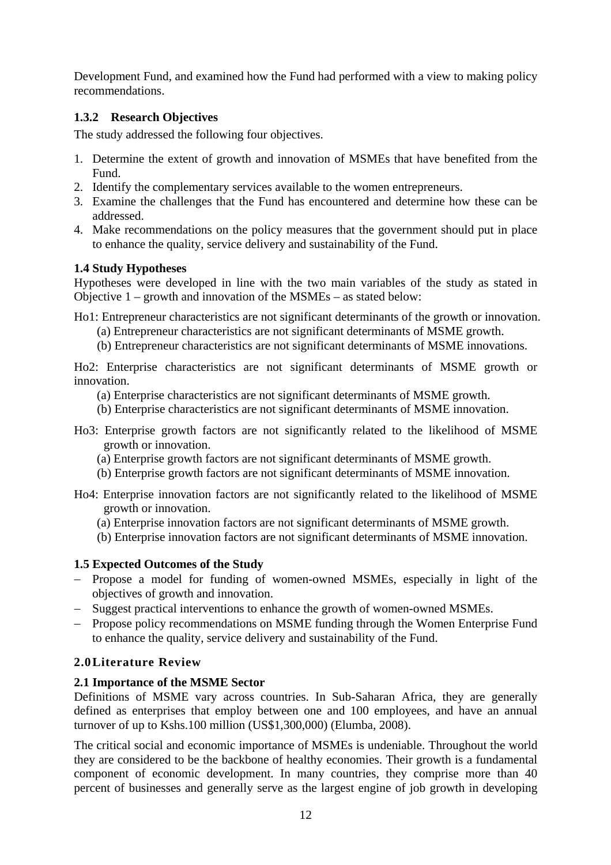Development Fund, and examined how the Fund had performed with a view to making policy recommendations.

### **1.3.2 Research Objectives**

The study addressed the following four objectives.

- 1. Determine the extent of growth and innovation of MSMEs that have benefited from the Fund.
- 2. Identify the complementary services available to the women entrepreneurs.
- 3. Examine the challenges that the Fund has encountered and determine how these can be addressed.
- 4. Make recommendations on the policy measures that the government should put in place to enhance the quality, service delivery and sustainability of the Fund.

#### **1.4 Study Hypotheses**

Hypotheses were developed in line with the two main variables of the study as stated in Objective 1 – growth and innovation of the MSMEs – as stated below:

Ho1: Entrepreneur characteristics are not significant determinants of the growth or innovation.

- (a) Entrepreneur characteristics are not significant determinants of MSME growth.
- (b) Entrepreneur characteristics are not significant determinants of MSME innovations.

Ho2: Enterprise characteristics are not significant determinants of MSME growth or innovation.

- (a) Enterprise characteristics are not significant determinants of MSME growth.
- (b) Enterprise characteristics are not significant determinants of MSME innovation.
- Ho3: Enterprise growth factors are not significantly related to the likelihood of MSME growth or innovation.
	- (a) Enterprise growth factors are not significant determinants of MSME growth.
	- (b) Enterprise growth factors are not significant determinants of MSME innovation.
- Ho4: Enterprise innovation factors are not significantly related to the likelihood of MSME growth or innovation.
	- (a) Enterprise innovation factors are not significant determinants of MSME growth.
	- (b) Enterprise innovation factors are not significant determinants of MSME innovation.

### **1.5 Expected Outcomes of the Study**

- Propose a model for funding of women-owned MSMEs, especially in light of the objectives of growth and innovation.
- Suggest practical interventions to enhance the growth of women-owned MSMEs.
- Propose policy recommendations on MSME funding through the Women Enterprise Fund to enhance the quality, service delivery and sustainability of the Fund.

### **2.0Literature Review**

### **2.1 Importance of the MSME Sector**

Definitions of MSME vary across countries. In Sub-Saharan Africa, they are generally defined as enterprises that employ between one and 100 employees, and have an annual turnover of up to Kshs.100 million (US\$1,300,000) (Elumba, 2008).

The critical social and economic importance of MSMEs is undeniable. Throughout the world they are considered to be the backbone of healthy economies. Their growth is a fundamental component of economic development. In many countries, they comprise more than 40 percent of businesses and generally serve as the largest engine of job growth in developing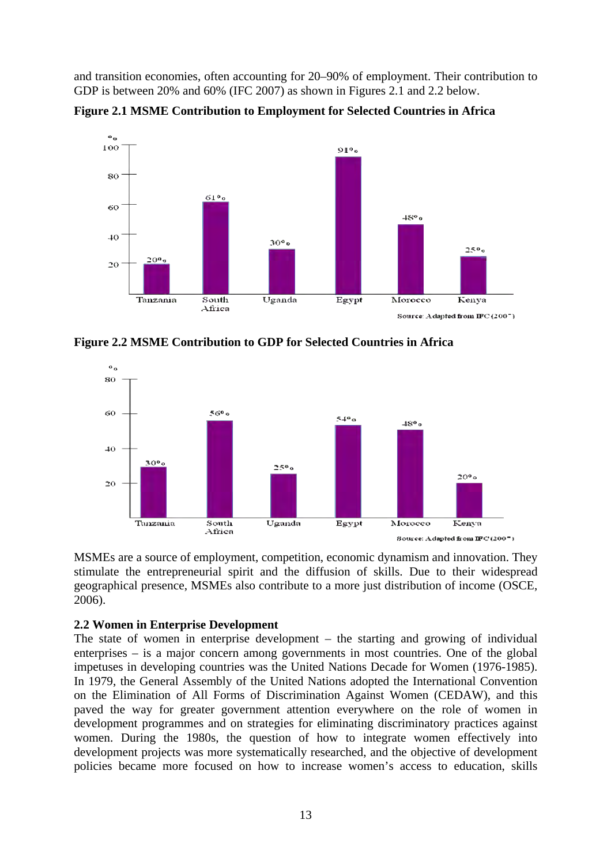and transition economies, often accounting for 20–90% of employment. Their contribution to GDP is between 20% and 60% (IFC 2007) as shown in Figures 2.1 and 2.2 below.

**Figure 2.1 MSME Contribution to Employment for Selected Countries in Africa** 



**Figure 2.2 MSME Contribution to GDP for Selected Countries in Africa** 



MSMEs are a source of employment, competition, economic dynamism and innovation. They stimulate the entrepreneurial spirit and the diffusion of skills. Due to their widespread geographical presence, MSMEs also contribute to a more just distribution of income (OSCE, 2006).

#### **2.2 Women in Enterprise Development**

The state of women in enterprise development – the starting and growing of individual enterprises – is a major concern among governments in most countries. One of the global impetuses in developing countries was the United Nations Decade for Women (1976-1985). In 1979, the General Assembly of the United Nations adopted the International Convention on the Elimination of All Forms of Discrimination Against Women (CEDAW), and this paved the way for greater government attention everywhere on the role of women in development programmes and on strategies for eliminating discriminatory practices against women. During the 1980s, the question of how to integrate women effectively into development projects was more systematically researched, and the objective of development policies became more focused on how to increase women's access to education, skills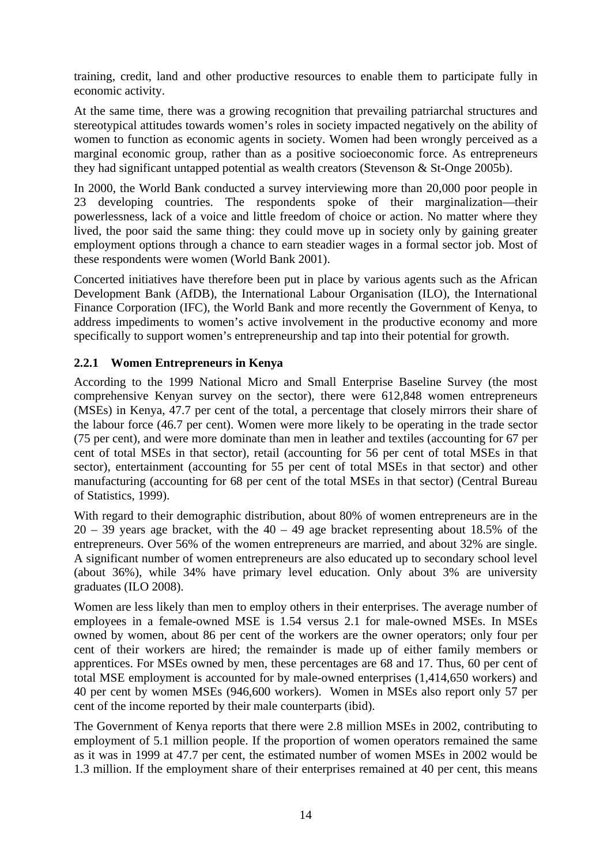training, credit, land and other productive resources to enable them to participate fully in economic activity.

At the same time, there was a growing recognition that prevailing patriarchal structures and stereotypical attitudes towards women's roles in society impacted negatively on the ability of women to function as economic agents in society. Women had been wrongly perceived as a marginal economic group, rather than as a positive socioeconomic force. As entrepreneurs they had significant untapped potential as wealth creators (Stevenson & St-Onge 2005b).

In 2000, the World Bank conducted a survey interviewing more than 20,000 poor people in 23 developing countries. The respondents spoke of their marginalization—their powerlessness, lack of a voice and little freedom of choice or action. No matter where they lived, the poor said the same thing: they could move up in society only by gaining greater employment options through a chance to earn steadier wages in a formal sector job. Most of these respondents were women (World Bank 2001).

Concerted initiatives have therefore been put in place by various agents such as the African Development Bank (AfDB), the International Labour Organisation (ILO), the International Finance Corporation (IFC), the World Bank and more recently the Government of Kenya, to address impediments to women's active involvement in the productive economy and more specifically to support women's entrepreneurship and tap into their potential for growth.

#### **2.2.1 Women Entrepreneurs in Kenya**

According to the 1999 National Micro and Small Enterprise Baseline Survey (the most comprehensive Kenyan survey on the sector), there were 612,848 women entrepreneurs (MSEs) in Kenya, 47.7 per cent of the total, a percentage that closely mirrors their share of the labour force (46.7 per cent). Women were more likely to be operating in the trade sector (75 per cent), and were more dominate than men in leather and textiles (accounting for 67 per cent of total MSEs in that sector), retail (accounting for 56 per cent of total MSEs in that sector), entertainment (accounting for 55 per cent of total MSEs in that sector) and other manufacturing (accounting for 68 per cent of the total MSEs in that sector) (Central Bureau of Statistics, 1999).

With regard to their demographic distribution, about 80% of women entrepreneurs are in the  $20 - 39$  years age bracket, with the  $40 - 49$  age bracket representing about 18.5% of the entrepreneurs. Over 56% of the women entrepreneurs are married, and about 32% are single. A significant number of women entrepreneurs are also educated up to secondary school level (about 36%), while 34% have primary level education. Only about 3% are university graduates (ILO 2008).

Women are less likely than men to employ others in their enterprises. The average number of employees in a female-owned MSE is 1.54 versus 2.1 for male-owned MSEs. In MSEs owned by women, about 86 per cent of the workers are the owner operators; only four per cent of their workers are hired; the remainder is made up of either family members or apprentices. For MSEs owned by men, these percentages are 68 and 17. Thus, 60 per cent of total MSE employment is accounted for by male-owned enterprises (1,414,650 workers) and 40 per cent by women MSEs (946,600 workers). Women in MSEs also report only 57 per cent of the income reported by their male counterparts (ibid).

The Government of Kenya reports that there were 2.8 million MSEs in 2002, contributing to employment of 5.1 million people. If the proportion of women operators remained the same as it was in 1999 at 47.7 per cent, the estimated number of women MSEs in 2002 would be 1.3 million. If the employment share of their enterprises remained at 40 per cent, this means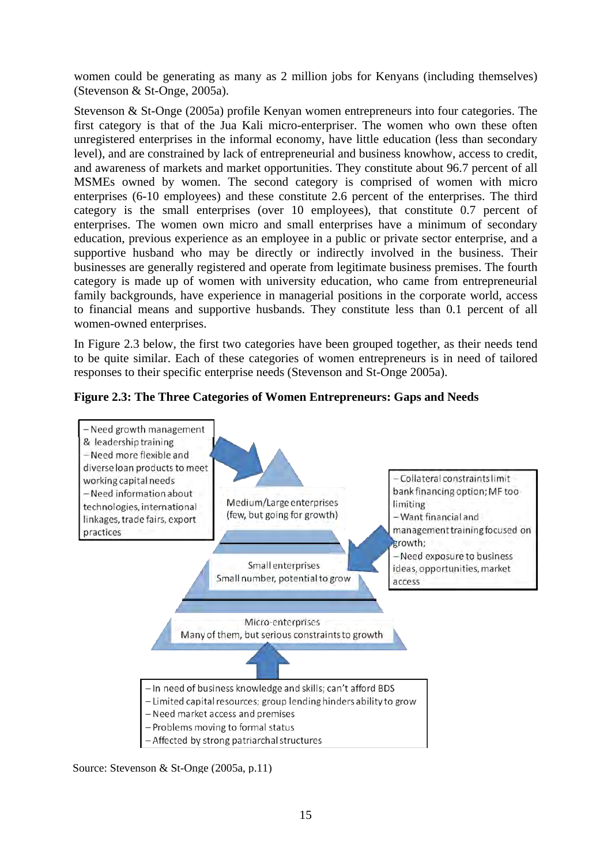women could be generating as many as 2 million jobs for Kenyans (including themselves) (Stevenson & St-Onge, 2005a).

Stevenson & St-Onge (2005a) profile Kenyan women entrepreneurs into four categories. The first category is that of the Jua Kali micro-enterpriser. The women who own these often unregistered enterprises in the informal economy, have little education (less than secondary level), and are constrained by lack of entrepreneurial and business knowhow, access to credit, and awareness of markets and market opportunities. They constitute about 96.7 percent of all MSMEs owned by women. The second category is comprised of women with micro enterprises (6-10 employees) and these constitute 2.6 percent of the enterprises. The third category is the small enterprises (over 10 employees), that constitute 0.7 percent of enterprises. The women own micro and small enterprises have a minimum of secondary education, previous experience as an employee in a public or private sector enterprise, and a supportive husband who may be directly or indirectly involved in the business. Their businesses are generally registered and operate from legitimate business premises. The fourth category is made up of women with university education, who came from entrepreneurial family backgrounds, have experience in managerial positions in the corporate world, access to financial means and supportive husbands. They constitute less than 0.1 percent of all women-owned enterprises.

In Figure 2.3 below, the first two categories have been grouped together, as their needs tend to be quite similar. Each of these categories of women entrepreneurs is in need of tailored responses to their specific enterprise needs (Stevenson and St-Onge 2005a).





Source: Stevenson & St-Onge (2005a, p.11)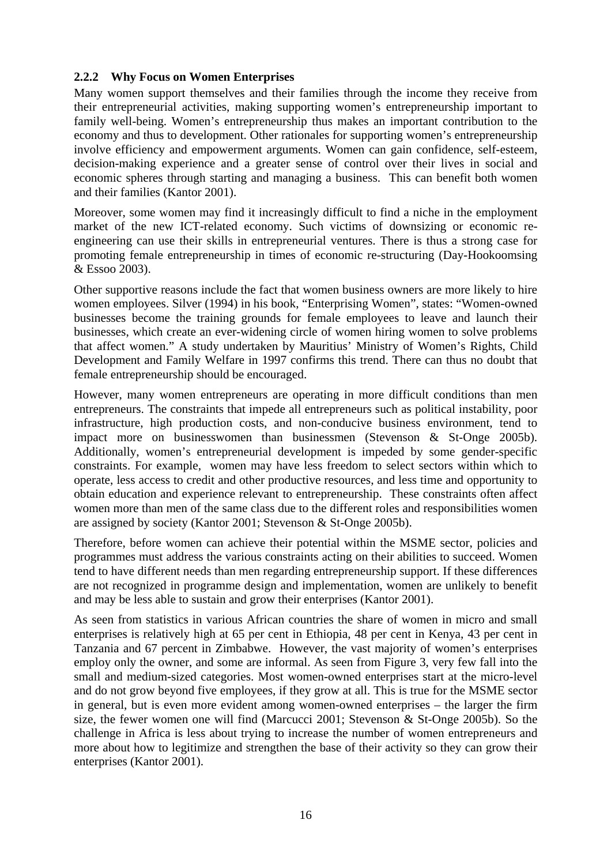#### **2.2.2 Why Focus on Women Enterprises**

Many women support themselves and their families through the income they receive from their entrepreneurial activities, making supporting women's entrepreneurship important to family well-being. Women's entrepreneurship thus makes an important contribution to the economy and thus to development. Other rationales for supporting women's entrepreneurship involve efficiency and empowerment arguments. Women can gain confidence, self-esteem, decision-making experience and a greater sense of control over their lives in social and economic spheres through starting and managing a business. This can benefit both women and their families (Kantor 2001).

Moreover, some women may find it increasingly difficult to find a niche in the employment market of the new ICT-related economy. Such victims of downsizing or economic reengineering can use their skills in entrepreneurial ventures. There is thus a strong case for promoting female entrepreneurship in times of economic re-structuring (Day-Hookoomsing & Essoo 2003).

Other supportive reasons include the fact that women business owners are more likely to hire women employees. Silver (1994) in his book, "Enterprising Women", states: "Women-owned businesses become the training grounds for female employees to leave and launch their businesses, which create an ever-widening circle of women hiring women to solve problems that affect women." A study undertaken by Mauritius' Ministry of Women's Rights, Child Development and Family Welfare in 1997 confirms this trend. There can thus no doubt that female entrepreneurship should be encouraged.

However, many women entrepreneurs are operating in more difficult conditions than men entrepreneurs. The constraints that impede all entrepreneurs such as political instability, poor infrastructure, high production costs, and non-conducive business environment, tend to impact more on businesswomen than businessmen (Stevenson & St-Onge 2005b). Additionally, women's entrepreneurial development is impeded by some gender-specific constraints. For example, women may have less freedom to select sectors within which to operate, less access to credit and other productive resources, and less time and opportunity to obtain education and experience relevant to entrepreneurship. These constraints often affect women more than men of the same class due to the different roles and responsibilities women are assigned by society (Kantor 2001; Stevenson & St-Onge 2005b).

Therefore, before women can achieve their potential within the MSME sector, policies and programmes must address the various constraints acting on their abilities to succeed. Women tend to have different needs than men regarding entrepreneurship support. If these differences are not recognized in programme design and implementation, women are unlikely to benefit and may be less able to sustain and grow their enterprises (Kantor 2001).

As seen from statistics in various African countries the share of women in micro and small enterprises is relatively high at 65 per cent in Ethiopia, 48 per cent in Kenya, 43 per cent in Tanzania and 67 percent in Zimbabwe. However, the vast majority of women's enterprises employ only the owner, and some are informal. As seen from Figure 3, very few fall into the small and medium-sized categories. Most women-owned enterprises start at the micro-level and do not grow beyond five employees, if they grow at all. This is true for the MSME sector in general, but is even more evident among women-owned enterprises – the larger the firm size, the fewer women one will find (Marcucci 2001; Stevenson & St-Onge 2005b). So the challenge in Africa is less about trying to increase the number of women entrepreneurs and more about how to legitimize and strengthen the base of their activity so they can grow their enterprises (Kantor 2001).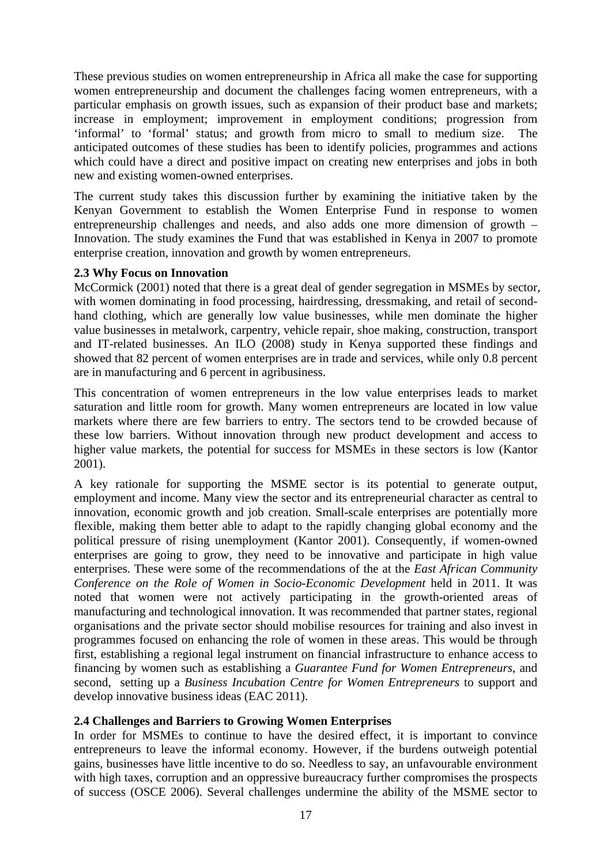These previous studies on women entrepreneurship in Africa all make the case for supporting women entrepreneurship and document the challenges facing women entrepreneurs, with a particular emphasis on growth issues, such as expansion of their product base and markets; increase in employment; improvement in employment conditions; progression from 'informal' to 'formal' status; and growth from micro to small to medium size. The anticipated outcomes of these studies has been to identify policies, programmes and actions which could have a direct and positive impact on creating new enterprises and jobs in both new and existing women-owned enterprises.

The current study takes this discussion further by examining the initiative taken by the Kenyan Government to establish the Women Enterprise Fund in response to women entrepreneurship challenges and needs, and also adds one more dimension of growth – Innovation. The study examines the Fund that was established in Kenya in 2007 to promote enterprise creation, innovation and growth by women entrepreneurs.

#### **2.3 Why Focus on Innovation**

McCormick (2001) noted that there is a great deal of gender segregation in MSMEs by sector, with women dominating in food processing, hairdressing, dressmaking, and retail of secondhand clothing, which are generally low value businesses, while men dominate the higher value businesses in metalwork, carpentry, vehicle repair, shoe making, construction, transport and IT-related businesses. An ILO (2008) study in Kenya supported these findings and showed that 82 percent of women enterprises are in trade and services, while only 0.8 percent are in manufacturing and 6 percent in agribusiness.

This concentration of women entrepreneurs in the low value enterprises leads to market saturation and little room for growth. Many women entrepreneurs are located in low value markets where there are few barriers to entry. The sectors tend to be crowded because of these low barriers. Without innovation through new product development and access to higher value markets, the potential for success for MSMEs in these sectors is low (Kantor 2001).

A key rationale for supporting the MSME sector is its potential to generate output, employment and income. Many view the sector and its entrepreneurial character as central to innovation, economic growth and job creation. Small-scale enterprises are potentially more flexible, making them better able to adapt to the rapidly changing global economy and the political pressure of rising unemployment (Kantor 2001). Consequently, if women-owned enterprises are going to grow, they need to be innovative and participate in high value enterprises. These were some of the recommendations of the at the *East African Community Conference on the Role of Women in Socio-Economic Development* held in 2011. It was noted that women were not actively participating in the growth-oriented areas of manufacturing and technological innovation. It was recommended that partner states, regional organisations and the private sector should mobilise resources for training and also invest in programmes focused on enhancing the role of women in these areas. This would be through first, establishing a regional legal instrument on financial infrastructure to enhance access to financing by women such as establishing a *Guarantee Fund for Women Entrepreneurs*, and second, setting up a *Business Incubation Centre for Women Entrepreneurs* to support and develop innovative business ideas (EAC 2011).

#### **2.4 Challenges and Barriers to Growing Women Enterprises**

In order for MSMEs to continue to have the desired effect, it is important to convince entrepreneurs to leave the informal economy. However, if the burdens outweigh potential gains, businesses have little incentive to do so. Needless to say, an unfavourable environment with high taxes, corruption and an oppressive bureaucracy further compromises the prospects of success (OSCE 2006). Several challenges undermine the ability of the MSME sector to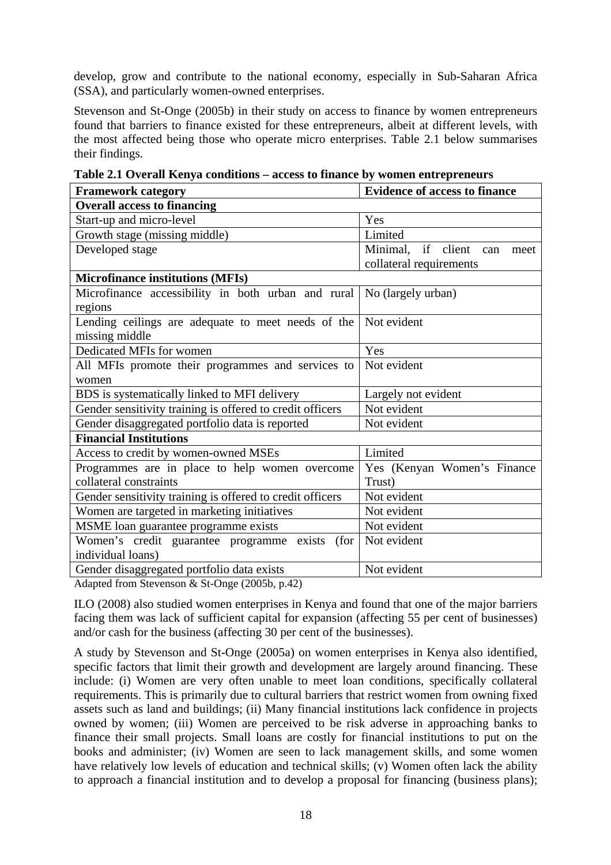develop, grow and contribute to the national economy, especially in Sub-Saharan Africa (SSA), and particularly women-owned enterprises.

Stevenson and St-Onge (2005b) in their study on access to finance by women entrepreneurs found that barriers to finance existed for these entrepreneurs, albeit at different levels, with the most affected being those who operate micro enterprises. Table 2.1 below summarises their findings.

| <b>Framework category</b>                                 | <b>Evidence of access to finance</b> |  |  |
|-----------------------------------------------------------|--------------------------------------|--|--|
| <b>Overall access to financing</b>                        |                                      |  |  |
| Start-up and micro-level                                  | Yes                                  |  |  |
| Growth stage (missing middle)                             | Limited                              |  |  |
| Developed stage                                           | Minimal, if client<br>can<br>meet    |  |  |
|                                                           | collateral requirements              |  |  |
| <b>Microfinance institutions (MFIs)</b>                   |                                      |  |  |
| Microfinance accessibility in both urban and rural        | No (largely urban)                   |  |  |
| regions                                                   |                                      |  |  |
| Lending ceilings are adequate to meet needs of the        | Not evident                          |  |  |
| missing middle                                            |                                      |  |  |
| Dedicated MFIs for women                                  | Yes                                  |  |  |
| All MFIs promote their programmes and services to         | Not evident                          |  |  |
| women                                                     |                                      |  |  |
| BDS is systematically linked to MFI delivery              | Largely not evident                  |  |  |
| Gender sensitivity training is offered to credit officers | Not evident                          |  |  |
| Gender disaggregated portfolio data is reported           | Not evident                          |  |  |
| <b>Financial Institutions</b>                             |                                      |  |  |
| Access to credit by women-owned MSEs                      | Limited                              |  |  |
| Programmes are in place to help women overcome            | Yes (Kenyan Women's Finance          |  |  |
| collateral constraints                                    | Trust)                               |  |  |
| Gender sensitivity training is offered to credit officers | Not evident                          |  |  |
| Women are targeted in marketing initiatives               | Not evident                          |  |  |
| MSME loan guarantee programme exists                      | Not evident                          |  |  |
| Women's credit guarantee programme exists<br>(for)        | Not evident                          |  |  |
| individual loans)                                         |                                      |  |  |
| Gender disaggregated portfolio data exists                | Not evident                          |  |  |

**Table 2.1 Overall Kenya conditions – access to finance by women entrepreneurs** 

Adapted from Stevenson & St-Onge (2005b, p.42)

ILO (2008) also studied women enterprises in Kenya and found that one of the major barriers facing them was lack of sufficient capital for expansion (affecting 55 per cent of businesses) and/or cash for the business (affecting 30 per cent of the businesses).

A study by Stevenson and St-Onge (2005a) on women enterprises in Kenya also identified, specific factors that limit their growth and development are largely around financing. These include: (i) Women are very often unable to meet loan conditions, specifically collateral requirements. This is primarily due to cultural barriers that restrict women from owning fixed assets such as land and buildings; (ii) Many financial institutions lack confidence in projects owned by women; (iii) Women are perceived to be risk adverse in approaching banks to finance their small projects. Small loans are costly for financial institutions to put on the books and administer; (iv) Women are seen to lack management skills, and some women have relatively low levels of education and technical skills; (v) Women often lack the ability to approach a financial institution and to develop a proposal for financing (business plans);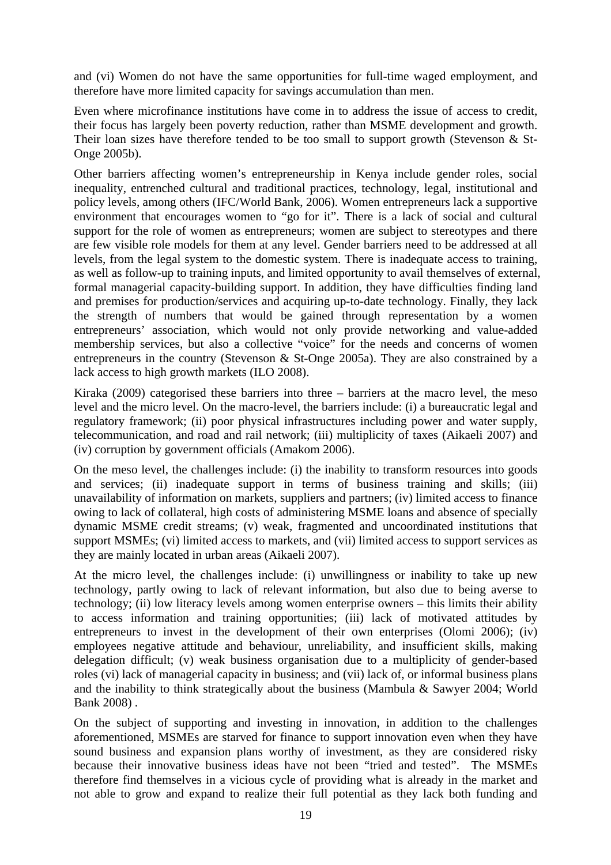and (vi) Women do not have the same opportunities for full-time waged employment, and therefore have more limited capacity for savings accumulation than men.

Even where microfinance institutions have come in to address the issue of access to credit, their focus has largely been poverty reduction, rather than MSME development and growth. Their loan sizes have therefore tended to be too small to support growth (Stevenson & St-Onge 2005b).

Other barriers affecting women's entrepreneurship in Kenya include gender roles, social inequality, entrenched cultural and traditional practices, technology, legal, institutional and policy levels, among others (IFC/World Bank, 2006). Women entrepreneurs lack a supportive environment that encourages women to "go for it". There is a lack of social and cultural support for the role of women as entrepreneurs; women are subject to stereotypes and there are few visible role models for them at any level. Gender barriers need to be addressed at all levels, from the legal system to the domestic system. There is inadequate access to training, as well as follow-up to training inputs, and limited opportunity to avail themselves of external, formal managerial capacity-building support. In addition, they have difficulties finding land and premises for production/services and acquiring up-to-date technology. Finally, they lack the strength of numbers that would be gained through representation by a women entrepreneurs' association, which would not only provide networking and value-added membership services, but also a collective "voice" for the needs and concerns of women entrepreneurs in the country (Stevenson & St-Onge 2005a). They are also constrained by a lack access to high growth markets (ILO 2008).

Kiraka (2009) categorised these barriers into three – barriers at the macro level, the meso level and the micro level. On the macro-level, the barriers include: (i) a bureaucratic legal and regulatory framework; (ii) poor physical infrastructures including power and water supply, telecommunication, and road and rail network; (iii) multiplicity of taxes (Aikaeli 2007) and (iv) corruption by government officials (Amakom 2006).

On the meso level, the challenges include: (i) the inability to transform resources into goods and services; (ii) inadequate support in terms of business training and skills; (iii) unavailability of information on markets, suppliers and partners; (iv) limited access to finance owing to lack of collateral, high costs of administering MSME loans and absence of specially dynamic MSME credit streams; (v) weak, fragmented and uncoordinated institutions that support MSMEs; (vi) limited access to markets, and (vii) limited access to support services as they are mainly located in urban areas (Aikaeli 2007).

At the micro level, the challenges include: (i) unwillingness or inability to take up new technology, partly owing to lack of relevant information, but also due to being averse to technology; (ii) low literacy levels among women enterprise owners – this limits their ability to access information and training opportunities; (iii) lack of motivated attitudes by entrepreneurs to invest in the development of their own enterprises (Olomi 2006); (iv) employees negative attitude and behaviour, unreliability, and insufficient skills, making delegation difficult; (v) weak business organisation due to a multiplicity of gender-based roles (vi) lack of managerial capacity in business; and (vii) lack of, or informal business plans and the inability to think strategically about the business (Mambula & Sawyer 2004; World Bank 2008) .

On the subject of supporting and investing in innovation, in addition to the challenges aforementioned, MSMEs are starved for finance to support innovation even when they have sound business and expansion plans worthy of investment, as they are considered risky because their innovative business ideas have not been "tried and tested". The MSMEs therefore find themselves in a vicious cycle of providing what is already in the market and not able to grow and expand to realize their full potential as they lack both funding and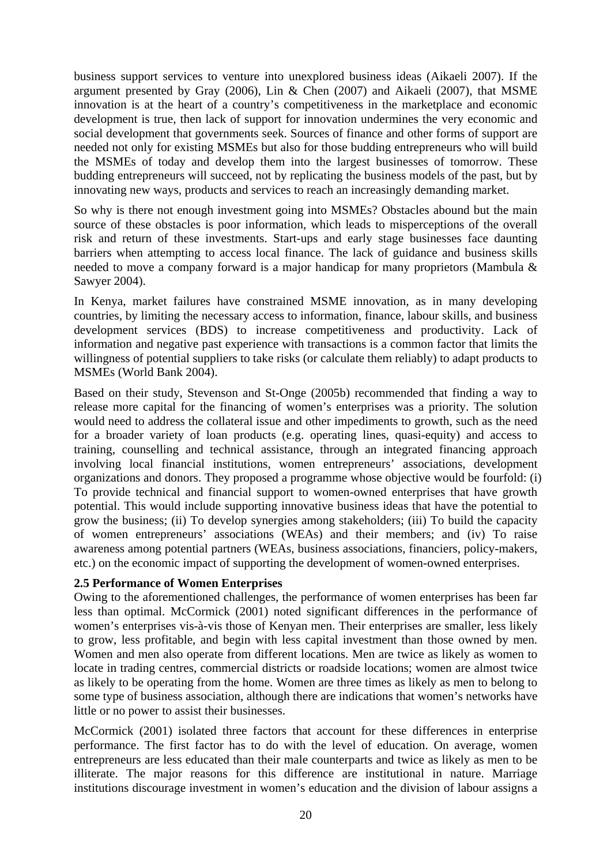business support services to venture into unexplored business ideas (Aikaeli 2007). If the argument presented by Gray (2006), Lin & Chen (2007) and Aikaeli (2007), that MSME innovation is at the heart of a country's competitiveness in the marketplace and economic development is true, then lack of support for innovation undermines the very economic and social development that governments seek. Sources of finance and other forms of support are needed not only for existing MSMEs but also for those budding entrepreneurs who will build the MSMEs of today and develop them into the largest businesses of tomorrow. These budding entrepreneurs will succeed, not by replicating the business models of the past, but by innovating new ways, products and services to reach an increasingly demanding market.

So why is there not enough investment going into MSMEs? Obstacles abound but the main source of these obstacles is poor information, which leads to misperceptions of the overall risk and return of these investments. Start-ups and early stage businesses face daunting barriers when attempting to access local finance. The lack of guidance and business skills needed to move a company forward is a major handicap for many proprietors (Mambula & Sawyer 2004).

In Kenya, market failures have constrained MSME innovation, as in many developing countries, by limiting the necessary access to information, finance, labour skills, and business development services (BDS) to increase competitiveness and productivity. Lack of information and negative past experience with transactions is a common factor that limits the willingness of potential suppliers to take risks (or calculate them reliably) to adapt products to MSMEs (World Bank 2004).

Based on their study, Stevenson and St-Onge (2005b) recommended that finding a way to release more capital for the financing of women's enterprises was a priority. The solution would need to address the collateral issue and other impediments to growth, such as the need for a broader variety of loan products (e.g. operating lines, quasi-equity) and access to training, counselling and technical assistance, through an integrated financing approach involving local financial institutions, women entrepreneurs' associations, development organizations and donors. They proposed a programme whose objective would be fourfold: (i) To provide technical and financial support to women-owned enterprises that have growth potential. This would include supporting innovative business ideas that have the potential to grow the business; (ii) To develop synergies among stakeholders; (iii) To build the capacity of women entrepreneurs' associations (WEAs) and their members; and (iv) To raise awareness among potential partners (WEAs, business associations, financiers, policy-makers, etc.) on the economic impact of supporting the development of women-owned enterprises.

#### **2.5 Performance of Women Enterprises**

Owing to the aforementioned challenges, the performance of women enterprises has been far less than optimal. McCormick (2001) noted significant differences in the performance of women's enterprises vis-à-vis those of Kenyan men. Their enterprises are smaller, less likely to grow, less profitable, and begin with less capital investment than those owned by men. Women and men also operate from different locations. Men are twice as likely as women to locate in trading centres, commercial districts or roadside locations; women are almost twice as likely to be operating from the home. Women are three times as likely as men to belong to some type of business association, although there are indications that women's networks have little or no power to assist their businesses.

McCormick (2001) isolated three factors that account for these differences in enterprise performance. The first factor has to do with the level of education. On average, women entrepreneurs are less educated than their male counterparts and twice as likely as men to be illiterate. The major reasons for this difference are institutional in nature. Marriage institutions discourage investment in women's education and the division of labour assigns a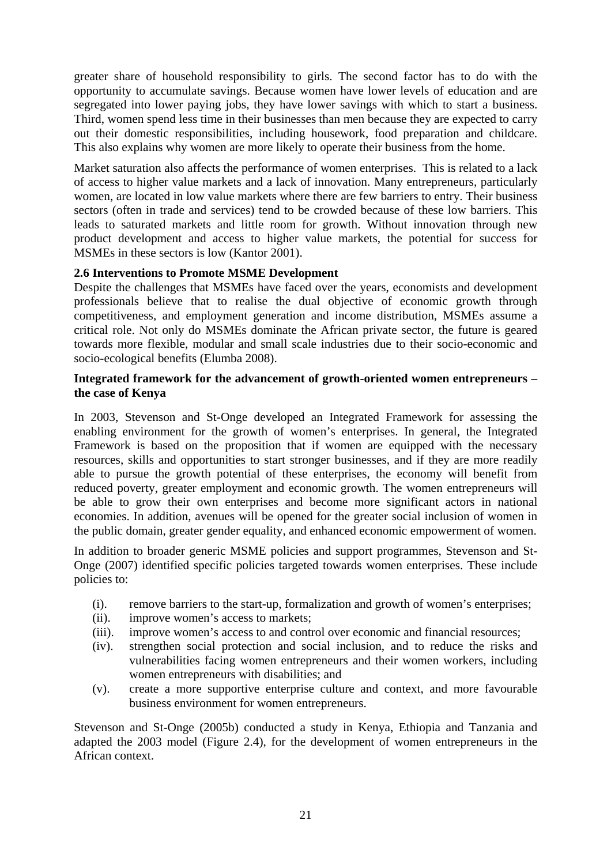greater share of household responsibility to girls. The second factor has to do with the opportunity to accumulate savings. Because women have lower levels of education and are segregated into lower paying jobs, they have lower savings with which to start a business. Third, women spend less time in their businesses than men because they are expected to carry out their domestic responsibilities, including housework, food preparation and childcare. This also explains why women are more likely to operate their business from the home.

Market saturation also affects the performance of women enterprises. This is related to a lack of access to higher value markets and a lack of innovation. Many entrepreneurs, particularly women, are located in low value markets where there are few barriers to entry. Their business sectors (often in trade and services) tend to be crowded because of these low barriers. This leads to saturated markets and little room for growth. Without innovation through new product development and access to higher value markets, the potential for success for MSMEs in these sectors is low (Kantor 2001).

#### **2.6 Interventions to Promote MSME Development**

Despite the challenges that MSMEs have faced over the years, economists and development professionals believe that to realise the dual objective of economic growth through competitiveness, and employment generation and income distribution, MSMEs assume a critical role. Not only do MSMEs dominate the African private sector, the future is geared towards more flexible, modular and small scale industries due to their socio-economic and socio-ecological benefits (Elumba 2008).

#### **Integrated framework for the advancement of growth-oriented women entrepreneurs – the case of Kenya**

In 2003, Stevenson and St-Onge developed an Integrated Framework for assessing the enabling environment for the growth of women's enterprises. In general, the Integrated Framework is based on the proposition that if women are equipped with the necessary resources, skills and opportunities to start stronger businesses, and if they are more readily able to pursue the growth potential of these enterprises, the economy will benefit from reduced poverty, greater employment and economic growth. The women entrepreneurs will be able to grow their own enterprises and become more significant actors in national economies. In addition, avenues will be opened for the greater social inclusion of women in the public domain, greater gender equality, and enhanced economic empowerment of women.

In addition to broader generic MSME policies and support programmes, Stevenson and St-Onge (2007) identified specific policies targeted towards women enterprises. These include policies to:

- (i). remove barriers to the start-up, formalization and growth of women's enterprises;
- (ii). improve women's access to markets;
- (iii). improve women's access to and control over economic and financial resources;
- (iv). strengthen social protection and social inclusion, and to reduce the risks and vulnerabilities facing women entrepreneurs and their women workers, including women entrepreneurs with disabilities; and
- (v). create a more supportive enterprise culture and context, and more favourable business environment for women entrepreneurs.

Stevenson and St-Onge (2005b) conducted a study in Kenya, Ethiopia and Tanzania and adapted the 2003 model (Figure 2.4), for the development of women entrepreneurs in the African context.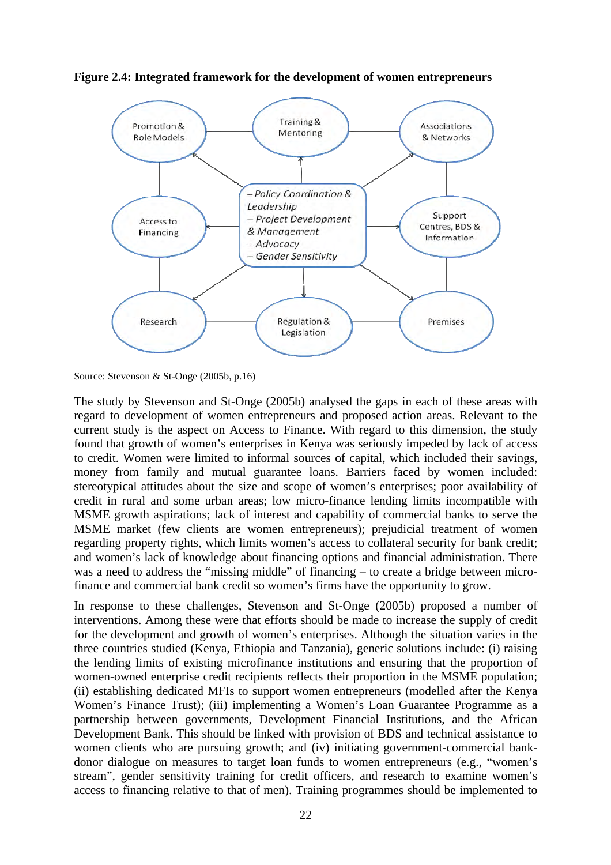

**Figure 2.4: Integrated framework for the development of women entrepreneurs** 

The study by Stevenson and St-Onge (2005b) analysed the gaps in each of these areas with regard to development of women entrepreneurs and proposed action areas. Relevant to the current study is the aspect on Access to Finance. With regard to this dimension, the study found that growth of women's enterprises in Kenya was seriously impeded by lack of access to credit. Women were limited to informal sources of capital, which included their savings, money from family and mutual guarantee loans. Barriers faced by women included: stereotypical attitudes about the size and scope of women's enterprises; poor availability of credit in rural and some urban areas; low micro-finance lending limits incompatible with MSME growth aspirations; lack of interest and capability of commercial banks to serve the MSME market (few clients are women entrepreneurs); prejudicial treatment of women regarding property rights, which limits women's access to collateral security for bank credit; and women's lack of knowledge about financing options and financial administration. There was a need to address the "missing middle" of financing – to create a bridge between microfinance and commercial bank credit so women's firms have the opportunity to grow.

In response to these challenges, Stevenson and St-Onge (2005b) proposed a number of interventions. Among these were that efforts should be made to increase the supply of credit for the development and growth of women's enterprises. Although the situation varies in the three countries studied (Kenya, Ethiopia and Tanzania), generic solutions include: (i) raising the lending limits of existing microfinance institutions and ensuring that the proportion of women-owned enterprise credit recipients reflects their proportion in the MSME population; (ii) establishing dedicated MFIs to support women entrepreneurs (modelled after the Kenya Women's Finance Trust); (iii) implementing a Women's Loan Guarantee Programme as a partnership between governments, Development Financial Institutions, and the African Development Bank. This should be linked with provision of BDS and technical assistance to women clients who are pursuing growth; and (iv) initiating government-commercial bankdonor dialogue on measures to target loan funds to women entrepreneurs (e.g., "women's stream", gender sensitivity training for credit officers, and research to examine women's access to financing relative to that of men). Training programmes should be implemented to

Source: Stevenson & St-Onge (2005b, p.16)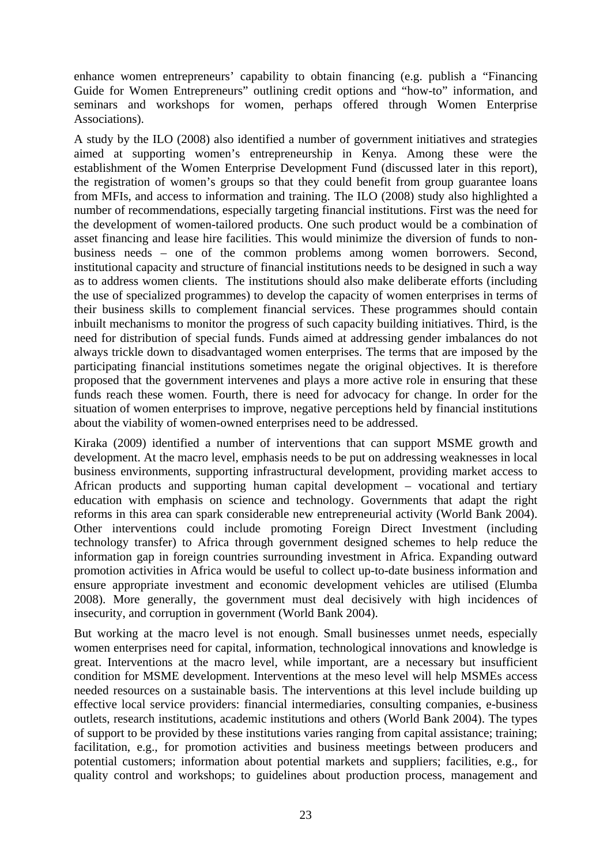enhance women entrepreneurs' capability to obtain financing (e.g. publish a "Financing Guide for Women Entrepreneurs" outlining credit options and "how-to" information, and seminars and workshops for women, perhaps offered through Women Enterprise Associations).

A study by the ILO (2008) also identified a number of government initiatives and strategies aimed at supporting women's entrepreneurship in Kenya. Among these were the establishment of the Women Enterprise Development Fund (discussed later in this report), the registration of women's groups so that they could benefit from group guarantee loans from MFIs, and access to information and training. The ILO (2008) study also highlighted a number of recommendations, especially targeting financial institutions. First was the need for the development of women-tailored products. One such product would be a combination of asset financing and lease hire facilities. This would minimize the diversion of funds to nonbusiness needs – one of the common problems among women borrowers. Second, institutional capacity and structure of financial institutions needs to be designed in such a way as to address women clients. The institutions should also make deliberate efforts (including the use of specialized programmes) to develop the capacity of women enterprises in terms of their business skills to complement financial services. These programmes should contain inbuilt mechanisms to monitor the progress of such capacity building initiatives. Third, is the need for distribution of special funds. Funds aimed at addressing gender imbalances do not always trickle down to disadvantaged women enterprises. The terms that are imposed by the participating financial institutions sometimes negate the original objectives. It is therefore proposed that the government intervenes and plays a more active role in ensuring that these funds reach these women. Fourth, there is need for advocacy for change. In order for the situation of women enterprises to improve, negative perceptions held by financial institutions about the viability of women-owned enterprises need to be addressed.

Kiraka (2009) identified a number of interventions that can support MSME growth and development. At the macro level, emphasis needs to be put on addressing weaknesses in local business environments, supporting infrastructural development, providing market access to African products and supporting human capital development – vocational and tertiary education with emphasis on science and technology. Governments that adapt the right reforms in this area can spark considerable new entrepreneurial activity (World Bank 2004). Other interventions could include promoting Foreign Direct Investment (including technology transfer) to Africa through government designed schemes to help reduce the information gap in foreign countries surrounding investment in Africa. Expanding outward promotion activities in Africa would be useful to collect up-to-date business information and ensure appropriate investment and economic development vehicles are utilised (Elumba 2008). More generally, the government must deal decisively with high incidences of insecurity, and corruption in government (World Bank 2004).

But working at the macro level is not enough. Small businesses unmet needs, especially women enterprises need for capital, information, technological innovations and knowledge is great. Interventions at the macro level, while important, are a necessary but insufficient condition for MSME development. Interventions at the meso level will help MSMEs access needed resources on a sustainable basis. The interventions at this level include building up effective local service providers: financial intermediaries, consulting companies, e-business outlets, research institutions, academic institutions and others (World Bank 2004). The types of support to be provided by these institutions varies ranging from capital assistance; training; facilitation, e.g., for promotion activities and business meetings between producers and potential customers; information about potential markets and suppliers; facilities, e.g., for quality control and workshops; to guidelines about production process, management and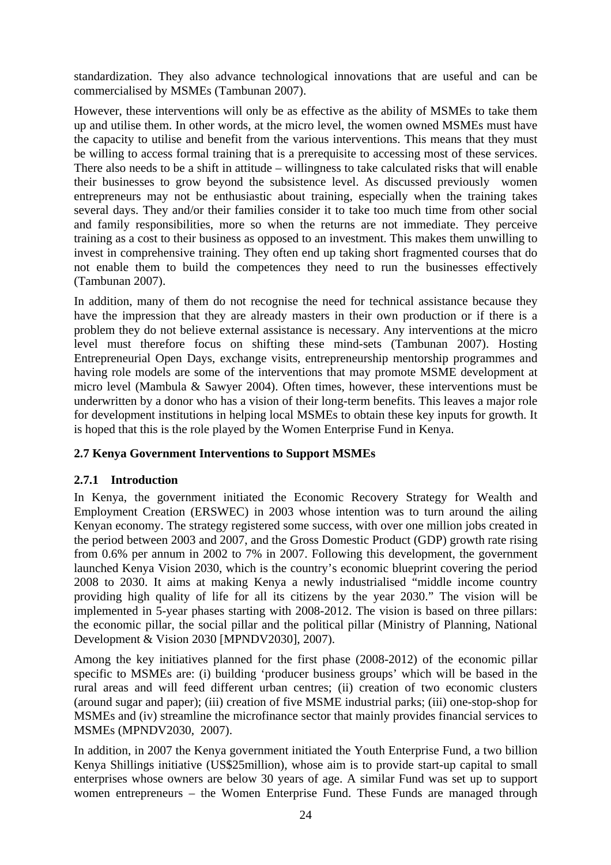standardization. They also advance technological innovations that are useful and can be commercialised by MSMEs (Tambunan 2007).

However, these interventions will only be as effective as the ability of MSMEs to take them up and utilise them. In other words, at the micro level, the women owned MSMEs must have the capacity to utilise and benefit from the various interventions. This means that they must be willing to access formal training that is a prerequisite to accessing most of these services. There also needs to be a shift in attitude – willingness to take calculated risks that will enable their businesses to grow beyond the subsistence level. As discussed previously women entrepreneurs may not be enthusiastic about training, especially when the training takes several days. They and/or their families consider it to take too much time from other social and family responsibilities, more so when the returns are not immediate. They perceive training as a cost to their business as opposed to an investment. This makes them unwilling to invest in comprehensive training. They often end up taking short fragmented courses that do not enable them to build the competences they need to run the businesses effectively (Tambunan 2007).

In addition, many of them do not recognise the need for technical assistance because they have the impression that they are already masters in their own production or if there is a problem they do not believe external assistance is necessary. Any interventions at the micro level must therefore focus on shifting these mind-sets (Tambunan 2007). Hosting Entrepreneurial Open Days, exchange visits, entrepreneurship mentorship programmes and having role models are some of the interventions that may promote MSME development at micro level (Mambula & Sawyer 2004). Often times, however, these interventions must be underwritten by a donor who has a vision of their long-term benefits. This leaves a major role for development institutions in helping local MSMEs to obtain these key inputs for growth. It is hoped that this is the role played by the Women Enterprise Fund in Kenya.

#### **2.7 Kenya Government Interventions to Support MSMEs**

#### **2.7.1 Introduction**

In Kenya, the government initiated the Economic Recovery Strategy for Wealth and Employment Creation (ERSWEC) in 2003 whose intention was to turn around the ailing Kenyan economy. The strategy registered some success, with over one million jobs created in the period between 2003 and 2007, and the Gross Domestic Product (GDP) growth rate rising from 0.6% per annum in 2002 to 7% in 2007. Following this development, the government launched Kenya Vision 2030, which is the country's economic blueprint covering the period 2008 to 2030. It aims at making Kenya a newly industrialised "middle income country providing high quality of life for all its citizens by the year 2030." The vision will be implemented in 5-year phases starting with 2008-2012. The vision is based on three pillars: the economic pillar, the social pillar and the political pillar (Ministry of Planning, National Development & Vision 2030 [MPNDV2030], 2007).

Among the key initiatives planned for the first phase (2008-2012) of the economic pillar specific to MSMEs are: (i) building 'producer business groups' which will be based in the rural areas and will feed different urban centres; (ii) creation of two economic clusters (around sugar and paper); (iii) creation of five MSME industrial parks; (iii) one-stop-shop for MSMEs and (iv) streamline the microfinance sector that mainly provides financial services to MSMEs (MPNDV2030, 2007).

In addition, in 2007 the Kenya government initiated the Youth Enterprise Fund, a two billion Kenya Shillings initiative (US\$25million), whose aim is to provide start-up capital to small enterprises whose owners are below 30 years of age. A similar Fund was set up to support women entrepreneurs – the Women Enterprise Fund. These Funds are managed through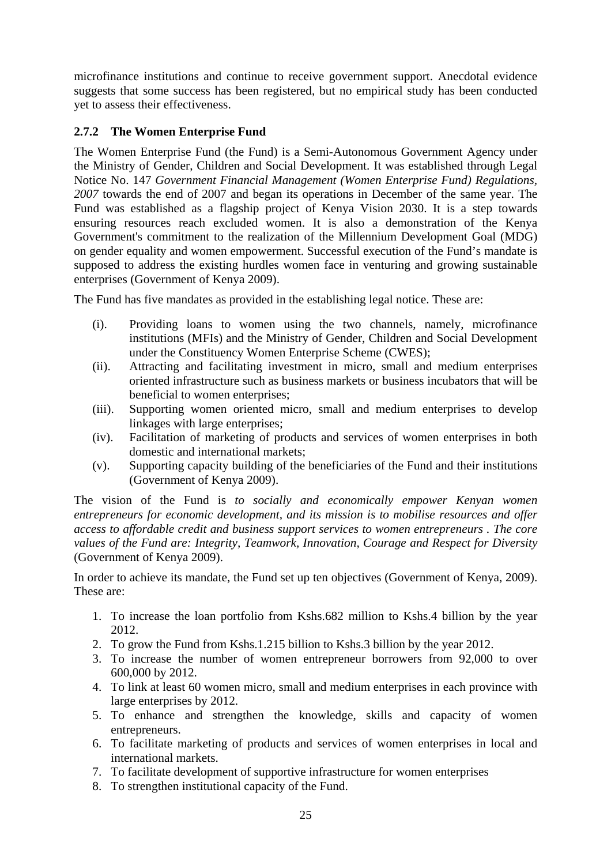microfinance institutions and continue to receive government support. Anecdotal evidence suggests that some success has been registered, but no empirical study has been conducted yet to assess their effectiveness.

#### **2.7.2 The Women Enterprise Fund**

The Women Enterprise Fund (the Fund) is a Semi-Autonomous Government Agency under the Ministry of Gender, Children and Social Development. It was established through Legal Notice No. 147 *Government Financial Management (Women Enterprise Fund) Regulations, 2007* towards the end of 2007 and began its operations in December of the same year. The Fund was established as a flagship project of Kenya Vision 2030. It is a step towards ensuring resources reach excluded women. It is also a demonstration of the Kenya Government's commitment to the realization of the Millennium Development Goal (MDG) on gender equality and women empowerment. Successful execution of the Fund's mandate is supposed to address the existing hurdles women face in venturing and growing sustainable enterprises (Government of Kenya 2009).

The Fund has five mandates as provided in the establishing legal notice. These are:

- (i). Providing loans to women using the two channels, namely, microfinance institutions (MFIs) and the Ministry of Gender, Children and Social Development under the Constituency Women Enterprise Scheme (CWES);
- (ii). Attracting and facilitating investment in micro, small and medium enterprises oriented infrastructure such as business markets or business incubators that will be beneficial to women enterprises;
- (iii). Supporting women oriented micro, small and medium enterprises to develop linkages with large enterprises;
- (iv). Facilitation of marketing of products and services of women enterprises in both domestic and international markets;
- (v). Supporting capacity building of the beneficiaries of the Fund and their institutions (Government of Kenya 2009).

The vision of the Fund is *to socially and economically empower Kenyan women entrepreneurs for economic development, and its mission is to mobilise resources and offer access to affordable credit and business support services to women entrepreneurs . The core values of the Fund are: Integrity, Teamwork, Innovation, Courage and Respect for Diversity* (Government of Kenya 2009).

In order to achieve its mandate, the Fund set up ten objectives (Government of Kenya, 2009). These are:

- 1. To increase the loan portfolio from Kshs.682 million to Kshs.4 billion by the year 2012.
- 2. To grow the Fund from Kshs.1.215 billion to Kshs.3 billion by the year 2012.
- 3. To increase the number of women entrepreneur borrowers from 92,000 to over 600,000 by 2012.
- 4. To link at least 60 women micro, small and medium enterprises in each province with large enterprises by 2012.
- 5. To enhance and strengthen the knowledge, skills and capacity of women entrepreneurs.
- 6. To facilitate marketing of products and services of women enterprises in local and international markets.
- 7. To facilitate development of supportive infrastructure for women enterprises
- 8. To strengthen institutional capacity of the Fund.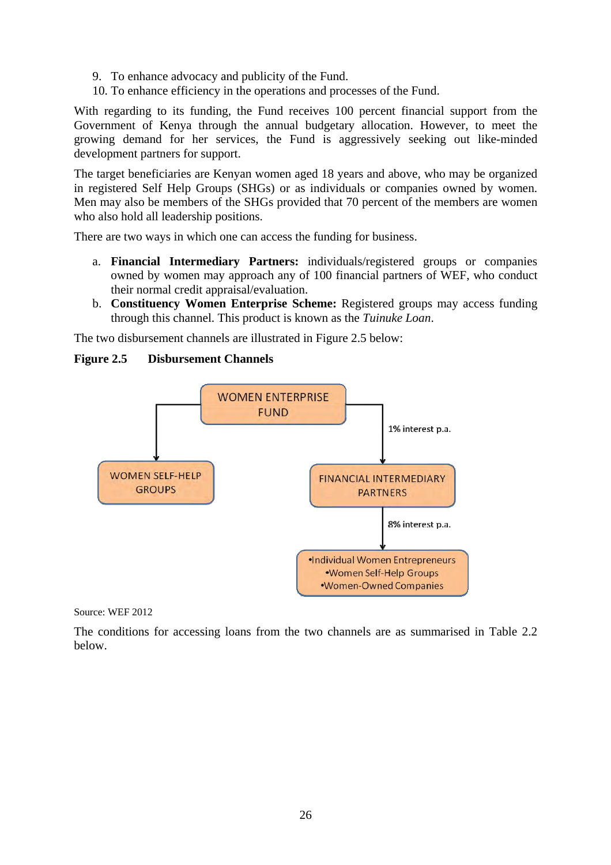- 9. To enhance advocacy and publicity of the Fund.
- 10. To enhance efficiency in the operations and processes of the Fund.

With regarding to its funding, the Fund receives 100 percent financial support from the Government of Kenya through the annual budgetary allocation. However, to meet the growing demand for her services, the Fund is aggressively seeking out like-minded development partners for support.

The target beneficiaries are Kenyan women aged 18 years and above, who may be organized in registered Self Help Groups (SHGs) or as individuals or companies owned by women. Men may also be members of the SHGs provided that 70 percent of the members are women who also hold all leadership positions.

There are two ways in which one can access the funding for business.

- a. **Financial Intermediary Partners:** individuals/registered groups or companies owned by women may approach any of 100 financial partners of WEF, who conduct their normal credit appraisal/evaluation.
- b. **Constituency Women Enterprise Scheme:** Registered groups may access funding through this channel. This product is known as the *Tuinuke Loan*.

The two disbursement channels are illustrated in Figure 2.5 below:



#### **Figure 2.5 Disbursement Channels**

Source: WEF 2012

The conditions for accessing loans from the two channels are as summarised in Table 2.2 below.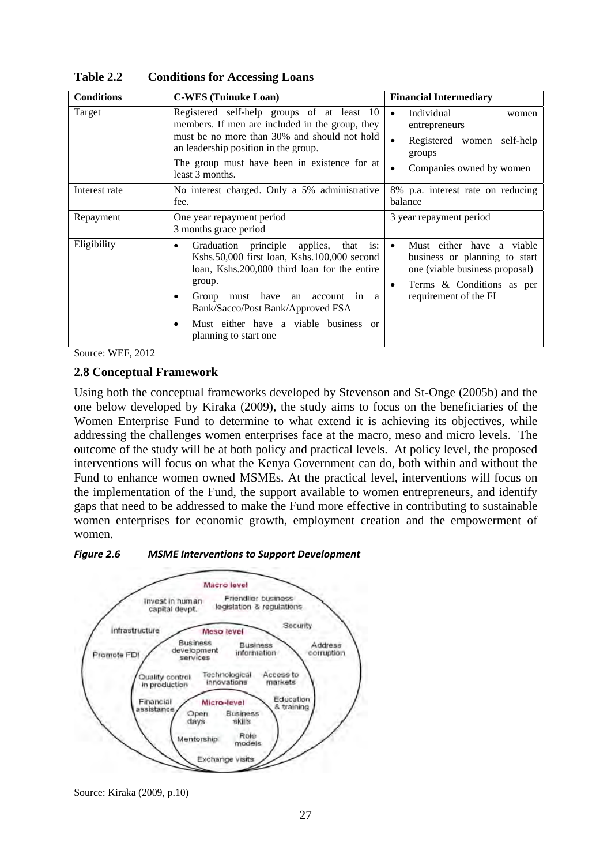| <b>Conditions</b><br><b>C-WES</b> (Tuinuke Loan) |                                                                                                                                                                                                                                                                                           | <b>Financial Intermediary</b>                                                                                                                      |
|--------------------------------------------------|-------------------------------------------------------------------------------------------------------------------------------------------------------------------------------------------------------------------------------------------------------------------------------------------|----------------------------------------------------------------------------------------------------------------------------------------------------|
| Target                                           | Registered self-help groups of at least 10<br>members. If men are included in the group, they<br>must be no more than 30% and should not hold<br>an leadership position in the group.<br>The group must have been in existence for at<br>least 3 months.                                  | Individual<br>$\bullet$<br>women<br>entrepreneurs<br>Registered women self-help<br>groups<br>Companies owned by women                              |
| Interest rate                                    | No interest charged. Only a 5% administrative<br>fee.                                                                                                                                                                                                                                     | 8% p.a. interest rate on reducing<br>balance                                                                                                       |
| Repayment                                        | One year repayment period<br>3 months grace period                                                                                                                                                                                                                                        | 3 year repayment period                                                                                                                            |
| Eligibility                                      | Graduation principle applies, that is:<br>Kshs.50,000 first loan, Kshs.100,000 second<br>loan, Kshs.200,000 third loan for the entire<br>group.<br>Group must have an account in a<br>Bank/Sacco/Post Bank/Approved FSA<br>Must either have a viable business or<br>planning to start one | Must either have a viable<br>business or planning to start<br>one (viable business proposal)<br>Terms & Conditions as per<br>requirement of the FI |

**Table 2.2 Conditions for Accessing Loans** 

Source: WEF, 2012

#### **2.8 Conceptual Framework**

Using both the conceptual frameworks developed by Stevenson and St-Onge (2005b) and the one below developed by Kiraka (2009), the study aims to focus on the beneficiaries of the Women Enterprise Fund to determine to what extend it is achieving its objectives, while addressing the challenges women enterprises face at the macro, meso and micro levels. The outcome of the study will be at both policy and practical levels. At policy level, the proposed interventions will focus on what the Kenya Government can do, both within and without the Fund to enhance women owned MSMEs. At the practical level, interventions will focus on the implementation of the Fund, the support available to women entrepreneurs, and identify gaps that need to be addressed to make the Fund more effective in contributing to sustainable women enterprises for economic growth, employment creation and the empowerment of women.





Source: Kiraka (2009, p.10)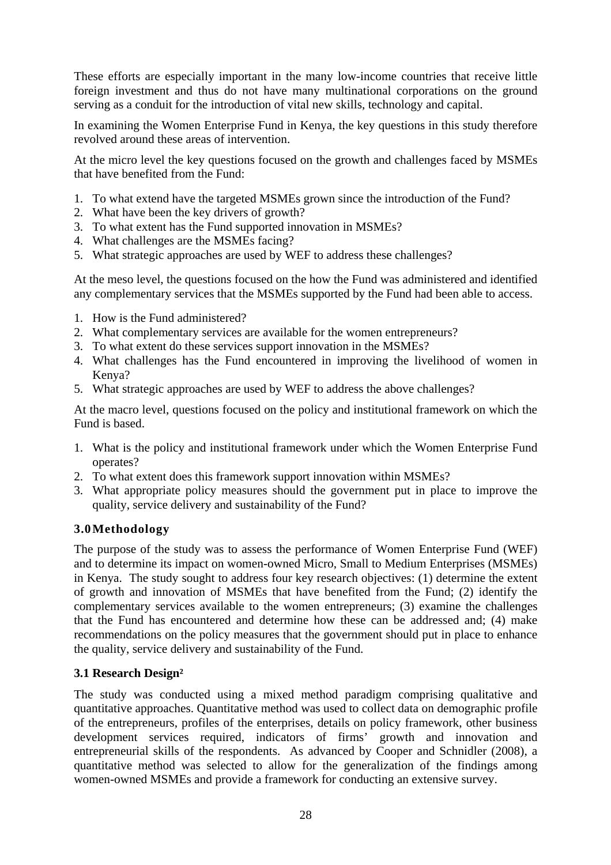These efforts are especially important in the many low-income countries that receive little foreign investment and thus do not have many multinational corporations on the ground serving as a conduit for the introduction of vital new skills, technology and capital.

In examining the Women Enterprise Fund in Kenya, the key questions in this study therefore revolved around these areas of intervention.

At the micro level the key questions focused on the growth and challenges faced by MSMEs that have benefited from the Fund:

- 1. To what extend have the targeted MSMEs grown since the introduction of the Fund?
- 2. What have been the key drivers of growth?
- 3. To what extent has the Fund supported innovation in MSMEs?
- 4. What challenges are the MSMEs facing?
- 5. What strategic approaches are used by WEF to address these challenges?

At the meso level, the questions focused on the how the Fund was administered and identified any complementary services that the MSMEs supported by the Fund had been able to access.

- 1. How is the Fund administered?
- 2. What complementary services are available for the women entrepreneurs?
- 3. To what extent do these services support innovation in the MSMEs?
- 4. What challenges has the Fund encountered in improving the livelihood of women in Kenya?
- 5. What strategic approaches are used by WEF to address the above challenges?

At the macro level, questions focused on the policy and institutional framework on which the Fund is based.

- 1. What is the policy and institutional framework under which the Women Enterprise Fund operates?
- 2. To what extent does this framework support innovation within MSMEs?
- 3. What appropriate policy measures should the government put in place to improve the quality, service delivery and sustainability of the Fund?

### **3.0Methodology**

The purpose of the study was to assess the performance of Women Enterprise Fund (WEF) and to determine its impact on women-owned Micro, Small to Medium Enterprises (MSMEs) in Kenya. The study sought to address four key research objectives: (1) determine the extent of growth and innovation of MSMEs that have benefited from the Fund; (2) identify the complementary services available to the women entrepreneurs; (3) examine the challenges that the Fund has encountered and determine how these can be addressed and; (4) make recommendations on the policy measures that the government should put in place to enhance the quality, service delivery and sustainability of the Fund.

#### **3.1 Research Design²**

The study was conducted using a mixed method paradigm comprising qualitative and quantitative approaches. Quantitative method was used to collect data on demographic profile of the entrepreneurs, profiles of the enterprises, details on policy framework, other business development services required, indicators of firms' growth and innovation and entrepreneurial skills of the respondents. As advanced by Cooper and Schnidler (2008), a quantitative method was selected to allow for the generalization of the findings among women-owned MSMEs and provide a framework for conducting an extensive survey.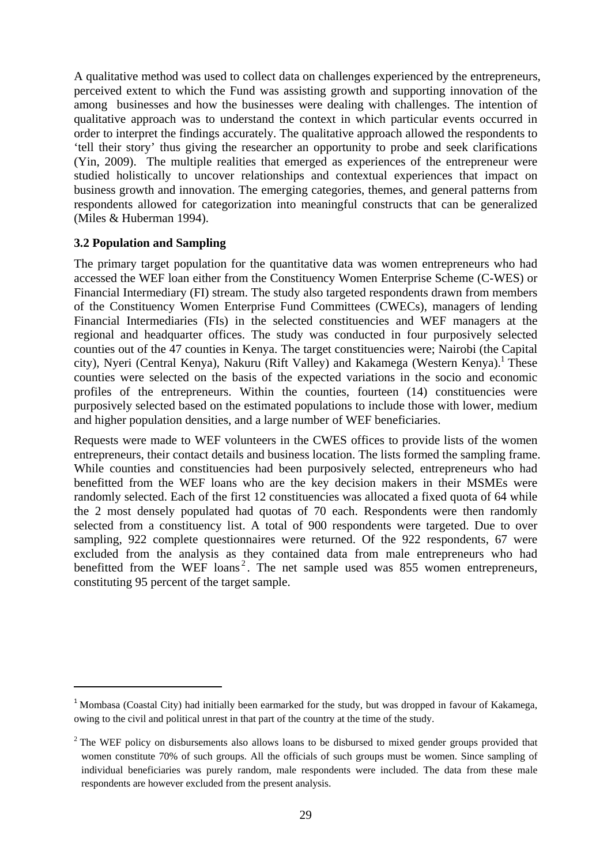A qualitative method was used to collect data on challenges experienced by the entrepreneurs, perceived extent to which the Fund was assisting growth and supporting innovation of the among businesses and how the businesses were dealing with challenges. The intention of qualitative approach was to understand the context in which particular events occurred in order to interpret the findings accurately. The qualitative approach allowed the respondents to 'tell their story' thus giving the researcher an opportunity to probe and seek clarifications (Yin, 2009). The multiple realities that emerged as experiences of the entrepreneur were studied holistically to uncover relationships and contextual experiences that impact on business growth and innovation. The emerging categories, themes, and general patterns from respondents allowed for categorization into meaningful constructs that can be generalized (Miles & Huberman 1994).

#### **3.2 Population and Sampling**

The primary target population for the quantitative data was women entrepreneurs who had accessed the WEF loan either from the Constituency Women Enterprise Scheme (C-WES) or Financial Intermediary (FI) stream. The study also targeted respondents drawn from members of the Constituency Women Enterprise Fund Committees (CWECs), managers of lending Financial Intermediaries (FIs) in the selected constituencies and WEF managers at the regional and headquarter offices. The study was conducted in four purposively selected counties out of the 47 counties in Kenya. The target constituencies were; Nairobi (the Capital city), Nyeri (Central Kenya), Nakuru (Rift Valley) and Kakamega (Western Kenya).<sup>1</sup> These counties were selected on the basis of the expected variations in the socio and economic profiles of the entrepreneurs. Within the counties, fourteen (14) constituencies were purposively selected based on the estimated populations to include those with lower, medium and higher population densities, and a large number of WEF beneficiaries.

Requests were made to WEF volunteers in the CWES offices to provide lists of the women entrepreneurs, their contact details and business location. The lists formed the sampling frame. While counties and constituencies had been purposively selected, entrepreneurs who had benefitted from the WEF loans who are the key decision makers in their MSMEs were randomly selected. Each of the first 12 constituencies was allocated a fixed quota of 64 while the 2 most densely populated had quotas of 70 each. Respondents were then randomly selected from a constituency list. A total of 900 respondents were targeted. Due to over sampling, 922 complete questionnaires were returned. Of the 922 respondents, 67 were excluded from the analysis as they contained data from male entrepreneurs who had benefitted from the WEF loans<sup>2</sup>. The net sample used was 855 women entrepreneurs, constituting 95 percent of the target sample.

<sup>&</sup>lt;sup>1</sup> Mombasa (Coastal City) had initially been earmarked for the study, but was dropped in favour of Kakamega, owing to the civil and political unrest in that part of the country at the time of the study.

 $2^2$  The WEF policy on disbursements also allows loans to be disbursed to mixed gender groups provided that women constitute 70% of such groups. All the officials of such groups must be women. Since sampling of individual beneficiaries was purely random, male respondents were included. The data from these male respondents are however excluded from the present analysis.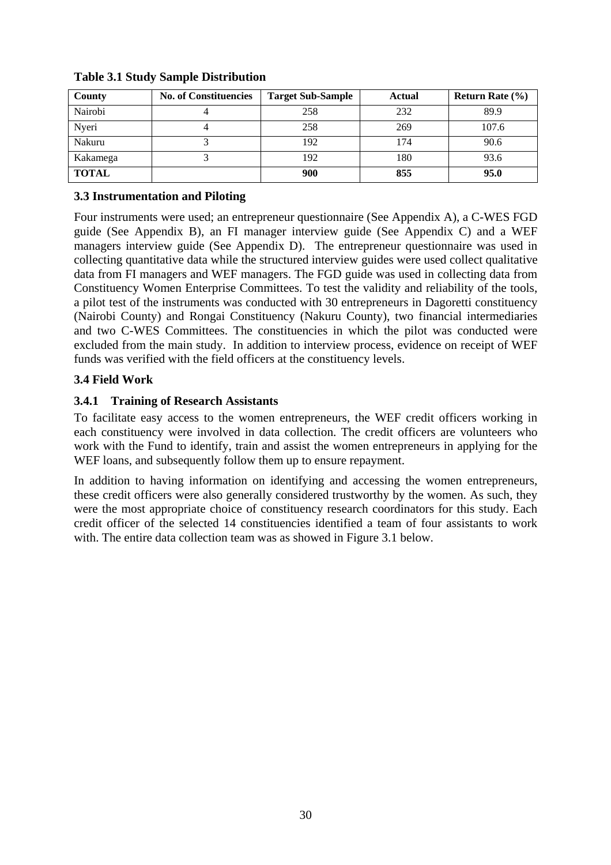| County       | <b>No. of Constituencies</b> | <b>Target Sub-Sample</b> | Actual | <b>Return Rate</b> $(\% )$ |
|--------------|------------------------------|--------------------------|--------|----------------------------|
| Nairobi      |                              | 258                      | 232    | 89.9                       |
| Nyeri        |                              | 258                      | 269    | 107.6                      |
| Nakuru       |                              | 192                      | 174    | 90.6                       |
| Kakamega     |                              | 192                      | 180    | 93.6                       |
| <b>TOTAL</b> |                              | 900                      | 855    | 95.0                       |

#### **Table 3.1 Study Sample Distribution**

#### **3.3 Instrumentation and Piloting**

Four instruments were used; an entrepreneur questionnaire (See Appendix A), a C-WES FGD guide (See Appendix B), an FI manager interview guide (See Appendix C) and a WEF managers interview guide (See Appendix D). The entrepreneur questionnaire was used in collecting quantitative data while the structured interview guides were used collect qualitative data from FI managers and WEF managers. The FGD guide was used in collecting data from Constituency Women Enterprise Committees. To test the validity and reliability of the tools, a pilot test of the instruments was conducted with 30 entrepreneurs in Dagoretti constituency (Nairobi County) and Rongai Constituency (Nakuru County), two financial intermediaries and two C-WES Committees. The constituencies in which the pilot was conducted were excluded from the main study. In addition to interview process, evidence on receipt of WEF funds was verified with the field officers at the constituency levels.

#### **3.4 Field Work**

#### **3.4.1 Training of Research Assistants**

To facilitate easy access to the women entrepreneurs, the WEF credit officers working in each constituency were involved in data collection. The credit officers are volunteers who work with the Fund to identify, train and assist the women entrepreneurs in applying for the WEF loans, and subsequently follow them up to ensure repayment.

In addition to having information on identifying and accessing the women entrepreneurs, these credit officers were also generally considered trustworthy by the women. As such, they were the most appropriate choice of constituency research coordinators for this study. Each credit officer of the selected 14 constituencies identified a team of four assistants to work with. The entire data collection team was as showed in Figure 3.1 below.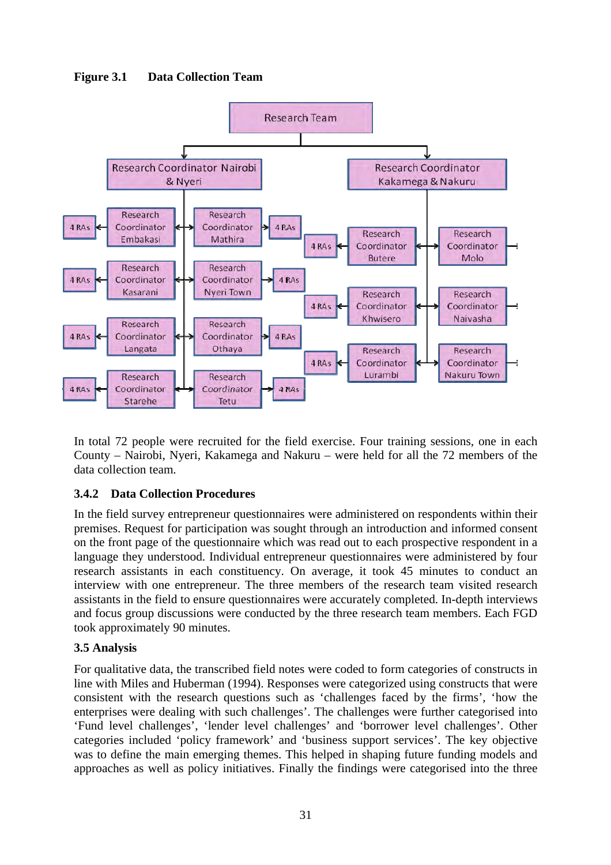**Figure 3.1 Data Collection Team** 



In total 72 people were recruited for the field exercise. Four training sessions, one in each County – Nairobi, Nyeri, Kakamega and Nakuru – were held for all the 72 members of the data collection team.

### **3.4.2 Data Collection Procedures**

In the field survey entrepreneur questionnaires were administered on respondents within their premises. Request for participation was sought through an introduction and informed consent on the front page of the questionnaire which was read out to each prospective respondent in a language they understood. Individual entrepreneur questionnaires were administered by four research assistants in each constituency. On average, it took 45 minutes to conduct an interview with one entrepreneur. The three members of the research team visited research assistants in the field to ensure questionnaires were accurately completed. In-depth interviews and focus group discussions were conducted by the three research team members. Each FGD took approximately 90 minutes.

### **3.5 Analysis**

For qualitative data, the transcribed field notes were coded to form categories of constructs in line with Miles and Huberman (1994). Responses were categorized using constructs that were consistent with the research questions such as 'challenges faced by the firms', 'how the enterprises were dealing with such challenges'. The challenges were further categorised into 'Fund level challenges', 'lender level challenges' and 'borrower level challenges'. Other categories included 'policy framework' and 'business support services'. The key objective was to define the main emerging themes. This helped in shaping future funding models and approaches as well as policy initiatives. Finally the findings were categorised into the three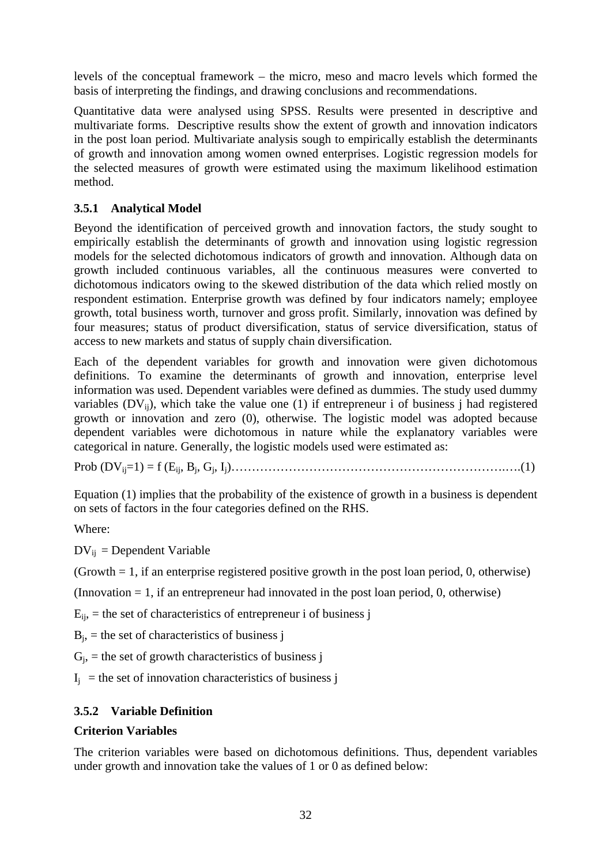levels of the conceptual framework – the micro, meso and macro levels which formed the basis of interpreting the findings, and drawing conclusions and recommendations.

Quantitative data were analysed using SPSS. Results were presented in descriptive and multivariate forms. Descriptive results show the extent of growth and innovation indicators in the post loan period. Multivariate analysis sough to empirically establish the determinants of growth and innovation among women owned enterprises. Logistic regression models for the selected measures of growth were estimated using the maximum likelihood estimation method.

#### **3.5.1 Analytical Model**

Beyond the identification of perceived growth and innovation factors, the study sought to empirically establish the determinants of growth and innovation using logistic regression models for the selected dichotomous indicators of growth and innovation. Although data on growth included continuous variables, all the continuous measures were converted to dichotomous indicators owing to the skewed distribution of the data which relied mostly on respondent estimation. Enterprise growth was defined by four indicators namely; employee growth, total business worth, turnover and gross profit. Similarly, innovation was defined by four measures; status of product diversification, status of service diversification, status of access to new markets and status of supply chain diversification.

Each of the dependent variables for growth and innovation were given dichotomous definitions. To examine the determinants of growth and innovation, enterprise level information was used. Dependent variables were defined as dummies. The study used dummy variables  $(DV_{ii})$ , which take the value one (1) if entrepreneur i of business j had registered growth or innovation and zero (0), otherwise. The logistic model was adopted because dependent variables were dichotomous in nature while the explanatory variables were categorical in nature. Generally, the logistic models used were estimated as:

Prob (DVij=1) = f (Eij, Bj, Gj, Ij)………………………………………………………….….(1)

Equation (1) implies that the probability of the existence of growth in a business is dependent on sets of factors in the four categories defined on the RHS.

Where:

 $DV_{ij}$  = Dependent Variable

(Growth  $= 1$ , if an enterprise registered positive growth in the post loan period, 0, otherwise)

 $($ Innovation  $= 1$ , if an entrepreneur had innovated in the post loan period, 0, otherwise)

 $E_{ii}$ , = the set of characteristics of entrepreneur i of business j

 $B_i$ , = the set of characteristics of business j

 $G_i$ , = the set of growth characteristics of business j

 $I_i$  = the set of innovation characteristics of business j

#### **3.5.2 Variable Definition**

#### **Criterion Variables**

The criterion variables were based on dichotomous definitions. Thus, dependent variables under growth and innovation take the values of 1 or 0 as defined below: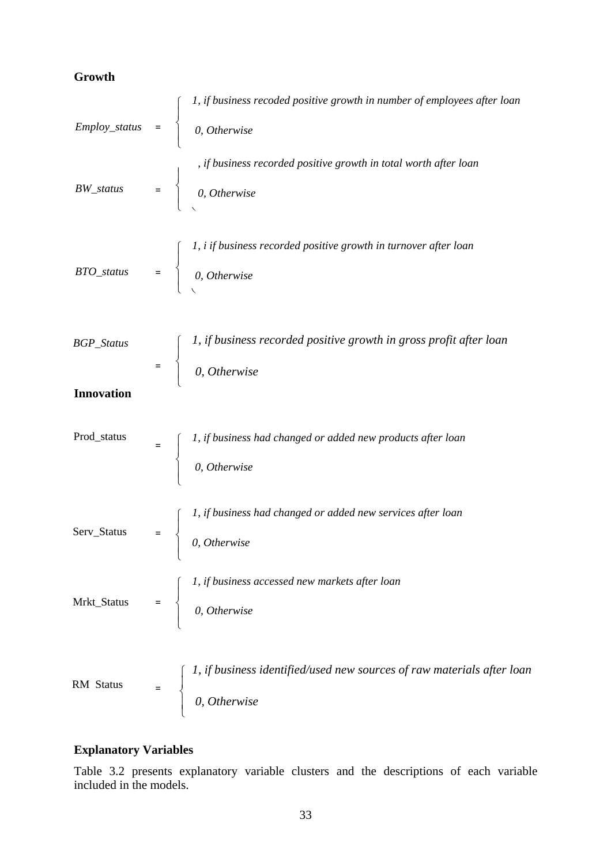### **Growth**

|                   | Employ_status = $\begin{cases} 1, & \text{if business recorded positive growth in number of employees after loan} \\ 0, & \text{Otherwise} \end{cases}$ |
|-------------------|---------------------------------------------------------------------------------------------------------------------------------------------------------|
|                   |                                                                                                                                                         |
|                   | , if business recorded positive growth in total worth after loan<br>$BW\_status$ = $\begin{cases} 0, \text{ Otherwise} \end{cases}$                     |
|                   |                                                                                                                                                         |
|                   | <i>BTO_status</i> = $\begin{cases} 1, i \text{ if business recorded positive growth in turnover after loan} \\ 0, Otherwise \end{cases}$                |
|                   |                                                                                                                                                         |
| BGP_Status        | $=$ $\begin{cases} 1, & \text{if business recorded positive growth in gross profit after loan} \\ 0, & \text{Otherwise} \end{cases}$                    |
|                   |                                                                                                                                                         |
| <b>Innovation</b> |                                                                                                                                                         |
| Prod_status       | $=$ $\begin{cases} 1, & \text{if business had changed or added new products after loan} \\ 0, & \text{Otherwise} \end{cases}$                           |
|                   |                                                                                                                                                         |
|                   | Serv_Status = $\begin{cases} 1, & \text{if business had changed or added new services after loan} \\ 0, & \text{Otherwise} \end{cases}$                 |
|                   |                                                                                                                                                         |
|                   | Mrkt_Status = $\begin{cases} 1, & \text{if business accessed new markets after loan} \\ 0, & \text{Otherwise} \end{cases}$                              |
|                   |                                                                                                                                                         |
| RM Status         | $=$ $\begin{cases} 1, & \text{if business identified/used new sources of raw materials after loan} \\ 0, & \text{Otherwise} \end{cases}$                |
|                   |                                                                                                                                                         |

## **Explanatory Variables**

Table 3.2 presents explanatory variable clusters and the descriptions of each variable included in the models.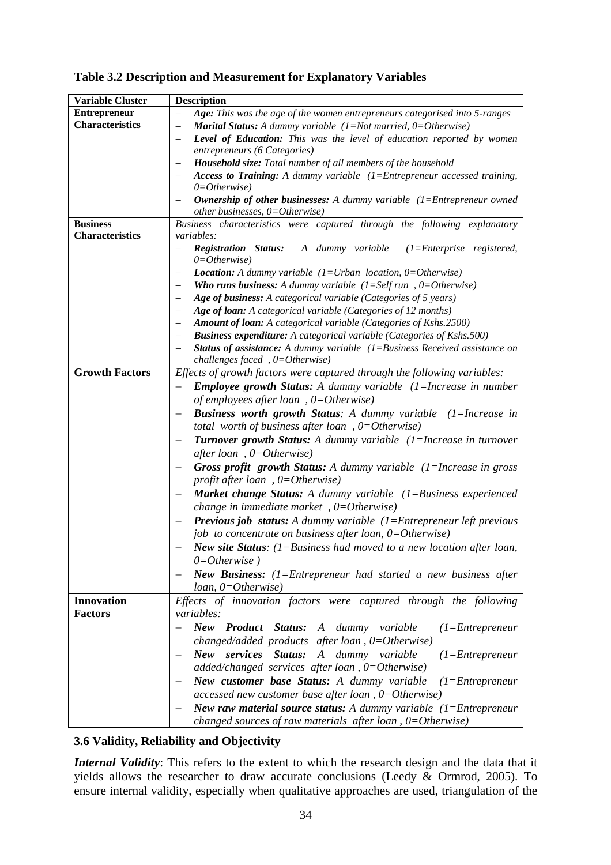| <b>Variable Cluster</b> | <b>Description</b>                                                                                                     |  |  |
|-------------------------|------------------------------------------------------------------------------------------------------------------------|--|--|
| <b>Entrepreneur</b>     | Age: This was the age of the women entrepreneurs categorised into 5-ranges                                             |  |  |
| <b>Characteristics</b>  | <b>Marital Status:</b> A dummy variable $(1 = Not married, 0 = Otherwise)$<br>$\qquad \qquad -$                        |  |  |
|                         | Level of Education: This was the level of education reported by women<br>$\overline{\phantom{0}}$                      |  |  |
|                         | entrepreneurs (6 Categories)                                                                                           |  |  |
|                         | Household size: Total number of all members of the household                                                           |  |  |
|                         | Access to Training: A dummy variable $(1)$ = Entrepreneur accessed training,                                           |  |  |
|                         | $0=Otherwise$                                                                                                          |  |  |
|                         | <b>Ownership of other businesses:</b> A dummy variable $(1)$ = Entrepreneur owned<br>other businesses, $0=Otherwise$ ) |  |  |
| <b>Business</b>         | Business characteristics were captured through the following explanatory                                               |  |  |
| <b>Characteristics</b>  | <i>variables:</i>                                                                                                      |  |  |
|                         | <b>Registration Status:</b> A dummy variable (1=Enterprise registered,                                                 |  |  |
|                         | $0 = Otherwise$ )                                                                                                      |  |  |
|                         | <b>Location:</b> A dummy variable $(1=Urban location, 0=Otherwise)$                                                    |  |  |
|                         | <b>Who runs business:</b> A dummy variable $(1=Self run, 0=Otherwise)$                                                 |  |  |
|                         | Age of business: A categorical variable (Categories of 5 years)<br>—                                                   |  |  |
|                         | Age of loan: A categorical variable (Categories of 12 months)                                                          |  |  |
|                         | <b>Amount of loan:</b> A categorical variable (Categories of Kshs.2500)                                                |  |  |
|                         | <b>Business expenditure:</b> A categorical variable (Categories of Kshs.500)                                           |  |  |
|                         | <b>Status of assistance:</b> A dummy variable $(1=Business$ Received assistance on                                     |  |  |
|                         | challenges faced, $0=Otherwise$ )                                                                                      |  |  |
| <b>Growth Factors</b>   | Effects of growth factors were captured through the following variables:                                               |  |  |
|                         | <b>Employee growth Status:</b> A dummy variable $(1)$ =Increase in number                                              |  |  |
|                         | of employees after loan, $0=Otherwise$ )                                                                               |  |  |
|                         | <b>Business worth growth Status:</b> A dummy variable (1=Increase in                                                   |  |  |
|                         | total worth of business after loan, $0=Otherwise$ )                                                                    |  |  |
|                         | <b>Turnover growth Status:</b> A dummy variable (1=Increase in turnover                                                |  |  |
|                         | after loan, $0=Otherwise$ )                                                                                            |  |  |
|                         | <b>Gross profit growth Status:</b> A dummy variable $(1)$ =Increase in gross                                           |  |  |
|                         | profit after loan, $0=Otherwise$ )                                                                                     |  |  |
|                         | Market change Status: A dummy variable (1=Business experienced                                                         |  |  |
|                         | change in immediate market, $0=Otherwise$                                                                              |  |  |
|                         | <b>Previous job status:</b> A dummy variable $(1)$ = Entrepreneur left previous                                        |  |  |
|                         | job to concentrate on business after loan, $0=O$ therwise)                                                             |  |  |
|                         | New site Status: $(1=Blssiness$ had moved to a new location after loan,                                                |  |  |
|                         | $0=Otherwise$ )                                                                                                        |  |  |
|                         | New Business: $(1)$ = Entrepreneur had started a new business after                                                    |  |  |
|                         | $loan, 0 = Otherwise)$                                                                                                 |  |  |
| <b>Innovation</b>       | Effects of innovation factors were captured through the following                                                      |  |  |
| <b>Factors</b>          | variables:                                                                                                             |  |  |
|                         | New Product Status: A dummy variable<br>$(1)$ =Entrepreneur                                                            |  |  |
|                         | changed/added products after loan, $0=Otherwise$ )                                                                     |  |  |
|                         | New services Status: A dummy variable<br>$(1)$ =Entrepreneur                                                           |  |  |
|                         | added/changed services after loan, $0=O$ therwise)                                                                     |  |  |
|                         | New customer base Status: A dummy variable $(1)$ = Entrepreneur                                                        |  |  |
|                         | accessed new customer base after loan, $0=Otherwise$ )                                                                 |  |  |
|                         | <b>New raw material source status:</b> A dummy variable $(1)$ = Entrepreneur                                           |  |  |
|                         | changed sources of raw materials after loan, $0=Otherwise$ )                                                           |  |  |

### **3.6 Validity, Reliability and Objectivity**

*Internal Validity*: This refers to the extent to which the research design and the data that it yields allows the researcher to draw accurate conclusions (Leedy & Ormrod, 2005). To ensure internal validity, especially when qualitative approaches are used, triangulation of the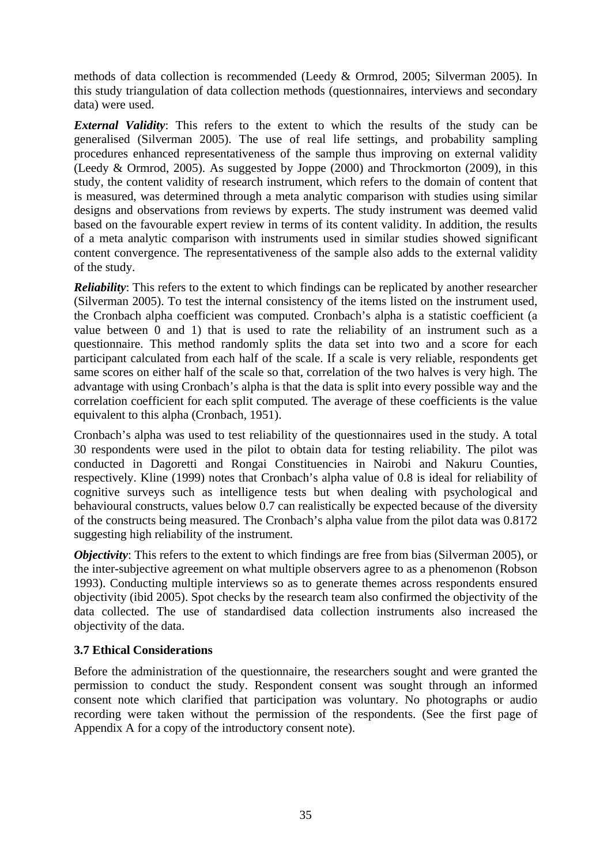methods of data collection is recommended (Leedy & Ormrod, 2005; Silverman 2005). In this study triangulation of data collection methods (questionnaires, interviews and secondary data) were used.

*External Validity*: This refers to the extent to which the results of the study can be generalised (Silverman 2005). The use of real life settings, and probability sampling procedures enhanced representativeness of the sample thus improving on external validity (Leedy & Ormrod, 2005). As suggested by Joppe (2000) and Throckmorton (2009), in this study, the content validity of research instrument, which refers to the domain of content that is measured, was determined through a meta analytic comparison with studies using similar designs and observations from reviews by experts. The study instrument was deemed valid based on the favourable expert review in terms of its content validity. In addition, the results of a meta analytic comparison with instruments used in similar studies showed significant content convergence. The representativeness of the sample also adds to the external validity of the study.

*Reliability*: This refers to the extent to which findings can be replicated by another researcher (Silverman 2005). To test the internal consistency of the items listed on the instrument used, the Cronbach alpha coefficient was computed. Cronbach's alpha is a statistic coefficient (a value between 0 and 1) that is used to rate the reliability of an instrument such as a questionnaire. This method randomly splits the data set into two and a score for each participant calculated from each half of the scale. If a scale is very reliable, respondents get same scores on either half of the scale so that, correlation of the two halves is very high. The advantage with using Cronbach's alpha is that the data is split into every possible way and the correlation coefficient for each split computed. The average of these coefficients is the value equivalent to this alpha (Cronbach, 1951).

Cronbach's alpha was used to test reliability of the questionnaires used in the study. A total 30 respondents were used in the pilot to obtain data for testing reliability. The pilot was conducted in Dagoretti and Rongai Constituencies in Nairobi and Nakuru Counties, respectively. Kline (1999) notes that Cronbach's alpha value of 0.8 is ideal for reliability of cognitive surveys such as intelligence tests but when dealing with psychological and behavioural constructs, values below 0.7 can realistically be expected because of the diversity of the constructs being measured. The Cronbach's alpha value from the pilot data was 0.8172 suggesting high reliability of the instrument.

*Objectivity*: This refers to the extent to which findings are free from bias (Silverman 2005), or the inter-subjective agreement on what multiple observers agree to as a phenomenon (Robson 1993). Conducting multiple interviews so as to generate themes across respondents ensured objectivity (ibid 2005). Spot checks by the research team also confirmed the objectivity of the data collected. The use of standardised data collection instruments also increased the objectivity of the data.

#### **3.7 Ethical Considerations**

Before the administration of the questionnaire, the researchers sought and were granted the permission to conduct the study. Respondent consent was sought through an informed consent note which clarified that participation was voluntary. No photographs or audio recording were taken without the permission of the respondents. (See the first page of Appendix A for a copy of the introductory consent note).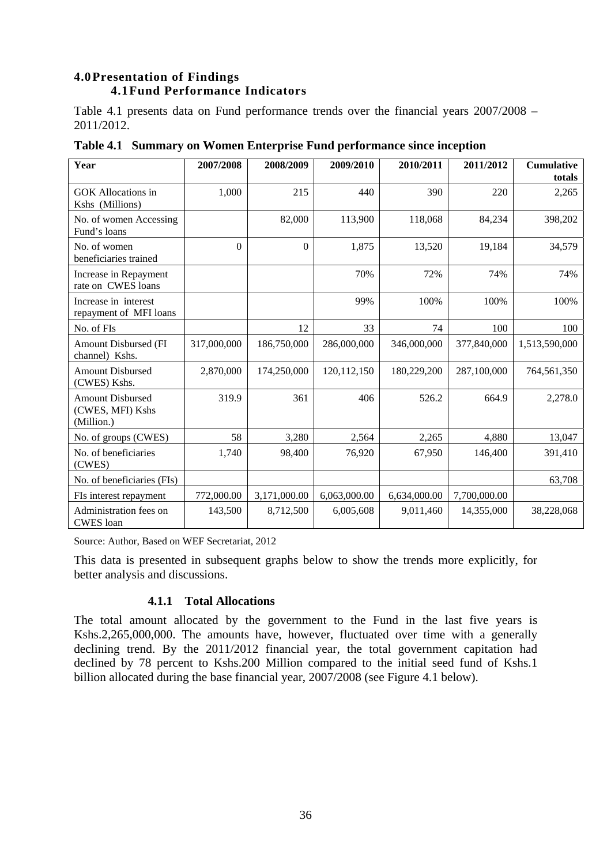# **4.0Presentation of Findings 4.1Fund Performance Indicators**

Table 4.1 presents data on Fund performance trends over the financial years 2007/2008 – 2011/2012.

| Year                                                      | 2007/2008   | 2008/2009    | 2009/2010     | 2010/2011    | 2011/2012    | <b>Cumulative</b><br>totals |
|-----------------------------------------------------------|-------------|--------------|---------------|--------------|--------------|-----------------------------|
| <b>GOK</b> Allocations in<br>Kshs (Millions)              | 1,000       | 215          | 440           | 390          | 220          | 2,265                       |
| No. of women Accessing<br>Fund's loans                    |             | 82,000       | 113,900       | 118,068      | 84,234       | 398,202                     |
| No. of women<br>beneficiaries trained                     | $\Omega$    | $\theta$     | 1,875         | 13,520       | 19,184       | 34,579                      |
| Increase in Repayment<br>rate on CWES loans               |             |              | 70%           | 72%          | 74%          | 74%                         |
| Increase in interest<br>repayment of MFI loans            |             |              | 99%           | 100%         | 100%         | 100%                        |
| No. of FIs                                                |             | 12           | 33            | 74           | 100          | 100                         |
| <b>Amount Disbursed (FI</b><br>channel) Kshs.             | 317,000,000 | 186,750,000  | 286,000,000   | 346,000,000  | 377,840,000  | 1,513,590,000               |
| <b>Amount Disbursed</b><br>(CWES) Kshs.                   | 2,870,000   | 174,250,000  | 120, 112, 150 | 180,229,200  | 287,100,000  | 764,561,350                 |
| <b>Amount Disbursed</b><br>(CWES, MFI) Kshs<br>(Million.) | 319.9       | 361          | 406           | 526.2        | 664.9        | 2,278.0                     |
| No. of groups (CWES)                                      | 58          | 3,280        | 2,564         | 2,265        | 4,880        | 13,047                      |
| No. of beneficiaries<br>(CWES)                            | 1,740       | 98,400       | 76,920        | 67,950       | 146,400      | 391,410                     |
| No. of beneficiaries (FIs)                                |             |              |               |              |              | 63,708                      |
| FIs interest repayment                                    | 772,000.00  | 3,171,000.00 | 6,063,000.00  | 6,634,000.00 | 7,700,000.00 |                             |
| Administration fees on<br><b>CWES</b> loan                | 143,500     | 8,712,500    | 6,005,608     | 9,011,460    | 14,355,000   | 38,228,068                  |

**Table 4.1 Summary on Women Enterprise Fund performance since inception** 

Source: Author, Based on WEF Secretariat, 2012

This data is presented in subsequent graphs below to show the trends more explicitly, for better analysis and discussions.

# **4.1.1 Total Allocations**

The total amount allocated by the government to the Fund in the last five years is Kshs.2,265,000,000. The amounts have, however, fluctuated over time with a generally declining trend. By the 2011/2012 financial year, the total government capitation had declined by 78 percent to Kshs.200 Million compared to the initial seed fund of Kshs.1 billion allocated during the base financial year, 2007/2008 (see Figure 4.1 below).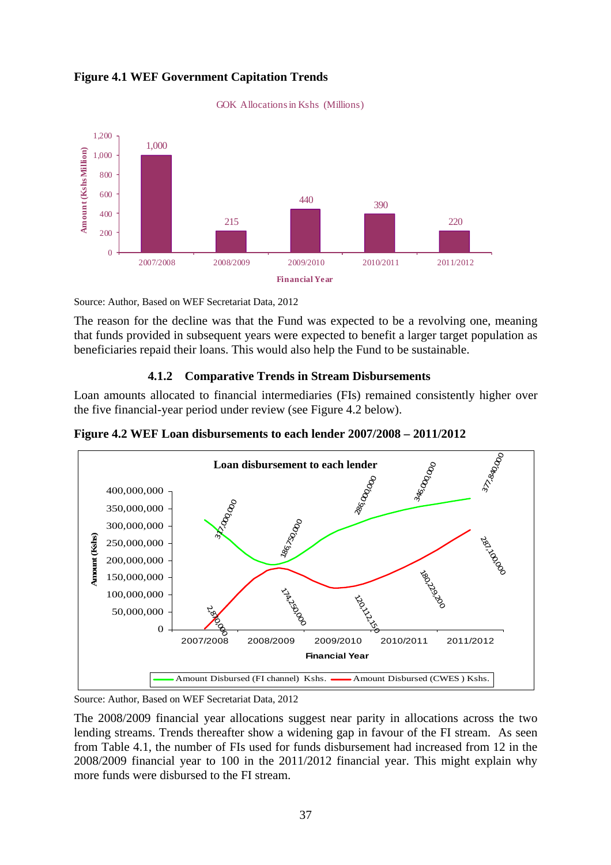# **Figure 4.1 WEF Government Capitation Trends**



GOK Allocations in Kshs (Millions)

Source: Author, Based on WEF Secretariat Data, 2012

The reason for the decline was that the Fund was expected to be a revolving one, meaning that funds provided in subsequent years were expected to benefit a larger target population as beneficiaries repaid their loans. This would also help the Fund to be sustainable.

#### **4.1.2 Comparative Trends in Stream Disbursements**

Loan amounts allocated to financial intermediaries (FIs) remained consistently higher over the five financial-year period under review (see Figure 4.2 below).

**Figure 4.2 WEF Loan disbursements to each lender 2007/2008 – 2011/2012** 



Source: Author, Based on WEF Secretariat Data, 2012

The 2008/2009 financial year allocations suggest near parity in allocations across the two lending streams. Trends thereafter show a widening gap in favour of the FI stream. As seen from Table 4.1, the number of FIs used for funds disbursement had increased from 12 in the 2008/2009 financial year to 100 in the 2011/2012 financial year. This might explain why more funds were disbursed to the FI stream.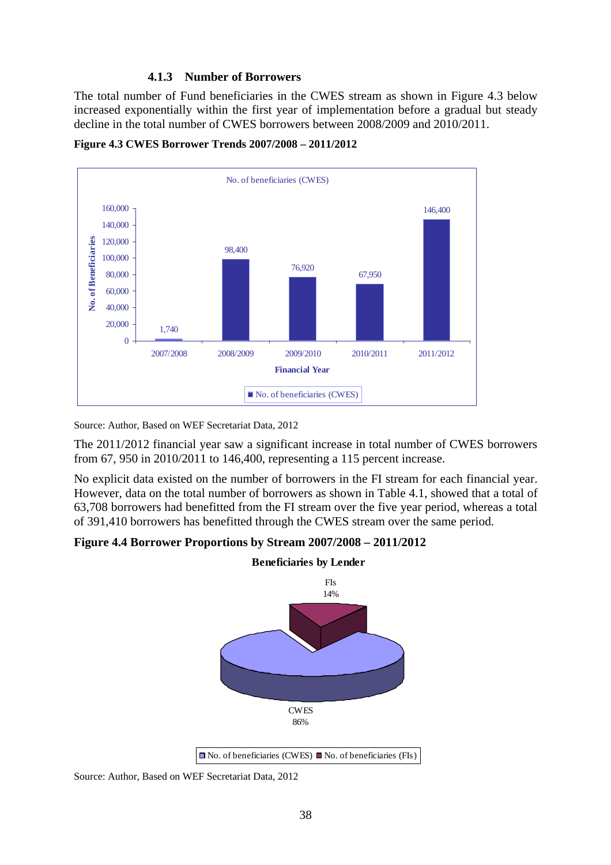### **4.1.3 Number of Borrowers**

The total number of Fund beneficiaries in the CWES stream as shown in Figure 4.3 below increased exponentially within the first year of implementation before a gradual but steady decline in the total number of CWES borrowers between 2008/2009 and 2010/2011.





Source: Author, Based on WEF Secretariat Data, 2012

The 2011/2012 financial year saw a significant increase in total number of CWES borrowers from 67, 950 in 2010/2011 to 146,400, representing a 115 percent increase.

No explicit data existed on the number of borrowers in the FI stream for each financial year. However, data on the total number of borrowers as shown in Table 4.1, showed that a total of 63,708 borrowers had benefitted from the FI stream over the five year period, whereas a total of 391,410 borrowers has benefitted through the CWES stream over the same period.

**Figure 4.4 Borrower Proportions by Stream 2007/2008 – 2011/2012** 



 $\Box$  No. of beneficiaries (CWES)  $\Box$  No. of beneficiaries (FIs)

Source: Author, Based on WEF Secretariat Data, 2012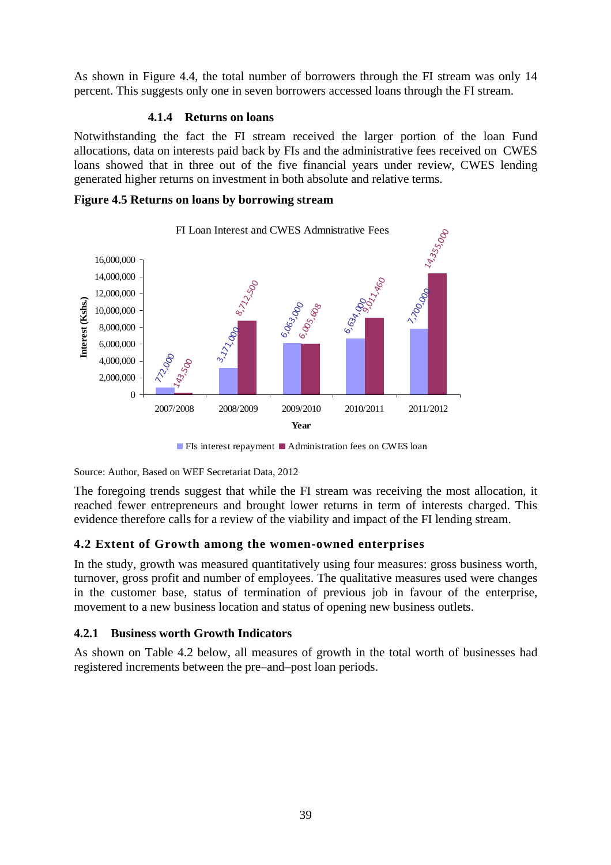As shown in Figure 4.4, the total number of borrowers through the FI stream was only 14 percent. This suggests only one in seven borrowers accessed loans through the FI stream.

#### **4.1.4 Returns on loans**

Notwithstanding the fact the FI stream received the larger portion of the loan Fund allocations, data on interests paid back by FIs and the administrative fees received on CWES loans showed that in three out of the five financial years under review, CWES lending generated higher returns on investment in both absolute and relative terms.

### **Figure 4.5 Returns on loans by borrowing stream**



 $\blacksquare$  FIs interest repayment  $\blacksquare$  Administration fees on CWES loan

Source: Author, Based on WEF Secretariat Data, 2012

The foregoing trends suggest that while the FI stream was receiving the most allocation, it reached fewer entrepreneurs and brought lower returns in term of interests charged. This evidence therefore calls for a review of the viability and impact of the FI lending stream.

# **4.2 Extent of Growth among the women-owned enterprises**

In the study, growth was measured quantitatively using four measures: gross business worth, turnover, gross profit and number of employees. The qualitative measures used were changes in the customer base, status of termination of previous job in favour of the enterprise, movement to a new business location and status of opening new business outlets.

# **4.2.1 Business worth Growth Indicators**

As shown on Table 4.2 below, all measures of growth in the total worth of businesses had registered increments between the pre–and–post loan periods.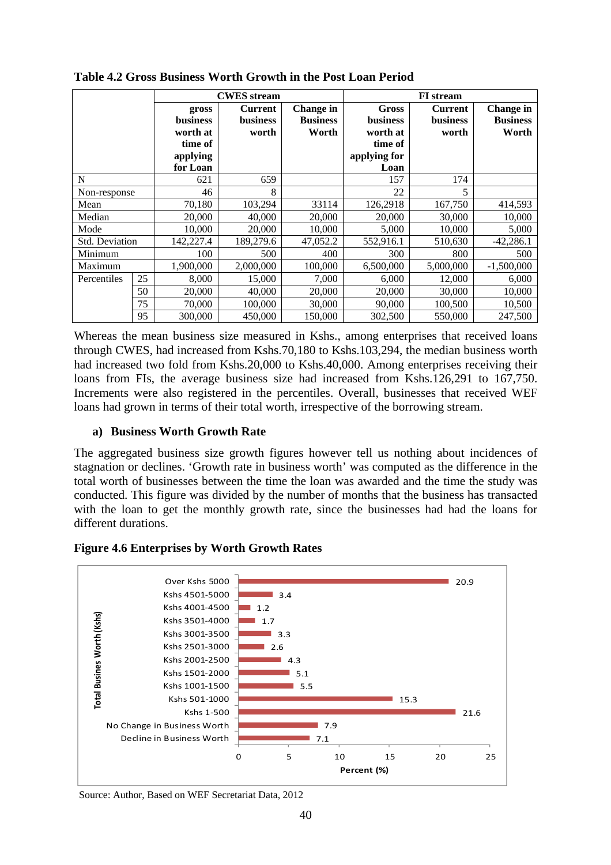|                       |    | <b>CWES</b> stream                                                      |                                            |                                              | <b>FI</b> stream                                                        |                                            |                                              |
|-----------------------|----|-------------------------------------------------------------------------|--------------------------------------------|----------------------------------------------|-------------------------------------------------------------------------|--------------------------------------------|----------------------------------------------|
|                       |    | gross<br><b>business</b><br>worth at<br>time of<br>applying<br>for Loan | <b>Current</b><br><b>business</b><br>worth | <b>Change</b> in<br><b>Business</b><br>Worth | Gross<br><b>business</b><br>worth at<br>time of<br>applying for<br>Loan | <b>Current</b><br><b>business</b><br>worth | <b>Change</b> in<br><b>Business</b><br>Worth |
| N                     |    | 621                                                                     | 659                                        |                                              | 157                                                                     | 174                                        |                                              |
| Non-response          |    | 46                                                                      | 8                                          |                                              | 22                                                                      | 5                                          |                                              |
| Mean                  |    | 70,180                                                                  | 103,294                                    | 33114                                        | 126,2918                                                                | 167,750                                    | 414,593                                      |
| Median                |    | 20,000                                                                  | 40,000                                     | 20,000                                       | 20,000                                                                  | 30,000                                     | 10,000                                       |
| Mode                  |    | 10,000                                                                  | 20,000                                     | 10,000                                       | 5,000                                                                   | 10,000                                     | 5,000                                        |
| <b>Std. Deviation</b> |    | 142,227.4                                                               | 189,279.6                                  | 47,052.2                                     | 552,916.1                                                               | 510,630                                    | $-42,286.1$                                  |
| Minimum               |    | 100                                                                     | 500                                        | 400                                          | 300                                                                     | 800                                        | 500                                          |
| Maximum               |    | 1,900,000                                                               | 2,000,000                                  | 100,000                                      | 6,500,000                                                               | 5,000,000                                  | $-1,500,000$                                 |
| Percentiles           | 25 | 8,000                                                                   | 15,000                                     | 7,000                                        | 6,000                                                                   | 12,000                                     | 6,000                                        |
|                       | 50 | 20,000                                                                  | 40,000                                     | 20,000                                       | 20,000                                                                  | 30,000                                     | 10,000                                       |
|                       | 75 | 70,000                                                                  | 100,000                                    | 30,000                                       | 90,000                                                                  | 100,500                                    | 10,500                                       |
|                       | 95 | 300,000                                                                 | 450,000                                    | 150,000                                      | 302,500                                                                 | 550,000                                    | 247,500                                      |

**Table 4.2 Gross Business Worth Growth in the Post Loan Period** 

Whereas the mean business size measured in Kshs., among enterprises that received loans through CWES, had increased from Kshs.70,180 to Kshs.103,294, the median business worth had increased two fold from Kshs.20,000 to Kshs.40,000. Among enterprises receiving their loans from FIs, the average business size had increased from Kshs.126,291 to 167,750. Increments were also registered in the percentiles. Overall, businesses that received WEF loans had grown in terms of their total worth, irrespective of the borrowing stream.

# **a) Business Worth Growth Rate**

The aggregated business size growth figures however tell us nothing about incidences of stagnation or declines. 'Growth rate in business worth' was computed as the difference in the total worth of businesses between the time the loan was awarded and the time the study was conducted. This figure was divided by the number of months that the business has transacted with the loan to get the monthly growth rate, since the businesses had had the loans for different durations.

#### **Figure 4.6 Enterprises by Worth Growth Rates**



Source: Author, Based on WEF Secretariat Data, 2012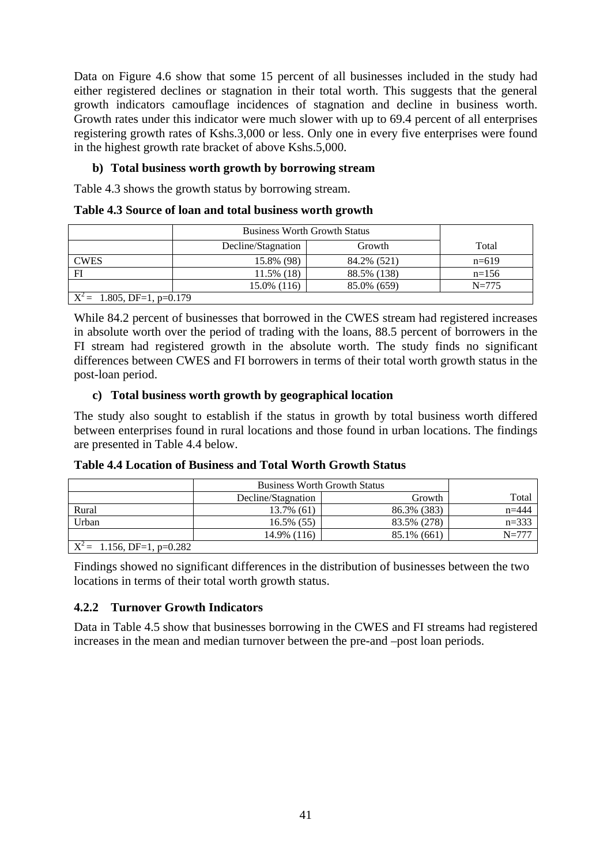Data on Figure 4.6 show that some 15 percent of all businesses included in the study had either registered declines or stagnation in their total worth. This suggests that the general growth indicators camouflage incidences of stagnation and decline in business worth. Growth rates under this indicator were much slower with up to 69.4 percent of all enterprises registering growth rates of Kshs.3,000 or less. Only one in every five enterprises were found in the highest growth rate bracket of above Kshs.5,000.

# **b) Total business worth growth by borrowing stream**

Table 4.3 shows the growth status by borrowing stream.

|  |  |  |  |  | Table 4.3 Source of loan and total business worth growth |
|--|--|--|--|--|----------------------------------------------------------|
|--|--|--|--|--|----------------------------------------------------------|

|                              | <b>Business Worth Growth Status</b> |             |           |
|------------------------------|-------------------------------------|-------------|-----------|
|                              | Decline/Stagnation                  | Growth      | Total     |
| <b>CWES</b>                  | 15.8% (98)                          | 84.2% (521) | $n=619$   |
| FI                           | $11.5\%$ (18)                       | 88.5% (138) | $n=156$   |
|                              | $15.0\%$ (116)                      | 85.0% (659) | $N = 775$ |
| $X^2$ = 1.805, DF=1, p=0.179 |                                     |             |           |

While 84.2 percent of businesses that borrowed in the CWES stream had registered increases in absolute worth over the period of trading with the loans, 88.5 percent of borrowers in the FI stream had registered growth in the absolute worth. The study finds no significant differences between CWES and FI borrowers in terms of their total worth growth status in the post-loan period.

# **c) Total business worth growth by geographical location**

The study also sought to establish if the status in growth by total business worth differed between enterprises found in rural locations and those found in urban locations. The findings are presented in Table 4.4 below.

|       |                    | <b>Business Worth Growth Status</b> |           |  |
|-------|--------------------|-------------------------------------|-----------|--|
|       | Decline/Stagnation | Growth                              | Total     |  |
| Rural | 13.7% (61)         | 86.3% (383)                         | $n = 444$ |  |
| Urban | $16.5\%$ (55)      | 83.5% (278)                         | $n=333$   |  |
|       | 14.9% (116)        | 85.1% (661)                         | $N = 777$ |  |

**Table 4.4 Location of Business and Total Worth Growth Status** 

Findings showed no significant differences in the distribution of businesses between the two locations in terms of their total worth growth status.

# **4.2.2 Turnover Growth Indicators**

 $X^2 = 1.156$ , DF=1, p=0.282

Data in Table 4.5 show that businesses borrowing in the CWES and FI streams had registered increases in the mean and median turnover between the pre-and –post loan periods.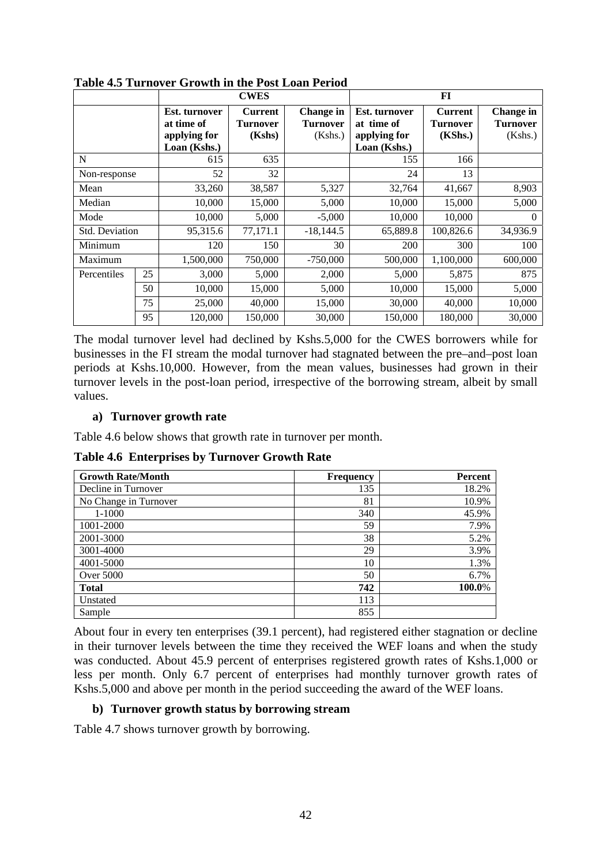|                |    | <b>CWES</b>                                                        |                                      |                                                | FI                                                          |                                       |                                                |
|----------------|----|--------------------------------------------------------------------|--------------------------------------|------------------------------------------------|-------------------------------------------------------------|---------------------------------------|------------------------------------------------|
|                |    | <b>Est.</b> turnover<br>at time of<br>applying for<br>Loan (Kshs.) | <b>Current</b><br>Turnover<br>(Kshs) | <b>Change</b> in<br><b>Turnover</b><br>(Kshs.) | Est. turnover<br>at time of<br>applying for<br>Loan (Kshs.) | <b>Current</b><br>Turnover<br>(KShs.) | <b>Change</b> in<br><b>Turnover</b><br>(Kshs.) |
| N              |    | 615                                                                | 635                                  |                                                | 155                                                         | 166                                   |                                                |
| Non-response   |    | 52                                                                 | 32                                   |                                                | 24                                                          | 13                                    |                                                |
| Mean           |    | 33,260                                                             | 38,587                               | 5,327                                          | 32,764                                                      | 41,667                                | 8,903                                          |
| Median         |    | 10,000                                                             | 15,000                               | 5,000                                          | 10,000                                                      | 15,000                                | 5,000                                          |
| Mode           |    | 10,000                                                             | 5,000                                | $-5,000$                                       | 10,000                                                      | 10,000                                | $\Omega$                                       |
| Std. Deviation |    | 95,315.6                                                           | 77,171.1                             | $-18,144.5$                                    | 65,889.8                                                    | 100,826.6                             | 34,936.9                                       |
| Minimum        |    | 120                                                                | 150                                  | 30                                             | 200                                                         | 300                                   | 100                                            |
| Maximum        |    | 1,500,000                                                          | 750,000                              | $-750,000$                                     | 500,000                                                     | 1,100,000                             | 600,000                                        |
| Percentiles    | 25 | 3,000                                                              | 5,000                                | 2,000                                          | 5,000                                                       | 5,875                                 | 875                                            |
|                | 50 | 10,000                                                             | 15,000                               | 5,000                                          | 10,000                                                      | 15,000                                | 5,000                                          |
|                | 75 | 25,000                                                             | 40,000                               | 15,000                                         | 30,000                                                      | 40,000                                | 10,000                                         |
|                | 95 | 120,000                                                            | 150,000                              | 30,000                                         | 150,000                                                     | 180,000                               | 30,000                                         |

**Table 4.5 Turnover Growth in the Post Loan Period** 

The modal turnover level had declined by Kshs.5,000 for the CWES borrowers while for businesses in the FI stream the modal turnover had stagnated between the pre–and–post loan periods at Kshs.10,000. However, from the mean values, businesses had grown in their turnover levels in the post-loan period, irrespective of the borrowing stream, albeit by small values.

### **a) Turnover growth rate**

Table 4.6 below shows that growth rate in turnover per month.

**Table 4.6 Enterprises by Turnover Growth Rate** 

| <b>Growth Rate/Month</b> | <b>Frequency</b> | <b>Percent</b> |
|--------------------------|------------------|----------------|
| Decline in Turnover      | 135              | 18.2%          |
| No Change in Turnover    | 81               | 10.9%          |
| 1-1000                   | 340              | 45.9%          |
| 1001-2000                | 59               | 7.9%           |
| 2001-3000                | 38               | 5.2%           |
| 3001-4000                | 29               | 3.9%           |
| 4001-5000                | 10               | 1.3%           |
| Over 5000                | 50               | 6.7%           |
| <b>Total</b>             | 742              | 100.0%         |
| Unstated                 | 113              |                |
| Sample                   | 855              |                |

About four in every ten enterprises (39.1 percent), had registered either stagnation or decline in their turnover levels between the time they received the WEF loans and when the study was conducted. About 45.9 percent of enterprises registered growth rates of Kshs.1,000 or less per month. Only 6.7 percent of enterprises had monthly turnover growth rates of Kshs.5,000 and above per month in the period succeeding the award of the WEF loans.

# **b) Turnover growth status by borrowing stream**

Table 4.7 shows turnover growth by borrowing.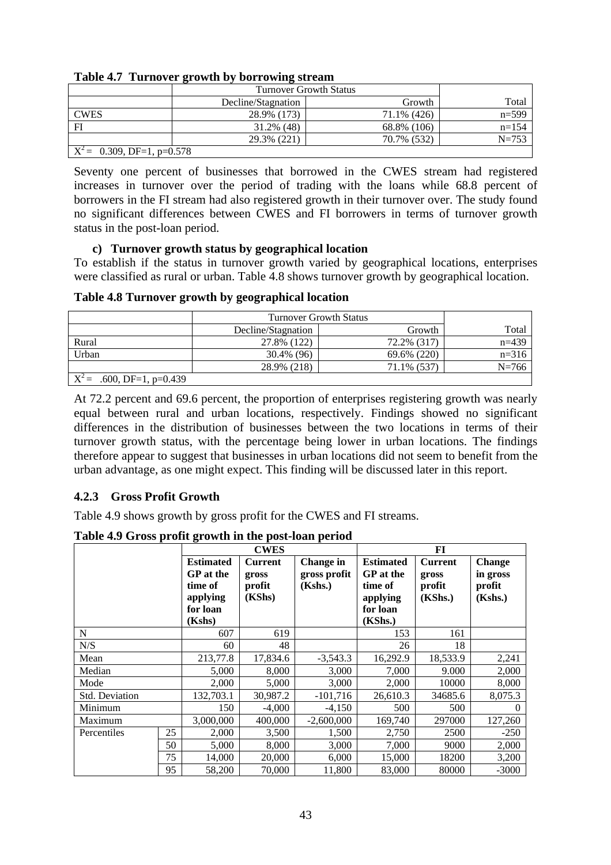|                                         | <b>Turnover Growth Status</b> |             |           |
|-----------------------------------------|-------------------------------|-------------|-----------|
|                                         | Decline/Stagnation            | Total       |           |
| <b>CWES</b>                             | 28.9% (173)                   | 71.1% (426) | $n=599$   |
| FI                                      | $31.2\%$ (48)                 | 68.8% (106) | $n = 154$ |
|                                         | 29.3% (221)                   | 70.7% (532) | $N = 753$ |
| $\overline{X}^2$ = 0.309, DF=1, p=0.578 |                               |             |           |

**Table 4.7 Turnover growth by borrowing stream** 

Seventy one percent of businesses that borrowed in the CWES stream had registered increases in turnover over the period of trading with the loans while 68.8 percent of borrowers in the FI stream had also registered growth in their turnover over. The study found no significant differences between CWES and FI borrowers in terms of turnover growth status in the post-loan period.

#### **c) Turnover growth status by geographical location**

To establish if the status in turnover growth varied by geographical locations, enterprises were classified as rural or urban. Table 4.8 shows turnover growth by geographical location.

| Table 4.8 Turnover growth by geographical location |  |  |
|----------------------------------------------------|--|--|
|                                                    |  |  |

|                                  | <b>Turnover Growth Status</b> |             |           |
|----------------------------------|-------------------------------|-------------|-----------|
|                                  | Decline/Stagnation            | Growth      | Total     |
| Rural                            | 27.8% (122)                   | 72.2% (317) | $n=439$   |
| Urban                            | 30.4% (96)                    | 69.6% (220) | $n=316$   |
|                                  | 28.9% (218)                   | 71.1% (537) | $N = 766$ |
| $X^2 =$<br>.600, DF=1, $p=0.439$ |                               |             |           |

At 72.2 percent and 69.6 percent, the proportion of enterprises registering growth was nearly equal between rural and urban locations, respectively. Findings showed no significant differences in the distribution of businesses between the two locations in terms of their turnover growth status, with the percentage being lower in urban locations. The findings therefore appear to suggest that businesses in urban locations did not seem to benefit from the urban advantage, as one might expect. This finding will be discussed later in this report.

# **4.2.3 Gross Profit Growth**

Table 4.9 shows growth by gross profit for the CWES and FI streams.

**Table 4.9 Gross profit growth in the post-loan period CWES FI Estimated GP at the time of applying for loan (Kshs) Current gross profit (KShs) Change in gross profit (Kshs.) Estimated GP at the time of applying for loan (KShs.) Current gross profit (KShs.) Change in gross profit (Kshs.)** N 153 161 N/S 60 48 26 18 Mean 213,77.8 17,834.6 -3,543.3 16,292.9 18,533.9 2,241 Median  $\begin{array}{|c|c|c|c|c|c|c|c|c|} \hline \end{array}$  5,000 8,000 3,000 7,000 9.000 2,000 Mode  $\begin{array}{|c|c|c|c|c|c|c|c|} \hline \end{array}$  2,000  $\begin{array}{|c|c|c|c|c|c|c|c|} \hline \end{array}$  3,000  $\begin{array}{|c|c|c|c|c|c|} \hline \end{array}$  2,000  $\begin{array}{|c|c|c|c|c|c|} \hline \end{array}$  8,000 Std. Deviation 132,703.1 30,987.2 -101,716 26,610.3 34685.6 8,075.3 Minimum 150 -4,000 -4,150 500 500 0 Maximum  $|3,000,000|$  400,000 -2,600,000 169,740 297000 127,260 Percentiles 25 2,000 3,500 1,500 2,750 2500 -250

50 5,000 8,000 3,000 7,000 9000 2,000 75 14,000 20,000 6,000 15,000 18200 3,200 95 | 58,200 | 70,000 | 11,800 | 83,000 | 80000 | -3000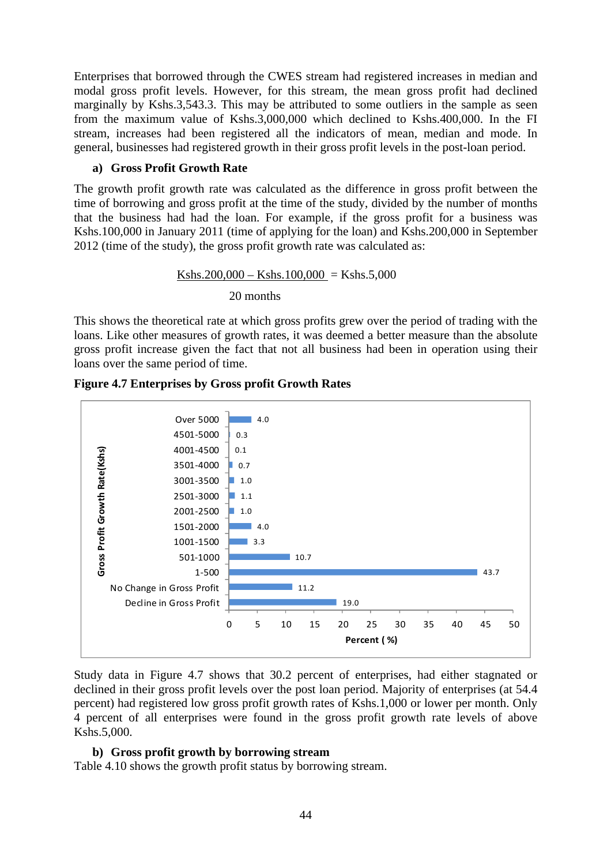Enterprises that borrowed through the CWES stream had registered increases in median and modal gross profit levels. However, for this stream, the mean gross profit had declined marginally by Kshs.3,543.3. This may be attributed to some outliers in the sample as seen from the maximum value of Kshs.3,000,000 which declined to Kshs.400,000. In the FI stream, increases had been registered all the indicators of mean, median and mode. In general, businesses had registered growth in their gross profit levels in the post-loan period.

# **a) Gross Profit Growth Rate**

The growth profit growth rate was calculated as the difference in gross profit between the time of borrowing and gross profit at the time of the study, divided by the number of months that the business had had the loan. For example, if the gross profit for a business was Kshs.100,000 in January 2011 (time of applying for the loan) and Kshs.200,000 in September 2012 (time of the study), the gross profit growth rate was calculated as:

> Kshs.200,000 – Kshs.100,000 = Kshs.5,000 20 months

This shows the theoretical rate at which gross profits grew over the period of trading with the loans. Like other measures of growth rates, it was deemed a better measure than the absolute gross profit increase given the fact that not all business had been in operation using their loans over the same period of time.



**Figure 4.7 Enterprises by Gross profit Growth Rates** 

Study data in Figure 4.7 shows that 30.2 percent of enterprises, had either stagnated or declined in their gross profit levels over the post loan period. Majority of enterprises (at 54.4 percent) had registered low gross profit growth rates of Kshs.1,000 or lower per month. Only 4 percent of all enterprises were found in the gross profit growth rate levels of above Kshs.5,000.

#### **b) Gross profit growth by borrowing stream**

Table 4.10 shows the growth profit status by borrowing stream.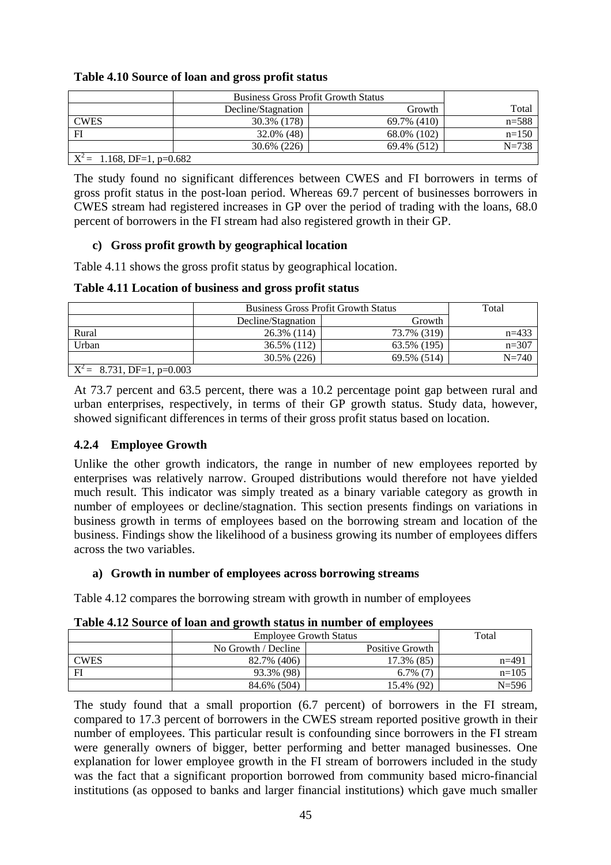### **Table 4.10 Source of loan and gross profit status**

|                              | <b>Business Gross Profit Growth Status</b> |             |           |
|------------------------------|--------------------------------------------|-------------|-----------|
|                              | Decline/Stagnation                         | Growth      | Total     |
| <b>CWES</b>                  | 30.3% (178)                                | 69.7% (410) | $n = 588$ |
| FI                           | 32.0% (48)                                 | 68.0% (102) | $n=150$   |
|                              | 30.6% (226)                                | 69.4% (512) | $N = 738$ |
| $X^2$ = 1.168, DF=1, p=0.682 |                                            |             |           |

The study found no significant differences between CWES and FI borrowers in terms of gross profit status in the post-loan period. Whereas 69.7 percent of businesses borrowers in CWES stream had registered increases in GP over the period of trading with the loans, 68.0 percent of borrowers in the FI stream had also registered growth in their GP.

# **c) Gross profit growth by geographical location**

Table 4.11 shows the gross profit status by geographical location.

**Table 4.11 Location of business and gross profit status** 

|                               | <b>Business Gross Profit Growth Status</b> | Total       |           |
|-------------------------------|--------------------------------------------|-------------|-----------|
|                               | Decline/Stagnation                         |             |           |
| Rural                         | 26.3% (114)                                | 73.7% (319) | $n=433$   |
| Urban                         | 36.5% (112)                                | 63.5% (195) | $n=307$   |
|                               | 30.5% (226)                                | 69.5% (514) | $N = 740$ |
| $X^2 = 8.731$ , DF=1, p=0.003 |                                            |             |           |

At 73.7 percent and 63.5 percent, there was a 10.2 percentage point gap between rural and urban enterprises, respectively, in terms of their GP growth status. Study data, however, showed significant differences in terms of their gross profit status based on location.

# **4.2.4 Employee Growth**

Unlike the other growth indicators, the range in number of new employees reported by enterprises was relatively narrow. Grouped distributions would therefore not have yielded much result. This indicator was simply treated as a binary variable category as growth in number of employees or decline/stagnation. This section presents findings on variations in business growth in terms of employees based on the borrowing stream and location of the business. Findings show the likelihood of a business growing its number of employees differs across the two variables.

# **a) Growth in number of employees across borrowing streams**

Table 4.12 compares the borrowing stream with growth in number of employees

|             | <b>Employee Growth Status</b> | Total           |           |
|-------------|-------------------------------|-----------------|-----------|
|             | No Growth / Decline           | Positive Growth |           |
| <b>CWES</b> | 82.7% (406)                   | 17.3% (85)      | $n=491$   |
| FI          | 93.3% (98)                    | $6.7\%$ (7)     | $n=105$   |
|             | 84.6% (504)                   | 15.4% (92)      | $N = 596$ |

**Table 4.12 Source of loan and growth status in number of employees** 

The study found that a small proportion (6.7 percent) of borrowers in the FI stream, compared to 17.3 percent of borrowers in the CWES stream reported positive growth in their number of employees. This particular result is confounding since borrowers in the FI stream were generally owners of bigger, better performing and better managed businesses. One explanation for lower employee growth in the FI stream of borrowers included in the study was the fact that a significant proportion borrowed from community based micro-financial institutions (as opposed to banks and larger financial institutions) which gave much smaller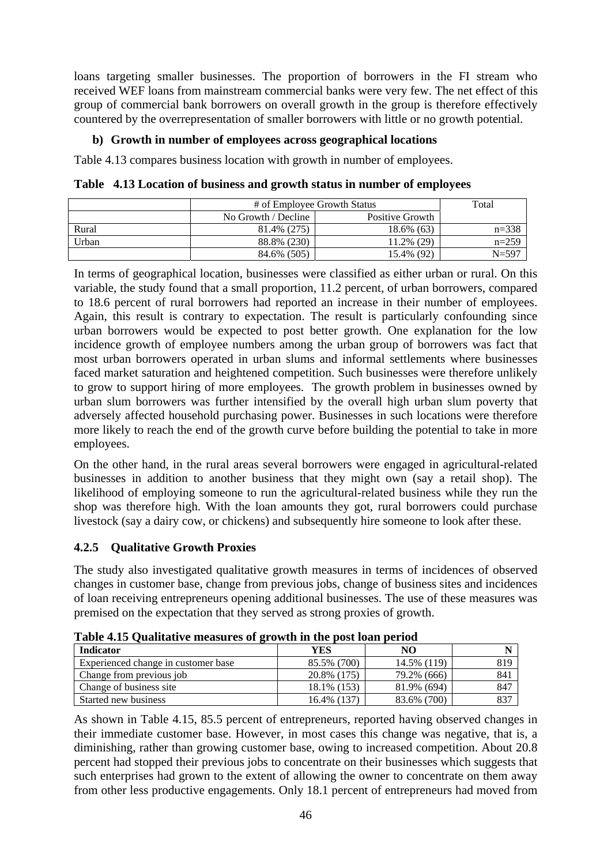loans targeting smaller businesses. The proportion of borrowers in the FI stream who received WEF loans from mainstream commercial banks were very few. The net effect of this group of commercial bank borrowers on overall growth in the group is therefore effectively countered by the overrepresentation of smaller borrowers with little or no growth potential.

### **b) Growth in number of employees across geographical locations**

Table 4.13 compares business location with growth in number of employees.

**Table 4.13 Location of business and growth status in number of employees** 

|       | # of Employee Growth Status | Total           |           |  |  |
|-------|-----------------------------|-----------------|-----------|--|--|
|       | No Growth / Decline         | Positive Growth |           |  |  |
| Rural | 81.4% (275)                 | 18.6% (63)      | $n = 338$ |  |  |
| Urban | 88.8% (230)                 | 11.2% (29)      | $n=259$   |  |  |
|       | 84.6% (505)                 | 15.4% (92)      | $N = 597$ |  |  |

In terms of geographical location, businesses were classified as either urban or rural. On this variable, the study found that a small proportion, 11.2 percent, of urban borrowers, compared to 18.6 percent of rural borrowers had reported an increase in their number of employees. Again, this result is contrary to expectation. The result is particularly confounding since urban borrowers would be expected to post better growth. One explanation for the low incidence growth of employee numbers among the urban group of borrowers was fact that most urban borrowers operated in urban slums and informal settlements where businesses faced market saturation and heightened competition. Such businesses were therefore unlikely to grow to support hiring of more employees. The growth problem in businesses owned by urban slum borrowers was further intensified by the overall high urban slum poverty that adversely affected household purchasing power. Businesses in such locations were therefore more likely to reach the end of the growth curve before building the potential to take in more employees.

On the other hand, in the rural areas several borrowers were engaged in agricultural-related businesses in addition to another business that they might own (say a retail shop). The likelihood of employing someone to run the agricultural-related business while they run the shop was therefore high. With the loan amounts they got, rural borrowers could purchase livestock (say a dairy cow, or chickens) and subsequently hire someone to look after these.

# **4.2.5 Qualitative Growth Proxies**

The study also investigated qualitative growth measures in terms of incidences of observed changes in customer base, change from previous jobs, change of business sites and incidences of loan receiving entrepreneurs opening additional businesses. The use of these measures was premised on the expectation that they served as strong proxies of growth.

| <b>Indicator</b>                    | YES         | NO          |      |
|-------------------------------------|-------------|-------------|------|
| Experienced change in customer base | 85.5% (700) | 14.5% (119) | 819  |
| Change from previous job            | 20.8% (175) | 79.2% (666) | 841  |
| Change of business site             | 18.1% (153) | 81.9% (694) | 847  |
| Started new business                | 16.4% (137) | 83.6% (700) | -837 |

**Table 4.15 Qualitative measures of growth in the post loan period** 

As shown in Table 4.15, 85.5 percent of entrepreneurs, reported having observed changes in their immediate customer base. However, in most cases this change was negative, that is, a diminishing, rather than growing customer base, owing to increased competition. About 20.8 percent had stopped their previous jobs to concentrate on their businesses which suggests that such enterprises had grown to the extent of allowing the owner to concentrate on them away from other less productive engagements. Only 18.1 percent of entrepreneurs had moved from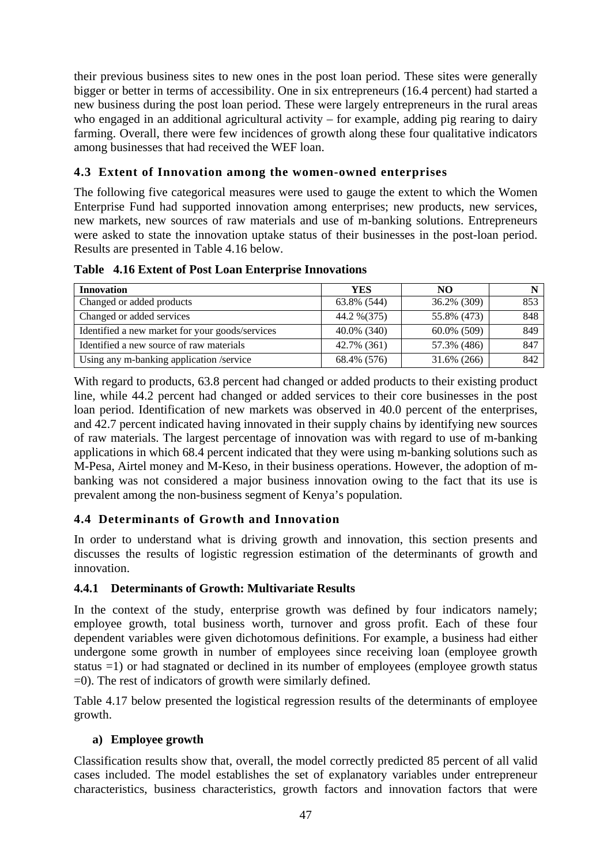their previous business sites to new ones in the post loan period. These sites were generally bigger or better in terms of accessibility. One in six entrepreneurs (16.4 percent) had started a new business during the post loan period. These were largely entrepreneurs in the rural areas who engaged in an additional agricultural activity – for example, adding pig rearing to dairy farming. Overall, there were few incidences of growth along these four qualitative indicators among businesses that had received the WEF loan.

# **4.3 Extent of Innovation among the women-owned enterprises**

The following five categorical measures were used to gauge the extent to which the Women Enterprise Fund had supported innovation among enterprises; new products, new services, new markets, new sources of raw materials and use of m-banking solutions. Entrepreneurs were asked to state the innovation uptake status of their businesses in the post-loan period. Results are presented in Table 4.16 below.

**Table 4.16 Extent of Post Loan Enterprise Innovations** 

| <b>Innovation</b>                               | <b>YES</b>   | NO.         |     |
|-------------------------------------------------|--------------|-------------|-----|
| Changed or added products                       | 63.8% (544)  | 36.2% (309) | 853 |
| Changed or added services                       | 44.2 % (375) | 55.8% (473) | 848 |
| Identified a new market for your goods/services | 40.0% (340)  | 60.0% (509) | 849 |
| Identified a new source of raw materials        | 42.7% (361)  | 57.3% (486) | 847 |
| Using any m-banking application /service        | 68.4% (576)  | 31.6% (266) | 842 |

With regard to products, 63.8 percent had changed or added products to their existing product line, while 44.2 percent had changed or added services to their core businesses in the post loan period. Identification of new markets was observed in 40.0 percent of the enterprises, and 42.7 percent indicated having innovated in their supply chains by identifying new sources of raw materials. The largest percentage of innovation was with regard to use of m-banking applications in which 68.4 percent indicated that they were using m-banking solutions such as M-Pesa, Airtel money and M-Keso, in their business operations. However, the adoption of mbanking was not considered a major business innovation owing to the fact that its use is prevalent among the non-business segment of Kenya's population.

# **4.4 Determinants of Growth and Innovation**

In order to understand what is driving growth and innovation, this section presents and discusses the results of logistic regression estimation of the determinants of growth and innovation.

# **4.4.1 Determinants of Growth: Multivariate Results**

In the context of the study, enterprise growth was defined by four indicators namely; employee growth, total business worth, turnover and gross profit. Each of these four dependent variables were given dichotomous definitions. For example, a business had either undergone some growth in number of employees since receiving loan (employee growth status =1) or had stagnated or declined in its number of employees (employee growth status  $=0$ ). The rest of indicators of growth were similarly defined.

Table 4.17 below presented the logistical regression results of the determinants of employee growth.

# **a) Employee growth**

Classification results show that, overall, the model correctly predicted 85 percent of all valid cases included. The model establishes the set of explanatory variables under entrepreneur characteristics, business characteristics, growth factors and innovation factors that were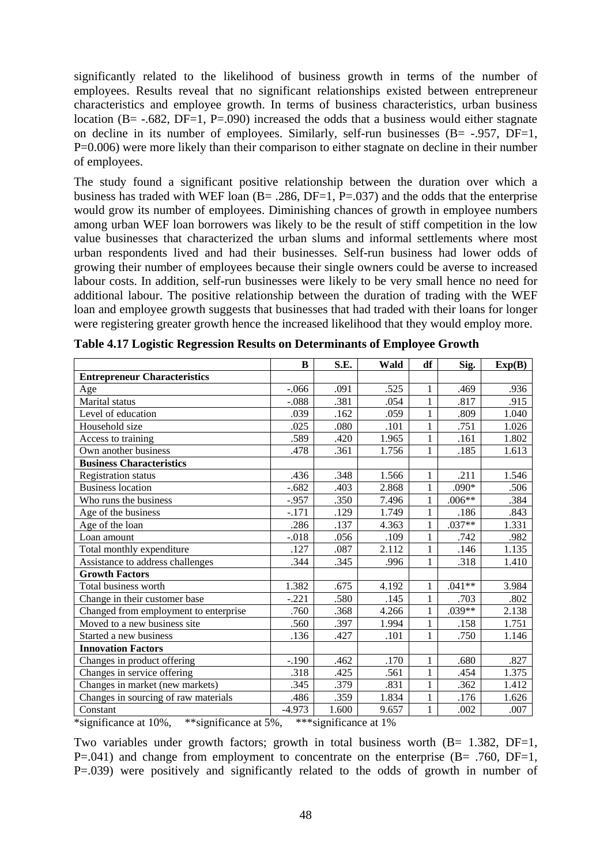significantly related to the likelihood of business growth in terms of the number of employees. Results reveal that no significant relationships existed between entrepreneur characteristics and employee growth. In terms of business characteristics, urban business location (B=  $-.682$ , DF=1, P=.090) increased the odds that a business would either stagnate on decline in its number of employees. Similarly, self-run businesses  $(B = -0.957, DF = 1,$ P=0.006) were more likely than their comparison to either stagnate on decline in their number of employees.

The study found a significant positive relationship between the duration over which a business has traded with WEF loan  $(B = .286, DF = 1, P = .037)$  and the odds that the enterprise would grow its number of employees. Diminishing chances of growth in employee numbers among urban WEF loan borrowers was likely to be the result of stiff competition in the low value businesses that characterized the urban slums and informal settlements where most urban respondents lived and had their businesses. Self-run business had lower odds of growing their number of employees because their single owners could be averse to increased labour costs. In addition, self-run businesses were likely to be very small hence no need for additional labour. The positive relationship between the duration of trading with the WEF loan and employee growth suggests that businesses that had traded with their loans for longer were registering greater growth hence the increased likelihood that they would employ more.

|                                                                                   | B        | S.E.                  | Wald  | df           | Sig.     | Exp(B) |
|-----------------------------------------------------------------------------------|----------|-----------------------|-------|--------------|----------|--------|
| <b>Entrepreneur Characteristics</b>                                               |          |                       |       |              |          |        |
| Age                                                                               | $-.066$  | .091                  | .525  | 1            | .469     | .936   |
| Marital status                                                                    | $-.088$  | .381                  | .054  | $\mathbf{1}$ | .817     | .915   |
| Level of education                                                                | .039     | .162                  | .059  | 1            | .809     | 1.040  |
| Household size                                                                    | .025     | .080                  | .101  | 1            | .751     | 1.026  |
| Access to training                                                                | .589     | .420                  | 1.965 | 1            | .161     | 1.802  |
| Own another business                                                              | .478     | .361                  | 1.756 | $\mathbf{1}$ | .185     | 1.613  |
| <b>Business Characteristics</b>                                                   |          |                       |       |              |          |        |
| <b>Registration status</b>                                                        | .436     | .348                  | 1.566 | 1            | .211     | 1.546  |
| <b>Business location</b>                                                          | $-.682$  | .403                  | 2.868 | 1            | .090*    | .506   |
| Who runs the business                                                             | $-0.957$ | .350                  | 7.496 | $\mathbf{1}$ | $.006**$ | .384   |
| Age of the business                                                               | $-.171$  | .129                  | 1.749 | 1            | .186     | .843   |
| Age of the loan                                                                   | .286     | .137                  | 4.363 | 1            | $.037**$ | 1.331  |
| Loan amount                                                                       | $-.018$  | .056                  | .109  | 1            | .742     | .982   |
| Total monthly expenditure                                                         | .127     | .087                  | 2.112 | 1            | .146     | 1.135  |
| Assistance to address challenges                                                  | .344     | .345                  | .996  | 1            | .318     | 1.410  |
| <b>Growth Factors</b>                                                             |          |                       |       |              |          |        |
| Total business worth                                                              | 1.382    | .675                  | 4.192 | 1            | $.041**$ | 3.984  |
| Change in their customer base                                                     | $-.221$  | .580                  | .145  | $\mathbf{1}$ | .703     | .802   |
| Changed from employment to enterprise                                             | .760     | .368                  | 4.266 | 1            | .039**   | 2.138  |
| Moved to a new business site                                                      | .560     | .397                  | 1.994 | $\mathbf{1}$ | .158     | 1.751  |
| Started a new business                                                            | .136     | .427                  | .101  | 1            | .750     | 1.146  |
| <b>Innovation Factors</b>                                                         |          |                       |       |              |          |        |
| Changes in product offering                                                       | $-.190$  | .462                  | .170  | 1            | .680     | .827   |
| Changes in service offering                                                       | .318     | .425                  | .561  | 1            | .454     | 1.375  |
| Changes in market (new markets)                                                   | .345     | .379                  | .831  | 1            | .362     | 1.412  |
| Changes in sourcing of raw materials                                              | .486     | .359                  | 1.834 | 1            | .176     | 1.626  |
| Constant                                                                          | $-4.973$ | 1.600                 | 9.657 | 1            | .002     | .007   |
| $\overline{\text{``significance}}$ at 10%,<br>$\overline{**}$ significance at 5%, |          | ***significance at 1% |       |              |          |        |

**Table 4.17 Logistic Regression Results on Determinants of Employee Growth** 

Two variables under growth factors; growth in total business worth  $(B= 1.382, DF=1,$ 

P=.041) and change from employment to concentrate on the enterprise  $(B= .760, DF=1,$ P=.039) were positively and significantly related to the odds of growth in number of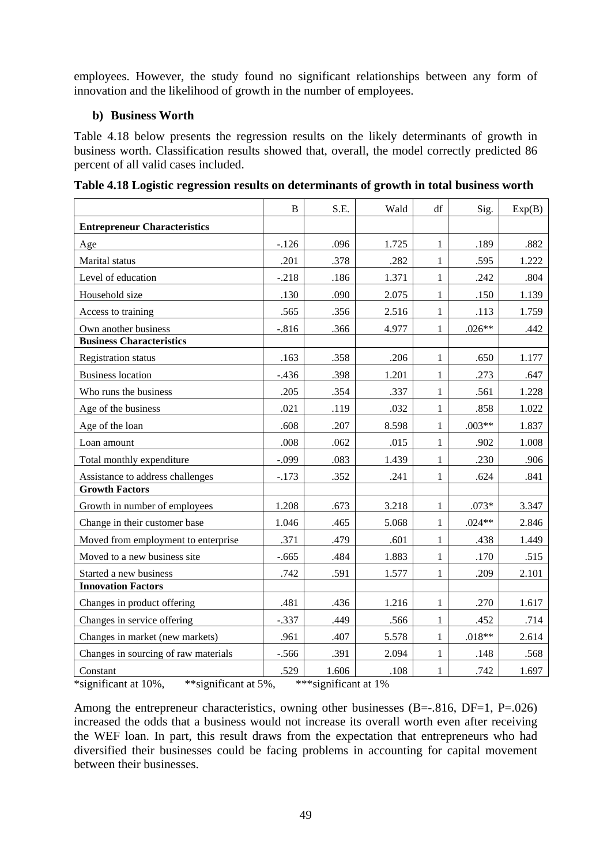employees. However, the study found no significant relationships between any form of innovation and the likelihood of growth in the number of employees.

# **b) Business Worth**

Table 4.18 below presents the regression results on the likely determinants of growth in business worth. Classification results showed that, overall, the model correctly predicted 86 percent of all valid cases included.

|                                              | B        | S.E.                 | Wald  | df           | Sig.     | Exp(B) |
|----------------------------------------------|----------|----------------------|-------|--------------|----------|--------|
| <b>Entrepreneur Characteristics</b>          |          |                      |       |              |          |        |
| Age                                          | $-.126$  | .096                 | 1.725 | 1            | .189     | .882   |
| Marital status                               | .201     | .378                 | .282  | 1            | .595     | 1.222  |
| Level of education                           | $-.218$  | .186                 | 1.371 | 1            | .242     | .804   |
| Household size                               | .130     | .090                 | 2.075 | $\mathbf{1}$ | .150     | 1.139  |
| Access to training                           | .565     | .356                 | 2.516 | 1            | .113     | 1.759  |
| Own another business                         | $-0.816$ | .366                 | 4.977 | 1            | $.026**$ | .442   |
| <b>Business Characteristics</b>              |          |                      |       |              |          |        |
| <b>Registration status</b>                   | .163     | .358                 | .206  | 1            | .650     | 1.177  |
| <b>Business location</b>                     | $-.436$  | .398                 | 1.201 | $\mathbf{1}$ | .273     | .647   |
| Who runs the business                        | .205     | .354                 | .337  | 1            | .561     | 1.228  |
| Age of the business                          | .021     | .119                 | .032  | 1            | .858     | 1.022  |
| Age of the loan                              | .608     | .207                 | 8.598 | 1            | $.003**$ | 1.837  |
| Loan amount                                  | .008     | .062                 | .015  | 1            | .902     | 1.008  |
| Total monthly expenditure                    | $-.099$  | .083                 | 1.439 | 1            | .230     | .906   |
| Assistance to address challenges             | $-.173$  | .352                 | .241  | 1            | .624     | .841   |
| <b>Growth Factors</b>                        |          |                      |       |              |          |        |
| Growth in number of employees                | 1.208    | .673                 | 3.218 | $\mathbf{1}$ | $.073*$  | 3.347  |
| Change in their customer base                | 1.046    | .465                 | 5.068 | 1            | $.024**$ | 2.846  |
| Moved from employment to enterprise          | .371     | .479                 | .601  | 1            | .438     | 1.449  |
| Moved to a new business site                 | $-.665$  | .484                 | 1.883 | 1            | .170     | .515   |
| Started a new business                       | .742     | .591                 | 1.577 | 1            | .209     | 2.101  |
| <b>Innovation Factors</b>                    |          |                      |       |              |          |        |
| Changes in product offering                  | .481     | .436                 | 1.216 | 1            | .270     | 1.617  |
| Changes in service offering                  | $-.337$  | .449                 | .566  | 1            | .452     | .714   |
| Changes in market (new markets)              | .961     | .407                 | 5.578 | $\mathbf{1}$ | $.018**$ | 2.614  |
| Changes in sourcing of raw materials         | $-.566$  | .391                 | 2.094 | 1            | .148     | .568   |
| Constant                                     | .529     | 1.606                | .108  | 1            | .742     | 1.697  |
| *significant at 10%,<br>**significant at 5%, |          | ***significant at 1% |       |              |          |        |

**Table 4.18 Logistic regression results on determinants of growth in total business worth** 

Among the entrepreneur characteristics, owning other businesses  $(B=-.816, DF=1, P=.026)$ increased the odds that a business would not increase its overall worth even after receiving the WEF loan. In part, this result draws from the expectation that entrepreneurs who had diversified their businesses could be facing problems in accounting for capital movement between their businesses.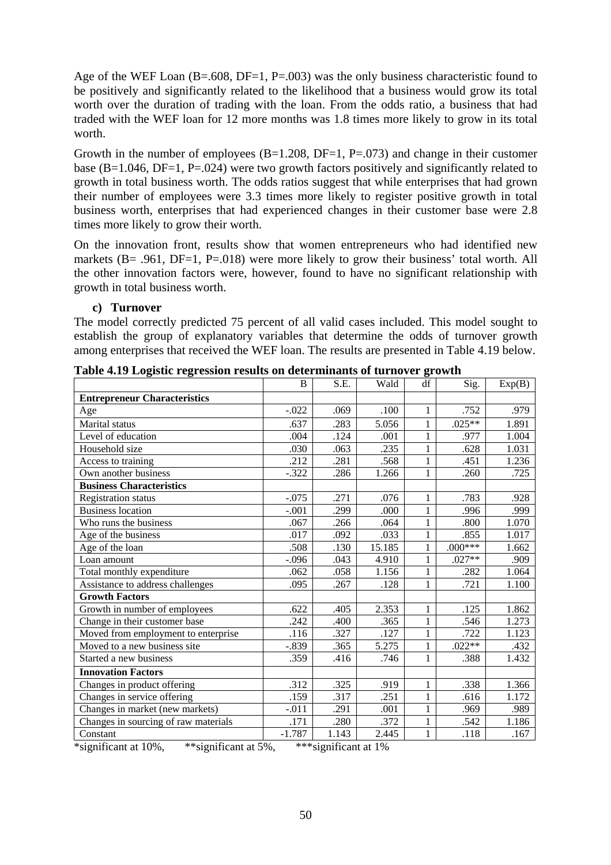Age of the WEF Loan  $(B=.608, DF=1, P=.003)$  was the only business characteristic found to be positively and significantly related to the likelihood that a business would grow its total worth over the duration of trading with the loan. From the odds ratio, a business that had traded with the WEF loan for 12 more months was 1.8 times more likely to grow in its total worth.

Growth in the number of employees  $(B=1.208, DF=1, P=.073)$  and change in their customer base ( $B=1.046$ ,  $DF=1$ ,  $P=.024$ ) were two growth factors positively and significantly related to growth in total business worth. The odds ratios suggest that while enterprises that had grown their number of employees were 3.3 times more likely to register positive growth in total business worth, enterprises that had experienced changes in their customer base were 2.8 times more likely to grow their worth.

On the innovation front, results show that women entrepreneurs who had identified new markets (B= .961, DF=1, P=.018) were more likely to grow their business' total worth. All the other innovation factors were, however, found to have no significant relationship with growth in total business worth.

#### **c) Turnover**

The model correctly predicted 75 percent of all valid cases included. This model sought to establish the group of explanatory variables that determine the odds of turnover growth among enterprises that received the WEF loan. The results are presented in Table 4.19 below.

|                                      | B        | S.E.  | Wald   | df           | Sig.      | Exp(B) |
|--------------------------------------|----------|-------|--------|--------------|-----------|--------|
| <b>Entrepreneur Characteristics</b>  |          |       |        |              |           |        |
| Age                                  | $-.022$  | .069  | .100   | 1            | .752      | .979   |
| Marital status                       | .637     | .283  | 5.056  | 1            | $.025**$  | 1.891  |
| Level of education                   | .004     | .124  | .001   | $\mathbf{1}$ | .977      | 1.004  |
| Household size                       | .030     | .063  | .235   | 1            | .628      | 1.031  |
| Access to training                   | .212     | .281  | .568   | 1            | .451      | 1.236  |
| Own another business                 | $-.322$  | .286  | 1.266  | 1            | .260      | .725   |
| <b>Business Characteristics</b>      |          |       |        |              |           |        |
| <b>Registration status</b>           | $-.075$  | .271  | .076   | 1            | .783      | .928   |
| Business location                    | $-.001$  | .299  | .000   | 1            | .996      | .999   |
| Who runs the business                | .067     | .266  | .064   | 1            | .800      | 1.070  |
| Age of the business                  | .017     | .092  | .033   | 1            | .855      | 1.017  |
| Age of the loan                      | .508     | .130  | 15.185 | 1            | $.000***$ | 1.662  |
| Loan amount                          | $-.096$  | .043  | 4.910  | 1            | $.027**$  | .909   |
| Total monthly expenditure            | .062     | .058  | 1.156  | $\mathbf{1}$ | .282      | 1.064  |
| Assistance to address challenges     | .095     | .267  | .128   | $\mathbf{1}$ | .721      | 1.100  |
| <b>Growth Factors</b>                |          |       |        |              |           |        |
| Growth in number of employees        | .622     | .405  | 2.353  | 1            | .125      | 1.862  |
| Change in their customer base        | .242     | .400  | .365   | $\mathbf{1}$ | .546      | 1.273  |
| Moved from employment to enterprise  | .116     | .327  | .127   | 1            | .722      | 1.123  |
| Moved to a new business site         | $-.839$  | .365  | 5.275  | $\mathbf{1}$ | $.022**$  | .432   |
| Started a new business               | .359     | .416  | .746   | $\mathbf{1}$ | .388      | 1.432  |
| <b>Innovation Factors</b>            |          |       |        |              |           |        |
| Changes in product offering          | .312     | .325  | .919   | $\mathbf{1}$ | .338      | 1.366  |
| Changes in service offering          | .159     | .317  | .251   | 1            | .616      | 1.172  |
| Changes in market (new markets)      | $-.011$  | .291  | .001   | $\mathbf{1}$ | .969      | .989   |
| Changes in sourcing of raw materials | .171     | .280  | .372   | 1            | .542      | 1.186  |
| Constant                             | $-1.787$ | 1.143 | 2.445  | 1            | .118      | .167   |

**Table 4.19 Logistic regression results on determinants of turnover growth** 

\*significant at 10%, \*\*significant at 5%, \*\*\*significant at 1%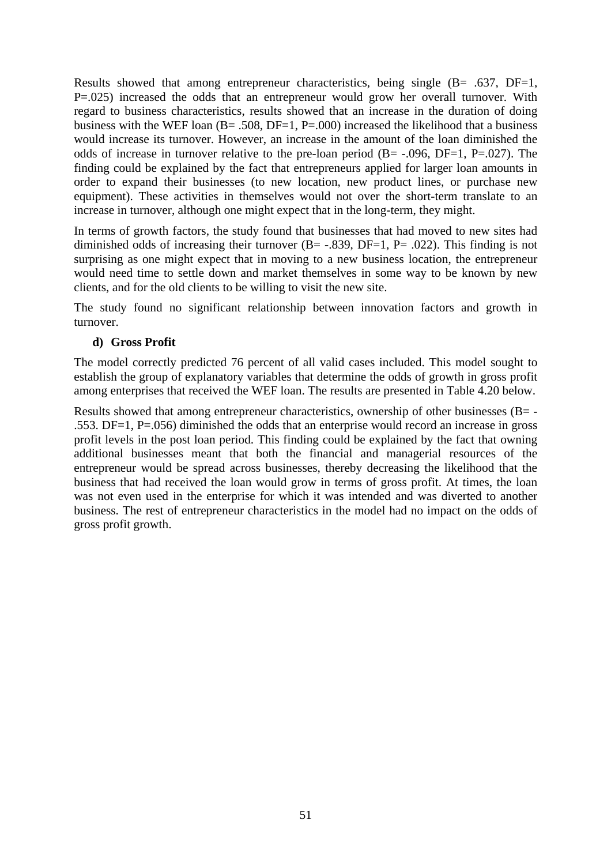Results showed that among entrepreneur characteristics, being single (B= .637, DF=1, P=.025) increased the odds that an entrepreneur would grow her overall turnover. With regard to business characteristics, results showed that an increase in the duration of doing business with the WEF loan  $(B = .508, DF = 1, P = .000)$  increased the likelihood that a business would increase its turnover. However, an increase in the amount of the loan diminished the odds of increase in turnover relative to the pre-loan period  $(B = -0.096, DF = 1, P = 0.027)$ . The finding could be explained by the fact that entrepreneurs applied for larger loan amounts in order to expand their businesses (to new location, new product lines, or purchase new equipment). These activities in themselves would not over the short-term translate to an increase in turnover, although one might expect that in the long-term, they might.

In terms of growth factors, the study found that businesses that had moved to new sites had diminished odds of increasing their turnover  $(B = -.839, DF = 1, P = .022)$ . This finding is not surprising as one might expect that in moving to a new business location, the entrepreneur would need time to settle down and market themselves in some way to be known by new clients, and for the old clients to be willing to visit the new site.

The study found no significant relationship between innovation factors and growth in turnover.

# **d) Gross Profit**

The model correctly predicted 76 percent of all valid cases included. This model sought to establish the group of explanatory variables that determine the odds of growth in gross profit among enterprises that received the WEF loan. The results are presented in Table 4.20 below.

Results showed that among entrepreneur characteristics, ownership of other businesses (B= - .553. DF=1, P=.056) diminished the odds that an enterprise would record an increase in gross profit levels in the post loan period. This finding could be explained by the fact that owning additional businesses meant that both the financial and managerial resources of the entrepreneur would be spread across businesses, thereby decreasing the likelihood that the business that had received the loan would grow in terms of gross profit. At times, the loan was not even used in the enterprise for which it was intended and was diverted to another business. The rest of entrepreneur characteristics in the model had no impact on the odds of gross profit growth.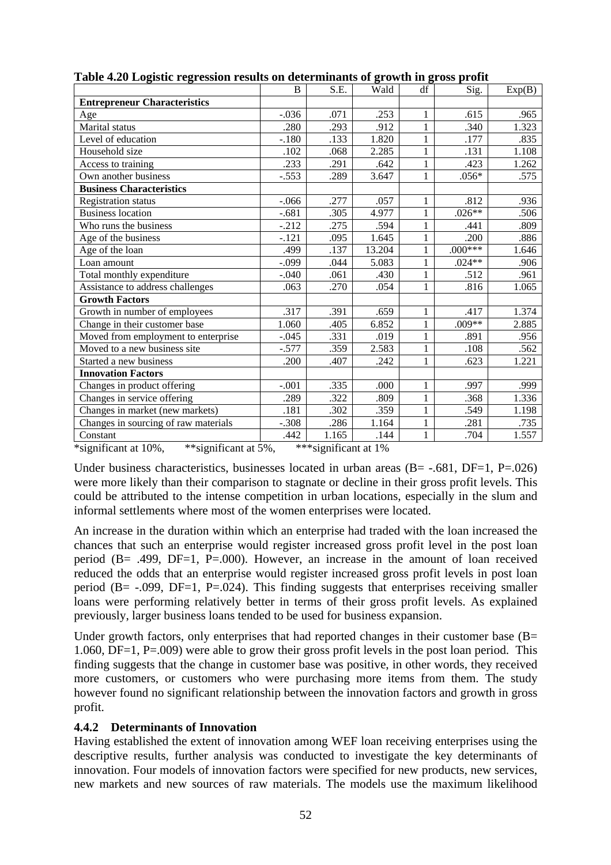|                                      | B       | S.E.  | Wald   | df           | Sig.      | Exp(B) |
|--------------------------------------|---------|-------|--------|--------------|-----------|--------|
| <b>Entrepreneur Characteristics</b>  |         |       |        |              |           |        |
| Age                                  | $-.036$ | .071  | .253   | 1            | .615      | .965   |
| Marital status                       | .280    | .293  | .912   | $\mathbf{1}$ | .340      | 1.323  |
| Level of education                   | $-.180$ | .133  | 1.820  | $\mathbf{1}$ | .177      | .835   |
| Household size                       | .102    | .068  | 2.285  | $\mathbf{1}$ | .131      | 1.108  |
| Access to training                   | .233    | .291  | .642   | $\mathbf{1}$ | .423      | 1.262  |
| Own another business                 | $-.553$ | .289  | 3.647  | $\mathbf{1}$ | $.056*$   | .575   |
| <b>Business Characteristics</b>      |         |       |        |              |           |        |
| <b>Registration status</b>           | $-.066$ | .277  | .057   | 1            | .812      | .936   |
| <b>Business location</b>             | $-.681$ | .305  | 4.977  | 1            | $.026**$  | .506   |
| Who runs the business                | $-.212$ | .275  | .594   | $\mathbf{1}$ | .441      | .809   |
| Age of the business                  | $-.121$ | .095  | 1.645  | $\mathbf{1}$ | .200      | .886   |
| Age of the loan                      | .499    | .137  | 13.204 | $\mathbf{1}$ | $.000***$ | 1.646  |
| Loan amount                          | $-.099$ | .044  | 5.083  | $\mathbf{1}$ | $.024**$  | .906   |
| Total monthly expenditure            | $-.040$ | .061  | .430   | $\mathbf{1}$ | .512      | .961   |
| Assistance to address challenges     | .063    | .270  | .054   | $\mathbf{1}$ | .816      | 1.065  |
| <b>Growth Factors</b>                |         |       |        |              |           |        |
| Growth in number of employees        | .317    | .391  | .659   | $\mathbf{1}$ | .417      | 1.374  |
| Change in their customer base        | 1.060   | .405  | 6.852  | $\mathbf{1}$ | .009**    | 2.885  |
| Moved from employment to enterprise  | $-.045$ | .331  | .019   | $\mathbf{1}$ | .891      | .956   |
| Moved to a new business site         | $-.577$ | .359  | 2.583  | $\mathbf{1}$ | .108      | .562   |
| Started a new business               | .200    | .407  | .242   | $\mathbf{1}$ | .623      | 1.221  |
| <b>Innovation Factors</b>            |         |       |        |              |           |        |
| Changes in product offering          | $-.001$ | .335  | .000   | $\mathbf{1}$ | .997      | .999   |
| Changes in service offering          | .289    | .322  | .809   | $\mathbf{1}$ | .368      | 1.336  |
| Changes in market (new markets)      | .181    | .302  | .359   | $\mathbf{1}$ | .549      | 1.198  |
| Changes in sourcing of raw materials | $-.308$ | .286  | 1.164  | $\mathbf{1}$ | .281      | .735   |
| Constant                             | .442    | 1.165 | .144   | $\mathbf{1}$ | .704      | 1.557  |

**Table 4.20 Logistic regression results on determinants of growth in gross profit** 

\*significant at 10%, \*\*significant at 5%, \*\*\*significant at 1%

Under business characteristics, businesses located in urban areas  $(B = -0.681, DF = 1, P = 0.026)$ were more likely than their comparison to stagnate or decline in their gross profit levels. This could be attributed to the intense competition in urban locations, especially in the slum and informal settlements where most of the women enterprises were located.

An increase in the duration within which an enterprise had traded with the loan increased the chances that such an enterprise would register increased gross profit level in the post loan period (B= .499, DF=1, P=.000). However, an increase in the amount of loan received reduced the odds that an enterprise would register increased gross profit levels in post loan period (B=  $-.099$ , DF=1, P=.024). This finding suggests that enterprises receiving smaller loans were performing relatively better in terms of their gross profit levels. As explained previously, larger business loans tended to be used for business expansion.

Under growth factors, only enterprises that had reported changes in their customer base  $(B=$ 1.060, DF=1, P=.009) were able to grow their gross profit levels in the post loan period. This finding suggests that the change in customer base was positive, in other words, they received more customers, or customers who were purchasing more items from them. The study however found no significant relationship between the innovation factors and growth in gross profit.

# **4.4.2 Determinants of Innovation**

Having established the extent of innovation among WEF loan receiving enterprises using the descriptive results, further analysis was conducted to investigate the key determinants of innovation. Four models of innovation factors were specified for new products, new services, new markets and new sources of raw materials. The models use the maximum likelihood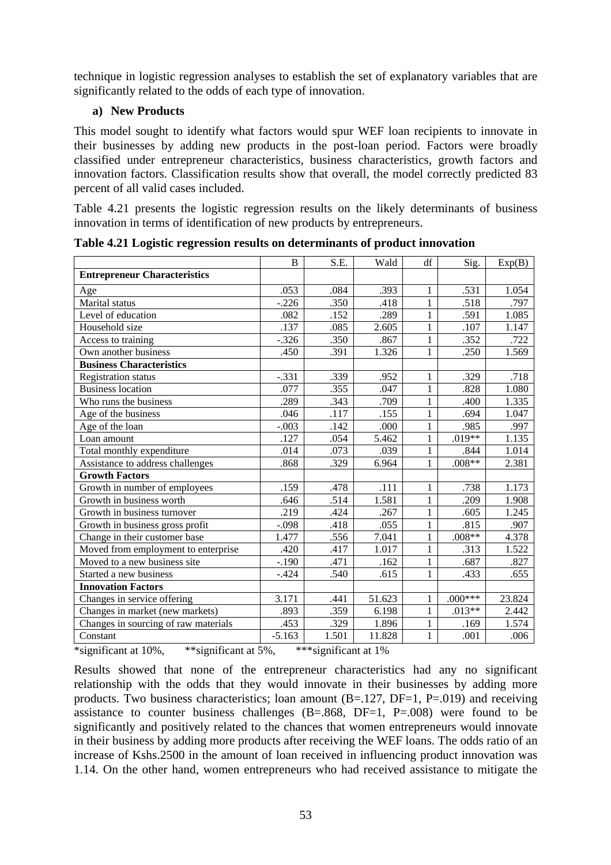technique in logistic regression analyses to establish the set of explanatory variables that are significantly related to the odds of each type of innovation.

# **a) New Products**

This model sought to identify what factors would spur WEF loan recipients to innovate in their businesses by adding new products in the post-loan period. Factors were broadly classified under entrepreneur characteristics, business characteristics, growth factors and innovation factors. Classification results show that overall, the model correctly predicted 83 percent of all valid cases included.

Table 4.21 presents the logistic regression results on the likely determinants of business innovation in terms of identification of new products by entrepreneurs.

|                                      | B        | S.E.  | Wald   | df           | Sig.      | Exp(B) |
|--------------------------------------|----------|-------|--------|--------------|-----------|--------|
| <b>Entrepreneur Characteristics</b>  |          |       |        |              |           |        |
| Age                                  | .053     | .084  | .393   | 1            | .531      | 1.054  |
| Marital status                       | $-.226$  | .350  | .418   | $\mathbf{1}$ | .518      | .797   |
| Level of education                   | .082     | .152  | .289   | 1            | .591      | 1.085  |
| Household size                       | .137     | .085  | 2.605  | $\mathbf{1}$ | .107      | 1.147  |
| Access to training                   | $-.326$  | .350  | .867   | $\mathbf{1}$ | .352      | .722   |
| Own another business                 | .450     | .391  | 1.326  | 1            | .250      | 1.569  |
| <b>Business Characteristics</b>      |          |       |        |              |           |        |
| <b>Registration status</b>           | $-.331$  | .339  | .952   | 1            | .329      | .718   |
| <b>Business location</b>             | .077     | .355  | .047   | 1            | .828      | 1.080  |
| Who runs the business                | .289     | .343  | .709   | $\mathbf{1}$ | .400      | 1.335  |
| Age of the business                  | .046     | .117  | .155   | 1            | .694      | 1.047  |
| Age of the loan                      | $-.003$  | .142  | .000   | 1            | .985      | .997   |
| Loan amount                          | .127     | .054  | 5.462  | $\mathbf{1}$ | .019**    | 1.135  |
| Total monthly expenditure            | .014     | .073  | .039   | $\mathbf{1}$ | .844      | 1.014  |
| Assistance to address challenges     | .868     | .329  | 6.964  | 1            | $.008**$  | 2.381  |
| <b>Growth Factors</b>                |          |       |        |              |           |        |
| Growth in number of employees        | .159     | .478  | .111   | 1            | .738      | 1.173  |
| Growth in business worth             | .646     | .514  | 1.581  | 1            | .209      | 1.908  |
| Growth in business turnover          | .219     | .424  | .267   | $\mathbf{1}$ | .605      | 1.245  |
| Growth in business gross profit      | $-.098$  | .418  | .055   | 1            | .815      | .907   |
| Change in their customer base        | 1.477    | .556  | 7.041  | 1            | $.008**$  | 4.378  |
| Moved from employment to enterprise  | .420     | .417  | 1.017  | 1            | .313      | 1.522  |
| Moved to a new business site         | $-.190$  | .471  | .162   | 1            | .687      | .827   |
| Started a new business               | $-.424$  | .540  | .615   | $\mathbf{1}$ | .433      | .655   |
| <b>Innovation Factors</b>            |          |       |        |              |           |        |
| Changes in service offering          | 3.171    | .441  | 51.623 | 1            | $.000***$ | 23.824 |
| Changes in market (new markets)      | .893     | .359  | 6.198  | 1            | $.013**$  | 2.442  |
| Changes in sourcing of raw materials | .453     | .329  | 1.896  | 1            | .169      | 1.574  |
| Constant                             | $-5.163$ | 1.501 | 11.828 | $\mathbf{1}$ | .001      | .006   |

**Table 4.21 Logistic regression results on determinants of product innovation** 

\*significant at 10%, \*\*significant at 5%, \*\*\*significant at 1%

Results showed that none of the entrepreneur characteristics had any no significant relationship with the odds that they would innovate in their businesses by adding more products. Two business characteristics; loan amount  $(B=.127, DF=1, P=.019)$  and receiving assistance to counter business challenges  $(B=.868, DF=1, P=.008)$  were found to be significantly and positively related to the chances that women entrepreneurs would innovate in their business by adding more products after receiving the WEF loans. The odds ratio of an increase of Kshs.2500 in the amount of loan received in influencing product innovation was 1.14. On the other hand, women entrepreneurs who had received assistance to mitigate the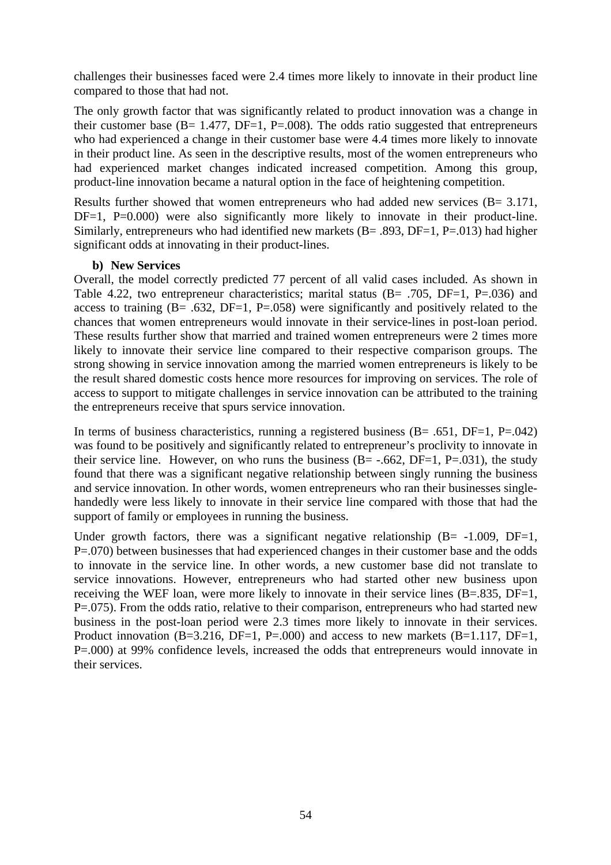challenges their businesses faced were 2.4 times more likely to innovate in their product line compared to those that had not.

The only growth factor that was significantly related to product innovation was a change in their customer base ( $B = 1.477$ ,  $DF = 1$ ,  $P = .008$ ). The odds ratio suggested that entrepreneurs who had experienced a change in their customer base were 4.4 times more likely to innovate in their product line. As seen in the descriptive results, most of the women entrepreneurs who had experienced market changes indicated increased competition. Among this group, product-line innovation became a natural option in the face of heightening competition.

Results further showed that women entrepreneurs who had added new services  $(B = 3.171)$ , DF=1, P=0.000) were also significantly more likely to innovate in their product-line. Similarly, entrepreneurs who had identified new markets  $(B = .893, DF = 1, P = .013)$  had higher significant odds at innovating in their product-lines.

#### **b) New Services**

Overall, the model correctly predicted 77 percent of all valid cases included. As shown in Table 4.22, two entrepreneur characteristics; marital status  $(B= .705, DF=1, P=.036)$  and access to training  $(B = .632, DF = 1, P = .058)$  were significantly and positively related to the chances that women entrepreneurs would innovate in their service-lines in post-loan period. These results further show that married and trained women entrepreneurs were 2 times more likely to innovate their service line compared to their respective comparison groups. The strong showing in service innovation among the married women entrepreneurs is likely to be the result shared domestic costs hence more resources for improving on services. The role of access to support to mitigate challenges in service innovation can be attributed to the training the entrepreneurs receive that spurs service innovation.

In terms of business characteristics, running a registered business  $(B = .651, DF = 1, P = .042)$ was found to be positively and significantly related to entrepreneur's proclivity to innovate in their service line. However, on who runs the business  $(B = -.662, DF = 1, P = .031)$ , the study found that there was a significant negative relationship between singly running the business and service innovation. In other words, women entrepreneurs who ran their businesses singlehandedly were less likely to innovate in their service line compared with those that had the support of family or employees in running the business.

Under growth factors, there was a significant negative relationship  $(B = -1.009, DF = 1,$ P=.070) between businesses that had experienced changes in their customer base and the odds to innovate in the service line. In other words, a new customer base did not translate to service innovations. However, entrepreneurs who had started other new business upon receiving the WEF loan, were more likely to innovate in their service lines (B=.835, DF=1, P=.075). From the odds ratio, relative to their comparison, entrepreneurs who had started new business in the post-loan period were 2.3 times more likely to innovate in their services. Product innovation  $(B=3.216, DF=1, P=.000)$  and access to new markets  $(B=1.117, DF=1,$ P=.000) at 99% confidence levels, increased the odds that entrepreneurs would innovate in their services.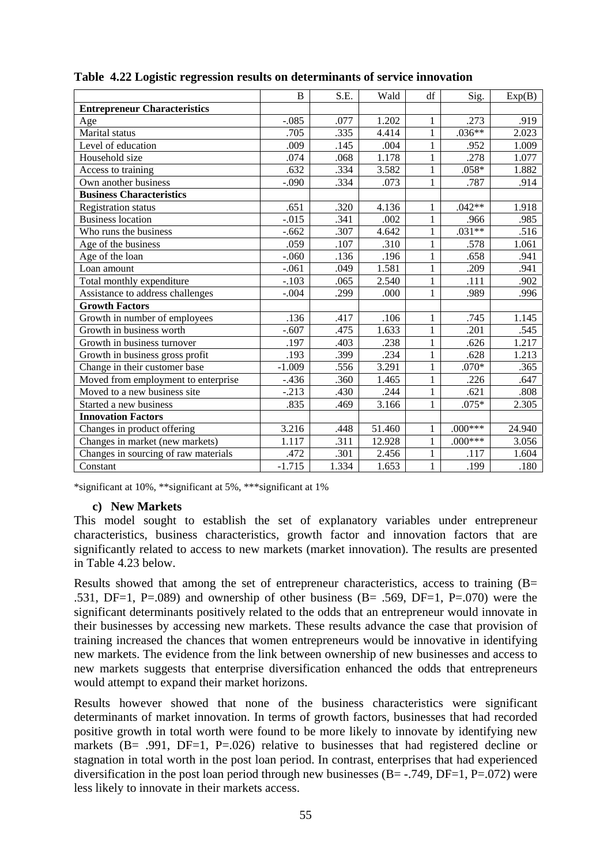|                                      | $\overline{B}$ | S.E.  | Wald   | df           | Sig.      | Exp(B) |
|--------------------------------------|----------------|-------|--------|--------------|-----------|--------|
| <b>Entrepreneur Characteristics</b>  |                |       |        |              |           |        |
| Age                                  | $-.085$        | .077  | 1.202  | 1            | .273      | .919   |
| Marital status                       | .705           | .335  | 4.414  | $\mathbf{1}$ | $.036**$  | 2.023  |
| Level of education                   | .009           | .145  | .004   | 1            | .952      | 1.009  |
| Household size                       | .074           | .068  | 1.178  | $\mathbf{1}$ | .278      | 1.077  |
| Access to training                   | .632           | .334  | 3.582  | $\mathbf{1}$ | $.058*$   | 1.882  |
| Own another business                 | $-.090$        | .334  | .073   | $\mathbf{1}$ | .787      | .914   |
| <b>Business Characteristics</b>      |                |       |        |              |           |        |
| <b>Registration status</b>           | .651           | .320  | 4.136  | 1            | $.042**$  | 1.918  |
| <b>Business location</b>             | $-.015$        | .341  | .002   | $\mathbf{1}$ | .966      | .985   |
| Who runs the business                | $-.662$        | .307  | 4.642  | $\mathbf{1}$ | $.031**$  | .516   |
| Age of the business                  | .059           | .107  | .310   | $\mathbf{1}$ | .578      | 1.061  |
| Age of the loan                      | $-.060$        | .136  | .196   | $\mathbf{1}$ | .658      | .941   |
| Loan amount                          | $-.061$        | .049  | 1.581  | 1            | .209      | .941   |
| Total monthly expenditure            | $-.103$        | .065  | 2.540  | $\mathbf{1}$ | .111      | .902   |
| Assistance to address challenges     | $-.004$        | .299  | .000   | $\mathbf{1}$ | .989      | .996   |
| <b>Growth Factors</b>                |                |       |        |              |           |        |
| Growth in number of employees        | .136           | .417  | .106   | $\mathbf{1}$ | .745      | 1.145  |
| Growth in business worth             | $-.607$        | .475  | 1.633  | 1            | .201      | .545   |
| Growth in business turnover          | .197           | .403  | .238   | $\mathbf{1}$ | .626      | 1.217  |
| Growth in business gross profit      | .193           | .399  | .234   | $\mathbf{1}$ | .628      | 1.213  |
| Change in their customer base        | $-1.009$       | .556  | 3.291  | $\mathbf{1}$ | $.070*$   | .365   |
| Moved from employment to enterprise  | $-.436$        | .360  | 1.465  | $\mathbf{1}$ | .226      | .647   |
| Moved to a new business site         | $-.213$        | .430  | .244   | 1            | .621      | .808   |
| Started a new business               | .835           | .469  | 3.166  | $\mathbf{1}$ | $.075*$   | 2.305  |
| <b>Innovation Factors</b>            |                |       |        |              |           |        |
| Changes in product offering          | 3.216          | .448  | 51.460 | 1            | $.000***$ | 24.940 |
| Changes in market (new markets)      | 1.117          | .311  | 12.928 | $\mathbf{1}$ | $.000***$ | 3.056  |
| Changes in sourcing of raw materials | .472           | .301  | 2.456  | 1            | .117      | 1.604  |
| Constant                             | $-1.715$       | 1.334 | 1.653  | $\mathbf{1}$ | .199      | .180   |

|  |  | Table 4.22 Logistic regression results on determinants of service innovation |
|--|--|------------------------------------------------------------------------------|
|  |  |                                                                              |

\*significant at 10%, \*\*significant at 5%, \*\*\*significant at 1%

#### **c) New Markets**

This model sought to establish the set of explanatory variables under entrepreneur characteristics, business characteristics, growth factor and innovation factors that are significantly related to access to new markets (market innovation). The results are presented in Table 4.23 below.

Results showed that among the set of entrepreneur characteristics, access to training (B= .531, DF=1, P=.089) and ownership of other business  $(B = .569, DF = 1, P = .070)$  were the significant determinants positively related to the odds that an entrepreneur would innovate in their businesses by accessing new markets. These results advance the case that provision of training increased the chances that women entrepreneurs would be innovative in identifying new markets. The evidence from the link between ownership of new businesses and access to new markets suggests that enterprise diversification enhanced the odds that entrepreneurs would attempt to expand their market horizons.

Results however showed that none of the business characteristics were significant determinants of market innovation. In terms of growth factors, businesses that had recorded positive growth in total worth were found to be more likely to innovate by identifying new markets (B= .991, DF=1, P=.026) relative to businesses that had registered decline or stagnation in total worth in the post loan period. In contrast, enterprises that had experienced diversification in the post loan period through new businesses  $(B = -0.749, DF = 1, P = 0.072)$  were less likely to innovate in their markets access.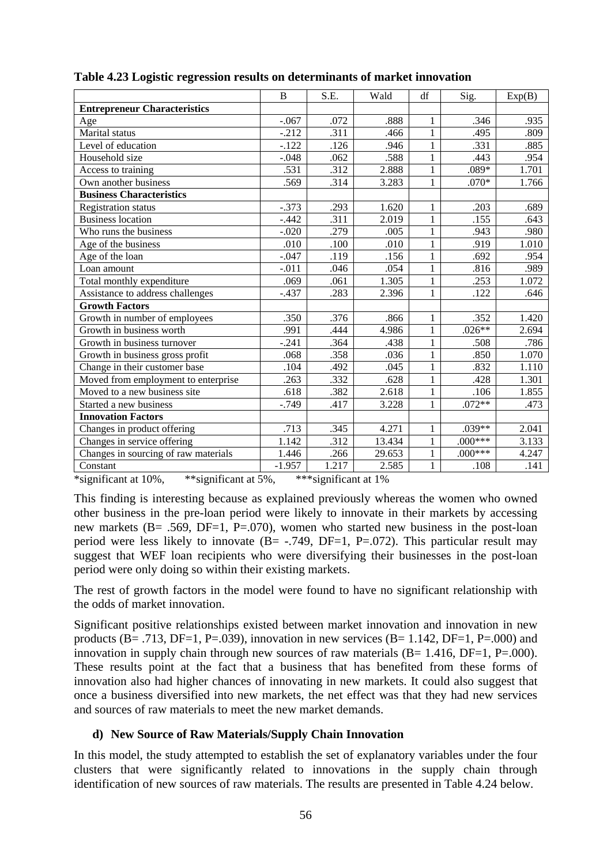|                                      | B        | S.E.  | Wald   | df           | Sig.      | Exp(B) |
|--------------------------------------|----------|-------|--------|--------------|-----------|--------|
| <b>Entrepreneur Characteristics</b>  |          |       |        |              |           |        |
| Age                                  | $-.067$  | .072  | .888   | $\mathbf{1}$ | .346      | .935   |
| Marital status                       | $-.212$  | .311  | .466   | $\mathbf{1}$ | .495      | .809   |
| Level of education                   | $-.122$  | .126  | .946   | $\mathbf{1}$ | .331      | .885   |
| Household size                       | $-.048$  | .062  | .588   | $\mathbf{1}$ | .443      | .954   |
| Access to training                   | .531     | .312  | 2.888  | $\mathbf{1}$ | $.089*$   | 1.701  |
| Own another business                 | .569     | .314  | 3.283  | $\mathbf{1}$ | $.070*$   | 1.766  |
| <b>Business Characteristics</b>      |          |       |        |              |           |        |
| <b>Registration status</b>           | $-.373$  | .293  | 1.620  | $\mathbf{1}$ | .203      | .689   |
| <b>Business location</b>             | $-.442$  | .311  | 2.019  | $\mathbf{1}$ | .155      | .643   |
| Who runs the business                | $-.020$  | .279  | .005   | $\mathbf{1}$ | .943      | .980   |
| Age of the business                  | .010     | .100  | .010   | $\mathbf{1}$ | .919      | 1.010  |
| Age of the loan                      | $-.047$  | .119  | .156   | $\mathbf{1}$ | .692      | .954   |
| Loan amount                          | $-.011$  | .046  | .054   | $\mathbf{1}$ | .816      | .989   |
| Total monthly expenditure            | .069     | .061  | 1.305  | $\mathbf{1}$ | .253      | 1.072  |
| Assistance to address challenges     | $-.437$  | .283  | 2.396  | $\mathbf{1}$ | .122      | .646   |
| <b>Growth Factors</b>                |          |       |        |              |           |        |
| Growth in number of employees        | .350     | .376  | .866   | 1            | .352      | 1.420  |
| Growth in business worth             | .991     | .444  | 4.986  | $\mathbf{1}$ | $.026**$  | 2.694  |
| Growth in business turnover          | $-.241$  | .364  | .438   | $\mathbf{1}$ | .508      | .786   |
| Growth in business gross profit      | .068     | .358  | .036   | $\mathbf{1}$ | .850      | 1.070  |
| Change in their customer base        | .104     | .492  | .045   | $\mathbf{1}$ | .832      | 1.110  |
| Moved from employment to enterprise  | .263     | .332  | .628   | $\mathbf{1}$ | .428      | 1.301  |
| Moved to a new business site         | .618     | .382  | 2.618  | $\mathbf{1}$ | .106      | 1.855  |
| Started a new business               | $-.749$  | .417  | 3.228  | $\mathbf{1}$ | $.072**$  | .473   |
| <b>Innovation Factors</b>            |          |       |        |              |           |        |
| Changes in product offering          | .713     | .345  | 4.271  | $\mathbf{1}$ | $.039**$  | 2.041  |
| Changes in service offering          | 1.142    | .312  | 13.434 | $\mathbf{1}$ | $.000***$ | 3.133  |
| Changes in sourcing of raw materials | 1.446    | .266  | 29.653 | $\mathbf{1}$ | $.000***$ | 4.247  |
| Constant                             | $-1.957$ | 1.217 | 2.585  | $\mathbf{1}$ | .108      | .141   |

|  |  | Table 4.23 Logistic regression results on determinants of market innovation |  |
|--|--|-----------------------------------------------------------------------------|--|
|  |  |                                                                             |  |

\*significant at 10%, \*\*significant at 5%, \*\*\*significant at 1%

This finding is interesting because as explained previously whereas the women who owned other business in the pre-loan period were likely to innovate in their markets by accessing new markets (B= .569, DF=1, P=.070), women who started new business in the post-loan period were less likely to innovate  $(B = -0.749, DF = 1, P = 0.072)$ . This particular result may suggest that WEF loan recipients who were diversifying their businesses in the post-loan period were only doing so within their existing markets.

The rest of growth factors in the model were found to have no significant relationship with the odds of market innovation.

Significant positive relationships existed between market innovation and innovation in new products (B= .713, DF=1, P=.039), innovation in new services (B= 1.142, DF=1, P=.000) and innovation in supply chain through new sources of raw materials  $(B= 1.416, DF=1, P=.000)$ . These results point at the fact that a business that has benefited from these forms of innovation also had higher chances of innovating in new markets. It could also suggest that once a business diversified into new markets, the net effect was that they had new services and sources of raw materials to meet the new market demands.

# **d) New Source of Raw Materials/Supply Chain Innovation**

In this model, the study attempted to establish the set of explanatory variables under the four clusters that were significantly related to innovations in the supply chain through identification of new sources of raw materials. The results are presented in Table 4.24 below.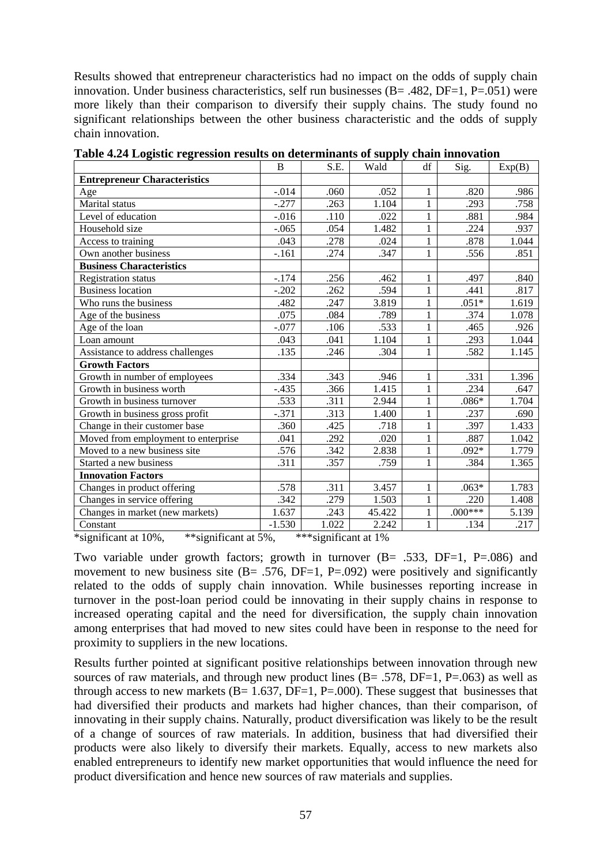Results showed that entrepreneur characteristics had no impact on the odds of supply chain innovation. Under business characteristics, self run businesses (B= .482, DF=1, P=.051) were more likely than their comparison to diversify their supply chains. The study found no significant relationships between the other business characteristic and the odds of supply chain innovation.

|                                                                                                                                                                                                                                                                                                                                                                                                                                                                                                                    | B        | S.E.                                       | Wald   | df           | Sig.      | Exp(B) |
|--------------------------------------------------------------------------------------------------------------------------------------------------------------------------------------------------------------------------------------------------------------------------------------------------------------------------------------------------------------------------------------------------------------------------------------------------------------------------------------------------------------------|----------|--------------------------------------------|--------|--------------|-----------|--------|
| <b>Entrepreneur Characteristics</b>                                                                                                                                                                                                                                                                                                                                                                                                                                                                                |          |                                            |        |              |           |        |
| Age                                                                                                                                                                                                                                                                                                                                                                                                                                                                                                                | $-.014$  | .060                                       | .052   | 1            | .820      | .986   |
| Marital status                                                                                                                                                                                                                                                                                                                                                                                                                                                                                                     | $-.277$  | .263                                       | 1.104  | 1            | .293      | .758   |
| Level of education                                                                                                                                                                                                                                                                                                                                                                                                                                                                                                 | $-0.016$ | .110                                       | .022   | $\mathbf{1}$ | .881      | .984   |
| Household size                                                                                                                                                                                                                                                                                                                                                                                                                                                                                                     | $-.065$  | .054                                       | 1.482  | 1            | .224      | .937   |
| Access to training                                                                                                                                                                                                                                                                                                                                                                                                                                                                                                 | .043     | .278                                       | .024   | 1            | .878      | 1.044  |
| Own another business                                                                                                                                                                                                                                                                                                                                                                                                                                                                                               | $-.161$  | .274                                       | .347   | 1            | .556      | .851   |
| <b>Business Characteristics</b>                                                                                                                                                                                                                                                                                                                                                                                                                                                                                    |          |                                            |        |              |           |        |
| <b>Registration status</b>                                                                                                                                                                                                                                                                                                                                                                                                                                                                                         | $-.174$  | .256                                       | .462   | 1            | .497      | .840   |
| <b>Business location</b>                                                                                                                                                                                                                                                                                                                                                                                                                                                                                           | $-.202$  | .262                                       | .594   | $\mathbf{1}$ | .441      | .817   |
| Who runs the business                                                                                                                                                                                                                                                                                                                                                                                                                                                                                              | .482     | .247                                       | 3.819  | 1            | $.051*$   | 1.619  |
| Age of the business                                                                                                                                                                                                                                                                                                                                                                                                                                                                                                | .075     | .084                                       | .789   | 1            | .374      | 1.078  |
| Age of the loan                                                                                                                                                                                                                                                                                                                                                                                                                                                                                                    | $-.077$  | .106                                       | .533   | $\mathbf{1}$ | .465      | .926   |
| Loan amount                                                                                                                                                                                                                                                                                                                                                                                                                                                                                                        | .043     | .041                                       | 1.104  | $\mathbf{1}$ | .293      | 1.044  |
| Assistance to address challenges                                                                                                                                                                                                                                                                                                                                                                                                                                                                                   | .135     | .246                                       | .304   | $\mathbf{1}$ | .582      | 1.145  |
| <b>Growth Factors</b>                                                                                                                                                                                                                                                                                                                                                                                                                                                                                              |          |                                            |        |              |           |        |
| Growth in number of employees                                                                                                                                                                                                                                                                                                                                                                                                                                                                                      | .334     | .343                                       | .946   | 1            | .331      | 1.396  |
| Growth in business worth                                                                                                                                                                                                                                                                                                                                                                                                                                                                                           | $-.435$  | .366                                       | 1.415  | 1            | .234      | .647   |
| Growth in business turnover                                                                                                                                                                                                                                                                                                                                                                                                                                                                                        | .533     | .311                                       | 2.944  |              | $.086*$   | 1.704  |
| Growth in business gross profit                                                                                                                                                                                                                                                                                                                                                                                                                                                                                    | $-.371$  | .313                                       | 1.400  | 1            | .237      | .690   |
| Change in their customer base                                                                                                                                                                                                                                                                                                                                                                                                                                                                                      | .360     | .425                                       | .718   | 1            | .397      | 1.433  |
| Moved from employment to enterprise                                                                                                                                                                                                                                                                                                                                                                                                                                                                                | .041     | .292                                       | .020   | 1            | .887      | 1.042  |
| Moved to a new business site                                                                                                                                                                                                                                                                                                                                                                                                                                                                                       | .576     | .342                                       | 2.838  | $\mathbf{1}$ | $.092*$   | 1.779  |
| Started a new business                                                                                                                                                                                                                                                                                                                                                                                                                                                                                             | .311     | .357                                       | .759   | 1            | .384      | 1.365  |
| <b>Innovation Factors</b>                                                                                                                                                                                                                                                                                                                                                                                                                                                                                          |          |                                            |        |              |           |        |
| Changes in product offering                                                                                                                                                                                                                                                                                                                                                                                                                                                                                        | .578     | .311                                       | 3.457  | 1            | $.063*$   | 1.783  |
| Changes in service offering                                                                                                                                                                                                                                                                                                                                                                                                                                                                                        | .342     | .279                                       | 1.503  | $\mathbf{1}$ | .220      | 1.408  |
| Changes in market (new markets)                                                                                                                                                                                                                                                                                                                                                                                                                                                                                    | 1.637    | .243                                       | 45.422 | 1            | $.000***$ | 5.139  |
| Constant<br>$\mathcal{L} = \mathcal{L} \times \mathcal{L} = \mathcal{L} \times \mathcal{L} = \mathcal{L} \times \mathcal{L} = \mathcal{L} \times \mathcal{L} = \mathcal{L} \times \mathcal{L} = \mathcal{L} \times \mathcal{L} = \mathcal{L} \times \mathcal{L} = \mathcal{L} \times \mathcal{L} = \mathcal{L} \times \mathcal{L} = \mathcal{L} \times \mathcal{L} = \mathcal{L} \times \mathcal{L} = \mathcal{L} \times \mathcal{L} = \mathcal{L} \times \mathcal{L} = \mathcal{L} \times \mathcal{L} = \mathcal$ | $-1.530$ | 1.022<br>absolute the contract of the con- | 2.242  | 1            | .134      | .217   |

**Table 4.24 Logistic regression results on determinants of supply chain innovation** 

\*significant at 10%, \*\*significant at 5%, \*\*\*significant at 1%

Two variable under growth factors; growth in turnover  $(B = .533, DF = 1, P = .086)$  and movement to new business site  $(B = .576, DF = 1, P = .092)$  were positively and significantly related to the odds of supply chain innovation. While businesses reporting increase in turnover in the post-loan period could be innovating in their supply chains in response to increased operating capital and the need for diversification, the supply chain innovation among enterprises that had moved to new sites could have been in response to the need for proximity to suppliers in the new locations.

Results further pointed at significant positive relationships between innovation through new sources of raw materials, and through new product lines  $(B = .578, DF = 1, P = .063)$  as well as through access to new markets  $(B= 1.637, DF=1, P=.000)$ . These suggest that businesses that had diversified their products and markets had higher chances, than their comparison, of innovating in their supply chains. Naturally, product diversification was likely to be the result of a change of sources of raw materials. In addition, business that had diversified their products were also likely to diversify their markets. Equally, access to new markets also enabled entrepreneurs to identify new market opportunities that would influence the need for product diversification and hence new sources of raw materials and supplies.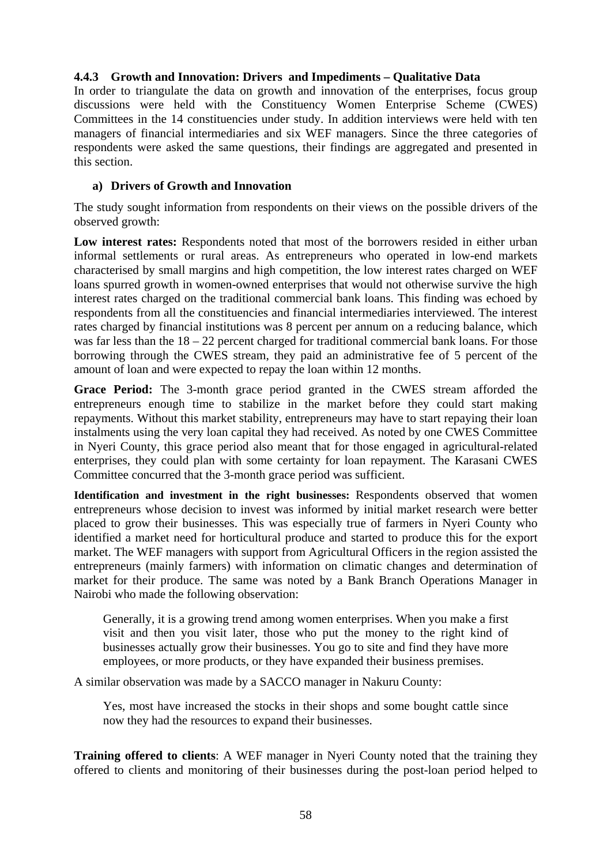# **4.4.3 Growth and Innovation: Drivers and Impediments – Qualitative Data**

In order to triangulate the data on growth and innovation of the enterprises, focus group discussions were held with the Constituency Women Enterprise Scheme (CWES) Committees in the 14 constituencies under study. In addition interviews were held with ten managers of financial intermediaries and six WEF managers. Since the three categories of respondents were asked the same questions, their findings are aggregated and presented in this section.

# **a) Drivers of Growth and Innovation**

The study sought information from respondents on their views on the possible drivers of the observed growth:

**Low interest rates:** Respondents noted that most of the borrowers resided in either urban informal settlements or rural areas. As entrepreneurs who operated in low-end markets characterised by small margins and high competition, the low interest rates charged on WEF loans spurred growth in women-owned enterprises that would not otherwise survive the high interest rates charged on the traditional commercial bank loans. This finding was echoed by respondents from all the constituencies and financial intermediaries interviewed. The interest rates charged by financial institutions was 8 percent per annum on a reducing balance, which was far less than the  $18 - 22$  percent charged for traditional commercial bank loans. For those borrowing through the CWES stream, they paid an administrative fee of 5 percent of the amount of loan and were expected to repay the loan within 12 months.

**Grace Period:** The 3-month grace period granted in the CWES stream afforded the entrepreneurs enough time to stabilize in the market before they could start making repayments. Without this market stability, entrepreneurs may have to start repaying their loan instalments using the very loan capital they had received. As noted by one CWES Committee in Nyeri County, this grace period also meant that for those engaged in agricultural-related enterprises, they could plan with some certainty for loan repayment. The Karasani CWES Committee concurred that the 3-month grace period was sufficient.

**Identification and investment in the right businesses:** Respondents observed that women entrepreneurs whose decision to invest was informed by initial market research were better placed to grow their businesses. This was especially true of farmers in Nyeri County who identified a market need for horticultural produce and started to produce this for the export market. The WEF managers with support from Agricultural Officers in the region assisted the entrepreneurs (mainly farmers) with information on climatic changes and determination of market for their produce. The same was noted by a Bank Branch Operations Manager in Nairobi who made the following observation:

Generally, it is a growing trend among women enterprises. When you make a first visit and then you visit later, those who put the money to the right kind of businesses actually grow their businesses. You go to site and find they have more employees, or more products, or they have expanded their business premises.

A similar observation was made by a SACCO manager in Nakuru County:

Yes, most have increased the stocks in their shops and some bought cattle since now they had the resources to expand their businesses.

**Training offered to clients**: A WEF manager in Nyeri County noted that the training they offered to clients and monitoring of their businesses during the post-loan period helped to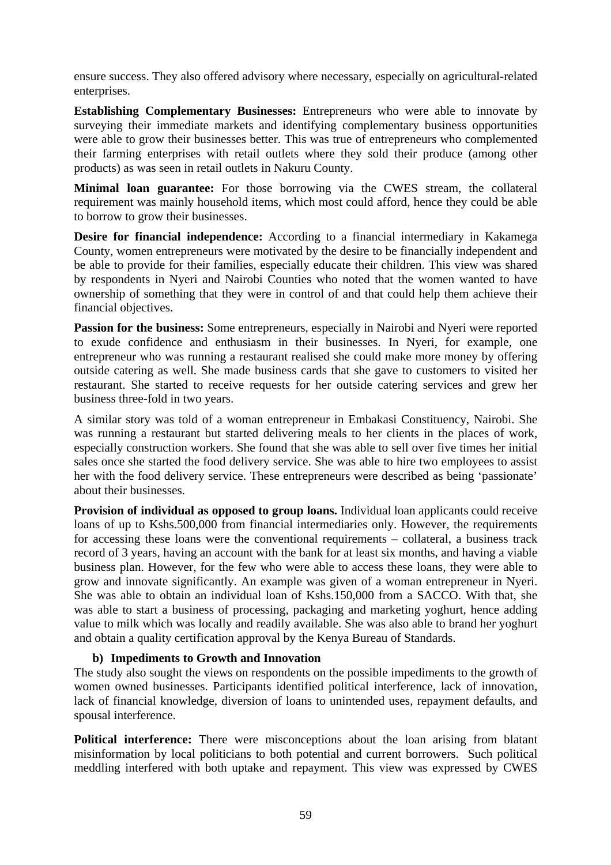ensure success. They also offered advisory where necessary, especially on agricultural-related enterprises.

**Establishing Complementary Businesses:** Entrepreneurs who were able to innovate by surveying their immediate markets and identifying complementary business opportunities were able to grow their businesses better. This was true of entrepreneurs who complemented their farming enterprises with retail outlets where they sold their produce (among other products) as was seen in retail outlets in Nakuru County.

**Minimal loan guarantee:** For those borrowing via the CWES stream, the collateral requirement was mainly household items, which most could afford, hence they could be able to borrow to grow their businesses.

**Desire for financial independence:** According to a financial intermediary in Kakamega County, women entrepreneurs were motivated by the desire to be financially independent and be able to provide for their families, especially educate their children. This view was shared by respondents in Nyeri and Nairobi Counties who noted that the women wanted to have ownership of something that they were in control of and that could help them achieve their financial objectives.

**Passion for the business:** Some entrepreneurs, especially in Nairobi and Nyeri were reported to exude confidence and enthusiasm in their businesses. In Nyeri, for example, one entrepreneur who was running a restaurant realised she could make more money by offering outside catering as well. She made business cards that she gave to customers to visited her restaurant. She started to receive requests for her outside catering services and grew her business three-fold in two years.

A similar story was told of a woman entrepreneur in Embakasi Constituency, Nairobi. She was running a restaurant but started delivering meals to her clients in the places of work, especially construction workers. She found that she was able to sell over five times her initial sales once she started the food delivery service. She was able to hire two employees to assist her with the food delivery service. These entrepreneurs were described as being 'passionate' about their businesses.

**Provision of individual as opposed to group loans.** Individual loan applicants could receive loans of up to Kshs.500,000 from financial intermediaries only. However, the requirements for accessing these loans were the conventional requirements – collateral, a business track record of 3 years, having an account with the bank for at least six months, and having a viable business plan. However, for the few who were able to access these loans, they were able to grow and innovate significantly. An example was given of a woman entrepreneur in Nyeri. She was able to obtain an individual loan of Kshs.150,000 from a SACCO. With that, she was able to start a business of processing, packaging and marketing yoghurt, hence adding value to milk which was locally and readily available. She was also able to brand her yoghurt and obtain a quality certification approval by the Kenya Bureau of Standards.

#### **b) Impediments to Growth and Innovation**

The study also sought the views on respondents on the possible impediments to the growth of women owned businesses. Participants identified political interference, lack of innovation, lack of financial knowledge, diversion of loans to unintended uses, repayment defaults, and spousal interference.

**Political interference:** There were misconceptions about the loan arising from blatant misinformation by local politicians to both potential and current borrowers. Such political meddling interfered with both uptake and repayment. This view was expressed by CWES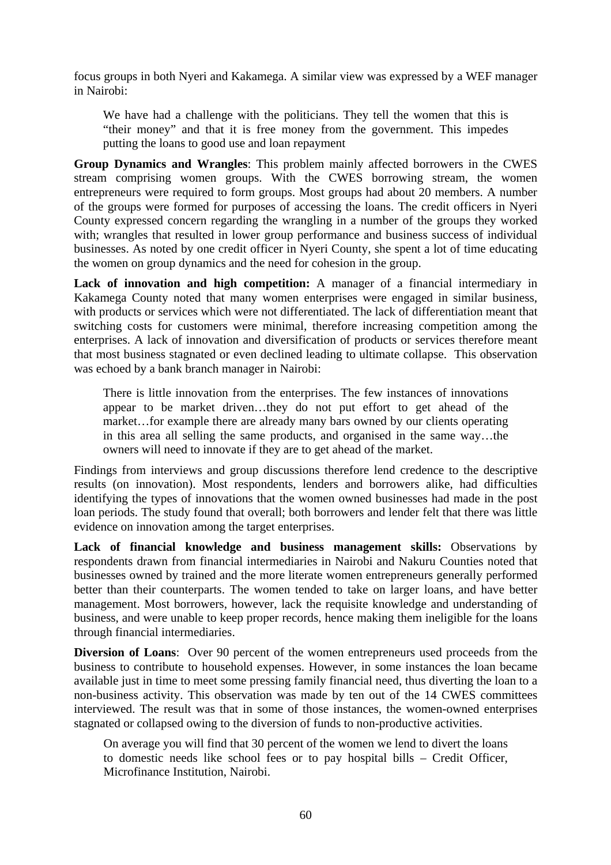focus groups in both Nyeri and Kakamega. A similar view was expressed by a WEF manager in Nairobi:

We have had a challenge with the politicians. They tell the women that this is "their money" and that it is free money from the government. This impedes putting the loans to good use and loan repayment

**Group Dynamics and Wrangles**: This problem mainly affected borrowers in the CWES stream comprising women groups. With the CWES borrowing stream, the women entrepreneurs were required to form groups. Most groups had about 20 members. A number of the groups were formed for purposes of accessing the loans. The credit officers in Nyeri County expressed concern regarding the wrangling in a number of the groups they worked with; wrangles that resulted in lower group performance and business success of individual businesses. As noted by one credit officer in Nyeri County, she spent a lot of time educating the women on group dynamics and the need for cohesion in the group.

**Lack of innovation and high competition:** A manager of a financial intermediary in Kakamega County noted that many women enterprises were engaged in similar business, with products or services which were not differentiated. The lack of differentiation meant that switching costs for customers were minimal, therefore increasing competition among the enterprises. A lack of innovation and diversification of products or services therefore meant that most business stagnated or even declined leading to ultimate collapse. This observation was echoed by a bank branch manager in Nairobi:

There is little innovation from the enterprises. The few instances of innovations appear to be market driven…they do not put effort to get ahead of the market…for example there are already many bars owned by our clients operating in this area all selling the same products, and organised in the same way…the owners will need to innovate if they are to get ahead of the market.

Findings from interviews and group discussions therefore lend credence to the descriptive results (on innovation). Most respondents, lenders and borrowers alike, had difficulties identifying the types of innovations that the women owned businesses had made in the post loan periods. The study found that overall; both borrowers and lender felt that there was little evidence on innovation among the target enterprises.

**Lack of financial knowledge and business management skills:** Observations by respondents drawn from financial intermediaries in Nairobi and Nakuru Counties noted that businesses owned by trained and the more literate women entrepreneurs generally performed better than their counterparts. The women tended to take on larger loans, and have better management. Most borrowers, however, lack the requisite knowledge and understanding of business, and were unable to keep proper records, hence making them ineligible for the loans through financial intermediaries.

**Diversion of Loans:** Over 90 percent of the women entrepreneurs used proceeds from the business to contribute to household expenses. However, in some instances the loan became available just in time to meet some pressing family financial need, thus diverting the loan to a non-business activity. This observation was made by ten out of the 14 CWES committees interviewed. The result was that in some of those instances, the women-owned enterprises stagnated or collapsed owing to the diversion of funds to non-productive activities.

On average you will find that 30 percent of the women we lend to divert the loans to domestic needs like school fees or to pay hospital bills – Credit Officer, Microfinance Institution, Nairobi.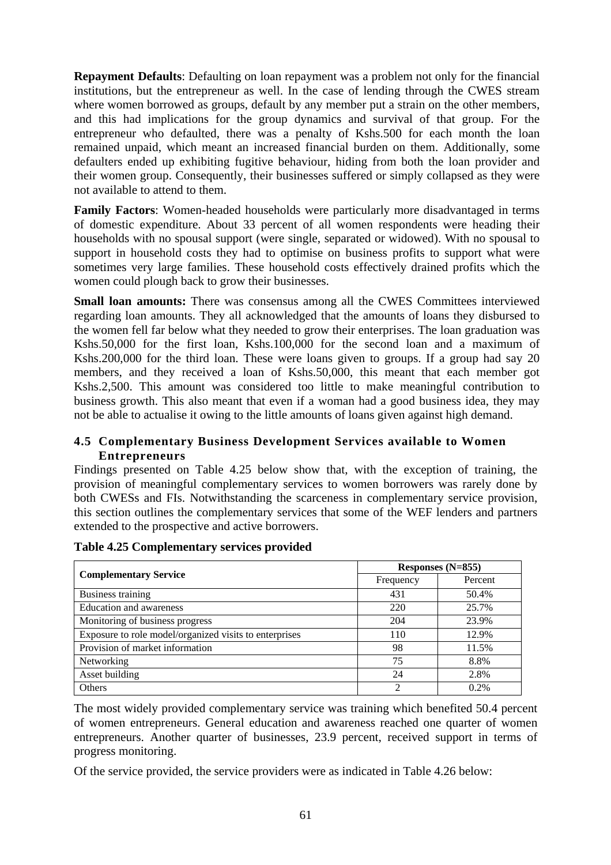**Repayment Defaults**: Defaulting on loan repayment was a problem not only for the financial institutions, but the entrepreneur as well. In the case of lending through the CWES stream where women borrowed as groups, default by any member put a strain on the other members, and this had implications for the group dynamics and survival of that group. For the entrepreneur who defaulted, there was a penalty of Kshs.500 for each month the loan remained unpaid, which meant an increased financial burden on them. Additionally, some defaulters ended up exhibiting fugitive behaviour, hiding from both the loan provider and their women group. Consequently, their businesses suffered or simply collapsed as they were not available to attend to them.

**Family Factors**: Women-headed households were particularly more disadvantaged in terms of domestic expenditure. About 33 percent of all women respondents were heading their households with no spousal support (were single, separated or widowed). With no spousal to support in household costs they had to optimise on business profits to support what were sometimes very large families. These household costs effectively drained profits which the women could plough back to grow their businesses.

**Small loan amounts:** There was consensus among all the CWES Committees interviewed regarding loan amounts. They all acknowledged that the amounts of loans they disbursed to the women fell far below what they needed to grow their enterprises. The loan graduation was Kshs.50,000 for the first loan, Kshs.100,000 for the second loan and a maximum of Kshs.200,000 for the third loan. These were loans given to groups. If a group had say 20 members, and they received a loan of Kshs.50,000, this meant that each member got Kshs.2,500. This amount was considered too little to make meaningful contribution to business growth. This also meant that even if a woman had a good business idea, they may not be able to actualise it owing to the little amounts of loans given against high demand.

### **4.5 Complementary Business Development Services available to Women Entrepreneurs**

Findings presented on Table 4.25 below show that, with the exception of training, the provision of meaningful complementary services to women borrowers was rarely done by both CWESs and FIs. Notwithstanding the scarceness in complementary service provision, this section outlines the complementary services that some of the WEF lenders and partners extended to the prospective and active borrowers.

|                                                        | Responses $(N=855)$ |         |  |  |
|--------------------------------------------------------|---------------------|---------|--|--|
| <b>Complementary Service</b>                           | Frequency           | Percent |  |  |
| Business training                                      | 431                 | 50.4%   |  |  |
| <b>Education and awareness</b>                         | 220                 | 25.7%   |  |  |
| Monitoring of business progress                        | 204                 | 23.9%   |  |  |
| Exposure to role model/organized visits to enterprises | 110                 | 12.9%   |  |  |
| Provision of market information                        | 98                  | 11.5%   |  |  |
| Networking                                             | 75                  | 8.8%    |  |  |
| Asset building                                         | 24                  | 2.8%    |  |  |
| <b>Others</b>                                          | 2                   | 0.2%    |  |  |

#### **Table 4.25 Complementary services provided**

The most widely provided complementary service was training which benefited 50.4 percent of women entrepreneurs. General education and awareness reached one quarter of women entrepreneurs. Another quarter of businesses, 23.9 percent, received support in terms of progress monitoring.

Of the service provided, the service providers were as indicated in Table 4.26 below: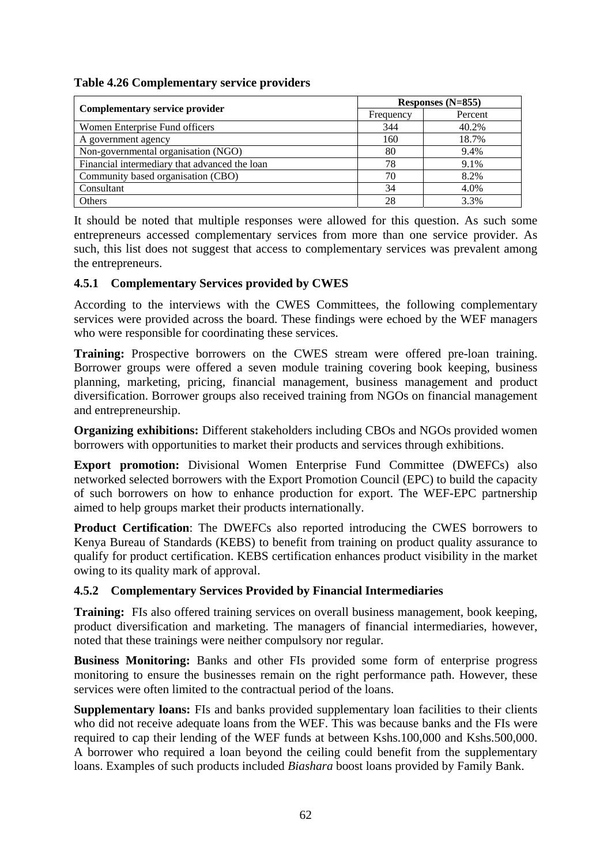| Table 4.26 Complementary service providers |  |  |
|--------------------------------------------|--|--|
|                                            |  |  |

|                                               | Responses $(N=855)$ |         |  |  |
|-----------------------------------------------|---------------------|---------|--|--|
| Complementary service provider                | Frequency           | Percent |  |  |
| Women Enterprise Fund officers                | 344                 | 40.2%   |  |  |
| A government agency                           | 160                 | 18.7%   |  |  |
| Non-governmental organisation (NGO)           | 80                  | 9.4%    |  |  |
| Financial intermediary that advanced the loan | 78                  | 9.1%    |  |  |
| Community based organisation (CBO)            | 70                  | 8.2%    |  |  |
| Consultant                                    | 34                  | 4.0%    |  |  |
| Others                                        | 28                  | 3.3%    |  |  |

It should be noted that multiple responses were allowed for this question. As such some entrepreneurs accessed complementary services from more than one service provider. As such, this list does not suggest that access to complementary services was prevalent among the entrepreneurs.

# **4.5.1 Complementary Services provided by CWES**

According to the interviews with the CWES Committees, the following complementary services were provided across the board. These findings were echoed by the WEF managers who were responsible for coordinating these services.

**Training:** Prospective borrowers on the CWES stream were offered pre-loan training. Borrower groups were offered a seven module training covering book keeping, business planning, marketing, pricing, financial management, business management and product diversification. Borrower groups also received training from NGOs on financial management and entrepreneurship.

**Organizing exhibitions:** Different stakeholders including CBOs and NGOs provided women borrowers with opportunities to market their products and services through exhibitions.

**Export promotion:** Divisional Women Enterprise Fund Committee (DWEFCs) also networked selected borrowers with the Export Promotion Council (EPC) to build the capacity of such borrowers on how to enhance production for export. The WEF-EPC partnership aimed to help groups market their products internationally.

**Product Certification:** The DWEFCs also reported introducing the CWES borrowers to Kenya Bureau of Standards (KEBS) to benefit from training on product quality assurance to qualify for product certification. KEBS certification enhances product visibility in the market owing to its quality mark of approval.

# **4.5.2 Complementary Services Provided by Financial Intermediaries**

**Training:** FIs also offered training services on overall business management, book keeping, product diversification and marketing. The managers of financial intermediaries, however, noted that these trainings were neither compulsory nor regular.

**Business Monitoring:** Banks and other FIs provided some form of enterprise progress monitoring to ensure the businesses remain on the right performance path. However, these services were often limited to the contractual period of the loans.

**Supplementary loans:** FIs and banks provided supplementary loan facilities to their clients who did not receive adequate loans from the WEF. This was because banks and the FIs were required to cap their lending of the WEF funds at between Kshs.100,000 and Kshs.500,000. A borrower who required a loan beyond the ceiling could benefit from the supplementary loans. Examples of such products included *Biashara* boost loans provided by Family Bank.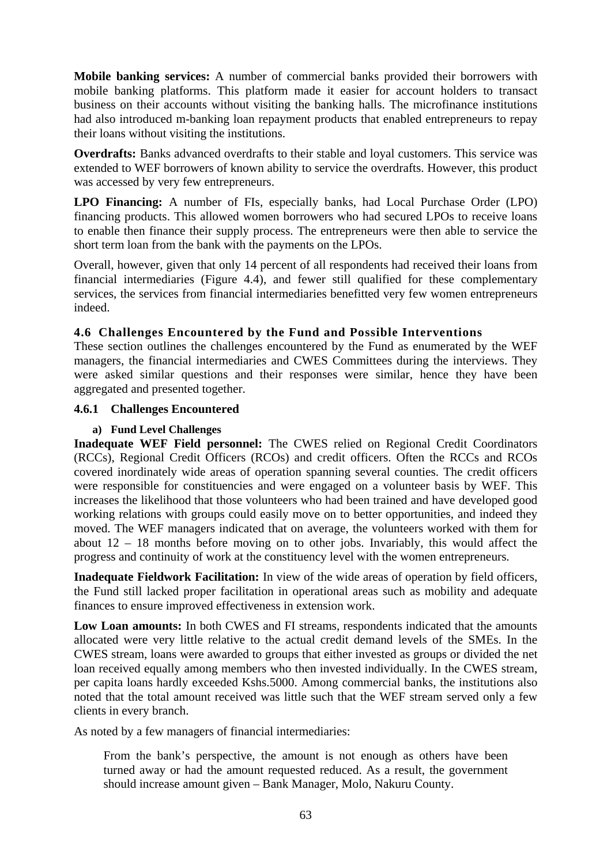**Mobile banking services:** A number of commercial banks provided their borrowers with mobile banking platforms. This platform made it easier for account holders to transact business on their accounts without visiting the banking halls. The microfinance institutions had also introduced m-banking loan repayment products that enabled entrepreneurs to repay their loans without visiting the institutions.

**Overdrafts:** Banks advanced overdrafts to their stable and loyal customers. This service was extended to WEF borrowers of known ability to service the overdrafts. However, this product was accessed by very few entrepreneurs.

**LPO Financing:** A number of FIs, especially banks, had Local Purchase Order (LPO) financing products. This allowed women borrowers who had secured LPOs to receive loans to enable then finance their supply process. The entrepreneurs were then able to service the short term loan from the bank with the payments on the LPOs.

Overall, however, given that only 14 percent of all respondents had received their loans from financial intermediaries (Figure 4.4), and fewer still qualified for these complementary services, the services from financial intermediaries benefitted very few women entrepreneurs indeed.

# **4.6 Challenges Encountered by the Fund and Possible Interventions**

These section outlines the challenges encountered by the Fund as enumerated by the WEF managers, the financial intermediaries and CWES Committees during the interviews. They were asked similar questions and their responses were similar, hence they have been aggregated and presented together.

### **4.6.1 Challenges Encountered**

#### **a) Fund Level Challenges**

**Inadequate WEF Field personnel:** The CWES relied on Regional Credit Coordinators (RCCs), Regional Credit Officers (RCOs) and credit officers. Often the RCCs and RCOs covered inordinately wide areas of operation spanning several counties. The credit officers were responsible for constituencies and were engaged on a volunteer basis by WEF. This increases the likelihood that those volunteers who had been trained and have developed good working relations with groups could easily move on to better opportunities, and indeed they moved. The WEF managers indicated that on average, the volunteers worked with them for about 12 – 18 months before moving on to other jobs. Invariably, this would affect the progress and continuity of work at the constituency level with the women entrepreneurs.

**Inadequate Fieldwork Facilitation:** In view of the wide areas of operation by field officers, the Fund still lacked proper facilitation in operational areas such as mobility and adequate finances to ensure improved effectiveness in extension work.

**Low Loan amounts:** In both CWES and FI streams, respondents indicated that the amounts allocated were very little relative to the actual credit demand levels of the SMEs. In the CWES stream, loans were awarded to groups that either invested as groups or divided the net loan received equally among members who then invested individually. In the CWES stream, per capita loans hardly exceeded Kshs.5000. Among commercial banks, the institutions also noted that the total amount received was little such that the WEF stream served only a few clients in every branch.

As noted by a few managers of financial intermediaries:

From the bank's perspective, the amount is not enough as others have been turned away or had the amount requested reduced. As a result, the government should increase amount given – Bank Manager, Molo, Nakuru County.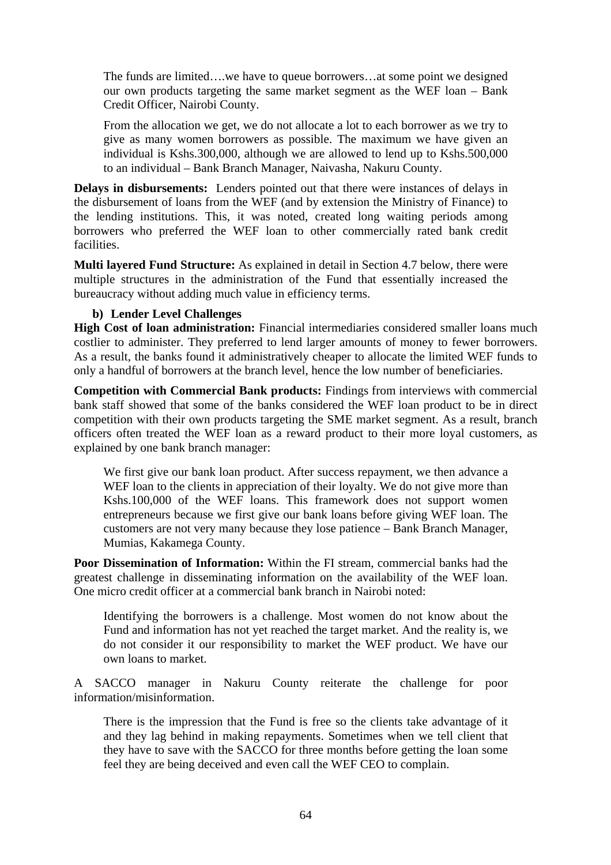The funds are limited….we have to queue borrowers…at some point we designed our own products targeting the same market segment as the WEF loan – Bank Credit Officer, Nairobi County.

From the allocation we get, we do not allocate a lot to each borrower as we try to give as many women borrowers as possible. The maximum we have given an individual is Kshs.300,000, although we are allowed to lend up to Kshs.500,000 to an individual – Bank Branch Manager, Naivasha, Nakuru County.

**Delays in disbursements:** Lenders pointed out that there were instances of delays in the disbursement of loans from the WEF (and by extension the Ministry of Finance) to the lending institutions. This, it was noted, created long waiting periods among borrowers who preferred the WEF loan to other commercially rated bank credit facilities.

**Multi layered Fund Structure:** As explained in detail in Section 4.7 below, there were multiple structures in the administration of the Fund that essentially increased the bureaucracy without adding much value in efficiency terms.

#### **b) Lender Level Challenges**

**High Cost of loan administration:** Financial intermediaries considered smaller loans much costlier to administer. They preferred to lend larger amounts of money to fewer borrowers. As a result, the banks found it administratively cheaper to allocate the limited WEF funds to only a handful of borrowers at the branch level, hence the low number of beneficiaries.

**Competition with Commercial Bank products:** Findings from interviews with commercial bank staff showed that some of the banks considered the WEF loan product to be in direct competition with their own products targeting the SME market segment. As a result, branch officers often treated the WEF loan as a reward product to their more loyal customers, as explained by one bank branch manager:

We first give our bank loan product. After success repayment, we then advance a WEF loan to the clients in appreciation of their loyalty. We do not give more than Kshs.100,000 of the WEF loans. This framework does not support women entrepreneurs because we first give our bank loans before giving WEF loan. The customers are not very many because they lose patience – Bank Branch Manager, Mumias, Kakamega County.

**Poor Dissemination of Information:** Within the FI stream, commercial banks had the greatest challenge in disseminating information on the availability of the WEF loan. One micro credit officer at a commercial bank branch in Nairobi noted:

Identifying the borrowers is a challenge. Most women do not know about the Fund and information has not yet reached the target market. And the reality is, we do not consider it our responsibility to market the WEF product. We have our own loans to market.

A SACCO manager in Nakuru County reiterate the challenge for poor information/misinformation.

There is the impression that the Fund is free so the clients take advantage of it and they lag behind in making repayments. Sometimes when we tell client that they have to save with the SACCO for three months before getting the loan some feel they are being deceived and even call the WEF CEO to complain.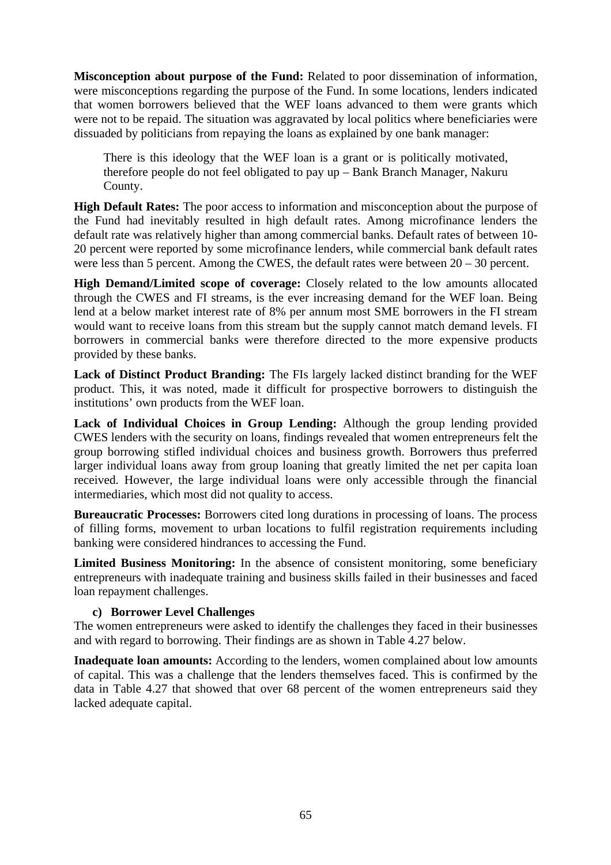**Misconception about purpose of the Fund:** Related to poor dissemination of information, were misconceptions regarding the purpose of the Fund. In some locations, lenders indicated that women borrowers believed that the WEF loans advanced to them were grants which were not to be repaid. The situation was aggravated by local politics where beneficiaries were dissuaded by politicians from repaying the loans as explained by one bank manager:

There is this ideology that the WEF loan is a grant or is politically motivated, therefore people do not feel obligated to pay up – Bank Branch Manager, Nakuru County.

**High Default Rates:** The poor access to information and misconception about the purpose of the Fund had inevitably resulted in high default rates. Among microfinance lenders the default rate was relatively higher than among commercial banks. Default rates of between 10- 20 percent were reported by some microfinance lenders, while commercial bank default rates were less than 5 percent. Among the CWES, the default rates were between 20 – 30 percent.

**High Demand/Limited scope of coverage:** Closely related to the low amounts allocated through the CWES and FI streams, is the ever increasing demand for the WEF loan. Being lend at a below market interest rate of 8% per annum most SME borrowers in the FI stream would want to receive loans from this stream but the supply cannot match demand levels. FI borrowers in commercial banks were therefore directed to the more expensive products provided by these banks.

**Lack of Distinct Product Branding:** The FIs largely lacked distinct branding for the WEF product. This, it was noted, made it difficult for prospective borrowers to distinguish the institutions' own products from the WEF loan.

**Lack of Individual Choices in Group Lending:** Although the group lending provided CWES lenders with the security on loans, findings revealed that women entrepreneurs felt the group borrowing stifled individual choices and business growth. Borrowers thus preferred larger individual loans away from group loaning that greatly limited the net per capita loan received. However, the large individual loans were only accessible through the financial intermediaries, which most did not quality to access.

**Bureaucratic Processes:** Borrowers cited long durations in processing of loans. The process of filling forms, movement to urban locations to fulfil registration requirements including banking were considered hindrances to accessing the Fund.

**Limited Business Monitoring:** In the absence of consistent monitoring, some beneficiary entrepreneurs with inadequate training and business skills failed in their businesses and faced loan repayment challenges.

#### **c) Borrower Level Challenges**

The women entrepreneurs were asked to identify the challenges they faced in their businesses and with regard to borrowing. Their findings are as shown in Table 4.27 below.

**Inadequate loan amounts:** According to the lenders, women complained about low amounts of capital. This was a challenge that the lenders themselves faced. This is confirmed by the data in Table 4.27 that showed that over 68 percent of the women entrepreneurs said they lacked adequate capital.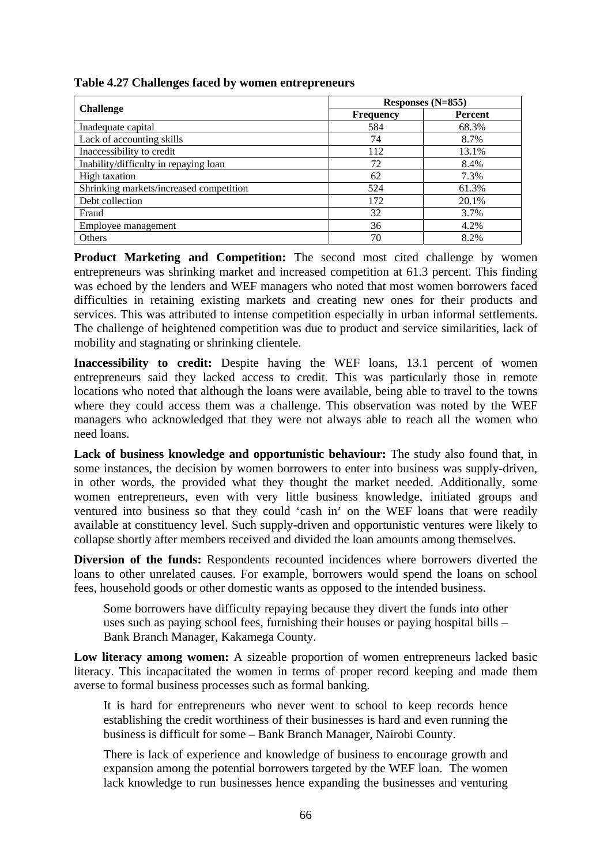|  |  |  |  | Table 4.27 Challenges faced by women entrepreneurs |
|--|--|--|--|----------------------------------------------------|
|--|--|--|--|----------------------------------------------------|

|                                         | Responses $(N=855)$ |         |  |  |
|-----------------------------------------|---------------------|---------|--|--|
| <b>Challenge</b>                        | <b>Frequency</b>    | Percent |  |  |
| Inadequate capital                      | 584                 | 68.3%   |  |  |
| Lack of accounting skills               | 74                  | 8.7%    |  |  |
| Inaccessibility to credit               | 112                 | 13.1%   |  |  |
| Inability/difficulty in repaying loan   | 72                  | 8.4%    |  |  |
| High taxation                           | 62                  | 7.3%    |  |  |
| Shrinking markets/increased competition | 524                 | 61.3%   |  |  |
| Debt collection                         | 172                 | 20.1%   |  |  |
| Fraud                                   | 32                  | 3.7%    |  |  |
| Employee management                     | 36                  | 4.2%    |  |  |
| Others                                  | 70                  | 8.2%    |  |  |

Product Marketing and Competition: The second most cited challenge by women entrepreneurs was shrinking market and increased competition at 61.3 percent. This finding was echoed by the lenders and WEF managers who noted that most women borrowers faced difficulties in retaining existing markets and creating new ones for their products and services. This was attributed to intense competition especially in urban informal settlements. The challenge of heightened competition was due to product and service similarities, lack of mobility and stagnating or shrinking clientele.

**Inaccessibility to credit:** Despite having the WEF loans, 13.1 percent of women entrepreneurs said they lacked access to credit. This was particularly those in remote locations who noted that although the loans were available, being able to travel to the towns where they could access them was a challenge. This observation was noted by the WEF managers who acknowledged that they were not always able to reach all the women who need loans.

**Lack of business knowledge and opportunistic behaviour:** The study also found that, in some instances, the decision by women borrowers to enter into business was supply-driven, in other words, the provided what they thought the market needed. Additionally, some women entrepreneurs, even with very little business knowledge, initiated groups and ventured into business so that they could 'cash in' on the WEF loans that were readily available at constituency level. Such supply-driven and opportunistic ventures were likely to collapse shortly after members received and divided the loan amounts among themselves.

**Diversion of the funds:** Respondents recounted incidences where borrowers diverted the loans to other unrelated causes. For example, borrowers would spend the loans on school fees, household goods or other domestic wants as opposed to the intended business.

Some borrowers have difficulty repaying because they divert the funds into other uses such as paying school fees, furnishing their houses or paying hospital bills – Bank Branch Manager, Kakamega County.

**Low literacy among women:** A sizeable proportion of women entrepreneurs lacked basic literacy. This incapacitated the women in terms of proper record keeping and made them averse to formal business processes such as formal banking.

It is hard for entrepreneurs who never went to school to keep records hence establishing the credit worthiness of their businesses is hard and even running the business is difficult for some – Bank Branch Manager, Nairobi County.

There is lack of experience and knowledge of business to encourage growth and expansion among the potential borrowers targeted by the WEF loan. The women lack knowledge to run businesses hence expanding the businesses and venturing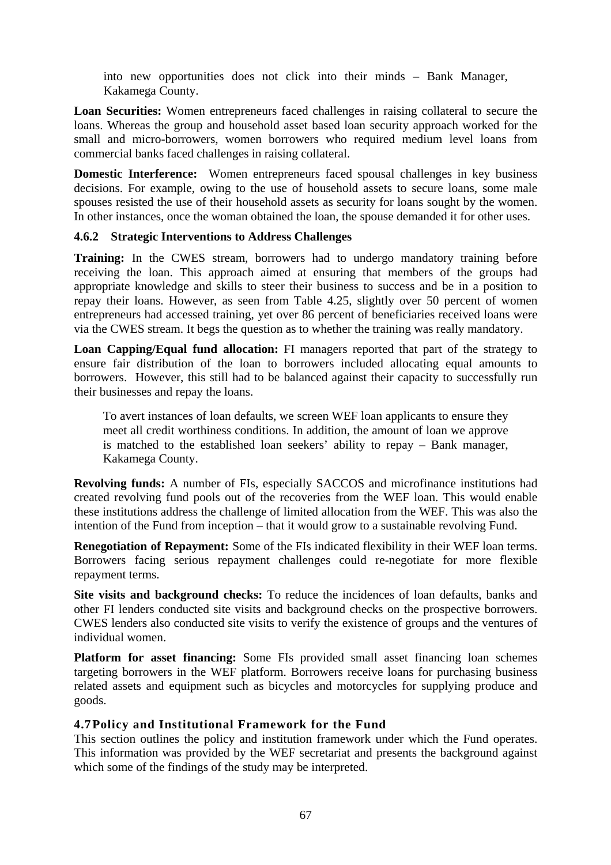into new opportunities does not click into their minds – Bank Manager, Kakamega County.

**Loan Securities:** Women entrepreneurs faced challenges in raising collateral to secure the loans. Whereas the group and household asset based loan security approach worked for the small and micro-borrowers, women borrowers who required medium level loans from commercial banks faced challenges in raising collateral.

**Domestic Interference:** Women entrepreneurs faced spousal challenges in key business decisions. For example, owing to the use of household assets to secure loans, some male spouses resisted the use of their household assets as security for loans sought by the women. In other instances, once the woman obtained the loan, the spouse demanded it for other uses.

# **4.6.2 Strategic Interventions to Address Challenges**

**Training:** In the CWES stream, borrowers had to undergo mandatory training before receiving the loan. This approach aimed at ensuring that members of the groups had appropriate knowledge and skills to steer their business to success and be in a position to repay their loans. However, as seen from Table 4.25, slightly over 50 percent of women entrepreneurs had accessed training, yet over 86 percent of beneficiaries received loans were via the CWES stream. It begs the question as to whether the training was really mandatory.

**Loan Capping/Equal fund allocation:** FI managers reported that part of the strategy to ensure fair distribution of the loan to borrowers included allocating equal amounts to borrowers. However, this still had to be balanced against their capacity to successfully run their businesses and repay the loans.

To avert instances of loan defaults, we screen WEF loan applicants to ensure they meet all credit worthiness conditions. In addition, the amount of loan we approve is matched to the established loan seekers' ability to repay – Bank manager, Kakamega County.

**Revolving funds:** A number of FIs, especially SACCOS and microfinance institutions had created revolving fund pools out of the recoveries from the WEF loan. This would enable these institutions address the challenge of limited allocation from the WEF. This was also the intention of the Fund from inception – that it would grow to a sustainable revolving Fund.

**Renegotiation of Repayment:** Some of the FIs indicated flexibility in their WEF loan terms. Borrowers facing serious repayment challenges could re-negotiate for more flexible repayment terms.

**Site visits and background checks:** To reduce the incidences of loan defaults, banks and other FI lenders conducted site visits and background checks on the prospective borrowers. CWES lenders also conducted site visits to verify the existence of groups and the ventures of individual women.

**Platform for asset financing:** Some FIs provided small asset financing loan schemes targeting borrowers in the WEF platform. Borrowers receive loans for purchasing business related assets and equipment such as bicycles and motorcycles for supplying produce and goods.

# **4.7Policy and Institutional Framework for the Fund**

This section outlines the policy and institution framework under which the Fund operates. This information was provided by the WEF secretariat and presents the background against which some of the findings of the study may be interpreted.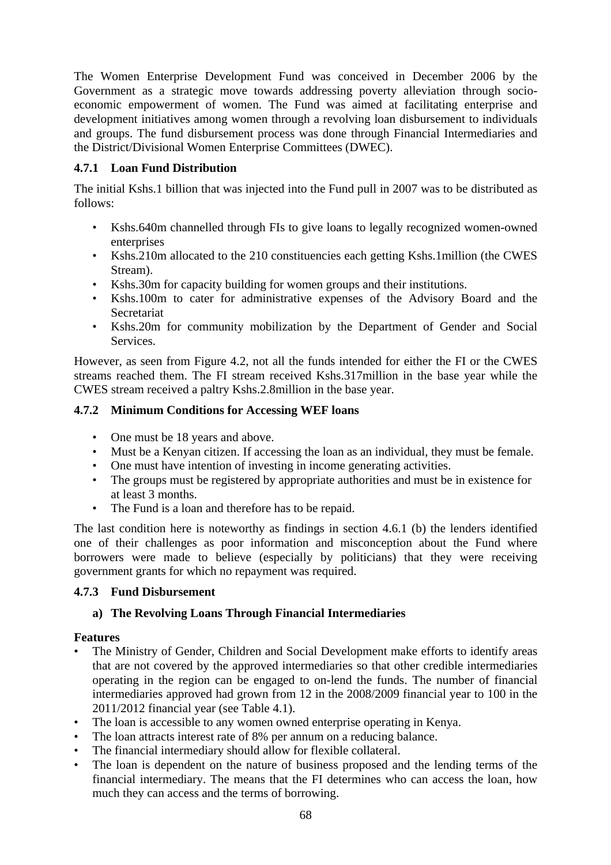The Women Enterprise Development Fund was conceived in December 2006 by the Government as a strategic move towards addressing poverty alleviation through socioeconomic empowerment of women. The Fund was aimed at facilitating enterprise and development initiatives among women through a revolving loan disbursement to individuals and groups. The fund disbursement process was done through Financial Intermediaries and the District/Divisional Women Enterprise Committees (DWEC).

# **4.7.1 Loan Fund Distribution**

The initial Kshs.1 billion that was injected into the Fund pull in 2007 was to be distributed as follows:

- Kshs.640m channelled through FIs to give loans to legally recognized women-owned enterprises
- Kshs.210m allocated to the 210 constituencies each getting Kshs.1million (the CWES Stream).
- Kshs.30m for capacity building for women groups and their institutions.
- Kshs.100m to cater for administrative expenses of the Advisory Board and the **Secretariat**
- Kshs.20m for community mobilization by the Department of Gender and Social Services.

However, as seen from Figure 4.2, not all the funds intended for either the FI or the CWES streams reached them. The FI stream received Kshs.317million in the base year while the CWES stream received a paltry Kshs.2.8million in the base year.

# **4.7.2 Minimum Conditions for Accessing WEF loans**

- One must be 18 years and above.
- Must be a Kenyan citizen. If accessing the loan as an individual, they must be female.
- One must have intention of investing in income generating activities.
- The groups must be registered by appropriate authorities and must be in existence for at least 3 months.
- The Fund is a loan and therefore has to be repaid.

The last condition here is noteworthy as findings in section 4.6.1 (b) the lenders identified one of their challenges as poor information and misconception about the Fund where borrowers were made to believe (especially by politicians) that they were receiving government grants for which no repayment was required.

# **4.7.3 Fund Disbursement**

# **a) The Revolving Loans Through Financial Intermediaries**

# **Features**

- The Ministry of Gender, Children and Social Development make efforts to identify areas that are not covered by the approved intermediaries so that other credible intermediaries operating in the region can be engaged to on-lend the funds. The number of financial intermediaries approved had grown from 12 in the 2008/2009 financial year to 100 in the 2011/2012 financial year (see Table 4.1).
- The loan is accessible to any women owned enterprise operating in Kenya.
- The loan attracts interest rate of 8% per annum on a reducing balance.
- The financial intermediary should allow for flexible collateral.
- The loan is dependent on the nature of business proposed and the lending terms of the financial intermediary. The means that the FI determines who can access the loan, how much they can access and the terms of borrowing.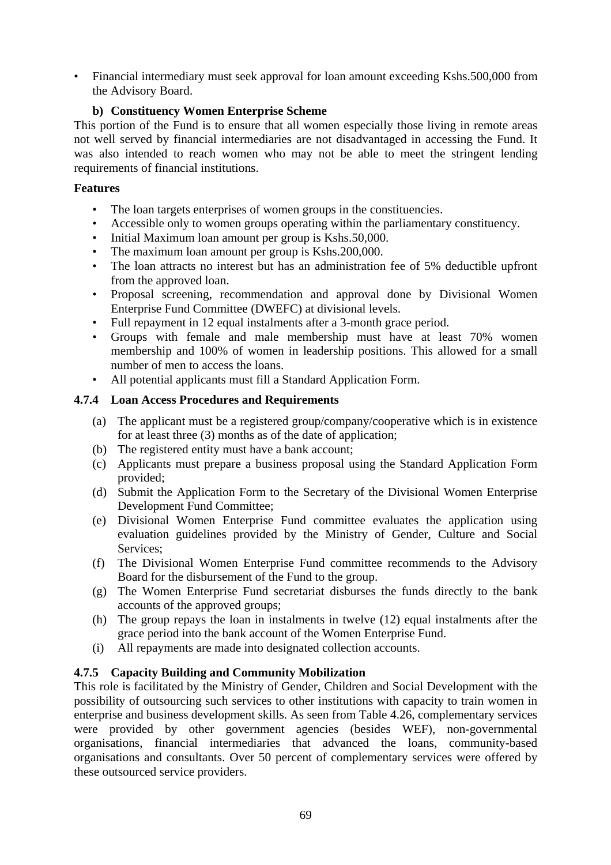• Financial intermediary must seek approval for loan amount exceeding Kshs.500,000 from the Advisory Board.

# **b) Constituency Women Enterprise Scheme**

This portion of the Fund is to ensure that all women especially those living in remote areas not well served by financial intermediaries are not disadvantaged in accessing the Fund. It was also intended to reach women who may not be able to meet the stringent lending requirements of financial institutions.

# **Features**

- The loan targets enterprises of women groups in the constituencies.
- Accessible only to women groups operating within the parliamentary constituency.
- Initial Maximum loan amount per group is Kshs.50,000.
- The maximum loan amount per group is Kshs. 200,000.
- The loan attracts no interest but has an administration fee of 5% deductible upfront from the approved loan.
- Proposal screening, recommendation and approval done by Divisional Women Enterprise Fund Committee (DWEFC) at divisional levels.
- Full repayment in 12 equal instalments after a 3-month grace period.
- Groups with female and male membership must have at least 70% women membership and 100% of women in leadership positions. This allowed for a small number of men to access the loans.
- All potential applicants must fill a Standard Application Form.

# **4.7.4 Loan Access Procedures and Requirements**

- (a) The applicant must be a registered group/company/cooperative which is in existence for at least three (3) months as of the date of application;
- (b) The registered entity must have a bank account;
- (c) Applicants must prepare a business proposal using the Standard Application Form provided;
- (d) Submit the Application Form to the Secretary of the Divisional Women Enterprise Development Fund Committee;
- (e) Divisional Women Enterprise Fund committee evaluates the application using evaluation guidelines provided by the Ministry of Gender, Culture and Social Services;
- (f) The Divisional Women Enterprise Fund committee recommends to the Advisory Board for the disbursement of the Fund to the group.
- (g) The Women Enterprise Fund secretariat disburses the funds directly to the bank accounts of the approved groups;
- (h) The group repays the loan in instalments in twelve (12) equal instalments after the grace period into the bank account of the Women Enterprise Fund.
- (i) All repayments are made into designated collection accounts.

# **4.7.5 Capacity Building and Community Mobilization**

This role is facilitated by the Ministry of Gender, Children and Social Development with the possibility of outsourcing such services to other institutions with capacity to train women in enterprise and business development skills. As seen from Table 4.26, complementary services were provided by other government agencies (besides WEF), non-governmental organisations, financial intermediaries that advanced the loans, community-based organisations and consultants. Over 50 percent of complementary services were offered by these outsourced service providers.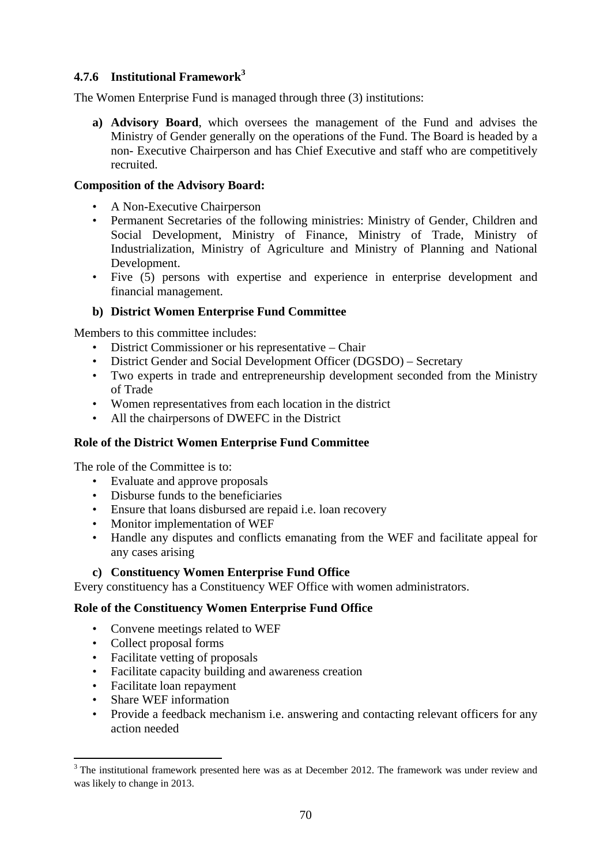# **4.7.6 Institutional Framework<sup>3</sup>**

The Women Enterprise Fund is managed through three (3) institutions:

**a) Advisory Board**, which oversees the management of the Fund and advises the Ministry of Gender generally on the operations of the Fund. The Board is headed by a non- Executive Chairperson and has Chief Executive and staff who are competitively recruited.

### **Composition of the Advisory Board:**

- A Non-Executive Chairperson
- Permanent Secretaries of the following ministries: Ministry of Gender, Children and Social Development, Ministry of Finance, Ministry of Trade, Ministry of Industrialization, Ministry of Agriculture and Ministry of Planning and National Development.
- Five (5) persons with expertise and experience in enterprise development and financial management.

# **b) District Women Enterprise Fund Committee**

Members to this committee includes:

- District Commissioner or his representative Chair
- District Gender and Social Development Officer (DGSDO) Secretary
- Two experts in trade and entrepreneurship development seconded from the Ministry of Trade
- Women representatives from each location in the district
- All the chairpersons of DWEFC in the District

# **Role of the District Women Enterprise Fund Committee**

The role of the Committee is to:

- Evaluate and approve proposals
- Disburse funds to the beneficiaries
- Ensure that loans disbursed are repaid i.e. loan recovery
- Monitor implementation of WEF
- Handle any disputes and conflicts emanating from the WEF and facilitate appeal for any cases arising

#### **c) Constituency Women Enterprise Fund Office**

Every constituency has a Constituency WEF Office with women administrators.

#### **Role of the Constituency Women Enterprise Fund Office**

- Convene meetings related to WEF
- Collect proposal forms
- Facilitate vetting of proposals
- Facilitate capacity building and awareness creation
- Facilitate loan repayment
- Share WEF information

• Provide a feedback mechanism i.e. answering and contacting relevant officers for any action needed

 $3$  The institutional framework presented here was as at December 2012. The framework was under review and was likely to change in 2013.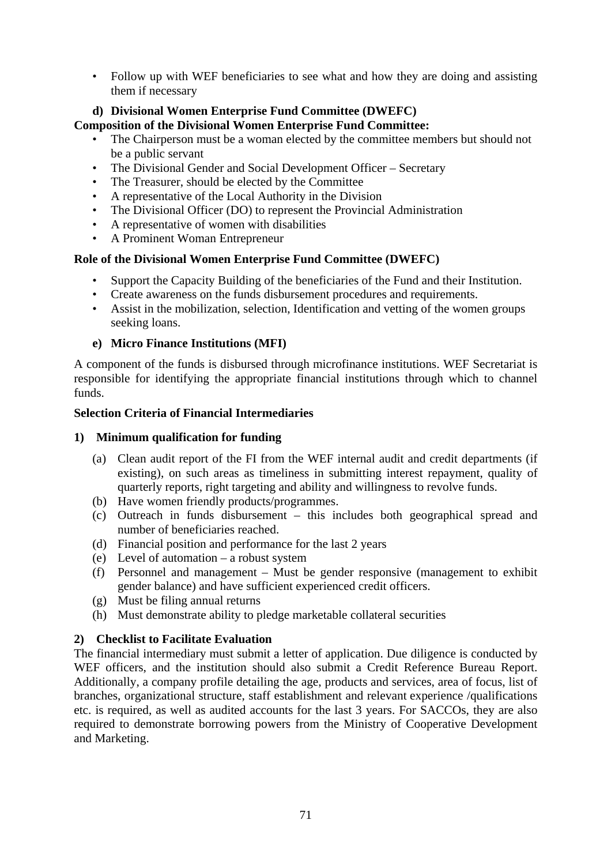• Follow up with WEF beneficiaries to see what and how they are doing and assisting them if necessary

#### **d) Divisional Women Enterprise Fund Committee (DWEFC) Composition of the Divisional Women Enterprise Fund Committee:**

- The Chairperson must be a woman elected by the committee members but should not be a public servant
- The Divisional Gender and Social Development Officer Secretary
- The Treasurer, should be elected by the Committee
- A representative of the Local Authority in the Division
- The Divisional Officer (DO) to represent the Provincial Administration
- A representative of women with disabilities
- A Prominent Woman Entrepreneur

# **Role of the Divisional Women Enterprise Fund Committee (DWEFC)**

- Support the Capacity Building of the beneficiaries of the Fund and their Institution.
- Create awareness on the funds disbursement procedures and requirements.
- Assist in the mobilization, selection, Identification and vetting of the women groups seeking loans.

# **e) Micro Finance Institutions (MFI)**

A component of the funds is disbursed through microfinance institutions. WEF Secretariat is responsible for identifying the appropriate financial institutions through which to channel funds.

# **Selection Criteria of Financial Intermediaries**

# **1) Minimum qualification for funding**

- (a) Clean audit report of the FI from the WEF internal audit and credit departments (if existing), on such areas as timeliness in submitting interest repayment, quality of quarterly reports, right targeting and ability and willingness to revolve funds.
- (b) Have women friendly products/programmes.
- (c) Outreach in funds disbursement this includes both geographical spread and number of beneficiaries reached.
- (d) Financial position and performance for the last 2 years
- (e) Level of automation a robust system
- (f) Personnel and management Must be gender responsive (management to exhibit gender balance) and have sufficient experienced credit officers.
- (g) Must be filing annual returns
- (h) Must demonstrate ability to pledge marketable collateral securities

# **2) Checklist to Facilitate Evaluation**

The financial intermediary must submit a letter of application. Due diligence is conducted by WEF officers, and the institution should also submit a Credit Reference Bureau Report. Additionally, a company profile detailing the age, products and services, area of focus, list of branches, organizational structure, staff establishment and relevant experience /qualifications etc. is required, as well as audited accounts for the last 3 years. For SACCOs, they are also required to demonstrate borrowing powers from the Ministry of Cooperative Development and Marketing.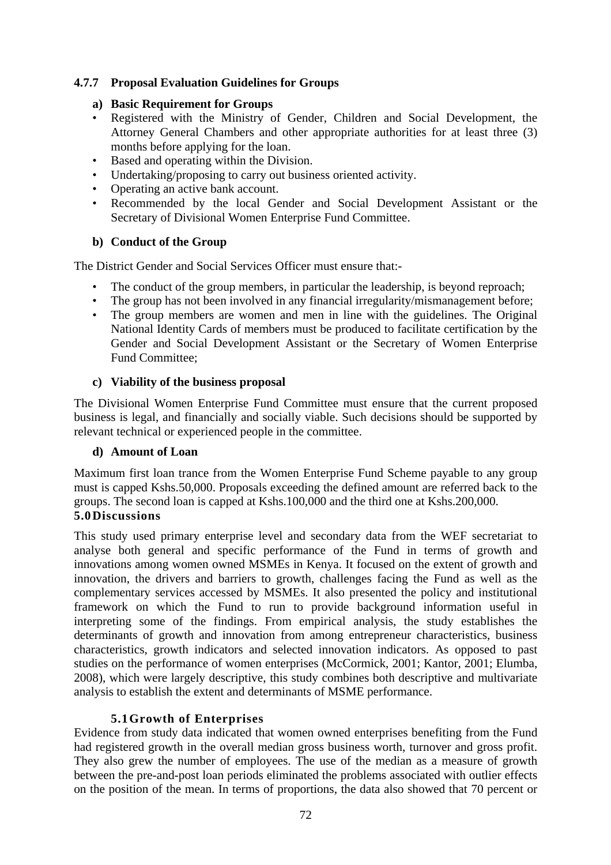## **4.7.7 Proposal Evaluation Guidelines for Groups**

#### **a) Basic Requirement for Groups**

- Registered with the Ministry of Gender, Children and Social Development, the Attorney General Chambers and other appropriate authorities for at least three (3) months before applying for the loan.
- Based and operating within the Division.
- Undertaking/proposing to carry out business oriented activity.
- Operating an active bank account.
- Recommended by the local Gender and Social Development Assistant or the Secretary of Divisional Women Enterprise Fund Committee.

#### **b) Conduct of the Group**

The District Gender and Social Services Officer must ensure that:-

- The conduct of the group members, in particular the leadership, is beyond reproach;
- The group has not been involved in any financial irregularity/mismanagement before;
- The group members are women and men in line with the guidelines. The Original National Identity Cards of members must be produced to facilitate certification by the Gender and Social Development Assistant or the Secretary of Women Enterprise Fund Committee;

#### **c) Viability of the business proposal**

The Divisional Women Enterprise Fund Committee must ensure that the current proposed business is legal, and financially and socially viable. Such decisions should be supported by relevant technical or experienced people in the committee.

#### **d) Amount of Loan**

Maximum first loan trance from the Women Enterprise Fund Scheme payable to any group must is capped Kshs.50,000. Proposals exceeding the defined amount are referred back to the groups. The second loan is capped at Kshs.100,000 and the third one at Kshs.200,000. **5.0Discussions** 

This study used primary enterprise level and secondary data from the WEF secretariat to analyse both general and specific performance of the Fund in terms of growth and innovations among women owned MSMEs in Kenya. It focused on the extent of growth and innovation, the drivers and barriers to growth, challenges facing the Fund as well as the complementary services accessed by MSMEs. It also presented the policy and institutional framework on which the Fund to run to provide background information useful in interpreting some of the findings. From empirical analysis, the study establishes the determinants of growth and innovation from among entrepreneur characteristics, business characteristics, growth indicators and selected innovation indicators. As opposed to past studies on the performance of women enterprises (McCormick, 2001; Kantor, 2001; Elumba, 2008), which were largely descriptive, this study combines both descriptive and multivariate analysis to establish the extent and determinants of MSME performance.

## **5.1Growth of Enterprises**

Evidence from study data indicated that women owned enterprises benefiting from the Fund had registered growth in the overall median gross business worth, turnover and gross profit. They also grew the number of employees. The use of the median as a measure of growth between the pre-and-post loan periods eliminated the problems associated with outlier effects on the position of the mean. In terms of proportions, the data also showed that 70 percent or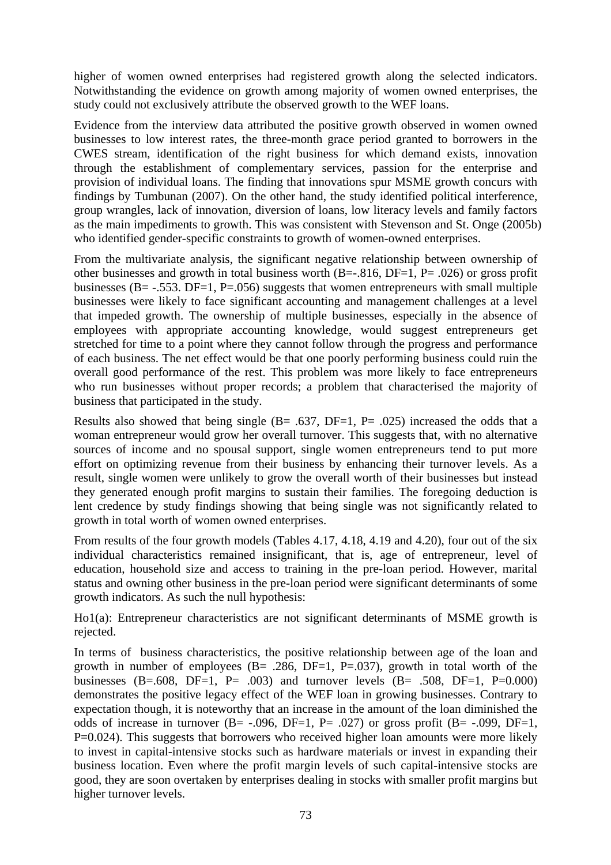higher of women owned enterprises had registered growth along the selected indicators. Notwithstanding the evidence on growth among majority of women owned enterprises, the study could not exclusively attribute the observed growth to the WEF loans.

Evidence from the interview data attributed the positive growth observed in women owned businesses to low interest rates, the three-month grace period granted to borrowers in the CWES stream, identification of the right business for which demand exists, innovation through the establishment of complementary services, passion for the enterprise and provision of individual loans. The finding that innovations spur MSME growth concurs with findings by Tumbunan (2007). On the other hand, the study identified political interference, group wrangles, lack of innovation, diversion of loans, low literacy levels and family factors as the main impediments to growth. This was consistent with Stevenson and St. Onge (2005b) who identified gender-specific constraints to growth of women-owned enterprises.

From the multivariate analysis, the significant negative relationship between ownership of other businesses and growth in total business worth  $(B=-.816, DF=1, P=.026$  or gross profit businesses (B=  $-.553$ , DF=1, P=.056) suggests that women entrepreneurs with small multiple businesses were likely to face significant accounting and management challenges at a level that impeded growth. The ownership of multiple businesses, especially in the absence of employees with appropriate accounting knowledge, would suggest entrepreneurs get stretched for time to a point where they cannot follow through the progress and performance of each business. The net effect would be that one poorly performing business could ruin the overall good performance of the rest. This problem was more likely to face entrepreneurs who run businesses without proper records; a problem that characterised the majority of business that participated in the study.

Results also showed that being single  $(B = .637, DF = 1, P = .025)$  increased the odds that a woman entrepreneur would grow her overall turnover. This suggests that, with no alternative sources of income and no spousal support, single women entrepreneurs tend to put more effort on optimizing revenue from their business by enhancing their turnover levels. As a result, single women were unlikely to grow the overall worth of their businesses but instead they generated enough profit margins to sustain their families. The foregoing deduction is lent credence by study findings showing that being single was not significantly related to growth in total worth of women owned enterprises.

From results of the four growth models (Tables 4.17, 4.18, 4.19 and 4.20), four out of the six individual characteristics remained insignificant, that is, age of entrepreneur, level of education, household size and access to training in the pre-loan period. However, marital status and owning other business in the pre-loan period were significant determinants of some growth indicators. As such the null hypothesis:

Ho1(a): Entrepreneur characteristics are not significant determinants of MSME growth is rejected.

In terms of business characteristics, the positive relationship between age of the loan and growth in number of employees  $(B = .286, DF = 1, P = .037)$ , growth in total worth of the businesses (B=.608, DF=1, P= .003) and turnover levels (B= .508, DF=1, P=0.000) demonstrates the positive legacy effect of the WEF loan in growing businesses. Contrary to expectation though, it is noteworthy that an increase in the amount of the loan diminished the odds of increase in turnover  $(B = -0.096, DF = 1, P = 0.027)$  or gross profit  $(B = -0.099, DF = 1, P = 0.027)$  $P=0.024$ ). This suggests that borrowers who received higher loan amounts were more likely to invest in capital-intensive stocks such as hardware materials or invest in expanding their business location. Even where the profit margin levels of such capital-intensive stocks are good, they are soon overtaken by enterprises dealing in stocks with smaller profit margins but higher turnover levels.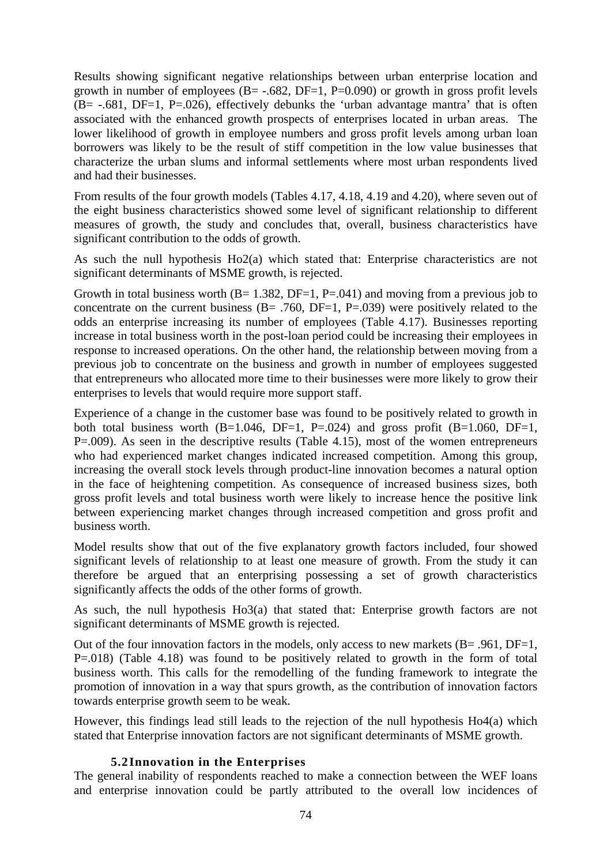Results showing significant negative relationships between urban enterprise location and growth in number of employees  $(B = -.682, DF = 1, P = 0.090)$  or growth in gross profit levels  $(B = -0.681, DF = 1, P = 0.026)$ , effectively debunks the 'urban advantage mantra' that is often associated with the enhanced growth prospects of enterprises located in urban areas. The lower likelihood of growth in employee numbers and gross profit levels among urban loan borrowers was likely to be the result of stiff competition in the low value businesses that characterize the urban slums and informal settlements where most urban respondents lived and had their businesses.

From results of the four growth models (Tables 4.17, 4.18, 4.19 and 4.20), where seven out of the eight business characteristics showed some level of significant relationship to different measures of growth, the study and concludes that, overall, business characteristics have significant contribution to the odds of growth.

As such the null hypothesis Ho2(a) which stated that: Enterprise characteristics are not significant determinants of MSME growth, is rejected.

Growth in total business worth  $(B= 1.382, DF=1, P=.041)$  and moving from a previous job to concentrate on the current business  $(B = .760, DF = 1, P = .039)$  were positively related to the odds an enterprise increasing its number of employees (Table 4.17). Businesses reporting increase in total business worth in the post-loan period could be increasing their employees in response to increased operations. On the other hand, the relationship between moving from a previous job to concentrate on the business and growth in number of employees suggested that entrepreneurs who allocated more time to their businesses were more likely to grow their enterprises to levels that would require more support staff.

Experience of a change in the customer base was found to be positively related to growth in both total business worth  $(B=1.046, DF=1, P=.024)$  and gross profit  $(B=1.060, DF=1,$ P=.009). As seen in the descriptive results (Table 4.15), most of the women entrepreneurs who had experienced market changes indicated increased competition. Among this group, increasing the overall stock levels through product-line innovation becomes a natural option in the face of heightening competition. As consequence of increased business sizes, both gross profit levels and total business worth were likely to increase hence the positive link between experiencing market changes through increased competition and gross profit and business worth.

Model results show that out of the five explanatory growth factors included, four showed significant levels of relationship to at least one measure of growth. From the study it can therefore be argued that an enterprising possessing a set of growth characteristics significantly affects the odds of the other forms of growth.

As such, the null hypothesis Ho3(a) that stated that: Enterprise growth factors are not significant determinants of MSME growth is rejected.

Out of the four innovation factors in the models, only access to new markets (B= .961, DF=1, P=.018) (Table 4.18) was found to be positively related to growth in the form of total business worth. This calls for the remodelling of the funding framework to integrate the promotion of innovation in a way that spurs growth, as the contribution of innovation factors towards enterprise growth seem to be weak.

However, this findings lead still leads to the rejection of the null hypothesis Ho4(a) which stated that Enterprise innovation factors are not significant determinants of MSME growth.

#### **5.2Innovation in the Enterprises**

The general inability of respondents reached to make a connection between the WEF loans and enterprise innovation could be partly attributed to the overall low incidences of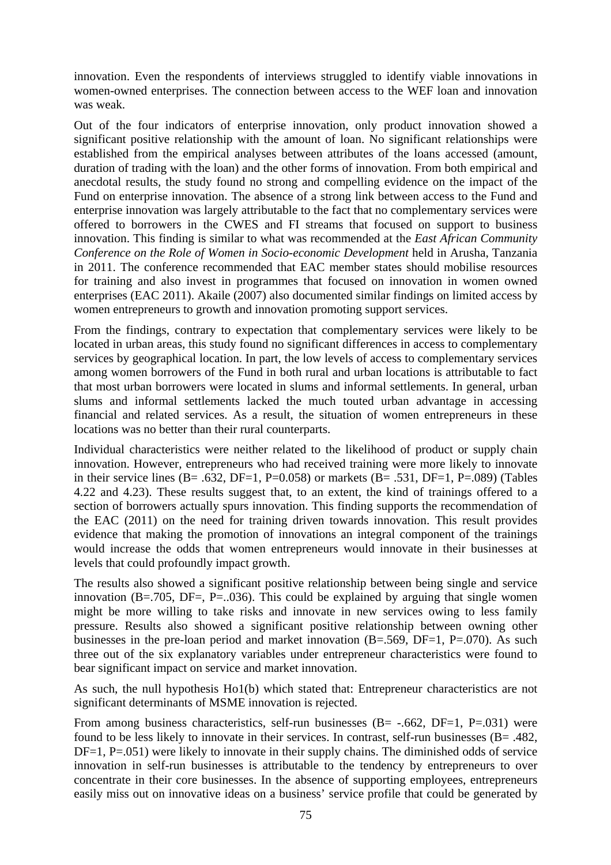innovation. Even the respondents of interviews struggled to identify viable innovations in women-owned enterprises. The connection between access to the WEF loan and innovation was weak.

Out of the four indicators of enterprise innovation, only product innovation showed a significant positive relationship with the amount of loan. No significant relationships were established from the empirical analyses between attributes of the loans accessed (amount, duration of trading with the loan) and the other forms of innovation. From both empirical and anecdotal results, the study found no strong and compelling evidence on the impact of the Fund on enterprise innovation. The absence of a strong link between access to the Fund and enterprise innovation was largely attributable to the fact that no complementary services were offered to borrowers in the CWES and FI streams that focused on support to business innovation. This finding is similar to what was recommended at the *East African Community Conference on the Role of Women in Socio-economic Development* held in Arusha, Tanzania in 2011. The conference recommended that EAC member states should mobilise resources for training and also invest in programmes that focused on innovation in women owned enterprises (EAC 2011). Akaile (2007) also documented similar findings on limited access by women entrepreneurs to growth and innovation promoting support services.

From the findings, contrary to expectation that complementary services were likely to be located in urban areas, this study found no significant differences in access to complementary services by geographical location. In part, the low levels of access to complementary services among women borrowers of the Fund in both rural and urban locations is attributable to fact that most urban borrowers were located in slums and informal settlements. In general, urban slums and informal settlements lacked the much touted urban advantage in accessing financial and related services. As a result, the situation of women entrepreneurs in these locations was no better than their rural counterparts.

Individual characteristics were neither related to the likelihood of product or supply chain innovation. However, entrepreneurs who had received training were more likely to innovate in their service lines (B= .632, DF=1, P=0.058) or markets (B= .531, DF=1, P=.089) (Tables 4.22 and 4.23). These results suggest that, to an extent, the kind of trainings offered to a section of borrowers actually spurs innovation. This finding supports the recommendation of the EAC (2011) on the need for training driven towards innovation. This result provides evidence that making the promotion of innovations an integral component of the trainings would increase the odds that women entrepreneurs would innovate in their businesses at levels that could profoundly impact growth.

The results also showed a significant positive relationship between being single and service innovation (B=.705, DF=, P=..036). This could be explained by arguing that single women might be more willing to take risks and innovate in new services owing to less family pressure. Results also showed a significant positive relationship between owning other businesses in the pre-loan period and market innovation  $(B=.569, DF=1, P=.070)$ . As such three out of the six explanatory variables under entrepreneur characteristics were found to bear significant impact on service and market innovation.

As such, the null hypothesis Ho1(b) which stated that: Entrepreneur characteristics are not significant determinants of MSME innovation is rejected.

From among business characteristics, self-run businesses  $(B = -0.662, DF = 1, P = 0.031)$  were found to be less likely to innovate in their services. In contrast, self-run businesses (B= .482, DF=1, P=.051) were likely to innovate in their supply chains. The diminished odds of service innovation in self-run businesses is attributable to the tendency by entrepreneurs to over concentrate in their core businesses. In the absence of supporting employees, entrepreneurs easily miss out on innovative ideas on a business' service profile that could be generated by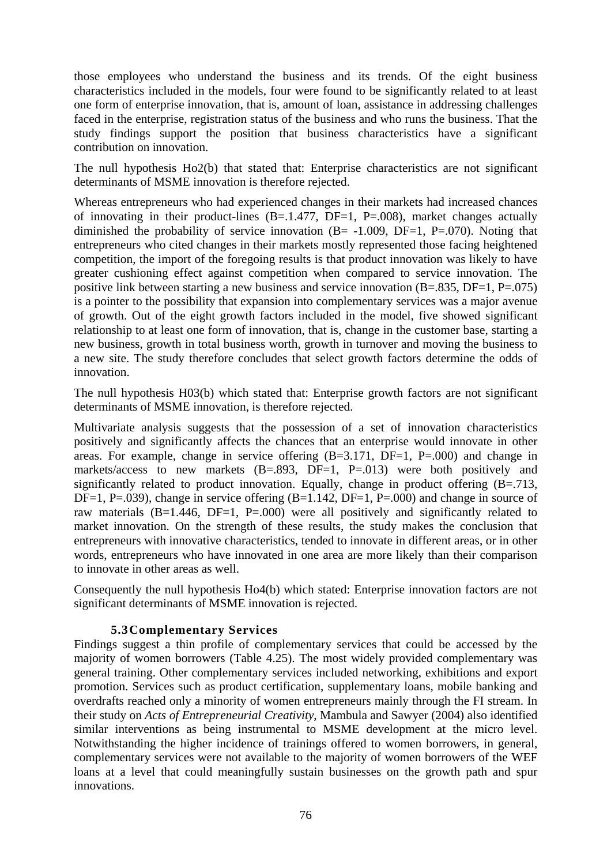those employees who understand the business and its trends. Of the eight business characteristics included in the models, four were found to be significantly related to at least one form of enterprise innovation, that is, amount of loan, assistance in addressing challenges faced in the enterprise, registration status of the business and who runs the business. That the study findings support the position that business characteristics have a significant contribution on innovation.

The null hypothesis Ho2(b) that stated that: Enterprise characteristics are not significant determinants of MSME innovation is therefore rejected.

Whereas entrepreneurs who had experienced changes in their markets had increased chances of innovating in their product-lines  $(B=.1.477, DF=1, P=.008)$ , market changes actually diminished the probability of service innovation  $(B = -1.009, DF = 1, P = .070)$ . Noting that entrepreneurs who cited changes in their markets mostly represented those facing heightened competition, the import of the foregoing results is that product innovation was likely to have greater cushioning effect against competition when compared to service innovation. The positive link between starting a new business and service innovation  $(B=.835, DF=1, P=.075)$ is a pointer to the possibility that expansion into complementary services was a major avenue of growth. Out of the eight growth factors included in the model, five showed significant relationship to at least one form of innovation, that is, change in the customer base, starting a new business, growth in total business worth, growth in turnover and moving the business to a new site. The study therefore concludes that select growth factors determine the odds of innovation.

The null hypothesis H03(b) which stated that: Enterprise growth factors are not significant determinants of MSME innovation, is therefore rejected.

Multivariate analysis suggests that the possession of a set of innovation characteristics positively and significantly affects the chances that an enterprise would innovate in other areas. For example, change in service offering  $(B=3.171, DF=1, P=.000)$  and change in markets/access to new markets  $(B=.893, DF=1, P=.013)$  were both positively and significantly related to product innovation. Equally, change in product offering  $(B=.713,$ DF=1, P=.039), change in service offering  $(B=1.142, DF=1, P=.000)$  and change in source of raw materials  $(B=1.446, DF=1, P=.000)$  were all positively and significantly related to market innovation. On the strength of these results, the study makes the conclusion that entrepreneurs with innovative characteristics, tended to innovate in different areas, or in other words, entrepreneurs who have innovated in one area are more likely than their comparison to innovate in other areas as well.

Consequently the null hypothesis Ho4(b) which stated: Enterprise innovation factors are not significant determinants of MSME innovation is rejected.

## **5.3Complementary Services**

Findings suggest a thin profile of complementary services that could be accessed by the majority of women borrowers (Table 4.25). The most widely provided complementary was general training. Other complementary services included networking, exhibitions and export promotion. Services such as product certification, supplementary loans, mobile banking and overdrafts reached only a minority of women entrepreneurs mainly through the FI stream. In their study on *Acts of Entrepreneurial Creativity*, Mambula and Sawyer (2004) also identified similar interventions as being instrumental to MSME development at the micro level. Notwithstanding the higher incidence of trainings offered to women borrowers, in general, complementary services were not available to the majority of women borrowers of the WEF loans at a level that could meaningfully sustain businesses on the growth path and spur innovations.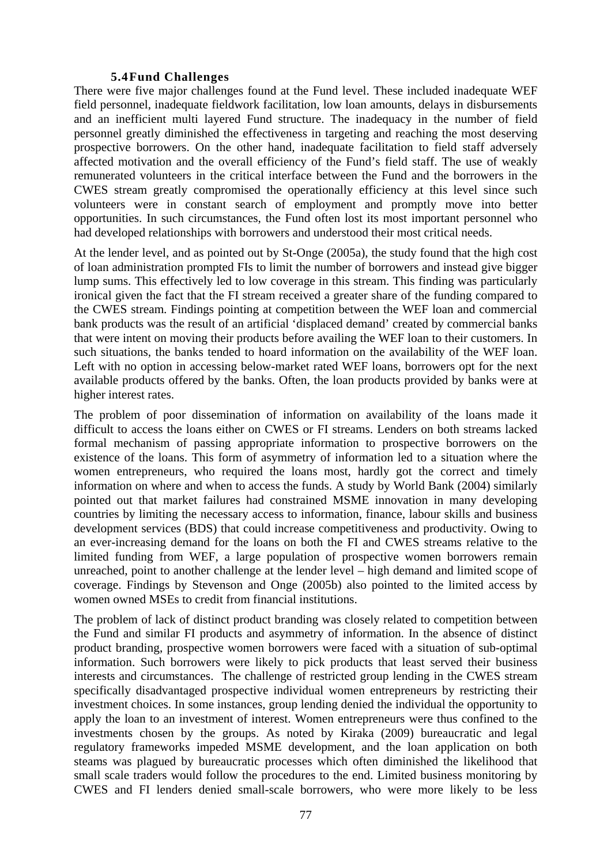#### **5.4Fund Challenges**

There were five major challenges found at the Fund level. These included inadequate WEF field personnel, inadequate fieldwork facilitation, low loan amounts, delays in disbursements and an inefficient multi layered Fund structure. The inadequacy in the number of field personnel greatly diminished the effectiveness in targeting and reaching the most deserving prospective borrowers. On the other hand, inadequate facilitation to field staff adversely affected motivation and the overall efficiency of the Fund's field staff. The use of weakly remunerated volunteers in the critical interface between the Fund and the borrowers in the CWES stream greatly compromised the operationally efficiency at this level since such volunteers were in constant search of employment and promptly move into better opportunities. In such circumstances, the Fund often lost its most important personnel who had developed relationships with borrowers and understood their most critical needs.

At the lender level, and as pointed out by St-Onge (2005a), the study found that the high cost of loan administration prompted FIs to limit the number of borrowers and instead give bigger lump sums. This effectively led to low coverage in this stream. This finding was particularly ironical given the fact that the FI stream received a greater share of the funding compared to the CWES stream. Findings pointing at competition between the WEF loan and commercial bank products was the result of an artificial 'displaced demand' created by commercial banks that were intent on moving their products before availing the WEF loan to their customers. In such situations, the banks tended to hoard information on the availability of the WEF loan. Left with no option in accessing below-market rated WEF loans, borrowers opt for the next available products offered by the banks. Often, the loan products provided by banks were at higher interest rates.

The problem of poor dissemination of information on availability of the loans made it difficult to access the loans either on CWES or FI streams. Lenders on both streams lacked formal mechanism of passing appropriate information to prospective borrowers on the existence of the loans. This form of asymmetry of information led to a situation where the women entrepreneurs, who required the loans most, hardly got the correct and timely information on where and when to access the funds. A study by World Bank (2004) similarly pointed out that market failures had constrained MSME innovation in many developing countries by limiting the necessary access to information, finance, labour skills and business development services (BDS) that could increase competitiveness and productivity. Owing to an ever-increasing demand for the loans on both the FI and CWES streams relative to the limited funding from WEF, a large population of prospective women borrowers remain unreached, point to another challenge at the lender level – high demand and limited scope of coverage. Findings by Stevenson and Onge (2005b) also pointed to the limited access by women owned MSEs to credit from financial institutions.

The problem of lack of distinct product branding was closely related to competition between the Fund and similar FI products and asymmetry of information. In the absence of distinct product branding, prospective women borrowers were faced with a situation of sub-optimal information. Such borrowers were likely to pick products that least served their business interests and circumstances. The challenge of restricted group lending in the CWES stream specifically disadvantaged prospective individual women entrepreneurs by restricting their investment choices. In some instances, group lending denied the individual the opportunity to apply the loan to an investment of interest. Women entrepreneurs were thus confined to the investments chosen by the groups. As noted by Kiraka (2009) bureaucratic and legal regulatory frameworks impeded MSME development, and the loan application on both steams was plagued by bureaucratic processes which often diminished the likelihood that small scale traders would follow the procedures to the end. Limited business monitoring by CWES and FI lenders denied small-scale borrowers, who were more likely to be less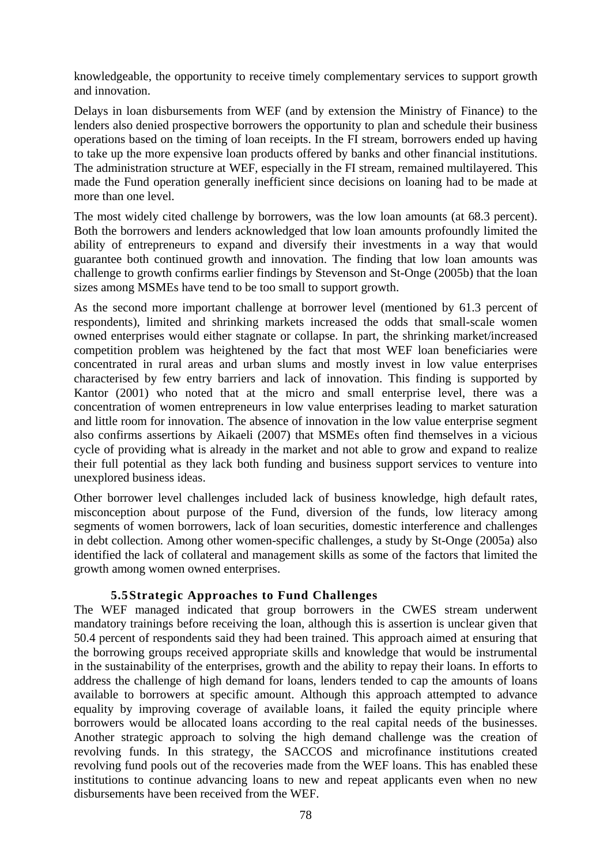knowledgeable, the opportunity to receive timely complementary services to support growth and innovation.

Delays in loan disbursements from WEF (and by extension the Ministry of Finance) to the lenders also denied prospective borrowers the opportunity to plan and schedule their business operations based on the timing of loan receipts. In the FI stream, borrowers ended up having to take up the more expensive loan products offered by banks and other financial institutions. The administration structure at WEF, especially in the FI stream, remained multilayered. This made the Fund operation generally inefficient since decisions on loaning had to be made at more than one level.

The most widely cited challenge by borrowers, was the low loan amounts (at 68.3 percent). Both the borrowers and lenders acknowledged that low loan amounts profoundly limited the ability of entrepreneurs to expand and diversify their investments in a way that would guarantee both continued growth and innovation. The finding that low loan amounts was challenge to growth confirms earlier findings by Stevenson and St-Onge (2005b) that the loan sizes among MSMEs have tend to be too small to support growth.

As the second more important challenge at borrower level (mentioned by 61.3 percent of respondents), limited and shrinking markets increased the odds that small-scale women owned enterprises would either stagnate or collapse. In part, the shrinking market/increased competition problem was heightened by the fact that most WEF loan beneficiaries were concentrated in rural areas and urban slums and mostly invest in low value enterprises characterised by few entry barriers and lack of innovation. This finding is supported by Kantor (2001) who noted that at the micro and small enterprise level, there was a concentration of women entrepreneurs in low value enterprises leading to market saturation and little room for innovation. The absence of innovation in the low value enterprise segment also confirms assertions by Aikaeli (2007) that MSMEs often find themselves in a vicious cycle of providing what is already in the market and not able to grow and expand to realize their full potential as they lack both funding and business support services to venture into unexplored business ideas.

Other borrower level challenges included lack of business knowledge, high default rates, misconception about purpose of the Fund, diversion of the funds, low literacy among segments of women borrowers, lack of loan securities, domestic interference and challenges in debt collection. Among other women-specific challenges, a study by St-Onge (2005a) also identified the lack of collateral and management skills as some of the factors that limited the growth among women owned enterprises.

## **5.5Strategic Approaches to Fund Challenges**

The WEF managed indicated that group borrowers in the CWES stream underwent mandatory trainings before receiving the loan, although this is assertion is unclear given that 50.4 percent of respondents said they had been trained. This approach aimed at ensuring that the borrowing groups received appropriate skills and knowledge that would be instrumental in the sustainability of the enterprises, growth and the ability to repay their loans. In efforts to address the challenge of high demand for loans, lenders tended to cap the amounts of loans available to borrowers at specific amount. Although this approach attempted to advance equality by improving coverage of available loans, it failed the equity principle where borrowers would be allocated loans according to the real capital needs of the businesses. Another strategic approach to solving the high demand challenge was the creation of revolving funds. In this strategy, the SACCOS and microfinance institutions created revolving fund pools out of the recoveries made from the WEF loans. This has enabled these institutions to continue advancing loans to new and repeat applicants even when no new disbursements have been received from the WEF.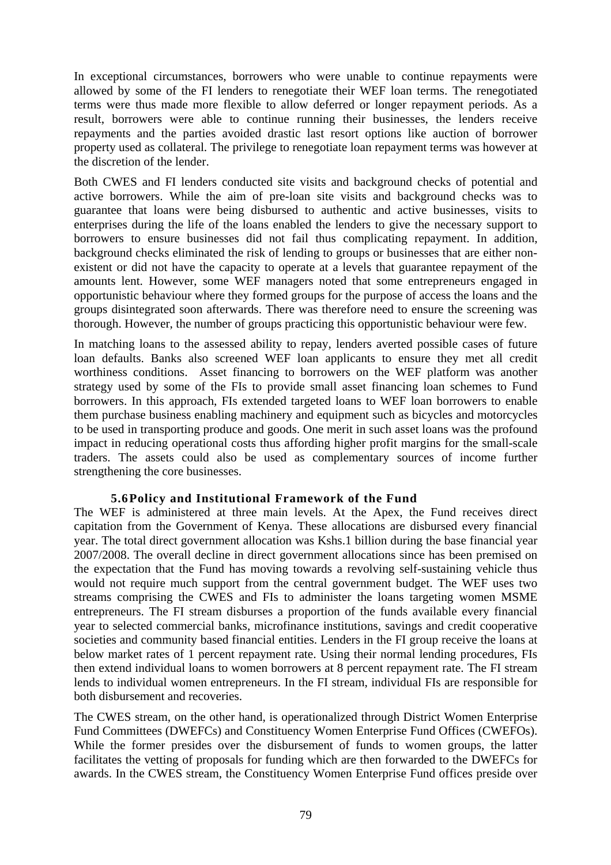In exceptional circumstances, borrowers who were unable to continue repayments were allowed by some of the FI lenders to renegotiate their WEF loan terms. The renegotiated terms were thus made more flexible to allow deferred or longer repayment periods. As a result, borrowers were able to continue running their businesses, the lenders receive repayments and the parties avoided drastic last resort options like auction of borrower property used as collateral. The privilege to renegotiate loan repayment terms was however at the discretion of the lender.

Both CWES and FI lenders conducted site visits and background checks of potential and active borrowers. While the aim of pre-loan site visits and background checks was to guarantee that loans were being disbursed to authentic and active businesses, visits to enterprises during the life of the loans enabled the lenders to give the necessary support to borrowers to ensure businesses did not fail thus complicating repayment. In addition, background checks eliminated the risk of lending to groups or businesses that are either nonexistent or did not have the capacity to operate at a levels that guarantee repayment of the amounts lent. However, some WEF managers noted that some entrepreneurs engaged in opportunistic behaviour where they formed groups for the purpose of access the loans and the groups disintegrated soon afterwards. There was therefore need to ensure the screening was thorough. However, the number of groups practicing this opportunistic behaviour were few.

In matching loans to the assessed ability to repay, lenders averted possible cases of future loan defaults. Banks also screened WEF loan applicants to ensure they met all credit worthiness conditions. Asset financing to borrowers on the WEF platform was another strategy used by some of the FIs to provide small asset financing loan schemes to Fund borrowers. In this approach, FIs extended targeted loans to WEF loan borrowers to enable them purchase business enabling machinery and equipment such as bicycles and motorcycles to be used in transporting produce and goods. One merit in such asset loans was the profound impact in reducing operational costs thus affording higher profit margins for the small-scale traders. The assets could also be used as complementary sources of income further strengthening the core businesses.

#### **5.6Policy and Institutional Framework of the Fund**

The WEF is administered at three main levels. At the Apex, the Fund receives direct capitation from the Government of Kenya. These allocations are disbursed every financial year. The total direct government allocation was Kshs.1 billion during the base financial year 2007/2008. The overall decline in direct government allocations since has been premised on the expectation that the Fund has moving towards a revolving self-sustaining vehicle thus would not require much support from the central government budget. The WEF uses two streams comprising the CWES and FIs to administer the loans targeting women MSME entrepreneurs. The FI stream disburses a proportion of the funds available every financial year to selected commercial banks, microfinance institutions, savings and credit cooperative societies and community based financial entities. Lenders in the FI group receive the loans at below market rates of 1 percent repayment rate. Using their normal lending procedures, FIs then extend individual loans to women borrowers at 8 percent repayment rate. The FI stream lends to individual women entrepreneurs. In the FI stream, individual FIs are responsible for both disbursement and recoveries.

The CWES stream, on the other hand, is operationalized through District Women Enterprise Fund Committees (DWEFCs) and Constituency Women Enterprise Fund Offices (CWEFOs). While the former presides over the disbursement of funds to women groups, the latter facilitates the vetting of proposals for funding which are then forwarded to the DWEFCs for awards. In the CWES stream, the Constituency Women Enterprise Fund offices preside over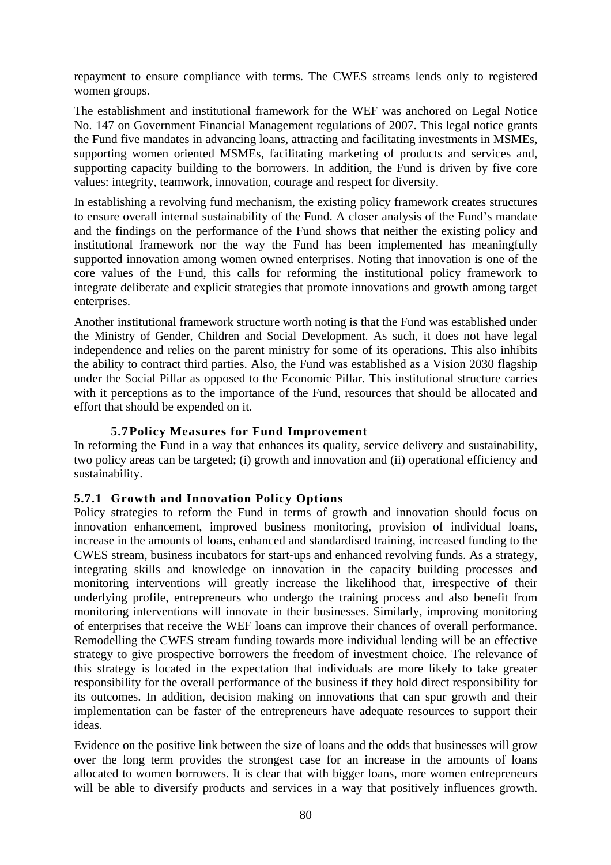repayment to ensure compliance with terms. The CWES streams lends only to registered women groups.

The establishment and institutional framework for the WEF was anchored on Legal Notice No. 147 on Government Financial Management regulations of 2007. This legal notice grants the Fund five mandates in advancing loans, attracting and facilitating investments in MSMEs, supporting women oriented MSMEs, facilitating marketing of products and services and, supporting capacity building to the borrowers. In addition, the Fund is driven by five core values: integrity, teamwork, innovation, courage and respect for diversity.

In establishing a revolving fund mechanism, the existing policy framework creates structures to ensure overall internal sustainability of the Fund. A closer analysis of the Fund's mandate and the findings on the performance of the Fund shows that neither the existing policy and institutional framework nor the way the Fund has been implemented has meaningfully supported innovation among women owned enterprises. Noting that innovation is one of the core values of the Fund, this calls for reforming the institutional policy framework to integrate deliberate and explicit strategies that promote innovations and growth among target enterprises.

Another institutional framework structure worth noting is that the Fund was established under the Ministry of Gender, Children and Social Development. As such, it does not have legal independence and relies on the parent ministry for some of its operations. This also inhibits the ability to contract third parties. Also, the Fund was established as a Vision 2030 flagship under the Social Pillar as opposed to the Economic Pillar. This institutional structure carries with it perceptions as to the importance of the Fund, resources that should be allocated and effort that should be expended on it.

## **5.7Policy Measures for Fund Improvement**

In reforming the Fund in a way that enhances its quality, service delivery and sustainability, two policy areas can be targeted; (i) growth and innovation and (ii) operational efficiency and sustainability.

## **5.7.1 Growth and Innovation Policy Options**

Policy strategies to reform the Fund in terms of growth and innovation should focus on innovation enhancement, improved business monitoring, provision of individual loans, increase in the amounts of loans, enhanced and standardised training, increased funding to the CWES stream, business incubators for start-ups and enhanced revolving funds. As a strategy, integrating skills and knowledge on innovation in the capacity building processes and monitoring interventions will greatly increase the likelihood that, irrespective of their underlying profile, entrepreneurs who undergo the training process and also benefit from monitoring interventions will innovate in their businesses. Similarly, improving monitoring of enterprises that receive the WEF loans can improve their chances of overall performance. Remodelling the CWES stream funding towards more individual lending will be an effective strategy to give prospective borrowers the freedom of investment choice. The relevance of this strategy is located in the expectation that individuals are more likely to take greater responsibility for the overall performance of the business if they hold direct responsibility for its outcomes. In addition, decision making on innovations that can spur growth and their implementation can be faster of the entrepreneurs have adequate resources to support their ideas.

Evidence on the positive link between the size of loans and the odds that businesses will grow over the long term provides the strongest case for an increase in the amounts of loans allocated to women borrowers. It is clear that with bigger loans, more women entrepreneurs will be able to diversify products and services in a way that positively influences growth.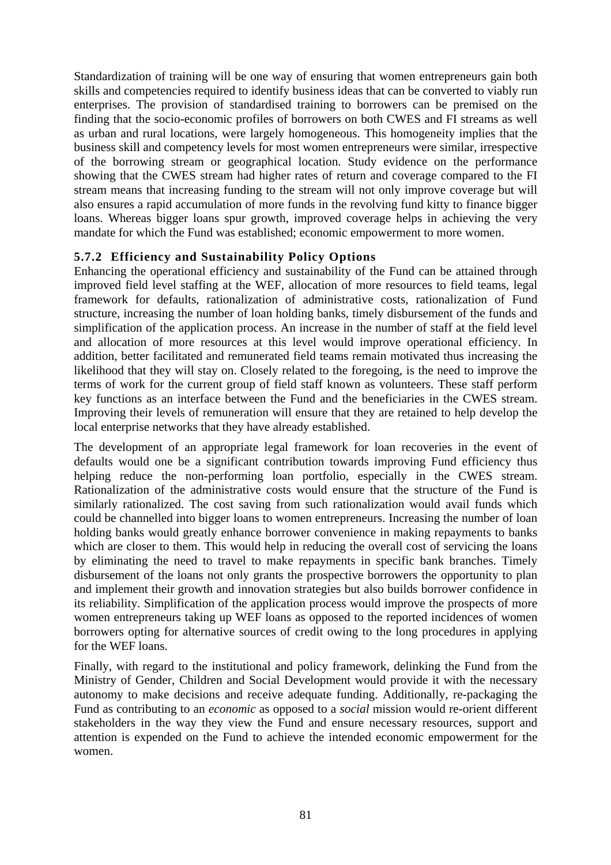Standardization of training will be one way of ensuring that women entrepreneurs gain both skills and competencies required to identify business ideas that can be converted to viably run enterprises. The provision of standardised training to borrowers can be premised on the finding that the socio-economic profiles of borrowers on both CWES and FI streams as well as urban and rural locations, were largely homogeneous. This homogeneity implies that the business skill and competency levels for most women entrepreneurs were similar, irrespective of the borrowing stream or geographical location. Study evidence on the performance showing that the CWES stream had higher rates of return and coverage compared to the FI stream means that increasing funding to the stream will not only improve coverage but will also ensures a rapid accumulation of more funds in the revolving fund kitty to finance bigger loans. Whereas bigger loans spur growth, improved coverage helps in achieving the very mandate for which the Fund was established; economic empowerment to more women.

## **5.7.2 Efficiency and Sustainability Policy Options**

Enhancing the operational efficiency and sustainability of the Fund can be attained through improved field level staffing at the WEF, allocation of more resources to field teams, legal framework for defaults, rationalization of administrative costs, rationalization of Fund structure, increasing the number of loan holding banks, timely disbursement of the funds and simplification of the application process. An increase in the number of staff at the field level and allocation of more resources at this level would improve operational efficiency. In addition, better facilitated and remunerated field teams remain motivated thus increasing the likelihood that they will stay on. Closely related to the foregoing, is the need to improve the terms of work for the current group of field staff known as volunteers. These staff perform key functions as an interface between the Fund and the beneficiaries in the CWES stream. Improving their levels of remuneration will ensure that they are retained to help develop the local enterprise networks that they have already established.

The development of an appropriate legal framework for loan recoveries in the event of defaults would one be a significant contribution towards improving Fund efficiency thus helping reduce the non-performing loan portfolio, especially in the CWES stream. Rationalization of the administrative costs would ensure that the structure of the Fund is similarly rationalized. The cost saving from such rationalization would avail funds which could be channelled into bigger loans to women entrepreneurs. Increasing the number of loan holding banks would greatly enhance borrower convenience in making repayments to banks which are closer to them. This would help in reducing the overall cost of servicing the loans by eliminating the need to travel to make repayments in specific bank branches. Timely disbursement of the loans not only grants the prospective borrowers the opportunity to plan and implement their growth and innovation strategies but also builds borrower confidence in its reliability. Simplification of the application process would improve the prospects of more women entrepreneurs taking up WEF loans as opposed to the reported incidences of women borrowers opting for alternative sources of credit owing to the long procedures in applying for the WEF loans.

Finally, with regard to the institutional and policy framework, delinking the Fund from the Ministry of Gender, Children and Social Development would provide it with the necessary autonomy to make decisions and receive adequate funding. Additionally, re-packaging the Fund as contributing to an *economic* as opposed to a *social* mission would re-orient different stakeholders in the way they view the Fund and ensure necessary resources, support and attention is expended on the Fund to achieve the intended economic empowerment for the women.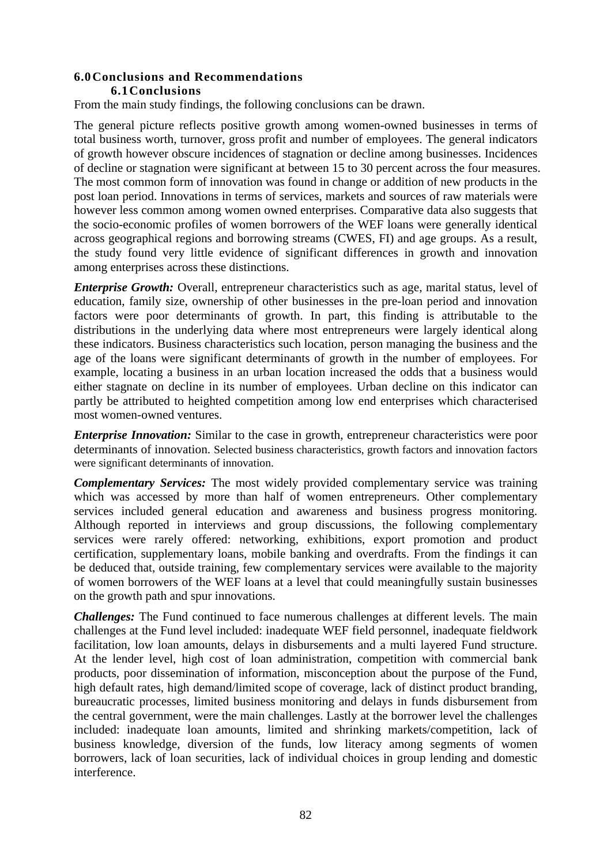## **6.0Conclusions and Recommendations 6.1Conclusions**

From the main study findings, the following conclusions can be drawn.

The general picture reflects positive growth among women-owned businesses in terms of total business worth, turnover, gross profit and number of employees. The general indicators of growth however obscure incidences of stagnation or decline among businesses. Incidences of decline or stagnation were significant at between 15 to 30 percent across the four measures. The most common form of innovation was found in change or addition of new products in the post loan period. Innovations in terms of services, markets and sources of raw materials were however less common among women owned enterprises. Comparative data also suggests that the socio-economic profiles of women borrowers of the WEF loans were generally identical across geographical regions and borrowing streams (CWES, FI) and age groups. As a result, the study found very little evidence of significant differences in growth and innovation among enterprises across these distinctions.

*Enterprise Growth:* Overall, entrepreneur characteristics such as age, marital status, level of education, family size, ownership of other businesses in the pre-loan period and innovation factors were poor determinants of growth. In part, this finding is attributable to the distributions in the underlying data where most entrepreneurs were largely identical along these indicators. Business characteristics such location, person managing the business and the age of the loans were significant determinants of growth in the number of employees. For example, locating a business in an urban location increased the odds that a business would either stagnate on decline in its number of employees. Urban decline on this indicator can partly be attributed to heighted competition among low end enterprises which characterised most women-owned ventures.

*Enterprise Innovation:* Similar to the case in growth, entrepreneur characteristics were poor determinants of innovation. Selected business characteristics, growth factors and innovation factors were significant determinants of innovation.

*Complementary Services:* The most widely provided complementary service was training which was accessed by more than half of women entrepreneurs. Other complementary services included general education and awareness and business progress monitoring. Although reported in interviews and group discussions, the following complementary services were rarely offered: networking, exhibitions, export promotion and product certification, supplementary loans, mobile banking and overdrafts. From the findings it can be deduced that, outside training, few complementary services were available to the majority of women borrowers of the WEF loans at a level that could meaningfully sustain businesses on the growth path and spur innovations.

*Challenges:* The Fund continued to face numerous challenges at different levels. The main challenges at the Fund level included: inadequate WEF field personnel, inadequate fieldwork facilitation, low loan amounts, delays in disbursements and a multi layered Fund structure. At the lender level, high cost of loan administration, competition with commercial bank products, poor dissemination of information, misconception about the purpose of the Fund, high default rates, high demand/limited scope of coverage, lack of distinct product branding, bureaucratic processes, limited business monitoring and delays in funds disbursement from the central government, were the main challenges. Lastly at the borrower level the challenges included: inadequate loan amounts, limited and shrinking markets/competition, lack of business knowledge, diversion of the funds, low literacy among segments of women borrowers, lack of loan securities, lack of individual choices in group lending and domestic interference.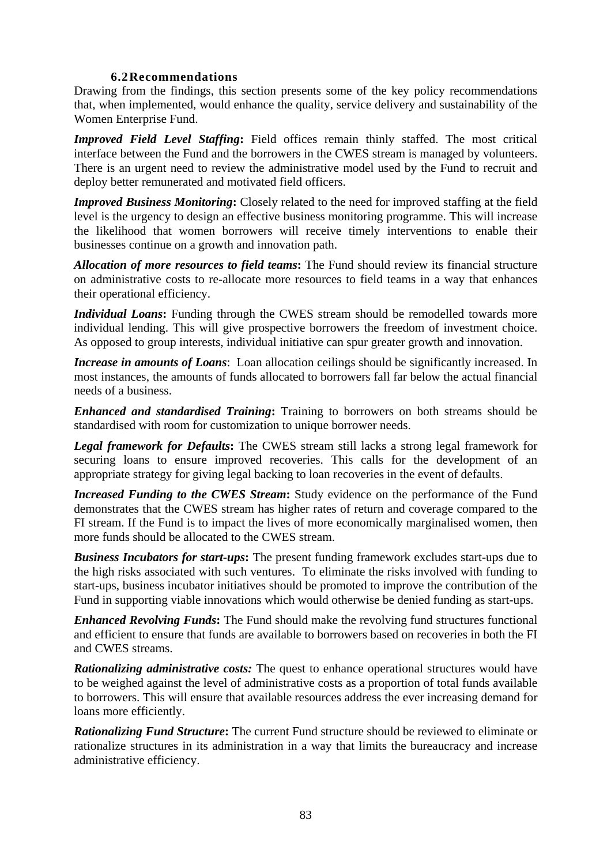## **6.2Recommendations**

Drawing from the findings, this section presents some of the key policy recommendations that, when implemented, would enhance the quality, service delivery and sustainability of the Women Enterprise Fund.

*Improved Field Level Staffing***:** Field offices remain thinly staffed. The most critical interface between the Fund and the borrowers in the CWES stream is managed by volunteers. There is an urgent need to review the administrative model used by the Fund to recruit and deploy better remunerated and motivated field officers.

*Improved Business Monitoring***:** Closely related to the need for improved staffing at the field level is the urgency to design an effective business monitoring programme. This will increase the likelihood that women borrowers will receive timely interventions to enable their businesses continue on a growth and innovation path.

*Allocation of more resources to field teams***:** The Fund should review its financial structure on administrative costs to re-allocate more resources to field teams in a way that enhances their operational efficiency.

*Individual Loans*: Funding through the CWES stream should be remodelled towards more individual lending. This will give prospective borrowers the freedom of investment choice. As opposed to group interests, individual initiative can spur greater growth and innovation.

*Increase in amounts of Loans*: Loan allocation ceilings should be significantly increased. In most instances, the amounts of funds allocated to borrowers fall far below the actual financial needs of a business.

*Enhanced and standardised Training***:** Training to borrowers on both streams should be standardised with room for customization to unique borrower needs.

*Legal framework for Defaults***:** The CWES stream still lacks a strong legal framework for securing loans to ensure improved recoveries. This calls for the development of an appropriate strategy for giving legal backing to loan recoveries in the event of defaults.

*Increased Funding to the CWES Stream***:** Study evidence on the performance of the Fund demonstrates that the CWES stream has higher rates of return and coverage compared to the FI stream. If the Fund is to impact the lives of more economically marginalised women, then more funds should be allocated to the CWES stream.

*Business Incubators for start-ups***:** The present funding framework excludes start-ups due to the high risks associated with such ventures. To eliminate the risks involved with funding to start-ups, business incubator initiatives should be promoted to improve the contribution of the Fund in supporting viable innovations which would otherwise be denied funding as start-ups.

*Enhanced Revolving Funds***:** The Fund should make the revolving fund structures functional and efficient to ensure that funds are available to borrowers based on recoveries in both the FI and CWES streams.

*Rationalizing administrative costs:* The quest to enhance operational structures would have to be weighed against the level of administrative costs as a proportion of total funds available to borrowers. This will ensure that available resources address the ever increasing demand for loans more efficiently.

*Rationalizing Fund Structure***:** The current Fund structure should be reviewed to eliminate or rationalize structures in its administration in a way that limits the bureaucracy and increase administrative efficiency.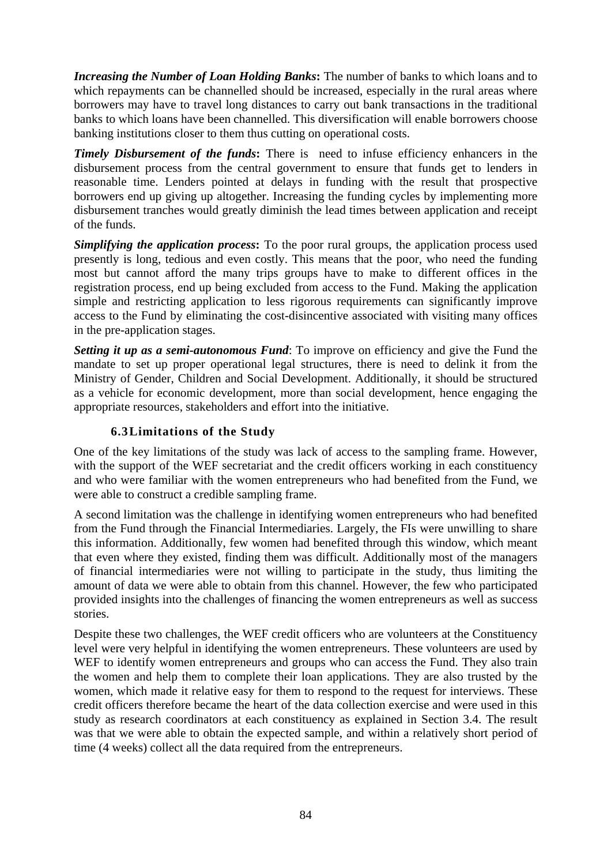*Increasing the Number of Loan Holding Banks***:** The number of banks to which loans and to which repayments can be channelled should be increased, especially in the rural areas where borrowers may have to travel long distances to carry out bank transactions in the traditional banks to which loans have been channelled. This diversification will enable borrowers choose banking institutions closer to them thus cutting on operational costs.

*Timely Disbursement of the funds*: There is need to infuse efficiency enhancers in the disbursement process from the central government to ensure that funds get to lenders in reasonable time. Lenders pointed at delays in funding with the result that prospective borrowers end up giving up altogether. Increasing the funding cycles by implementing more disbursement tranches would greatly diminish the lead times between application and receipt of the funds.

*Simplifying the application process*: To the poor rural groups, the application process used presently is long, tedious and even costly. This means that the poor, who need the funding most but cannot afford the many trips groups have to make to different offices in the registration process, end up being excluded from access to the Fund. Making the application simple and restricting application to less rigorous requirements can significantly improve access to the Fund by eliminating the cost-disincentive associated with visiting many offices in the pre-application stages.

*Setting it up as a semi-autonomous Fund*: To improve on efficiency and give the Fund the mandate to set up proper operational legal structures, there is need to delink it from the Ministry of Gender, Children and Social Development. Additionally, it should be structured as a vehicle for economic development, more than social development, hence engaging the appropriate resources, stakeholders and effort into the initiative.

## **6.3Limitations of the Study**

One of the key limitations of the study was lack of access to the sampling frame. However, with the support of the WEF secretariat and the credit officers working in each constituency and who were familiar with the women entrepreneurs who had benefited from the Fund, we were able to construct a credible sampling frame.

A second limitation was the challenge in identifying women entrepreneurs who had benefited from the Fund through the Financial Intermediaries. Largely, the FIs were unwilling to share this information. Additionally, few women had benefited through this window, which meant that even where they existed, finding them was difficult. Additionally most of the managers of financial intermediaries were not willing to participate in the study, thus limiting the amount of data we were able to obtain from this channel. However, the few who participated provided insights into the challenges of financing the women entrepreneurs as well as success stories.

Despite these two challenges, the WEF credit officers who are volunteers at the Constituency level were very helpful in identifying the women entrepreneurs. These volunteers are used by WEF to identify women entrepreneurs and groups who can access the Fund. They also train the women and help them to complete their loan applications. They are also trusted by the women, which made it relative easy for them to respond to the request for interviews. These credit officers therefore became the heart of the data collection exercise and were used in this study as research coordinators at each constituency as explained in Section 3.4. The result was that we were able to obtain the expected sample, and within a relatively short period of time (4 weeks) collect all the data required from the entrepreneurs.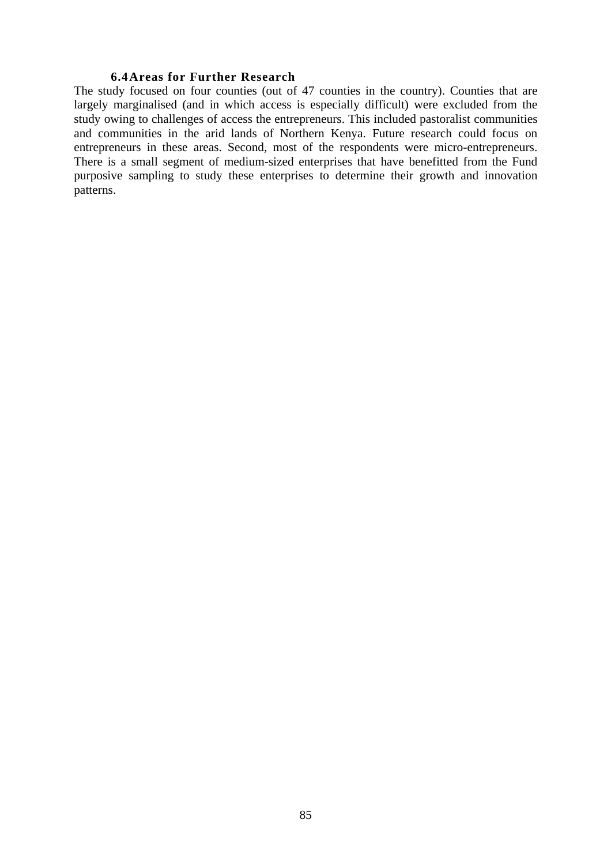#### **6.4Areas for Further Research**

The study focused on four counties (out of 47 counties in the country). Counties that are largely marginalised (and in which access is especially difficult) were excluded from the study owing to challenges of access the entrepreneurs. This included pastoralist communities and communities in the arid lands of Northern Kenya. Future research could focus on entrepreneurs in these areas. Second, most of the respondents were micro-entrepreneurs. There is a small segment of medium-sized enterprises that have benefitted from the Fund purposive sampling to study these enterprises to determine their growth and innovation patterns.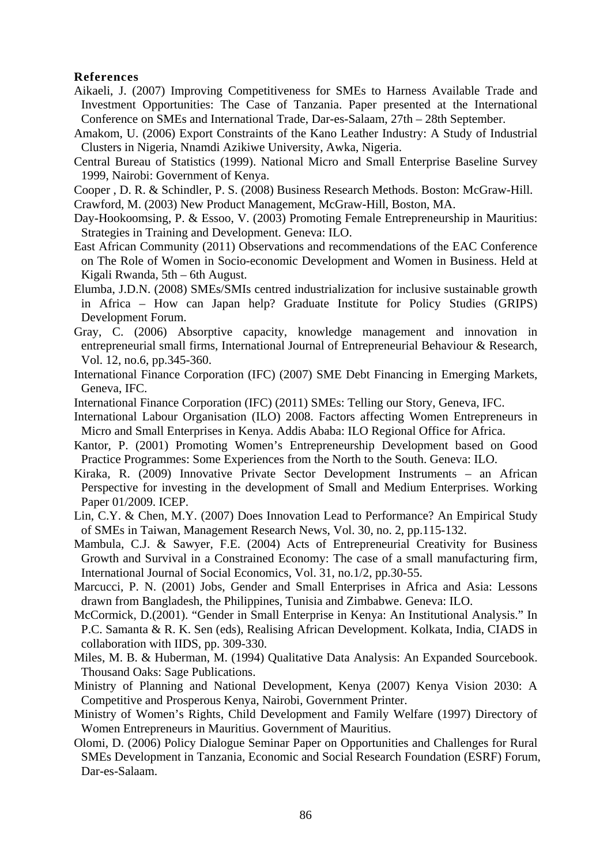#### **References**

- Aikaeli, J. (2007) Improving Competitiveness for SMEs to Harness Available Trade and Investment Opportunities: The Case of Tanzania. Paper presented at the International Conference on SMEs and International Trade, Dar-es-Salaam, 27th – 28th September.
- Amakom, U. (2006) Export Constraints of the Kano Leather Industry: A Study of Industrial Clusters in Nigeria, Nnamdi Azikiwe University, Awka, Nigeria.
- Central Bureau of Statistics (1999). National Micro and Small Enterprise Baseline Survey 1999, Nairobi: Government of Kenya.
- Cooper , D. R. & Schindler, P. S. (2008) Business Research Methods. Boston: McGraw-Hill.
- Crawford, M. (2003) New Product Management, McGraw-Hill, Boston, MA.
- Day-Hookoomsing, P. & Essoo, V. (2003) Promoting Female Entrepreneurship in Mauritius: Strategies in Training and Development. Geneva: ILO.
- East African Community (2011) Observations and recommendations of the EAC Conference on The Role of Women in Socio-economic Development and Women in Business. Held at Kigali Rwanda, 5th – 6th August.
- Elumba, J.D.N. (2008) SMEs/SMIs centred industrialization for inclusive sustainable growth in Africa – How can Japan help? Graduate Institute for Policy Studies (GRIPS) Development Forum.
- Gray, C. (2006) Absorptive capacity, knowledge management and innovation in entrepreneurial small firms, International Journal of Entrepreneurial Behaviour & Research, Vol. 12, no.6, pp.345-360.
- International Finance Corporation (IFC) (2007) SME Debt Financing in Emerging Markets, Geneva, IFC.
- International Finance Corporation (IFC) (2011) SMEs: Telling our Story, Geneva, IFC.
- International Labour Organisation (ILO) 2008. Factors affecting Women Entrepreneurs in Micro and Small Enterprises in Kenya. Addis Ababa: ILO Regional Office for Africa.
- Kantor, P. (2001) Promoting Women's Entrepreneurship Development based on Good Practice Programmes: Some Experiences from the North to the South. Geneva: ILO.
- Kiraka, R. (2009) Innovative Private Sector Development Instruments an African Perspective for investing in the development of Small and Medium Enterprises. Working Paper 01/2009. ICEP.
- Lin, C.Y. & Chen, M.Y. (2007) Does Innovation Lead to Performance? An Empirical Study of SMEs in Taiwan, Management Research News, Vol. 30, no. 2, pp.115-132.
- Mambula, C.J. & Sawyer, F.E. (2004) Acts of Entrepreneurial Creativity for Business Growth and Survival in a Constrained Economy: The case of a small manufacturing firm, International Journal of Social Economics, Vol. 31, no.1/2, pp.30-55.
- Marcucci, P. N. (2001) Jobs, Gender and Small Enterprises in Africa and Asia: Lessons drawn from Bangladesh, the Philippines, Tunisia and Zimbabwe. Geneva: ILO.
- McCormick, D.(2001). "Gender in Small Enterprise in Kenya: An Institutional Analysis." In P.C. Samanta & R. K. Sen (eds), Realising African Development. Kolkata, India, CIADS in collaboration with IIDS, pp. 309-330.
- Miles, M. B. & Huberman, M. (1994) Qualitative Data Analysis: An Expanded Sourcebook. Thousand Oaks: Sage Publications.
- Ministry of Planning and National Development, Kenya (2007) Kenya Vision 2030: A Competitive and Prosperous Kenya, Nairobi, Government Printer.
- Ministry of Women's Rights, Child Development and Family Welfare (1997) Directory of Women Entrepreneurs in Mauritius. Government of Mauritius.
- Olomi, D. (2006) Policy Dialogue Seminar Paper on Opportunities and Challenges for Rural SMEs Development in Tanzania, Economic and Social Research Foundation (ESRF) Forum, Dar-es-Salaam.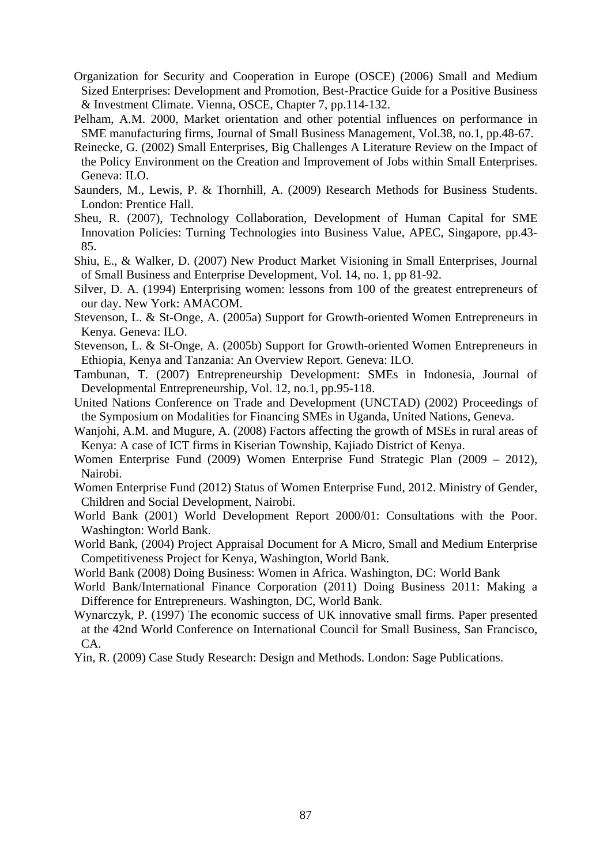- Organization for Security and Cooperation in Europe (OSCE) (2006) Small and Medium Sized Enterprises: Development and Promotion, Best-Practice Guide for a Positive Business & Investment Climate. Vienna, OSCE, Chapter 7, pp.114-132.
- Pelham, A.M. 2000, Market orientation and other potential influences on performance in SME manufacturing firms, Journal of Small Business Management, Vol.38, no.1, pp.48-67.
- Reinecke, G. (2002) Small Enterprises, Big Challenges A Literature Review on the Impact of the Policy Environment on the Creation and Improvement of Jobs within Small Enterprises. Geneva: ILO.
- Saunders, M., Lewis, P. & Thornhill, A. (2009) Research Methods for Business Students. London: Prentice Hall.
- Sheu, R. (2007), Technology Collaboration, Development of Human Capital for SME Innovation Policies: Turning Technologies into Business Value, APEC, Singapore, pp.43- 85.
- Shiu, E., & Walker, D. (2007) New Product Market Visioning in Small Enterprises, Journal of Small Business and Enterprise Development, Vol. 14, no. 1, pp 81-92.
- Silver, D. A. (1994) Enterprising women: lessons from 100 of the greatest entrepreneurs of our day. New York: AMACOM.
- Stevenson, L. & St-Onge, A. (2005a) Support for Growth-oriented Women Entrepreneurs in Kenya. Geneva: ILO.
- Stevenson, L. & St-Onge, A. (2005b) Support for Growth-oriented Women Entrepreneurs in Ethiopia, Kenya and Tanzania: An Overview Report. Geneva: ILO.
- Tambunan, T. (2007) Entrepreneurship Development: SMEs in Indonesia, Journal of Developmental Entrepreneurship, Vol. 12, no.1, pp.95-118.
- United Nations Conference on Trade and Development (UNCTAD) (2002) Proceedings of the Symposium on Modalities for Financing SMEs in Uganda, United Nations, Geneva.
- Wanjohi, A.M. and Mugure, A. (2008) Factors affecting the growth of MSEs in rural areas of Kenya: A case of ICT firms in Kiserian Township, Kajiado District of Kenya.
- Women Enterprise Fund (2009) Women Enterprise Fund Strategic Plan (2009 2012), Nairobi.
- Women Enterprise Fund (2012) Status of Women Enterprise Fund, 2012. Ministry of Gender, Children and Social Development, Nairobi.
- World Bank (2001) World Development Report 2000/01: Consultations with the Poor. Washington: World Bank.
- World Bank, (2004) Project Appraisal Document for A Micro, Small and Medium Enterprise Competitiveness Project for Kenya, Washington, World Bank.
- World Bank (2008) Doing Business: Women in Africa. Washington, DC: World Bank
- World Bank/International Finance Corporation (2011) Doing Business 2011: Making a Difference for Entrepreneurs. Washington, DC, World Bank.
- Wynarczyk, P. (1997) The economic success of UK innovative small firms. Paper presented at the 42nd World Conference on International Council for Small Business, San Francisco, CA.
- Yin, R. (2009) Case Study Research: Design and Methods. London: Sage Publications.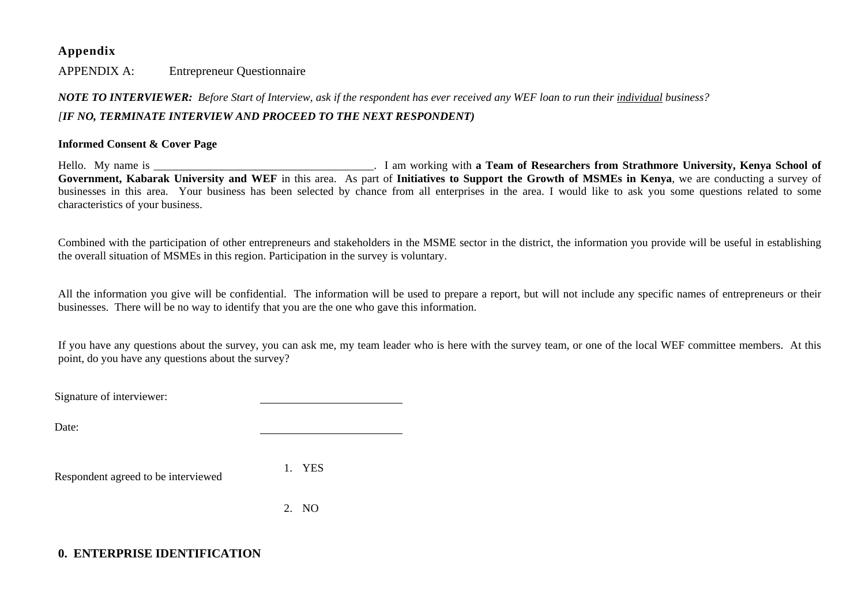#### **Appendix**

APPENDIX A: Entrepreneur Questionnaire

## *NOTE TO INTERVIEWER: Before Start of Interview, ask if the respondent has ever received any WEF loan to run their individual business? [IF NO, TERMINATE INTERVIEW AND PROCEED TO THE NEXT RESPONDENT)*

#### **Informed Consent & Cover Page**

Hello. My name is \_\_\_\_\_\_\_\_\_\_\_\_\_\_\_\_\_\_\_\_\_\_\_\_\_\_\_\_\_\_\_\_\_\_\_\_\_\_\_. I am working with **a Team of Researchers from Strathmore University, Kenya School of Government, Kabarak University and WEF** in this area. As part of **Initiatives to Support the Growth of MSMEs in Kenya**, we are conducting a survey of businesses in this area. Your business has been selected by chance from all enterprises in the area. I would like to ask you some questions related to some characteristics of your business.

Combined with the participation of other entrepreneurs and stakeholders in the MSME sector in the district, the information you provide will be useful in establishing the overall situation of MSMEs in this region. Participation in the survey is voluntary.

All the information you give will be confidential. The information will be used to prepare a report, but will not include any specific names of entrepreneurs or their businesses. There will be no way to identify that you are the one who gave this information.

If you have any questions about the survey, you can ask me, my team leader who is here with the survey team, or one of the local WEF committee members. At this point, do you have any questions about the survey?

Signature of interviewer:

Date:

Respondent agreed to be interviewed

1. YES

2. NO

## **0. ENTERPRISE IDENTIFICATION**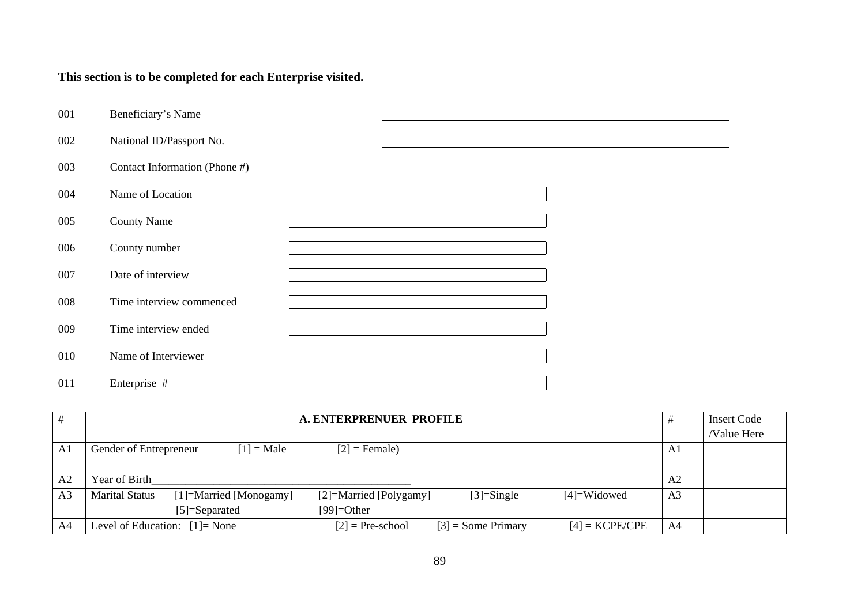# **This section is to be completed for each Enterprise visited.**

| 001 | Beneficiary's Name            |  |  |
|-----|-------------------------------|--|--|
| 002 | National ID/Passport No.      |  |  |
| 003 | Contact Information (Phone #) |  |  |
| 004 | Name of Location              |  |  |
| 005 | <b>County Name</b>            |  |  |
| 006 | County number                 |  |  |
| 007 | Date of interview             |  |  |
| 008 | Time interview commenced      |  |  |
| 009 | Time interview ended          |  |  |
| 010 | Name of Interviewer           |  |  |
| 011 | Enterprise #                  |  |  |

|                | A. ENTERPRENUER PROFILE                                                                                      |                | <b>Insert Code</b> |
|----------------|--------------------------------------------------------------------------------------------------------------|----------------|--------------------|
|                |                                                                                                              |                | <b>Value Here</b>  |
| A <sub>1</sub> | $[1]$ = Male<br>$[2]$ = Female)<br>Gender of Entrepreneur                                                    | A1             |                    |
|                |                                                                                                              |                |                    |
| A <sub>2</sub> | Year of Birth                                                                                                | A <sub>2</sub> |                    |
| A <sub>3</sub> | <b>Marital Status</b><br>[1]=Married [Monogamy]<br>[2]=Married [Polygamy]<br>$[3]$ =Single<br>$[4]$ =Widowed | A <sub>3</sub> |                    |
|                | $[5]$ =Separated<br>$[99] = Other$                                                                           |                |                    |
| A4             | $[4]$ = KCPE/CPE<br>$[3]$ = Some Primary<br>Level of Education: $[1]$ = None<br>$[2]$ = Pre-school           | A4             |                    |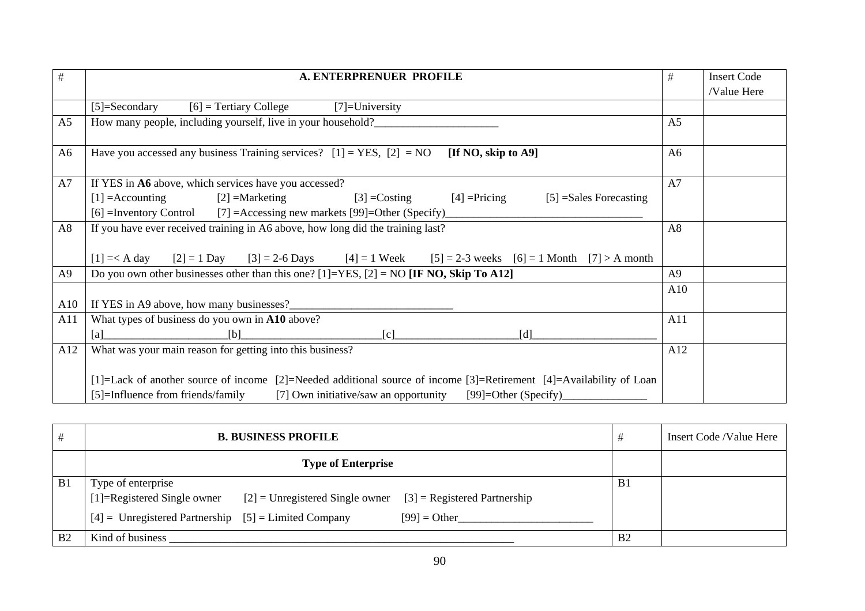| $\#$           | A. ENTERPRENUER PROFILE                                                                                                                                                                                                | #              | <b>Insert Code</b> |
|----------------|------------------------------------------------------------------------------------------------------------------------------------------------------------------------------------------------------------------------|----------------|--------------------|
|                |                                                                                                                                                                                                                        |                | /Value Here        |
|                | $[5]$ =Secondary<br>$[6]$ = Tertiary College<br>$[7]$ =University                                                                                                                                                      |                |                    |
| A <sub>5</sub> | How many people, including yourself, live in your household?                                                                                                                                                           | A <sub>5</sub> |                    |
| A <sub>6</sub> | Have you accessed any business Training services? $[1] = \text{YES}, [2] = \text{NO}$<br>[If NO, skip to $A9$ ]                                                                                                        | A6             |                    |
| A7             | If YES in A6 above, which services have you accessed?                                                                                                                                                                  | A7             |                    |
|                | $[2]$ =Marketing<br>$[1] =$ Accounting<br>$[3] = Costing$<br>$[4]$ = Pricing<br>$[5]$ =Sales Forecasting                                                                                                               |                |                    |
|                | [6] =Inventory Control [7] =Accessing new markets [99]=Other (Specify)                                                                                                                                                 |                |                    |
| A8             | If you have ever received training in A6 above, how long did the training last?                                                                                                                                        | A8             |                    |
|                | $[2] = 1$ Day $[3] = 2-6$ Days $[4] = 1$ Week $[5] = 2-3$ weeks $[6] = 1$ Month $[7] > A$ month<br>$[1] = < A$ day                                                                                                     |                |                    |
| A9             | Do you own other businesses other than this one? [1]=YES, [2] = NO [IF NO, Skip To A12]                                                                                                                                | A9             |                    |
|                |                                                                                                                                                                                                                        | A10            |                    |
| A10            | If YES in A9 above, how many businesses?                                                                                                                                                                               |                |                    |
| A11            | What types of business do you own in A10 above?                                                                                                                                                                        | A11            |                    |
|                | [b]<br>[c]<br>[d]<br>[a]                                                                                                                                                                                               |                |                    |
| A12            | What was your main reason for getting into this business?                                                                                                                                                              | A12            |                    |
|                | [1]=Lack of another source of income [2]=Needed additional source of income [3]=Retirement [4]=Availability of Loan<br>[5]=Influence from friends/family<br>[7] Own initiative/saw an opportunity [99]=Other (Specify) |                |                    |

| #              | <b>B. BUSINESS PROFILE</b>                                                                   | #              | Insert Code /Value Here |
|----------------|----------------------------------------------------------------------------------------------|----------------|-------------------------|
|                | <b>Type of Enterprise</b>                                                                    |                |                         |
| B1             | Type of enterprise                                                                           | B <sub>1</sub> |                         |
|                | [1]=Registered Single owner $[2]$ = Unregistered Single owner $[3]$ = Registered Partnership |                |                         |
|                | $[4]$ = Unregistered Partnership $[5]$ = Limited Company<br>$[99] = Other$                   |                |                         |
| B <sub>2</sub> | Kind of business                                                                             | B <sub>2</sub> |                         |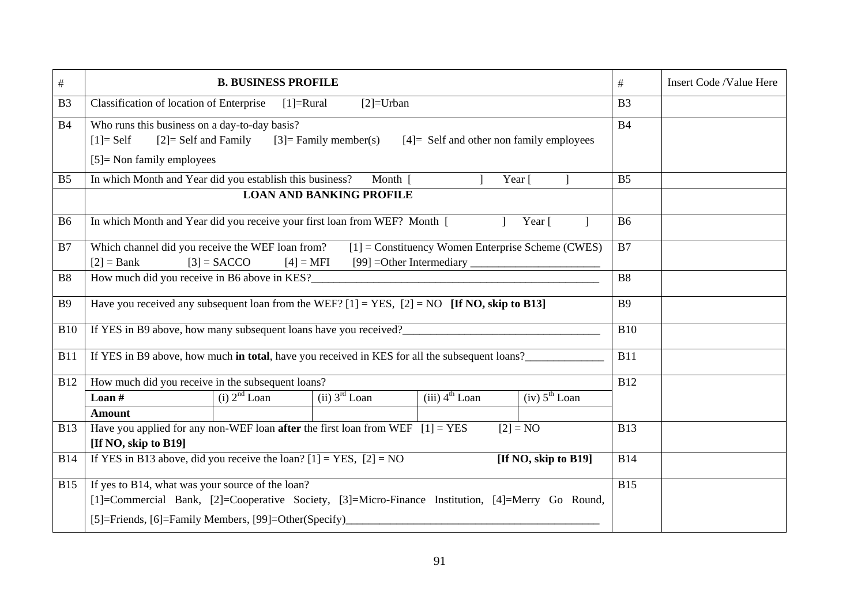| $\#$           |                                                                                                                                                                                                               | <b>B. BUSINESS PROFILE</b>                                                                                                                          |                                 |                              |                           |                |  |  |  |  |
|----------------|---------------------------------------------------------------------------------------------------------------------------------------------------------------------------------------------------------------|-----------------------------------------------------------------------------------------------------------------------------------------------------|---------------------------------|------------------------------|---------------------------|----------------|--|--|--|--|
| B <sub>3</sub> |                                                                                                                                                                                                               | Classification of location of Enterprise<br>$[1] = Rural$<br>$[2]$ =Urban                                                                           |                                 |                              |                           |                |  |  |  |  |
| <b>B4</b>      | $[1]$ = Self<br>$[5]$ = Non family employees                                                                                                                                                                  | Who runs this business on a day-to-day basis?<br>$[2]$ = Self and Family<br>$[3]$ = Family member(s)<br>$[4]$ = Self and other non family employees |                                 |                              |                           |                |  |  |  |  |
| B <sub>5</sub> | In which Month and Year did you establish this business?                                                                                                                                                      |                                                                                                                                                     | Month $\lceil$                  |                              | Year [                    | B <sub>5</sub> |  |  |  |  |
|                |                                                                                                                                                                                                               |                                                                                                                                                     | <b>LOAN AND BANKING PROFILE</b> |                              |                           |                |  |  |  |  |
| <b>B6</b>      | In which Month and Year did you receive your first loan from WEF? Month [                                                                                                                                     |                                                                                                                                                     |                                 |                              | Year [                    | <b>B6</b>      |  |  |  |  |
| B7             | Which channel did you receive the WEF loan from?<br>$[1]$ = Constituency Women Enterprise Scheme (CWES)<br>$[2] = Bank$<br>$[3]$ = SACCO<br>$[4] = MFI$                                                       |                                                                                                                                                     |                                 |                              |                           |                |  |  |  |  |
| <b>B8</b>      |                                                                                                                                                                                                               |                                                                                                                                                     |                                 |                              |                           | <b>B8</b>      |  |  |  |  |
| <b>B9</b>      | Have you received any subsequent loan from the WEF? $[1] = \text{YES}, [2] = \text{NO}$ [If NO, skip to B13]                                                                                                  |                                                                                                                                                     |                                 |                              |                           | <b>B9</b>      |  |  |  |  |
| <b>B10</b>     | If YES in B9 above, how many subsequent loans have you received?                                                                                                                                              |                                                                                                                                                     |                                 |                              |                           | <b>B10</b>     |  |  |  |  |
| <b>B11</b>     | If YES in B9 above, how much in total, have you received in KES for all the subsequent loans?                                                                                                                 |                                                                                                                                                     |                                 |                              |                           | <b>B11</b>     |  |  |  |  |
| <b>B12</b>     | How much did you receive in the subsequent loans?                                                                                                                                                             |                                                                                                                                                     |                                 |                              |                           | <b>B12</b>     |  |  |  |  |
|                | Loan $#$                                                                                                                                                                                                      | $(i)$ $2nd$ Loan                                                                                                                                    | (ii) 3 <sup>rd</sup> Loan       | $(iii)$ 4 <sup>th</sup> Loan | (iv) 5 <sup>th</sup> Loan |                |  |  |  |  |
|                | <b>Amount</b>                                                                                                                                                                                                 |                                                                                                                                                     |                                 |                              |                           | <b>B13</b>     |  |  |  |  |
| <b>B13</b>     | Have you applied for any non-WEF loan <b>after</b> the first loan from WEF $[1] = \text{YES}$<br>$[2] = NO$<br>[If NO, skip to B19]                                                                           |                                                                                                                                                     |                                 |                              |                           |                |  |  |  |  |
| <b>B14</b>     | If YES in B13 above, did you receive the loan? $[1] = \overline{YES}$ , $[2] = \overline{NO}$<br>[If NO, skip to B19]                                                                                         |                                                                                                                                                     |                                 |                              |                           |                |  |  |  |  |
| <b>B15</b>     | If yes to B14, what was your source of the loan?<br>[1]=Commercial Bank, [2]=Cooperative Society, [3]=Micro-Finance Institution, [4]=Merry Go Round,<br>[5]=Friends, [6]=Family Members, [99]=Other(Specify)_ |                                                                                                                                                     |                                 |                              |                           |                |  |  |  |  |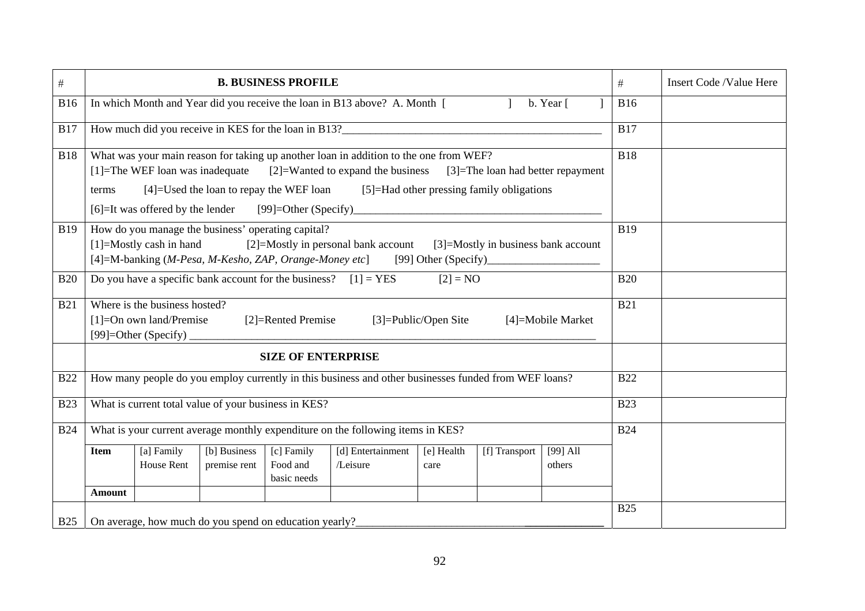| $\#$       |                                                                                                                                                                                                                                                                     |                                                              |                                                        | <b>B. BUSINESS PROFILE</b>            |                                                                                                                                                                                                                                                                                                     |                    |               |                      | #          | Insert Code /Value Here |
|------------|---------------------------------------------------------------------------------------------------------------------------------------------------------------------------------------------------------------------------------------------------------------------|--------------------------------------------------------------|--------------------------------------------------------|---------------------------------------|-----------------------------------------------------------------------------------------------------------------------------------------------------------------------------------------------------------------------------------------------------------------------------------------------------|--------------------|---------------|----------------------|------------|-------------------------|
| <b>B16</b> |                                                                                                                                                                                                                                                                     |                                                              |                                                        |                                       | In which Month and Year did you receive the loan in B13 above? A. Month [                                                                                                                                                                                                                           |                    |               | b. Year [            | <b>B16</b> |                         |
| <b>B17</b> |                                                                                                                                                                                                                                                                     |                                                              |                                                        |                                       | How much did you receive in KES for the loan in B13?<br><u>Example 2014</u>                                                                                                                                                                                                                         |                    |               |                      | <b>B17</b> |                         |
| <b>B18</b> | terms                                                                                                                                                                                                                                                               | $[1]$ =The WEF loan was inadequate                           | [4]=Used the loan to repay the WEF loan                |                                       | What was your main reason for taking up another loan in addition to the one from WEF?<br>$[2]$ =Wanted to expand the business $[3]$ =The loan had better repayment<br>[5]=Had other pressing family obligations<br>[6] -It was offered by the lender [99] -Other (Specify) ________________________ |                    |               |                      | <b>B18</b> |                         |
| <b>B19</b> | How do you manage the business' operating capital?<br>$[1]$ =Mostly cash in hand<br>[2]=Mostly in personal bank account [3]=Mostly in business bank account<br>[4]=M-banking (M-Pesa, M-Kesho, ZAP, Orange-Money etc] [99] Other (Specify)_________________________ |                                                              |                                                        |                                       |                                                                                                                                                                                                                                                                                                     |                    |               |                      | <b>B19</b> |                         |
| <b>B20</b> |                                                                                                                                                                                                                                                                     |                                                              |                                                        |                                       | Do you have a specific bank account for the business? $[1] = \text{YES}$                                                                                                                                                                                                                            | $[2] = NO$         |               |                      | <b>B20</b> |                         |
| <b>B21</b> |                                                                                                                                                                                                                                                                     | Where is the business hosted?<br>$[1] = On own land/Premise$ |                                                        | [2]=Rented Premise                    | [3]=Public/Open Site                                                                                                                                                                                                                                                                                |                    |               | [4]=Mobile Market    | <b>B21</b> |                         |
|            |                                                                                                                                                                                                                                                                     |                                                              |                                                        | <b>SIZE OF ENTERPRISE</b>             |                                                                                                                                                                                                                                                                                                     |                    |               |                      |            |                         |
| <b>B22</b> |                                                                                                                                                                                                                                                                     |                                                              |                                                        |                                       | How many people do you employ currently in this business and other businesses funded from WEF loans?                                                                                                                                                                                                |                    |               |                      | <b>B22</b> |                         |
| <b>B23</b> |                                                                                                                                                                                                                                                                     |                                                              | What is current total value of your business in KES?   |                                       |                                                                                                                                                                                                                                                                                                     |                    |               |                      | <b>B23</b> |                         |
| <b>B24</b> | What is your current average monthly expenditure on the following items in KES?                                                                                                                                                                                     |                                                              |                                                        |                                       |                                                                                                                                                                                                                                                                                                     |                    | <b>B24</b>    |                      |            |                         |
|            | <b>Item</b><br><b>Amount</b>                                                                                                                                                                                                                                        | [a] Family<br>House Rent                                     | [b] Business<br>premise rent                           | [c] Family<br>Food and<br>basic needs | [d] Entertainment<br>/Leisure                                                                                                                                                                                                                                                                       | [e] Health<br>care | [f] Transport | $[99]$ All<br>others |            |                         |
| <b>B25</b> |                                                                                                                                                                                                                                                                     |                                                              | On average, how much do you spend on education yearly? |                                       |                                                                                                                                                                                                                                                                                                     |                    |               |                      | <b>B25</b> |                         |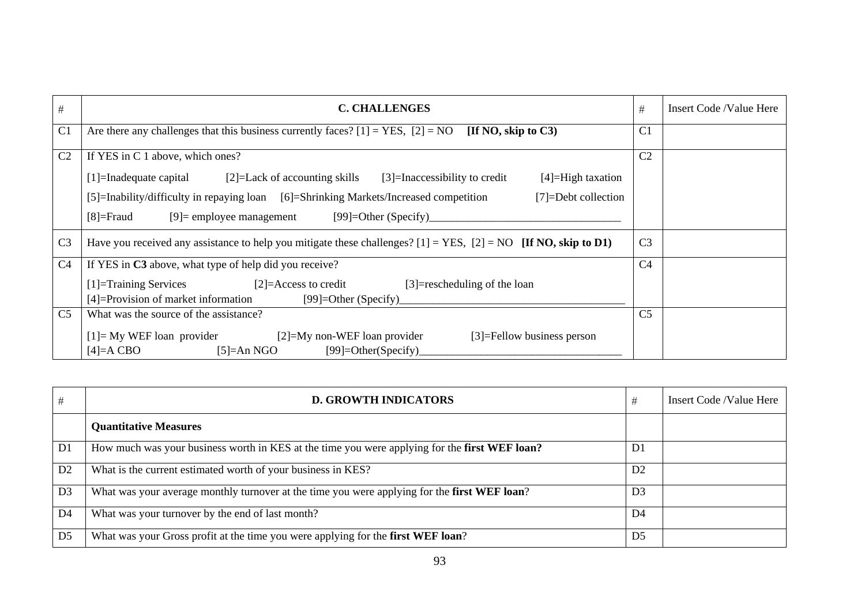| $\#$           | <b>C. CHALLENGES</b>                                                                                                                                                                                                                                                                                                                                   | #              | Insert Code /Value Here |
|----------------|--------------------------------------------------------------------------------------------------------------------------------------------------------------------------------------------------------------------------------------------------------------------------------------------------------------------------------------------------------|----------------|-------------------------|
| C <sub>1</sub> | Are there any challenges that this business currently faces? $[1] = \text{YES}, [2] = \text{NO}$<br>[If NO, skip to $C3$ ]                                                                                                                                                                                                                             | C <sub>1</sub> |                         |
| C <sub>2</sub> | If YES in C 1 above, which ones?<br>$[1]$ =Inadequate capital $[2]$ =Lack of accounting skills<br>$[3]$ =Inaccessibility to credit<br>$[4]$ =High taxation<br>[5]=Inability/difficulty in repaying loan [6]=Shrinking Markets/Increased competition<br>$[7] =$ Debt collection<br>$[9]$ = employee management $[99]$ = Other (Specify)<br>$[8]$ =Fraud | C <sub>2</sub> |                         |
| C <sub>3</sub> | Have you received any assistance to help you mitigate these challenges? $[1] = \text{YES}, [2] = \text{NO}$ [If NO, skip to D1)                                                                                                                                                                                                                        | C <sub>3</sub> |                         |
| C <sub>4</sub> | If YES in C3 above, what type of help did you receive?<br>$[2]$ =Access to credit<br>[1]=Training Services<br>$[3]$ =rescheduling of the loan<br>[4]=Provision of market information<br>[99]=Other (Specify)                                                                                                                                           | C <sub>4</sub> |                         |
| C <sub>5</sub> | What was the source of the assistance?<br>$[1]$ = My WEF loan provider $[2]$ = My non-WEF loan provider<br>[3]=Fellow business person<br>$[5]=An NGO$<br>$[99] = Other(Specify)$<br>$[4]=A$ CBO                                                                                                                                                        | C <sub>5</sub> |                         |

| #              | <b>D. GROWTH INDICATORS</b>                                                                   | #              | Insert Code /Value Here |
|----------------|-----------------------------------------------------------------------------------------------|----------------|-------------------------|
|                | <b>Quantitative Measures</b>                                                                  |                |                         |
| D <sub>1</sub> | How much was your business worth in KES at the time you were applying for the first WEF loan? | D <sub>1</sub> |                         |
| D2             | What is the current estimated worth of your business in KES?                                  | D2             |                         |
| D <sub>3</sub> | What was your average monthly turnover at the time you were applying for the first WEF loan?  | D <sub>3</sub> |                         |
| D <sub>4</sub> | What was your turnover by the end of last month?                                              | D <sub>4</sub> |                         |
| D <sub>5</sub> | What was your Gross profit at the time you were applying for the first WEF loan?              | D <sub>5</sub> |                         |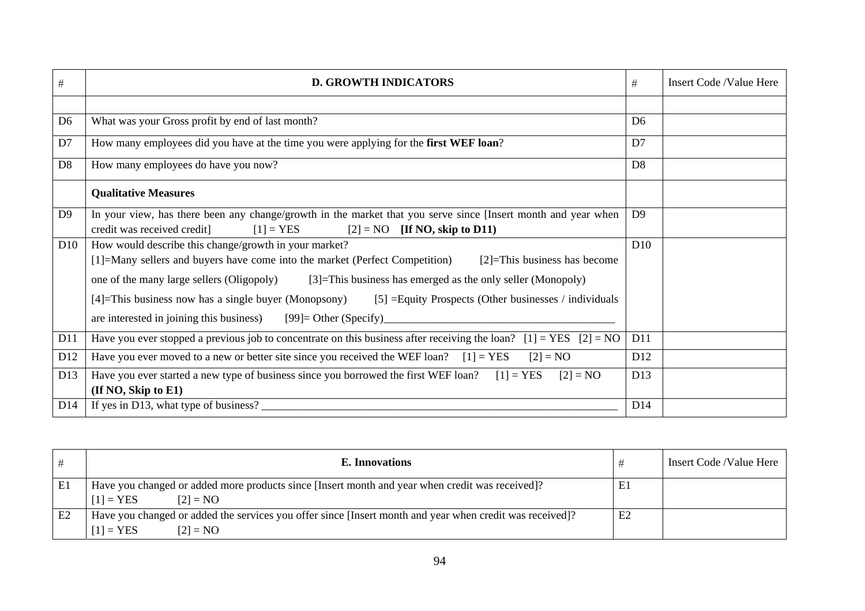| $\#$            | <b>D. GROWTH INDICATORS</b>                                                                                                                                                                                                                                                                                                                                                                                                                                                     | $\#$            | Insert Code /Value Here |
|-----------------|---------------------------------------------------------------------------------------------------------------------------------------------------------------------------------------------------------------------------------------------------------------------------------------------------------------------------------------------------------------------------------------------------------------------------------------------------------------------------------|-----------------|-------------------------|
|                 |                                                                                                                                                                                                                                                                                                                                                                                                                                                                                 |                 |                         |
| D <sub>6</sub>  | What was your Gross profit by end of last month?                                                                                                                                                                                                                                                                                                                                                                                                                                | D <sub>6</sub>  |                         |
| D7              | How many employees did you have at the time you were applying for the first WEF loan?                                                                                                                                                                                                                                                                                                                                                                                           | D7              |                         |
| D <sub>8</sub>  | How many employees do have you now?                                                                                                                                                                                                                                                                                                                                                                                                                                             | D <sub>8</sub>  |                         |
|                 | <b>Qualitative Measures</b>                                                                                                                                                                                                                                                                                                                                                                                                                                                     |                 |                         |
| D <sub>9</sub>  | In your view, has there been any change/growth in the market that you serve since [Insert month and year when<br>credit was received credit]<br>$[1]$ = YES<br>$[2] = NO$ [If NO, skip to D11)                                                                                                                                                                                                                                                                                  | D <sup>9</sup>  |                         |
| D <sub>10</sub> | How would describe this change/growth in your market?<br>[1]=Many sellers and buyers have come into the market (Perfect Competition)<br>$[2]$ =This business has become<br>one of the many large sellers (Oligopoly)<br>[3]=This business has emerged as the only seller (Monopoly)<br>[5] $=$ Equity Prospects (Other businesses / individuals<br>[4]=This business now has a single buyer (Monopsony)<br>are interested in joining this business)<br>$[99]$ = Other (Specify) | D10             |                         |
| D11             | Have you ever stopped a previous job to concentrate on this business after receiving the loan? [1] = YES [2] = NO                                                                                                                                                                                                                                                                                                                                                               | D11             |                         |
| D <sub>12</sub> | Have you ever moved to a new or better site since you received the WEF loan?<br>$[1]$ = YES<br>$[2] = NO$                                                                                                                                                                                                                                                                                                                                                                       | D <sub>12</sub> |                         |
| D13             | Have you ever started a new type of business since you borrowed the first WEF loan? $[1] = \text{YES}$<br>$[2] = NO$<br>$($ If NO, Skip to E1 $)$                                                                                                                                                                                                                                                                                                                               | D13             |                         |
| D <sub>14</sub> | If yes in D13, what type of business?                                                                                                                                                                                                                                                                                                                                                                                                                                           | D <sub>14</sub> |                         |

|                | E. Innovations                                                                                                                        |                | Insert Code /Value Here |
|----------------|---------------------------------------------------------------------------------------------------------------------------------------|----------------|-------------------------|
| E1             | Have you changed or added more products since [Insert month and year when credit was received]?<br>$[1]$ = YES<br>$[2] = NO$          | E1             |                         |
| E <sub>2</sub> | Have you changed or added the services you offer since [Insert month and year when credit was received]?<br>$[1]$ = YES<br>$[2] = NO$ | E <sub>2</sub> |                         |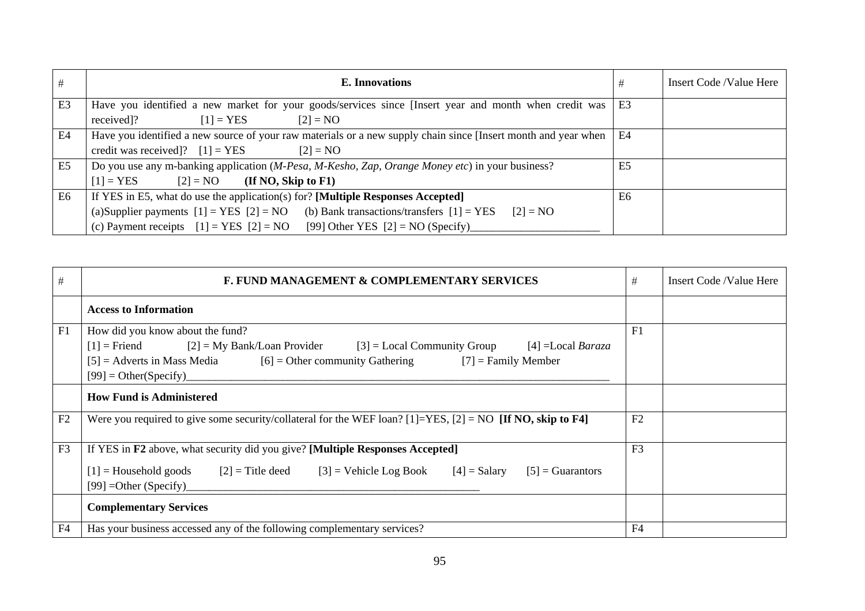| #              | E. Innovations                                                                                                                | #              | Insert Code /Value Here |
|----------------|-------------------------------------------------------------------------------------------------------------------------------|----------------|-------------------------|
| E <sub>3</sub> | Have you identified a new market for your goods/services since [Insert year and month when credit was                         | E3             |                         |
|                | received]?<br>$[1]$ = YES<br>$[2] = NO$                                                                                       |                |                         |
| E4             | Have you identified a new source of your raw materials or a new supply chain since [Insert month and year when                | E4             |                         |
|                | credit was received]? $[1] = YES$<br>$[2] = NO$                                                                               |                |                         |
| E <sub>5</sub> | Do you use any m-banking application (M-Pesa, M-Kesho, Zap, Orange Money etc) in your business?                               | E <sub>5</sub> |                         |
|                | $[1]$ = YES<br>$[2] = NO$ (If NO, Skip to F1)                                                                                 |                |                         |
| E <sub>6</sub> | If YES in E5, what do use the application(s) for? [Multiple Responses Accepted]                                               | E6             |                         |
|                | (a)Supplier payments $[1] = \text{YES}$ $[2] = \text{NO}$<br>(b) Bank transactions/transfers $[1] = \text{YES}$<br>$[2] = NO$ |                |                         |
|                | (c) Payment receipts $[1] = \text{YES}$ $[2] = \text{NO}$ [99] Other YES $[2] = \text{NO}$ (Specify)                          |                |                         |

| #              | F. FUND MANAGEMENT & COMPLEMENTARY SERVICES                                                                                                                                                                                                                     | #              | Insert Code /Value Here |
|----------------|-----------------------------------------------------------------------------------------------------------------------------------------------------------------------------------------------------------------------------------------------------------------|----------------|-------------------------|
|                | <b>Access to Information</b>                                                                                                                                                                                                                                    |                |                         |
| F1             | How did you know about the fund?<br>$[1]$ = Friend $[2]$ = My Bank/Loan Provider<br>$[3]$ = Local Community Group<br>[4] $=$ Local <i>Baraza</i><br>[5] = Adverts in Mass Media [6] = Other community Gathering [7] = Family Member<br>$[99] = Other(Specific)$ | F1             |                         |
|                | <b>How Fund is Administered</b>                                                                                                                                                                                                                                 |                |                         |
| F2             | Were you required to give some security/collateral for the WEF loan? [1]=YES, [2] = NO [If NO, skip to F4]                                                                                                                                                      | F2             |                         |
| F <sub>3</sub> | If YES in F2 above, what security did you give? [Multiple Responses Accepted]<br>$[1]$ = Household goods<br>$[2]$ = Title deed $[3]$ = Vehicle Log Book $[4]$ = Salary<br>$[5]$ = Guarantors<br>$[99] = Other (Specific)$                                       | F <sub>3</sub> |                         |
|                | <b>Complementary Services</b>                                                                                                                                                                                                                                   |                |                         |
| F <sub>4</sub> | Has your business accessed any of the following complementary services?                                                                                                                                                                                         | F <sub>4</sub> |                         |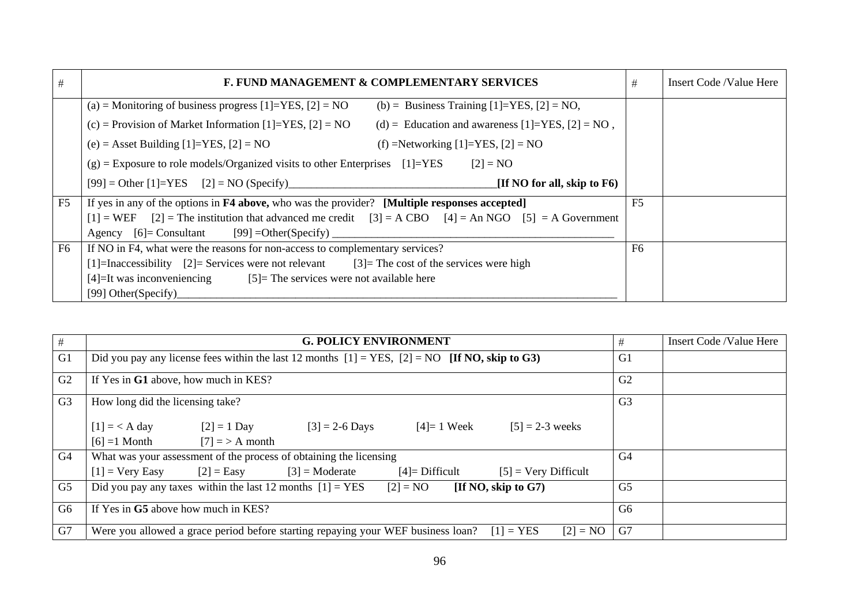| #              | F. FUND MANAGEMENT & COMPLEMENTARY SERVICES                                                                           | #              | Insert Code /Value Here |
|----------------|-----------------------------------------------------------------------------------------------------------------------|----------------|-------------------------|
|                | (a) = Monitoring of business progress [1]=YES, [2] = NO<br>(b) = Business Training $[1]$ =YES, $[2]$ = NO,            |                |                         |
|                | (c) = Provision of Market Information $[1]$ =YES, $[2]$ = NO<br>(d) = Education and awareness $[1]$ =YES, $[2]$ = NO, |                |                         |
|                | (e) = Asset Building [1]=YES, [2] = NO<br>(f) =Networking [1]=YES, [2] = NO                                           |                |                         |
|                | $(g)$ = Exposure to role models/Organized visits to other Enterprises [1]=YES<br>$[2] = NO$                           |                |                         |
|                | [If NO for all, skip to $F6$ )<br>$[99] = Other [1] = YES$ $[2] = NO (Specific)$                                      |                |                         |
| F5             | If yes in any of the options in <b>F4 above</b> , who was the provider? [Multiple responses accepted]                 | F <sub>5</sub> |                         |
|                | $[1]$ = WEF $[2]$ = The institution that advanced me credit $[3]$ = A CBO $[4]$ = An NGO $[5]$ = A Government         |                |                         |
|                | [99] = Other (Specify)<br>Agency $[6]$ = Consultant                                                                   |                |                         |
| F <sub>6</sub> | If NO in F4, what were the reasons for non-access to complementary services?                                          | F <sub>6</sub> |                         |
|                | [1]=Inaccessibility [2]= Services were not relevant [3]= The cost of the services were high                           |                |                         |
|                | $[4]$ =It was inconveniencing $[5]$ = The services were not available here                                            |                |                         |
|                | [99] Other(Specify)                                                                                                   |                |                         |

| #              | <b>G. POLICY ENVIRONMENT</b>                                                                                      | #              | Insert Code /Value Here |
|----------------|-------------------------------------------------------------------------------------------------------------------|----------------|-------------------------|
| G1             | Did you pay any license fees within the last 12 months $[1] = \text{YES}, [2] = \text{NO}$ [If NO, skip to G3)    | G <sub>1</sub> |                         |
| G2             | If Yes in G1 above, how much in KES?                                                                              | G <sub>2</sub> |                         |
| G <sub>3</sub> | How long did the licensing take?                                                                                  | G <sub>3</sub> |                         |
|                | $[1] = < A \text{ day}$ $[2] = 1 \text{ Day}$<br>$[3] = 2 - 6$ Days<br>$[4] = 1$ Week<br>$[5] = 2 - 3$ weeks      |                |                         |
|                | $[6] = 1$ Month $[7] = > A$ month                                                                                 |                |                         |
| G4             | What was your assessment of the process of obtaining the licensing                                                | G4             |                         |
|                | $[1]$ = Very Easy $[2]$ = Easy $[3]$ = Moderate $[4]$ = Difficult $[5]$ = Very Difficult                          |                |                         |
| G <sub>5</sub> | Did you pay any taxes within the last 12 months $[1] = \text{YES}$ $[2] = \text{NO}$<br>[If NO, skip to $G7$ )    | G <sub>5</sub> |                         |
| G <sub>6</sub> | If Yes in G5 above how much in KES?                                                                               | G <sub>6</sub> |                         |
| G7             | Were you allowed a grace period before starting repaying your WEF business loan? $[1] = \text{YES}$<br>$[2] = NO$ | G7             |                         |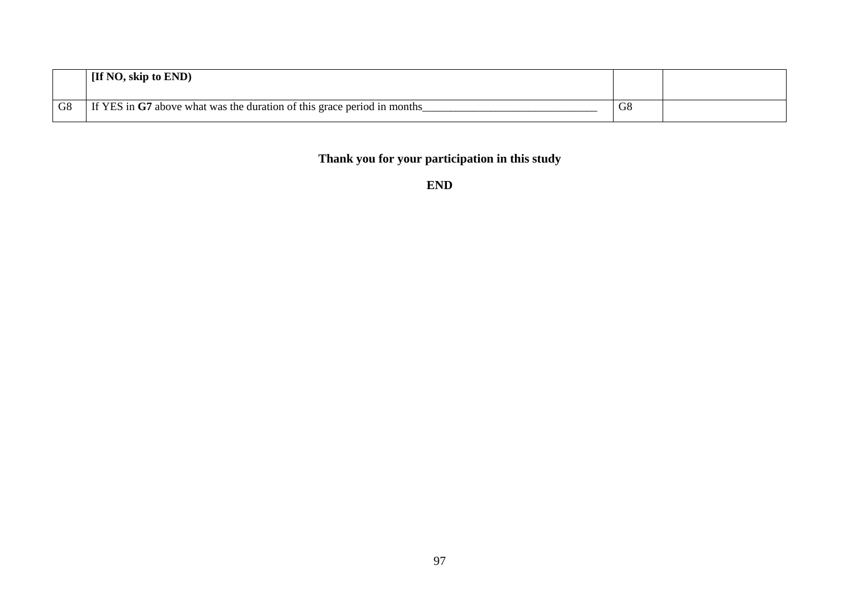|    | [If NO, skip to END)                                                    |                |  |
|----|-------------------------------------------------------------------------|----------------|--|
| G8 | If YES in G7 above what was the duration of this grace period in months | G <sub>8</sub> |  |

# **Thank you for your participation in this study**

**END**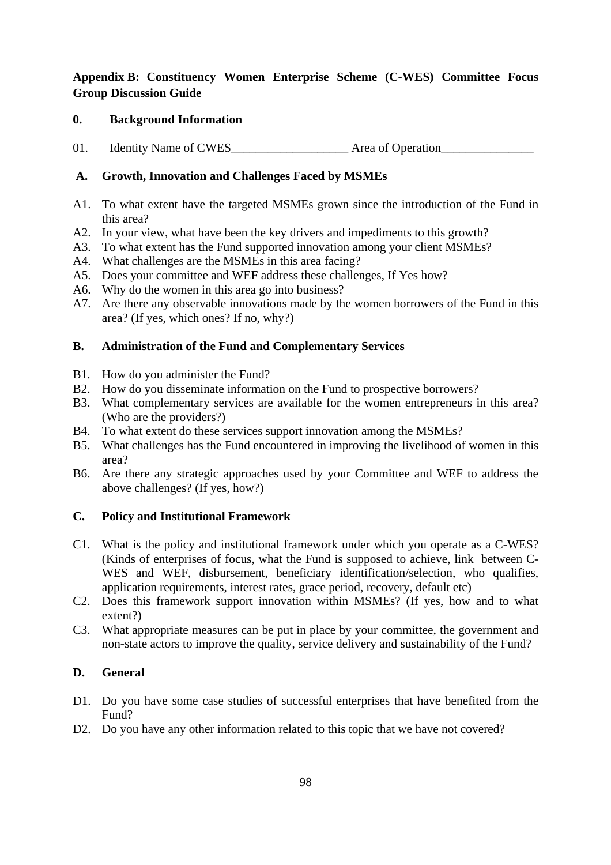## **Appendix B: Constituency Women Enterprise Scheme (C-WES) Committee Focus Group Discussion Guide**

#### **0. Background Information**

01. Identity Name of CWES\_\_\_\_\_\_\_\_\_\_\_\_\_\_\_\_\_\_\_ Area of Operation\_\_\_\_\_\_\_\_\_\_\_\_\_\_\_

## **A. Growth, Innovation and Challenges Faced by MSMEs**

- A1. To what extent have the targeted MSMEs grown since the introduction of the Fund in this area?
- A2. In your view, what have been the key drivers and impediments to this growth?
- A3. To what extent has the Fund supported innovation among your client MSMEs?
- A4. What challenges are the MSMEs in this area facing?
- A5. Does your committee and WEF address these challenges, If Yes how?
- A6. Why do the women in this area go into business?
- A7. Are there any observable innovations made by the women borrowers of the Fund in this area? (If yes, which ones? If no, why?)

#### **B. Administration of the Fund and Complementary Services**

- B1. How do you administer the Fund?
- B2. How do you disseminate information on the Fund to prospective borrowers?
- B3. What complementary services are available for the women entrepreneurs in this area? (Who are the providers?)
- B4. To what extent do these services support innovation among the MSMEs?
- B5. What challenges has the Fund encountered in improving the livelihood of women in this area?
- B6. Are there any strategic approaches used by your Committee and WEF to address the above challenges? (If yes, how?)

#### **C. Policy and Institutional Framework**

- C1. What is the policy and institutional framework under which you operate as a C-WES? (Kinds of enterprises of focus, what the Fund is supposed to achieve, link between C-WES and WEF, disbursement, beneficiary identification/selection, who qualifies, application requirements, interest rates, grace period, recovery, default etc)
- C2. Does this framework support innovation within MSMEs? (If yes, how and to what extent?)
- C3. What appropriate measures can be put in place by your committee, the government and non-state actors to improve the quality, service delivery and sustainability of the Fund?

#### **D. General**

- D1. Do you have some case studies of successful enterprises that have benefited from the Fund?
- D2. Do you have any other information related to this topic that we have not covered?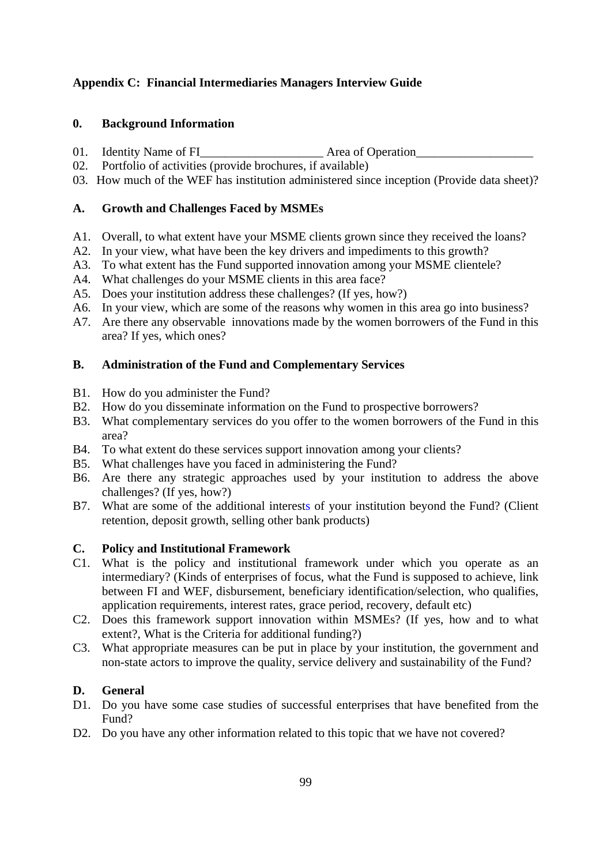## **Appendix C: Financial Intermediaries Managers Interview Guide**

#### **0. Background Information**

- 01. Identity Name of FI Area of Operation
- 02. Portfolio of activities (provide brochures, if available)
- 03. How much of the WEF has institution administered since inception (Provide data sheet)?

#### **A. Growth and Challenges Faced by MSMEs**

- A1. Overall, to what extent have your MSME clients grown since they received the loans?
- A2. In your view, what have been the key drivers and impediments to this growth?
- A3. To what extent has the Fund supported innovation among your MSME clientele?
- A4. What challenges do your MSME clients in this area face?
- A5. Does your institution address these challenges? (If yes, how?)
- A6. In your view, which are some of the reasons why women in this area go into business?
- A7. Are there any observable innovations made by the women borrowers of the Fund in this area? If yes, which ones?

#### **B. Administration of the Fund and Complementary Services**

- B1. How do you administer the Fund?
- B2. How do you disseminate information on the Fund to prospective borrowers?
- B3. What complementary services do you offer to the women borrowers of the Fund in this area?
- B4. To what extent do these services support innovation among your clients?
- B5. What challenges have you faced in administering the Fund?
- B6. Are there any strategic approaches used by your institution to address the above challenges? (If yes, how?)
- B7. What are some of the additional interests of your institution beyond the Fund? (Client retention, deposit growth, selling other bank products)

#### **C. Policy and Institutional Framework**

- C1. What is the policy and institutional framework under which you operate as an intermediary? (Kinds of enterprises of focus, what the Fund is supposed to achieve, link between FI and WEF, disbursement, beneficiary identification/selection, who qualifies, application requirements, interest rates, grace period, recovery, default etc)
- C2. Does this framework support innovation within MSMEs? (If yes, how and to what extent?, What is the Criteria for additional funding?)
- C3. What appropriate measures can be put in place by your institution, the government and non-state actors to improve the quality, service delivery and sustainability of the Fund?

#### **D. General**

- D1. Do you have some case studies of successful enterprises that have benefited from the Fund?
- D2. Do you have any other information related to this topic that we have not covered?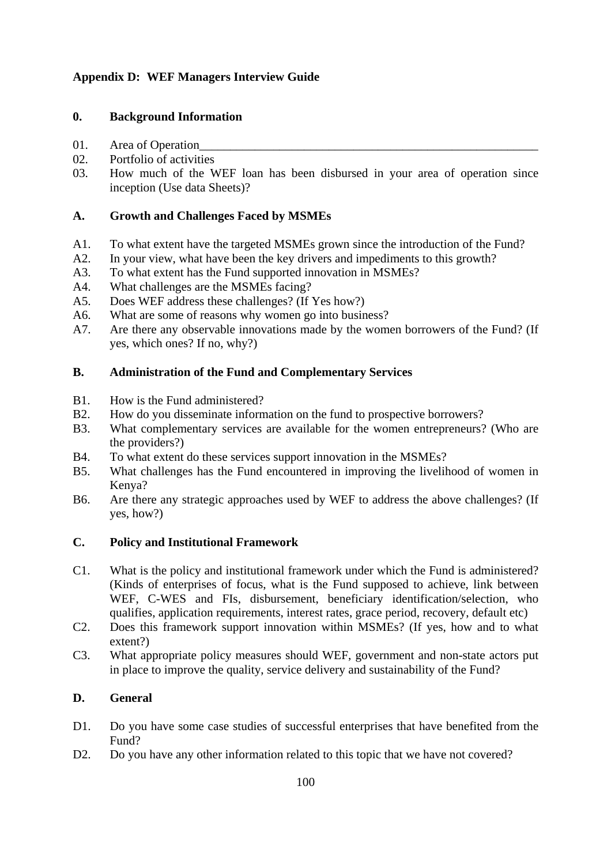## **Appendix D: WEF Managers Interview Guide**

#### **0. Background Information**

- 01. Area of Operation
- 02. Portfolio of activities
- 03. How much of the WEF loan has been disbursed in your area of operation since inception (Use data Sheets)?

## **A. Growth and Challenges Faced by MSMEs**

- A1. To what extent have the targeted MSMEs grown since the introduction of the Fund?
- A2. In your view, what have been the key drivers and impediments to this growth?
- A3. To what extent has the Fund supported innovation in MSMEs?
- A4. What challenges are the MSMEs facing?
- A5. Does WEF address these challenges? (If Yes how?)
- A6. What are some of reasons why women go into business?
- A7. Are there any observable innovations made by the women borrowers of the Fund? (If yes, which ones? If no, why?)

#### **B. Administration of the Fund and Complementary Services**

- B1. How is the Fund administered?
- B2. How do you disseminate information on the fund to prospective borrowers?
- B3. What complementary services are available for the women entrepreneurs? (Who are the providers?)
- B4. To what extent do these services support innovation in the MSMEs?
- B5. What challenges has the Fund encountered in improving the livelihood of women in Kenya?
- B6. Are there any strategic approaches used by WEF to address the above challenges? (If yes, how?)

## **C. Policy and Institutional Framework**

- C1. What is the policy and institutional framework under which the Fund is administered? (Kinds of enterprises of focus, what is the Fund supposed to achieve, link between WEF, C-WES and FIs, disbursement, beneficiary identification/selection, who qualifies, application requirements, interest rates, grace period, recovery, default etc)
- C2. Does this framework support innovation within MSMEs? (If yes, how and to what extent?)
- C3. What appropriate policy measures should WEF, government and non-state actors put in place to improve the quality, service delivery and sustainability of the Fund?

## **D. General**

- D1. Do you have some case studies of successful enterprises that have benefited from the Fund?
- D2. Do you have any other information related to this topic that we have not covered?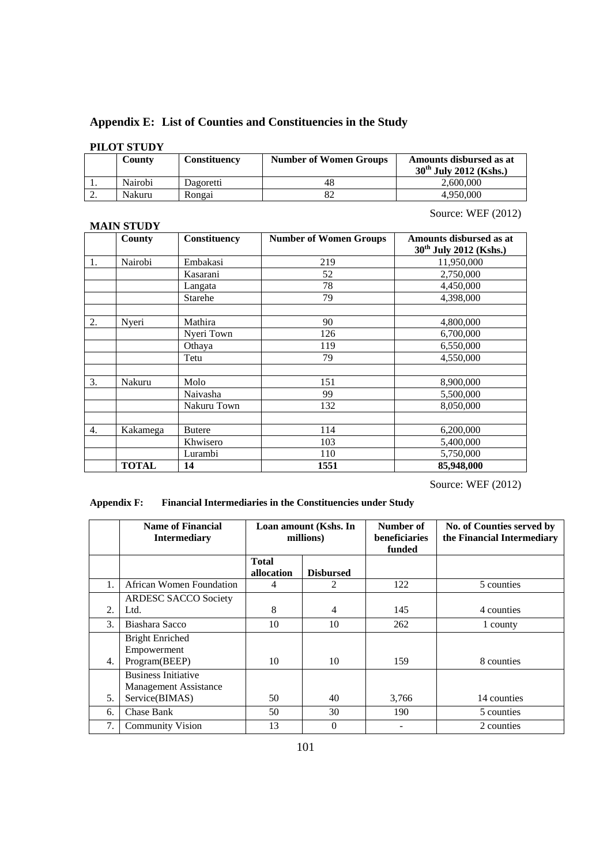# **Appendix E: List of Counties and Constituencies in the Study**

## **PILOT STUDY**

|          | County  | Constituency | <b>Number of Women Groups</b> | Amounts disbursed as at<br>$30^{th}$ July 2012 (Kshs.) |
|----------|---------|--------------|-------------------------------|--------------------------------------------------------|
|          | Nairobi | Dagoretti    |                               | 2.600,000                                              |
| <u>.</u> | Nakuru  | Rongai       |                               | 4.950,000                                              |

#### **MAIN STUDY**

## Source: WEF (2012)

|                  | County       | Constituency   | <b>Number of Women Groups</b> | Amounts disbursed as at<br>30 <sup>th</sup> July 2012 (Kshs.) |
|------------------|--------------|----------------|-------------------------------|---------------------------------------------------------------|
| 1.               | Nairobi      | Embakasi       | 219                           | 11,950,000                                                    |
|                  |              | Kasarani       | 52                            | 2,750,000                                                     |
|                  |              | Langata        | 78                            | 4,450,000                                                     |
|                  |              | <b>Starehe</b> | 79                            | 4,398,000                                                     |
| 2.               | Nyeri        | Mathira        | 90                            | 4,800,000                                                     |
|                  |              | Nyeri Town     | 126                           | 6,700,000                                                     |
|                  |              | Othaya         | 119                           | 6,550,000                                                     |
|                  |              | Tetu           | 79                            | 4,550,000                                                     |
| 3.               | Nakuru       | Molo           | 151                           | 8,900,000                                                     |
|                  |              | Naivasha       | 99                            | 5,500,000                                                     |
|                  |              | Nakuru Town    | 132                           | 8,050,000                                                     |
| $\overline{4}$ . | Kakamega     | <b>Butere</b>  | 114                           | 6,200,000                                                     |
|                  |              | Khwisero       | 103                           | 5,400,000                                                     |
|                  |              | Lurambi        | 110                           | 5,750,000                                                     |
|                  | <b>TOTAL</b> | 14             | 1551                          | 85,948,000                                                    |

Source: WEF (2012)

**Appendix F: Financial Intermediaries in the Constituencies under Study** 

|                  | <b>Name of Financial</b><br><b>Intermediary</b>                       | Loan amount (Kshs. In<br>millions) |                  | Number of<br>beneficiaries<br>funded | No. of Counties served by<br>the Financial Intermediary |
|------------------|-----------------------------------------------------------------------|------------------------------------|------------------|--------------------------------------|---------------------------------------------------------|
|                  |                                                                       | <b>Total</b><br>allocation         | <b>Disbursed</b> |                                      |                                                         |
| 1.               | African Women Foundation                                              | 4                                  | 2                | 122                                  | 5 counties                                              |
| $\mathfrak{D}$   | <b>ARDESC SACCO Society</b><br>Ltd.                                   | 8                                  | 4                | 145                                  | 4 counties                                              |
| 3.               | Biashara Sacco                                                        | 10                                 | 10               | 262                                  | 1 county                                                |
| $\overline{4}$ . | <b>Bright Enriched</b><br>Empowerment<br>Program(BEEP)                | 10                                 | 10               | 159                                  | 8 counties                                              |
| 5.               | <b>Business Initiative</b><br>Management Assistance<br>Service(BIMAS) | 50                                 | 40               | 3,766                                | 14 counties                                             |
| 6.               | Chase Bank                                                            | 50                                 | 30               | 190                                  | 5 counties                                              |
| 7.               | <b>Community Vision</b>                                               | 13                                 | $\theta$         |                                      | 2 counties                                              |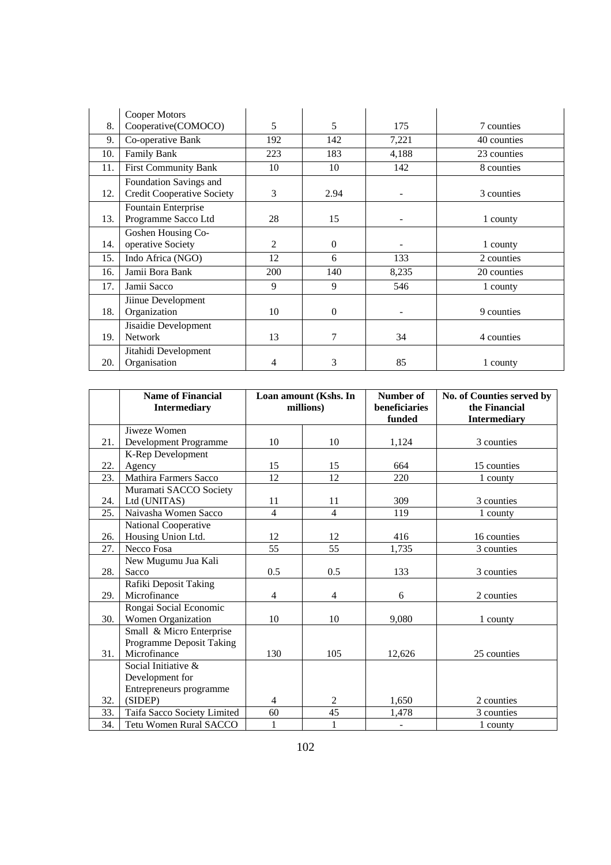|     | Cooper Motors                                               |                |                |       |             |
|-----|-------------------------------------------------------------|----------------|----------------|-------|-------------|
| 8.  | Cooperative(COMOCO)                                         | 5              | 5              | 175   | 7 counties  |
| 9.  | Co-operative Bank                                           | 192            | 142            | 7,221 | 40 counties |
| 10. | Family Bank                                                 | 223            | 183            | 4,188 | 23 counties |
| 11. | <b>First Community Bank</b>                                 | 10             | 10             | 142   | 8 counties  |
| 12. | Foundation Savings and<br><b>Credit Cooperative Society</b> | 3              | 2.94           |       | 3 counties  |
| 13. | Fountain Enterprise<br>Programme Sacco Ltd                  | 28             | 15             |       | 1 county    |
| 14. | Goshen Housing Co-<br>operative Society                     | $\overline{c}$ | $\Omega$       |       | 1 county    |
| 15. | Indo Africa (NGO)                                           | 12             | 6              | 133   | 2 counties  |
| 16. | Jamii Bora Bank                                             | 200            | 140            | 8,235 | 20 counties |
| 17. | Jamii Sacco                                                 | 9              | 9              | 546   | 1 county    |
| 18. | Jiinue Development<br>Organization                          | 10             | $\Omega$       |       | 9 counties  |
| 19. | Jisaidie Development<br><b>Network</b>                      | 13             | $\overline{7}$ | 34    | 4 counties  |
| 20. | Jitahidi Development<br>Organisation                        | 4              | 3              | 85    | 1 county    |

|     | <b>Name of Financial</b><br><b>Intermediary</b> | Loan amount (Kshs. In<br>millions) |                | Number of<br>beneficiaries<br>funded | No. of Counties served by<br>the Financial<br><b>Intermediary</b> |
|-----|-------------------------------------------------|------------------------------------|----------------|--------------------------------------|-------------------------------------------------------------------|
|     | Jiweze Women                                    |                                    |                |                                      |                                                                   |
| 21. | Development Programme                           | 10                                 | 10             | 1,124                                | 3 counties                                                        |
|     | K-Rep Development                               |                                    |                |                                      |                                                                   |
| 22. | Agency                                          | 15                                 | 15             | 664                                  | 15 counties                                                       |
| 23. | Mathira Farmers Sacco                           | 12                                 | 12             | 220                                  | 1 county                                                          |
|     | Muramati SACCO Society                          |                                    |                |                                      |                                                                   |
| 24. | Ltd (UNITAS)                                    | 11                                 | 11             | 309                                  | 3 counties                                                        |
| 25. | Naivasha Women Sacco                            | $\overline{4}$                     | $\overline{4}$ | 119                                  | 1 county                                                          |
|     | National Cooperative                            |                                    |                |                                      |                                                                   |
| 26. | Housing Union Ltd.                              | 12                                 | 12             | 416                                  | 16 counties                                                       |
| 27. | Necco Fosa                                      | 55                                 | 55             | 1,735                                | 3 counties                                                        |
|     | New Mugumu Jua Kali                             |                                    |                |                                      |                                                                   |
| 28. | Sacco                                           | 0.5                                | 0.5            | 133                                  | 3 counties                                                        |
|     | Rafiki Deposit Taking                           |                                    |                |                                      |                                                                   |
| 29. | Microfinance                                    | $\overline{4}$                     | $\overline{4}$ | 6                                    | 2 counties                                                        |
|     | Rongai Social Economic                          |                                    |                |                                      |                                                                   |
| 30. | Women Organization                              | 10                                 | 10             | 9,080                                | 1 county                                                          |
|     | Small & Micro Enterprise                        |                                    |                |                                      |                                                                   |
|     | Programme Deposit Taking                        |                                    |                |                                      |                                                                   |
| 31. | Microfinance                                    | 130                                | 105            | 12,626                               | 25 counties                                                       |
|     | Social Initiative &                             |                                    |                |                                      |                                                                   |
|     | Development for                                 |                                    |                |                                      |                                                                   |
|     | Entrepreneurs programme                         |                                    |                |                                      |                                                                   |
| 32. | (SIDEP)                                         | $\overline{4}$                     | 2              | 1,650                                | 2 counties                                                        |
| 33. | Taifa Sacco Society Limited                     | 60                                 | 45             | 1,478                                | 3 counties                                                        |
| 34. | <b>Tetu Women Rural SACCO</b>                   | 1                                  | 1              | $\overline{\phantom{0}}$             | 1 county                                                          |